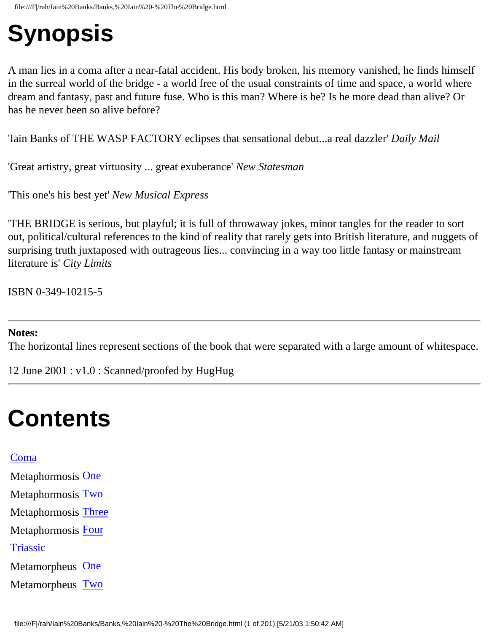# **Synopsis**

A man lies in a coma after a near-fatal accident. His body broken, his memory vanished, he finds himself in the surreal world of the bridge - a world free of the usual constraints of time and space, a world where dream and fantasy, past and future fuse. Who is this man? Where is he? Is he more dead than alive? Or has he never been so alive before?

'Iain Banks of THE WASP FACTORY eclipses that sensational debut...a real dazzler' *Daily Mail*

'Great artistry, great virtuosity ... great exuberance' *New Statesman*

'This one's his best yet' *New Musical Express*

'THE BRIDGE is serious, but playful; it is full of throwaway jokes, minor tangles for the reader to sort out, political/cultural references to the kind of reality that rarely gets into British literature, and nuggets of surprising truth juxtaposed with outrageous lies... convincing in a way too little fantasy or mainstream literature is' *City Limits*

ISBN 0-349-10215-5

#### **Notes:**

The horizontal lines represent sections of the book that were separated with a large amount of whitespace.

12 June 2001 : v1.0 : Scanned/proofed by HugHug

## **Contents**

### [Coma](#page-1-0)

Metaphormosis [One](#page-2-0) Metaphormosis [Two](#page-21-0) Metaphormosis [Three](#page-35-0) Metaphormosis [Four](#page-49-0) **[Triassic](#page-64-0)** Metamorpheus [One](#page-74-0) Metamorpheus [Two](#page-84-0)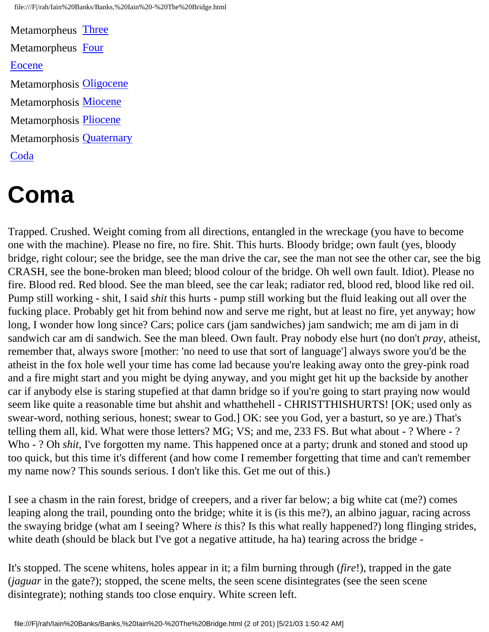file:///F|/rah/Iain%20Banks/Banks,%20Iain%20-%20The%20Bridge.html

Metamorpheus [Three](#page-98-0) Metamorpheus [Four](#page-110-0) [Eocene](#page-129-0) Metamorphosis [Oligocene](#page-146-0) Metamorphosis [Miocene](#page-154-0) Metamorphosis [Pliocene](#page-162-0) Metamorphosis [Quaternary](#page-179-0) [Coda](#page-194-0)

## <span id="page-1-0"></span>**Coma**

Trapped. Crushed. Weight coming from all directions, entangled in the wreckage (you have to become one with the machine). Please no fire, no fire. Shit. This hurts. Bloody bridge; own fault (yes, bloody bridge, right colour; see the bridge, see the man drive the car, see the man not see the other car, see the big CRASH, see the bone-broken man bleed; blood colour of the bridge. Oh well own fault. Idiot). Please no fire. Blood red. Red blood. See the man bleed, see the car leak; radiator red, blood red, blood like red oil. Pump still working - shit, I said *shit* this hurts - pump still working but the fluid leaking out all over the fucking place. Probably get hit from behind now and serve me right, but at least no fire, yet anyway; how long, I wonder how long since? Cars; police cars (jam sandwiches) jam sandwich; me am di jam in di sandwich car am di sandwich. See the man bleed. Own fault. Pray nobody else hurt (no don't *pray*, atheist, remember that, always swore [mother: 'no need to use that sort of language'] always swore you'd be the atheist in the fox hole well your time has come lad because you're leaking away onto the grey-pink road and a fire might start and you might be dying anyway, and you might get hit up the backside by another car if anybody else is staring stupefied at that damn bridge so if you're going to start praying now would seem like quite a reasonable time but ahshit and whatthehell - CHRISTTHISHURTS! [OK; used only as swear-word, nothing serious, honest; swear to God.] OK: see you God, yer a basturt, so ye are.) That's telling them all, kid. What were those letters? MG; VS; and me, 233 FS. But what about - ? Where - ? Who - ? Oh *shit*, I've forgotten my name. This happened once at a party; drunk and stoned and stood up too quick, but this time it's different (and how come I remember forgetting that time and can't remember my name now? This sounds serious. I don't like this. Get me out of this.)

I see a chasm in the rain forest, bridge of creepers, and a river far below; a big white cat (me?) comes leaping along the trail, pounding onto the bridge; white it is (is this me?), an albino jaguar, racing across the swaying bridge (what am I seeing? Where *is* this? Is this what really happened?) long flinging strides, white death (should be black but I've got a negative attitude, ha ha) tearing across the bridge -

It's stopped. The scene whitens, holes appear in it; a film burning through (*fire*!), trapped in the gate (*jaguar* in the gate?); stopped, the scene melts, the seen scene disintegrates (see the seen scene disintegrate); nothing stands too close enquiry. White screen left.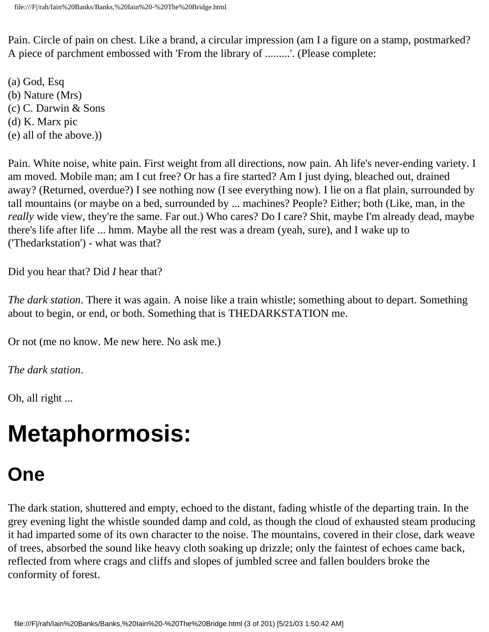Pain. Circle of pain on chest. Like a brand, a circular impression (am I a figure on a stamp, postmarked? A piece of parchment embossed with 'From the library of .........'. (Please complete:

(a) God, Esq (b) Nature (Mrs) (c) C. Darwin & Sons (d) K. Marx pic (e) all of the above.))

Pain. White noise, white pain. First weight from all directions, now pain. Ah life's never-ending variety. I am moved. Mobile man; am I cut free? Or has a fire started? Am I just dying, bleached out, drained away? (Returned, overdue?) I see nothing now (I see everything now). I lie on a flat plain, surrounded by tall mountains (or maybe on a bed, surrounded by ... machines? People? Either; both (Like, man, in the *really* wide view, they're the same. Far out.) Who cares? Do I care? Shit, maybe I'm already dead, maybe there's life after life ... hmm. Maybe all the rest was a dream (yeah, sure), and I wake up to ('Thedarkstation') - what was that?

Did you hear that? Did *I* hear that?

*The dark station*. There it was again. A noise like a train whistle; something about to depart. Something about to begin, or end, or both. Something that is THEDARKSTATION me.

Or not (me no know. Me new here. No ask me.)

*The dark station*.

Oh, all right ...

# <span id="page-2-0"></span>**Metaphormosis:**

## **One**

The dark station, shuttered and empty, echoed to the distant, fading whistle of the departing train. In the grey evening light the whistle sounded damp and cold, as though the cloud of exhausted steam producing it had imparted some of its own character to the noise. The mountains, covered in their close, dark weave of trees, absorbed the sound like heavy cloth soaking up drizzle; only the faintest of echoes came back, reflected from where crags and cliffs and slopes of jumbled scree and fallen boulders broke the conformity of forest.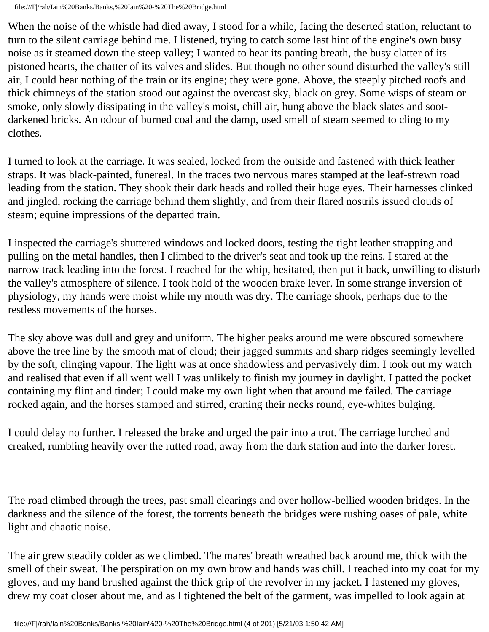When the noise of the whistle had died away, I stood for a while, facing the deserted station, reluctant to turn to the silent carriage behind me. I listened, trying to catch some last hint of the engine's own busy noise as it steamed down the steep valley; I wanted to hear its panting breath, the busy clatter of its pistoned hearts, the chatter of its valves and slides. But though no other sound disturbed the valley's still air, I could hear nothing of the train or its engine; they were gone. Above, the steeply pitched roofs and thick chimneys of the station stood out against the overcast sky, black on grey. Some wisps of steam or smoke, only slowly dissipating in the valley's moist, chill air, hung above the black slates and sootdarkened bricks. An odour of burned coal and the damp, used smell of steam seemed to cling to my clothes.

I turned to look at the carriage. It was sealed, locked from the outside and fastened with thick leather straps. It was black-painted, funereal. In the traces two nervous mares stamped at the leaf-strewn road leading from the station. They shook their dark heads and rolled their huge eyes. Their harnesses clinked and jingled, rocking the carriage behind them slightly, and from their flared nostrils issued clouds of steam; equine impressions of the departed train.

I inspected the carriage's shuttered windows and locked doors, testing the tight leather strapping and pulling on the metal handles, then I climbed to the driver's seat and took up the reins. I stared at the narrow track leading into the forest. I reached for the whip, hesitated, then put it back, unwilling to disturb the valley's atmosphere of silence. I took hold of the wooden brake lever. In some strange inversion of physiology, my hands were moist while my mouth was dry. The carriage shook, perhaps due to the restless movements of the horses.

The sky above was dull and grey and uniform. The higher peaks around me were obscured somewhere above the tree line by the smooth mat of cloud; their jagged summits and sharp ridges seemingly levelled by the soft, clinging vapour. The light was at once shadowless and pervasively dim. I took out my watch and realised that even if all went well I was unlikely to finish my journey in daylight. I patted the pocket containing my flint and tinder; I could make my own light when that around me failed. The carriage rocked again, and the horses stamped and stirred, craning their necks round, eye-whites bulging.

I could delay no further. I released the brake and urged the pair into a trot. The carriage lurched and creaked, rumbling heavily over the rutted road, away from the dark station and into the darker forest.

The road climbed through the trees, past small clearings and over hollow-bellied wooden bridges. In the darkness and the silence of the forest, the torrents beneath the bridges were rushing oases of pale, white light and chaotic noise.

The air grew steadily colder as we climbed. The mares' breath wreathed back around me, thick with the smell of their sweat. The perspiration on my own brow and hands was chill. I reached into my coat for my gloves, and my hand brushed against the thick grip of the revolver in my jacket. I fastened my gloves, drew my coat closer about me, and as I tightened the belt of the garment, was impelled to look again at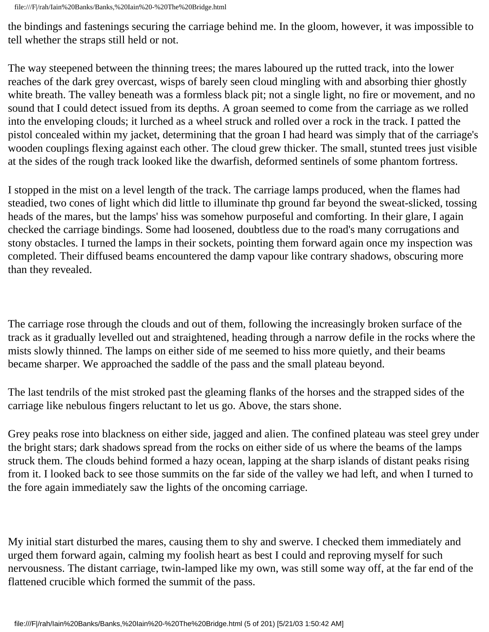the bindings and fastenings securing the carriage behind me. In the gloom, however, it was impossible to tell whether the straps still held or not.

The way steepened between the thinning trees; the mares laboured up the rutted track, into the lower reaches of the dark grey overcast, wisps of barely seen cloud mingling with and absorbing thier ghostly white breath. The valley beneath was a formless black pit; not a single light, no fire or movement, and no sound that I could detect issued from its depths. A groan seemed to come from the carriage as we rolled into the enveloping clouds; it lurched as a wheel struck and rolled over a rock in the track. I patted the pistol concealed within my jacket, determining that the groan I had heard was simply that of the carriage's wooden couplings flexing against each other. The cloud grew thicker. The small, stunted trees just visible at the sides of the rough track looked like the dwarfish, deformed sentinels of some phantom fortress.

I stopped in the mist on a level length of the track. The carriage lamps produced, when the flames had steadied, two cones of light which did little to illuminate thp ground far beyond the sweat-slicked, tossing heads of the mares, but the lamps' hiss was somehow purposeful and comforting. In their glare, I again checked the carriage bindings. Some had loosened, doubtless due to the road's many corrugations and stony obstacles. I turned the lamps in their sockets, pointing them forward again once my inspection was completed. Their diffused beams encountered the damp vapour like contrary shadows, obscuring more than they revealed.

The carriage rose through the clouds and out of them, following the increasingly broken surface of the track as it gradually levelled out and straightened, heading through a narrow defile in the rocks where the mists slowly thinned. The lamps on either side of me seemed to hiss more quietly, and their beams became sharper. We approached the saddle of the pass and the small plateau beyond.

The last tendrils of the mist stroked past the gleaming flanks of the horses and the strapped sides of the carriage like nebulous fingers reluctant to let us go. Above, the stars shone.

Grey peaks rose into blackness on either side, jagged and alien. The confined plateau was steel grey under the bright stars; dark shadows spread from the rocks on either side of us where the beams of the lamps struck them. The clouds behind formed a hazy ocean, lapping at the sharp islands of distant peaks rising from it. I looked back to see those summits on the far side of the valley we had left, and when I turned to the fore again immediately saw the lights of the oncoming carriage.

My initial start disturbed the mares, causing them to shy and swerve. I checked them immediately and urged them forward again, calming my foolish heart as best I could and reproving myself for such nervousness. The distant carriage, twin-lamped like my own, was still some way off, at the far end of the flattened crucible which formed the summit of the pass.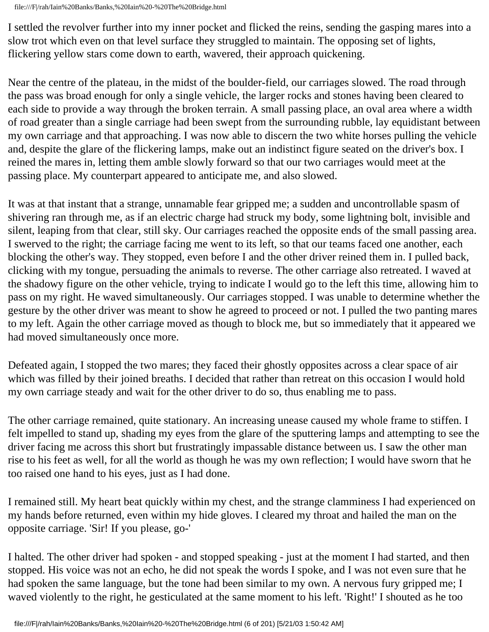file:///F|/rah/Iain%20Banks/Banks,%20Iain%20-%20The%20Bridge.html

I settled the revolver further into my inner pocket and flicked the reins, sending the gasping mares into a slow trot which even on that level surface they struggled to maintain. The opposing set of lights, flickering yellow stars come down to earth, wavered, their approach quickening.

Near the centre of the plateau, in the midst of the boulder-field, our carriages slowed. The road through the pass was broad enough for only a single vehicle, the larger rocks and stones having been cleared to each side to provide a way through the broken terrain. A small passing place, an oval area where a width of road greater than a single carriage had been swept from the surrounding rubble, lay equidistant between my own carriage and that approaching. I was now able to discern the two white horses pulling the vehicle and, despite the glare of the flickering lamps, make out an indistinct figure seated on the driver's box. I reined the mares in, letting them amble slowly forward so that our two carriages would meet at the passing place. My counterpart appeared to anticipate me, and also slowed.

It was at that instant that a strange, unnamable fear gripped me; a sudden and uncontrollable spasm of shivering ran through me, as if an electric charge had struck my body, some lightning bolt, invisible and silent, leaping from that clear, still sky. Our carriages reached the opposite ends of the small passing area. I swerved to the right; the carriage facing me went to its left, so that our teams faced one another, each blocking the other's way. They stopped, even before I and the other driver reined them in. I pulled back, clicking with my tongue, persuading the animals to reverse. The other carriage also retreated. I waved at the shadowy figure on the other vehicle, trying to indicate I would go to the left this time, allowing him to pass on my right. He waved simultaneously. Our carriages stopped. I was unable to determine whether the gesture by the other driver was meant to show he agreed to proceed or not. I pulled the two panting mares to my left. Again the other carriage moved as though to block me, but so immediately that it appeared we had moved simultaneously once more.

Defeated again, I stopped the two mares; they faced their ghostly opposites across a clear space of air which was filled by their joined breaths. I decided that rather than retreat on this occasion I would hold my own carriage steady and wait for the other driver to do so, thus enabling me to pass.

The other carriage remained, quite stationary. An increasing unease caused my whole frame to stiffen. I felt impelled to stand up, shading my eyes from the glare of the sputtering lamps and attempting to see the driver facing me across this short but frustratingly impassable distance between us. I saw the other man rise to his feet as well, for all the world as though he was my own reflection; I would have sworn that he too raised one hand to his eyes, just as I had done.

I remained still. My heart beat quickly within my chest, and the strange clamminess I had experienced on my hands before returned, even within my hide gloves. I cleared my throat and hailed the man on the opposite carriage. 'Sir! If you please, go-'

I halted. The other driver had spoken - and stopped speaking - just at the moment I had started, and then stopped. His voice was not an echo, he did not speak the words I spoke, and I was not even sure that he had spoken the same language, but the tone had been similar to my own. A nervous fury gripped me; I waved violently to the right, he gesticulated at the same moment to his left. 'Right!' I shouted as he too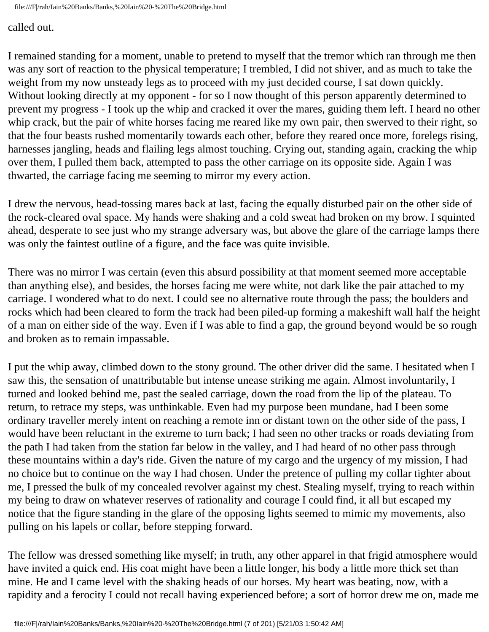file:///F|/rah/Iain%20Banks/Banks,%20Iain%20-%20The%20Bridge.html

called out.

I remained standing for a moment, unable to pretend to myself that the tremor which ran through me then was any sort of reaction to the physical temperature; I trembled, I did not shiver, and as much to take the weight from my now unsteady legs as to proceed with my just decided course, I sat down quickly. Without looking directly at my opponent - for so I now thought of this person apparently determined to prevent my progress - I took up the whip and cracked it over the mares, guiding them left. I heard no other whip crack, but the pair of white horses facing me reared like my own pair, then swerved to their right, so that the four beasts rushed momentarily towards each other, before they reared once more, forelegs rising, harnesses jangling, heads and flailing legs almost touching. Crying out, standing again, cracking the whip over them, I pulled them back, attempted to pass the other carriage on its opposite side. Again I was thwarted, the carriage facing me seeming to mirror my every action.

I drew the nervous, head-tossing mares back at last, facing the equally disturbed pair on the other side of the rock-cleared oval space. My hands were shaking and a cold sweat had broken on my brow. I squinted ahead, desperate to see just who my strange adversary was, but above the glare of the carriage lamps there was only the faintest outline of a figure, and the face was quite invisible.

There was no mirror I was certain (even this absurd possibility at that moment seemed more acceptable than anything else), and besides, the horses facing me were white, not dark like the pair attached to my carriage. I wondered what to do next. I could see no alternative route through the pass; the boulders and rocks which had been cleared to form the track had been piled-up forming a makeshift wall half the height of a man on either side of the way. Even if I was able to find a gap, the ground beyond would be so rough and broken as to remain impassable.

I put the whip away, climbed down to the stony ground. The other driver did the same. I hesitated when I saw this, the sensation of unattributable but intense unease striking me again. Almost involuntarily, I turned and looked behind me, past the sealed carriage, down the road from the lip of the plateau. To return, to retrace my steps, was unthinkable. Even had my purpose been mundane, had I been some ordinary traveller merely intent on reaching a remote inn or distant town on the other side of the pass, I would have been reluctant in the extreme to turn back; I had seen no other tracks or roads deviating from the path I had taken from the station far below in the valley, and I had heard of no other pass through these mountains within a day's ride. Given the nature of my cargo and the urgency of my mission, I had no choice but to continue on the way I had chosen. Under the pretence of pulling my collar tighter about me, I pressed the bulk of my concealed revolver against my chest. Stealing myself, trying to reach within my being to draw on whatever reserves of rationality and courage I could find, it all but escaped my notice that the figure standing in the glare of the opposing lights seemed to mimic my movements, also pulling on his lapels or collar, before stepping forward.

The fellow was dressed something like myself; in truth, any other apparel in that frigid atmosphere would have invited a quick end. His coat might have been a little longer, his body a little more thick set than mine. He and I came level with the shaking heads of our horses. My heart was beating, now, with a rapidity and a ferocity I could not recall having experienced before; a sort of horror drew me on, made me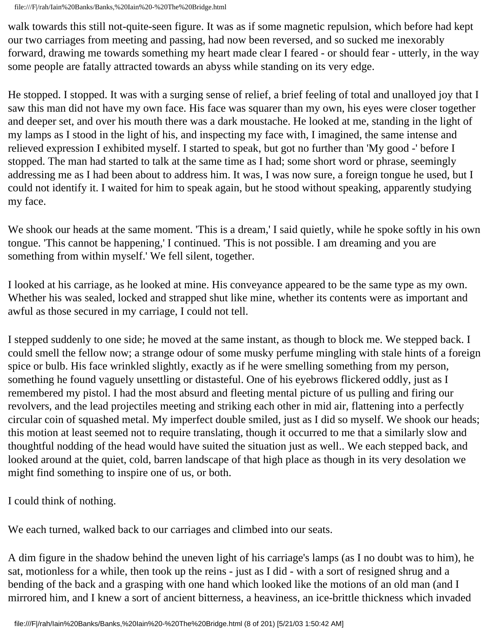walk towards this still not-quite-seen figure. It was as if some magnetic repulsion, which before had kept our two carriages from meeting and passing, had now been reversed, and so sucked me inexorably forward, drawing me towards something my heart made clear I feared - or should fear - utterly, in the way some people are fatally attracted towards an abyss while standing on its very edge.

He stopped. I stopped. It was with a surging sense of relief, a brief feeling of total and unalloyed joy that I saw this man did not have my own face. His face was squarer than my own, his eyes were closer together and deeper set, and over his mouth there was a dark moustache. He looked at me, standing in the light of my lamps as I stood in the light of his, and inspecting my face with, I imagined, the same intense and relieved expression I exhibited myself. I started to speak, but got no further than 'My good -' before I stopped. The man had started to talk at the same time as I had; some short word or phrase, seemingly addressing me as I had been about to address him. It was, I was now sure, a foreign tongue he used, but I could not identify it. I waited for him to speak again, but he stood without speaking, apparently studying my face.

We shook our heads at the same moment. 'This is a dream,' I said quietly, while he spoke softly in his own tongue. 'This cannot be happening,' I continued. 'This is not possible. I am dreaming and you are something from within myself.' We fell silent, together.

I looked at his carriage, as he looked at mine. His conveyance appeared to be the same type as my own. Whether his was sealed, locked and strapped shut like mine, whether its contents were as important and awful as those secured in my carriage, I could not tell.

I stepped suddenly to one side; he moved at the same instant, as though to block me. We stepped back. I could smell the fellow now; a strange odour of some musky perfume mingling with stale hints of a foreign spice or bulb. His face wrinkled slightly, exactly as if he were smelling something from my person, something he found vaguely unsettling or distasteful. One of his eyebrows flickered oddly, just as I remembered my pistol. I had the most absurd and fleeting mental picture of us pulling and firing our revolvers, and the lead projectiles meeting and striking each other in mid air, flattening into a perfectly circular coin of squashed metal. My imperfect double smiled, just as I did so myself. We shook our heads; this motion at least seemed not to require translating, though it occurred to me that a similarly slow and thoughtful nodding of the head would have suited the situation just as well.. We each stepped back, and looked around at the quiet, cold, barren landscape of that high place as though in its very desolation we might find something to inspire one of us, or both.

I could think of nothing.

We each turned, walked back to our carriages and climbed into our seats.

A dim figure in the shadow behind the uneven light of his carriage's lamps (as I no doubt was to him), he sat, motionless for a while, then took up the reins - just as I did - with a sort of resigned shrug and a bending of the back and a grasping with one hand which looked like the motions of an old man (and I mirrored him, and I knew a sort of ancient bitterness, a heaviness, an ice-brittle thickness which invaded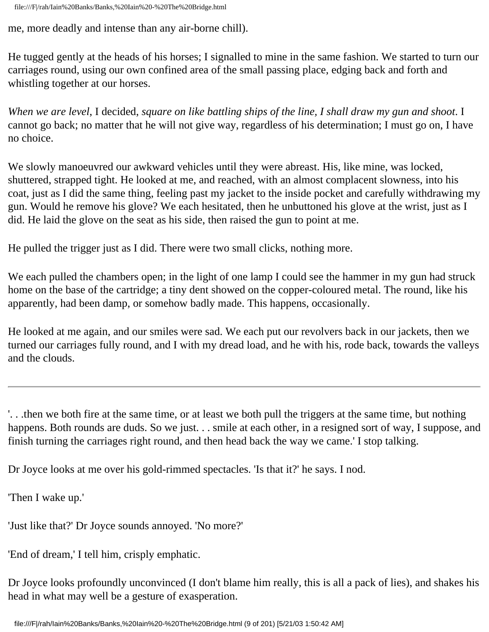me, more deadly and intense than any air-borne chill).

He tugged gently at the heads of his horses; I signalled to mine in the same fashion. We started to turn our carriages round, using our own confined area of the small passing place, edging back and forth and whistling together at our horses.

*When we are level*, I decided, *square on like battling ships of the line, I shall draw my gun and shoot*. I cannot go back; no matter that he will not give way, regardless of his determination; I must go on, I have no choice.

We slowly manoeuvred our awkward vehicles until they were abreast. His, like mine, was locked, shuttered, strapped tight. He looked at me, and reached, with an almost complacent slowness, into his coat, just as I did the same thing, feeling past my jacket to the inside pocket and carefully withdrawing my gun. Would he remove his glove? We each hesitated, then he unbuttoned his glove at the wrist, just as I did. He laid the glove on the seat as his side, then raised the gun to point at me.

He pulled the trigger just as I did. There were two small clicks, nothing more.

We each pulled the chambers open; in the light of one lamp I could see the hammer in my gun had struck home on the base of the cartridge; a tiny dent showed on the copper-coloured metal. The round, like his apparently, had been damp, or somehow badly made. This happens, occasionally.

He looked at me again, and our smiles were sad. We each put our revolvers back in our jackets, then we turned our carriages fully round, and I with my dread load, and he with his, rode back, towards the valleys and the clouds.

'. . .then we both fire at the same time, or at least we both pull the triggers at the same time, but nothing happens. Both rounds are duds. So we just. . . smile at each other, in a resigned sort of way, I suppose, and finish turning the carriages right round, and then head back the way we came.' I stop talking.

Dr Joyce looks at me over his gold-rimmed spectacles. 'Is that it?' he says. I nod.

'Then I wake up.'

'Just like that?' Dr Joyce sounds annoyed. 'No more?'

'End of dream,' I tell him, crisply emphatic.

Dr Joyce looks profoundly unconvinced (I don't blame him really, this is all a pack of lies), and shakes his head in what may well be a gesture of exasperation.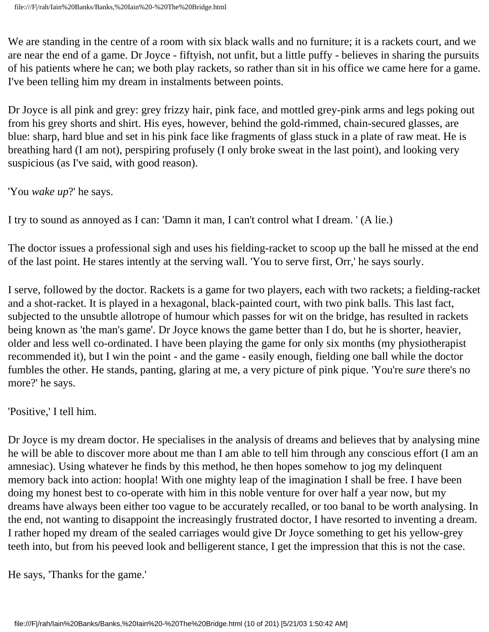We are standing in the centre of a room with six black walls and no furniture; it is a rackets court, and we are near the end of a game. Dr Joyce - fiftyish, not unfit, but a little puffy - believes in sharing the pursuits of his patients where he can; we both play rackets, so rather than sit in his office we came here for a game. I've been telling him my dream in instalments between points.

Dr Joyce is all pink and grey: grey frizzy hair, pink face, and mottled grey-pink arms and legs poking out from his grey shorts and shirt. His eyes, however, behind the gold-rimmed, chain-secured glasses, are blue: sharp, hard blue and set in his pink face like fragments of glass stuck in a plate of raw meat. He is breathing hard (I am not), perspiring profusely (I only broke sweat in the last point), and looking very suspicious (as I've said, with good reason).

'You *wake up*?' he says.

I try to sound as annoyed as I can: 'Damn it man, I can't control what I dream. ' (A lie.)

The doctor issues a professional sigh and uses his fielding-racket to scoop up the ball he missed at the end of the last point. He stares intently at the serving wall. 'You to serve first, Orr,' he says sourly.

I serve, followed by the doctor. Rackets is a game for two players, each with two rackets; a fielding-racket and a shot-racket. It is played in a hexagonal, black-painted court, with two pink balls. This last fact, subjected to the unsubtle allotrope of humour which passes for wit on the bridge, has resulted in rackets being known as 'the man's game'. Dr Joyce knows the game better than I do, but he is shorter, heavier, older and less well co-ordinated. I have been playing the game for only six months (my physiotherapist recommended it), but I win the point - and the game - easily enough, fielding one ball while the doctor fumbles the other. He stands, panting, glaring at me, a very picture of pink pique. 'You're *sure* there's no more?' he says.

'Positive,' I tell him.

Dr Joyce is my dream doctor. He specialises in the analysis of dreams and believes that by analysing mine he will be able to discover more about me than I am able to tell him through any conscious effort (I am an amnesiac). Using whatever he finds by this method, he then hopes somehow to jog my delinquent memory back into action: hoopla! With one mighty leap of the imagination I shall be free. I have been doing my honest best to co-operate with him in this noble venture for over half a year now, but my dreams have always been either too vague to be accurately recalled, or too banal to be worth analysing. In the end, not wanting to disappoint the increasingly frustrated doctor, I have resorted to inventing a dream. I rather hoped my dream of the sealed carriages would give Dr Joyce something to get his yellow-grey teeth into, but from his peeved look and belligerent stance, I get the impression that this is not the case.

He says, 'Thanks for the game.'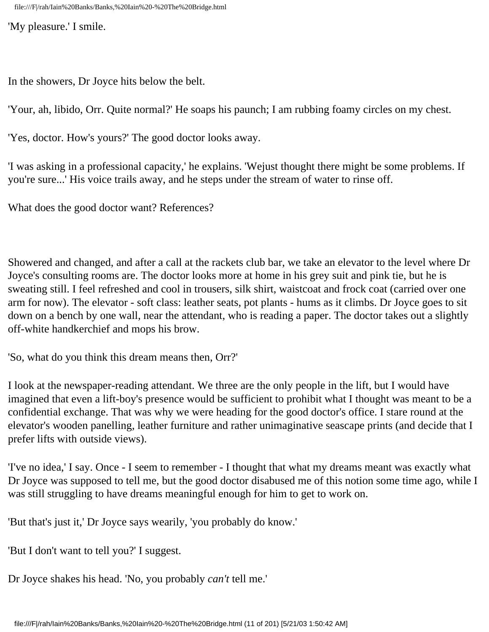'My pleasure.' I smile.

In the showers, Dr Joyce hits below the belt.

'Your, ah, libido, Orr. Quite normal?' He soaps his paunch; I am rubbing foamy circles on my chest.

'Yes, doctor. How's yours?' The good doctor looks away.

'I was asking in a professional capacity,' he explains. 'Wejust thought there might be some problems. If you're sure...' His voice trails away, and he steps under the stream of water to rinse off.

What does the good doctor want? References?

Showered and changed, and after a call at the rackets club bar, we take an elevator to the level where Dr Joyce's consulting rooms are. The doctor looks more at home in his grey suit and pink tie, but he is sweating still. I feel refreshed and cool in trousers, silk shirt, waistcoat and frock coat (carried over one arm for now). The elevator - soft class: leather seats, pot plants - hums as it climbs. Dr Joyce goes to sit down on a bench by one wall, near the attendant, who is reading a paper. The doctor takes out a slightly off-white handkerchief and mops his brow.

'So, what do you think this dream means then, Orr?'

I look at the newspaper-reading attendant. We three are the only people in the lift, but I would have imagined that even a lift-boy's presence would be sufficient to prohibit what I thought was meant to be a confidential exchange. That was why we were heading for the good doctor's office. I stare round at the elevator's wooden panelling, leather furniture and rather unimaginative seascape prints (and decide that I prefer lifts with outside views).

'I've no idea,' I say. Once - I seem to remember - I thought that what my dreams meant was exactly what Dr Joyce was supposed to tell me, but the good doctor disabused me of this notion some time ago, while I was still struggling to have dreams meaningful enough for him to get to work on.

'But that's just it,' Dr Joyce says wearily, 'you probably do know.'

'But I don't want to tell you?' I suggest.

Dr Joyce shakes his head. 'No, you probably *can't* tell me.'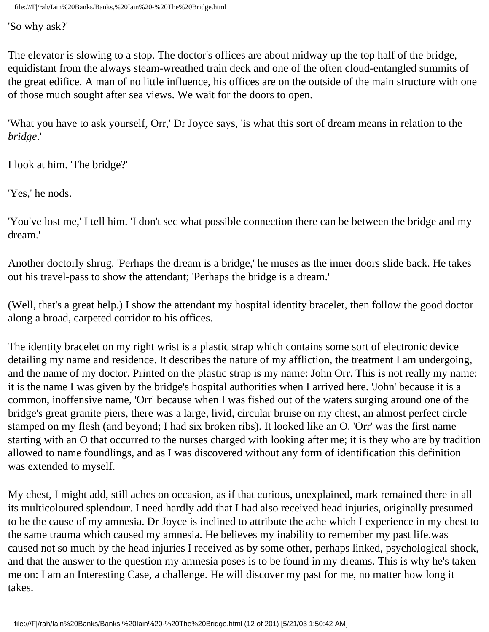'So why ask?'

The elevator is slowing to a stop. The doctor's offices are about midway up the top half of the bridge, equidistant from the always steam-wreathed train deck and one of the often cloud-entangled summits of the great edifice. A man of no little influence, his offices are on the outside of the main structure with one of those much sought after sea views. We wait for the doors to open.

'What you have to ask yourself, Orr,' Dr Joyce says, 'is what this sort of dream means in relation to the *bridge*.'

I look at him. 'The bridge?'

'Yes,' he nods.

'You've lost me,' I tell him. 'I don't sec what possible connection there can be between the bridge and my dream.'

Another doctorly shrug. 'Perhaps the dream is a bridge,' he muses as the inner doors slide back. He takes out his travel-pass to show the attendant; 'Perhaps the bridge is a dream.'

(Well, that's a great help.) I show the attendant my hospital identity bracelet, then follow the good doctor along a broad, carpeted corridor to his offices.

The identity bracelet on my right wrist is a plastic strap which contains some sort of electronic device detailing my name and residence. It describes the nature of my affliction, the treatment I am undergoing, and the name of my doctor. Printed on the plastic strap is my name: John Orr. This is not really my name; it is the name I was given by the bridge's hospital authorities when I arrived here. 'John' because it is a common, inoffensive name, 'Orr' because when I was fished out of the waters surging around one of the bridge's great granite piers, there was a large, livid, circular bruise on my chest, an almost perfect circle stamped on my flesh (and beyond; I had six broken ribs). It looked like an O. 'Orr' was the first name starting with an O that occurred to the nurses charged with looking after me; it is they who are by tradition allowed to name foundlings, and as I was discovered without any form of identification this definition was extended to myself.

My chest, I might add, still aches on occasion, as if that curious, unexplained, mark remained there in all its multicoloured splendour. I need hardly add that I had also received head injuries, originally presumed to be the cause of my amnesia. Dr Joyce is inclined to attribute the ache which I experience in my chest to the same trauma which caused my amnesia. He believes my inability to remember my past life.was caused not so much by the head injuries I received as by some other, perhaps linked, psychological shock, and that the answer to the question my amnesia poses is to be found in my dreams. This is why he's taken me on: I am an Interesting Case, a challenge. He will discover my past for me, no matter how long it takes.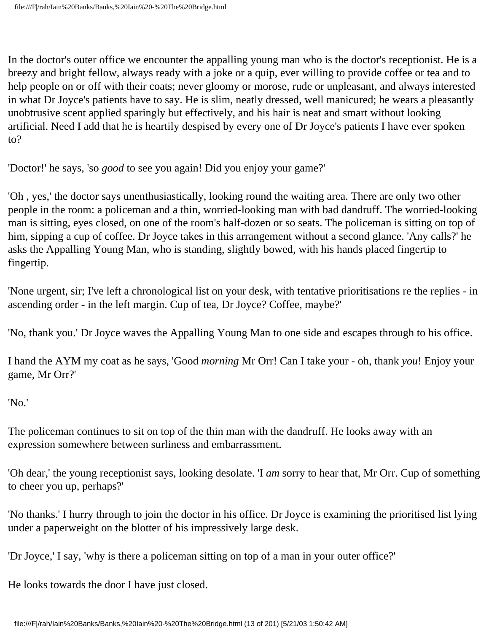In the doctor's outer office we encounter the appalling young man who is the doctor's receptionist. He is a breezy and bright fellow, always ready with a joke or a quip, ever willing to provide coffee or tea and to help people on or off with their coats; never gloomy or morose, rude or unpleasant, and always interested in what Dr Joyce's patients have to say. He is slim, neatly dressed, well manicured; he wears a pleasantly unobtrusive scent applied sparingly but effectively, and his hair is neat and smart without looking artificial. Need I add that he is heartily despised by every one of Dr Joyce's patients I have ever spoken to?

'Doctor!' he says, 'so *good* to see you again! Did you enjoy your game?'

'Oh , yes,' the doctor says unenthusiastically, looking round the waiting area. There are only two other people in the room: a policeman and a thin, worried-looking man with bad dandruff. The worried-looking man is sitting, eyes closed, on one of the room's half-dozen or so seats. The policeman is sitting on top of him, sipping a cup of coffee. Dr Joyce takes in this arrangement without a second glance. 'Any calls?' he asks the Appalling Young Man, who is standing, slightly bowed, with his hands placed fingertip to fingertip.

'None urgent, sir; I've left a chronological list on your desk, with tentative prioritisations re the replies - in ascending order - in the left margin. Cup of tea, Dr Joyce? Coffee, maybe?'

'No, thank you.' Dr Joyce waves the Appalling Young Man to one side and escapes through to his office.

I hand the AYM my coat as he says, 'Good *morning* Mr Orr! Can I take your - oh, thank *you*! Enjoy your game, Mr Orr?'

'No.'

The policeman continues to sit on top of the thin man with the dandruff. He looks away with an expression somewhere between surliness and embarrassment.

'Oh dear,' the young receptionist says, looking desolate. 'I *am* sorry to hear that, Mr Orr. Cup of something to cheer you up, perhaps?'

'No thanks.' I hurry through to join the doctor in his office. Dr Joyce is examining the prioritised list lying under a paperweight on the blotter of his impressively large desk.

'Dr Joyce,' I say, 'why is there a policeman sitting on top of a man in your outer office?'

He looks towards the door I have just closed.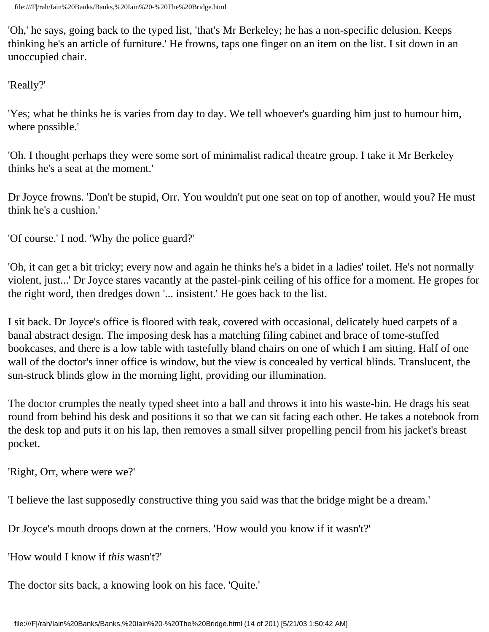'Oh,' he says, going back to the typed list, 'that's Mr Berkeley; he has a non-specific delusion. Keeps thinking he's an article of furniture.' He frowns, taps one finger on an item on the list. I sit down in an unoccupied chair.

'Really?'

'Yes; what he thinks he is varies from day to day. We tell whoever's guarding him just to humour him, where possible.'

'Oh. I thought perhaps they were some sort of minimalist radical theatre group. I take it Mr Berkeley thinks he's a seat at the moment.'

Dr Joyce frowns. 'Don't be stupid, Orr. You wouldn't put one seat on top of another, would you? He must think he's a cushion.'

'Of course.' I nod. 'Why the police guard?'

'Oh, it can get a bit tricky; every now and again he thinks he's a bidet in a ladies' toilet. He's not normally violent, just...' Dr Joyce stares vacantly at the pastel-pink ceiling of his office for a moment. He gropes for the right word, then dredges down '... insistent.' He goes back to the list.

I sit back. Dr Joyce's office is floored with teak, covered with occasional, delicately hued carpets of a banal abstract design. The imposing desk has a matching filing cabinet and brace of tome-stuffed bookcases, and there is a low table with tastefully bland chairs on one of which I am sitting. Half of one wall of the doctor's inner office is window, but the view is concealed by vertical blinds. Translucent, the sun-struck blinds glow in the morning light, providing our illumination.

The doctor crumples the neatly typed sheet into a ball and throws it into his waste-bin. He drags his seat round from behind his desk and positions it so that we can sit facing each other. He takes a notebook from the desk top and puts it on his lap, then removes a small silver propelling pencil from his jacket's breast pocket.

'Right, Orr, where were we?'

'I believe the last supposedly constructive thing you said was that the bridge might be a dream.'

Dr Joyce's mouth droops down at the corners. 'How would you know if it wasn't?'

'How would I know if *this* wasn't?'

The doctor sits back, a knowing look on his face. 'Quite.'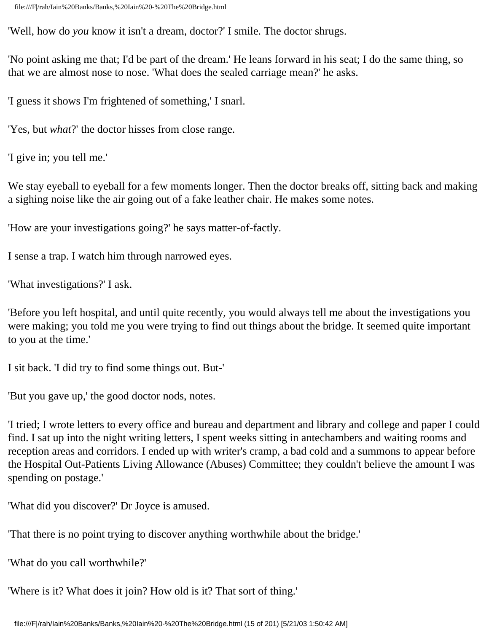'Well, how do *you* know it isn't a dream, doctor?' I smile. The doctor shrugs.

'No point asking me that; I'd be part of the dream.' He leans forward in his seat; I do the same thing, so that we are almost nose to nose. 'What does the sealed carriage mean?' he asks.

'I guess it shows I'm frightened of something,' I snarl.

'Yes, but *what*?' the doctor hisses from close range.

'I give in; you tell me.'

We stay eyeball to eyeball for a few moments longer. Then the doctor breaks off, sitting back and making a sighing noise like the air going out of a fake leather chair. He makes some notes.

'How are your investigations going?' he says matter-of-factly.

I sense a trap. I watch him through narrowed eyes.

'What investigations?' I ask.

'Before you left hospital, and until quite recently, you would always tell me about the investigations you were making; you told me you were trying to find out things about the bridge. It seemed quite important to you at the time.'

I sit back. 'I did try to find some things out. But-'

'But you gave up,' the good doctor nods, notes.

'I tried; I wrote letters to every office and bureau and department and library and college and paper I could find. I sat up into the night writing letters, I spent weeks sitting in antechambers and waiting rooms and reception areas and corridors. I ended up with writer's cramp, a bad cold and a summons to appear before the Hospital Out-Patients Living Allowance (Abuses) Committee; they couldn't believe the amount I was spending on postage.'

'What did you discover?' Dr Joyce is amused.

'That there is no point trying to discover anything worthwhile about the bridge.'

'What do you call worthwhile?'

'Where is it? What does it join? How old is it? That sort of thing.'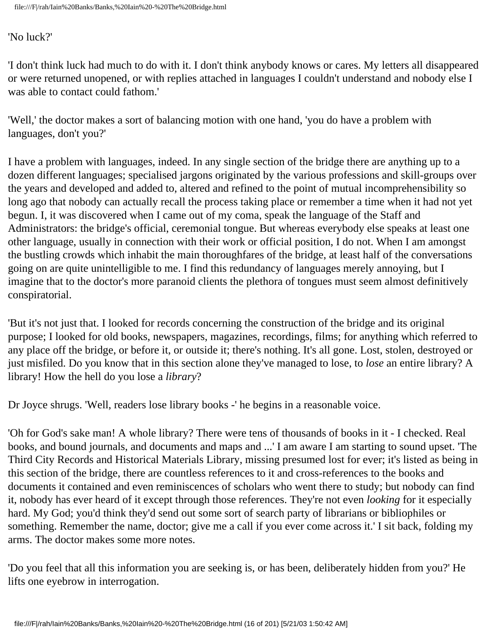#### 'No luck?'

'I don't think luck had much to do with it. I don't think anybody knows or cares. My letters all disappeared or were returned unopened, or with replies attached in languages I couldn't understand and nobody else I was able to contact could fathom.'

'Well,' the doctor makes a sort of balancing motion with one hand, 'you do have a problem with languages, don't you?'

I have a problem with languages, indeed. In any single section of the bridge there are anything up to a dozen different languages; specialised jargons originated by the various professions and skill-groups over the years and developed and added to, altered and refined to the point of mutual incomprehensibility so long ago that nobody can actually recall the process taking place or remember a time when it had not yet begun. I, it was discovered when I came out of my coma, speak the language of the Staff and Administrators: the bridge's official, ceremonial tongue. But whereas everybody else speaks at least one other language, usually in connection with their work or official position, I do not. When I am amongst the bustling crowds which inhabit the main thoroughfares of the bridge, at least half of the conversations going on are quite unintelligible to me. I find this redundancy of languages merely annoying, but I imagine that to the doctor's more paranoid clients the plethora of tongues must seem almost definitively conspiratorial.

'But it's not just that. I looked for records concerning the construction of the bridge and its original purpose; I looked for old books, newspapers, magazines, recordings, films; for anything which referred to any place off the bridge, or before it, or outside it; there's nothing. It's all gone. Lost, stolen, destroyed or just misfiled. Do you know that in this section alone they've managed to lose, to *lose* an entire library? A library! How the hell do you lose a *library*?

Dr Joyce shrugs. 'Well, readers lose library books -' he begins in a reasonable voice.

'Oh for God's sake man! A whole library? There were tens of thousands of books in it - I checked. Real books, and bound journals, and documents and maps and ...' I am aware I am starting to sound upset. 'The Third City Records and Historical Materials Library, missing presumed lost for ever; it's listed as being in this section of the bridge, there are countless references to it and cross-references to the books and documents it contained and even reminiscences of scholars who went there to study; but nobody can find it, nobody has ever heard of it except through those references. They're not even *looking* for it especially hard. My God; you'd think they'd send out some sort of search party of librarians or bibliophiles or something. Remember the name, doctor; give me a call if you ever come across it.' I sit back, folding my arms. The doctor makes some more notes.

'Do you feel that all this information you are seeking is, or has been, deliberately hidden from you?' He lifts one eyebrow in interrogation.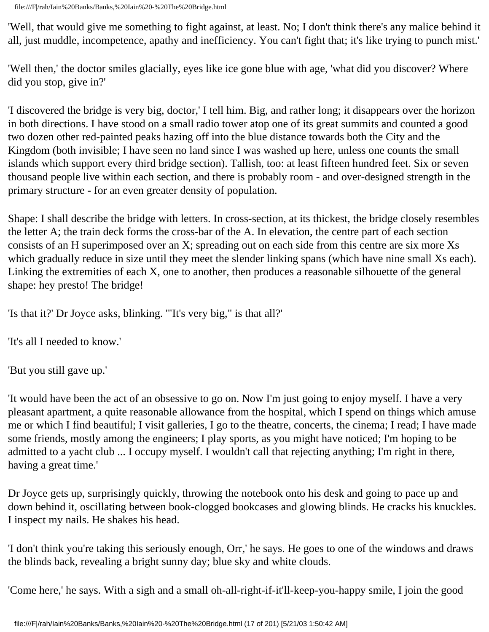'Well, that would give me something to fight against, at least. No; I don't think there's any malice behind it all, just muddle, incompetence, apathy and inefficiency. You can't fight that; it's like trying to punch mist.'

'Well then,' the doctor smiles glacially, eyes like ice gone blue with age, 'what did you discover? Where did you stop, give in?'

'I discovered the bridge is very big, doctor,' I tell him. Big, and rather long; it disappears over the horizon in both directions. I have stood on a small radio tower atop one of its great summits and counted a good two dozen other red-painted peaks hazing off into the blue distance towards both the City and the Kingdom (both invisible; I have seen no land since I was washed up here, unless one counts the small islands which support every third bridge section). Tallish, too: at least fifteen hundred feet. Six or seven thousand people live within each section, and there is probably room - and over-designed strength in the primary structure - for an even greater density of population.

Shape: I shall describe the bridge with letters. In cross-section, at its thickest, the bridge closely resembles the letter A; the train deck forms the cross-bar of the A. In elevation, the centre part of each section consists of an H superimposed over an X; spreading out on each side from this centre are six more Xs which gradually reduce in size until they meet the slender linking spans (which have nine small Xs each). Linking the extremities of each X, one to another, then produces a reasonable silhouette of the general shape: hey presto! The bridge!

'Is that it?' Dr Joyce asks, blinking. '"It's very big," is that all?'

'It's all I needed to know.'

'But you still gave up.'

'It would have been the act of an obsessive to go on. Now I'm just going to enjoy myself. I have a very pleasant apartment, a quite reasonable allowance from the hospital, which I spend on things which amuse me or which I find beautiful; I visit galleries, I go to the theatre, concerts, the cinema; I read; I have made some friends, mostly among the engineers; I play sports, as you might have noticed; I'm hoping to be admitted to a yacht club ... I occupy myself. I wouldn't call that rejecting anything; I'm right in there, having a great time.'

Dr Joyce gets up, surprisingly quickly, throwing the notebook onto his desk and going to pace up and down behind it, oscillating between book-clogged bookcases and glowing blinds. He cracks his knuckles. I inspect my nails. He shakes his head.

'I don't think you're taking this seriously enough, Orr,' he says. He goes to one of the windows and draws the blinds back, revealing a bright sunny day; blue sky and white clouds.

'Come here,' he says. With a sigh and a small oh-all-right-if-it'll-keep-you-happy smile, I join the good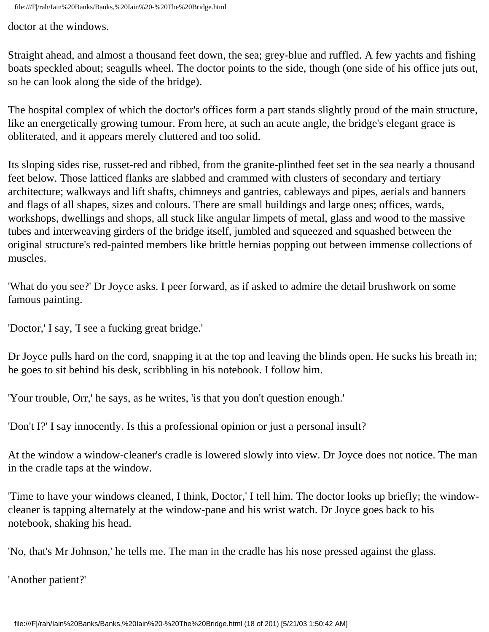file:///F|/rah/Iain%20Banks/Banks,%20Iain%20-%20The%20Bridge.html

doctor at the windows.

Straight ahead, and almost a thousand feet down, the sea; grey-blue and ruffled. A few yachts and fishing boats speckled about; seagulls wheel. The doctor points to the side, though (one side of his office juts out, so he can look along the side of the bridge).

The hospital complex of which the doctor's offices form a part stands slightly proud of the main structure, like an energetically growing tumour. From here, at such an acute angle, the bridge's elegant grace is obliterated, and it appears merely cluttered and too solid.

Its sloping sides rise, russet-red and ribbed, from the granite-plinthed feet set in the sea nearly a thousand feet below. Those latticed flanks are slabbed and crammed with clusters of secondary and tertiary architecture; walkways and lift shafts, chimneys and gantries, cableways and pipes, aerials and banners and flags of all shapes, sizes and colours. There are small buildings and large ones; offices, wards, workshops, dwellings and shops, all stuck like angular limpets of metal, glass and wood to the massive tubes and interweaving girders of the bridge itself, jumbled and squeezed and squashed between the original structure's red-painted members like brittle hernias popping out between immense collections of muscles.

'What do you see?' Dr Joyce asks. I peer forward, as if asked to admire the detail brushwork on some famous painting.

'Doctor,' I say, 'I see a fucking great bridge.'

Dr Joyce pulls hard on the cord, snapping it at the top and leaving the blinds open. He sucks his breath in; he goes to sit behind his desk, scribbling in his notebook. I follow him.

'Your trouble, Orr,' he says, as he writes, 'is that you don't question enough.'

'Don't I?' I say innocently. Is this a professional opinion or just a personal insult?

At the window a window-cleaner's cradle is lowered slowly into view. Dr Joyce does not notice. The man in the cradle taps at the window.

'Time to have your windows cleaned, I think, Doctor,' I tell him. The doctor looks up briefly; the windowcleaner is tapping alternately at the window-pane and his wrist watch. Dr Joyce goes back to his notebook, shaking his head.

'No, that's Mr Johnson,' he tells me. The man in the cradle has his nose pressed against the glass.

'Another patient?'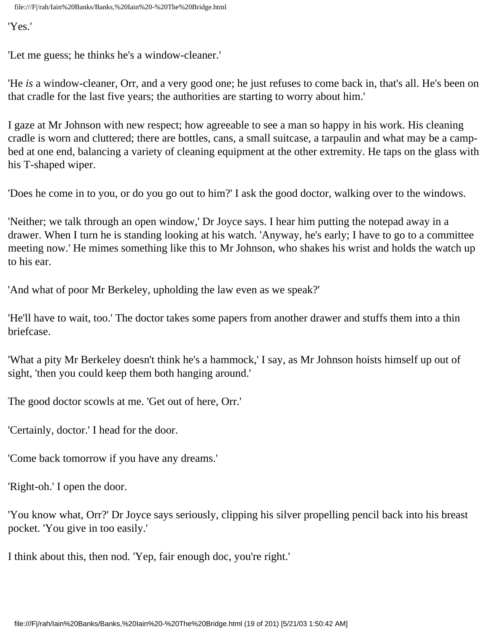file:///F|/rah/Iain%20Banks/Banks,%20Iain%20-%20The%20Bridge.html

'Yes.'

'Let me guess; he thinks he's a window-cleaner.'

'He *is* a window-cleaner, Orr, and a very good one; he just refuses to come back in, that's all. He's been on that cradle for the last five years; the authorities are starting to worry about him.'

I gaze at Mr Johnson with new respect; how agreeable to see a man so happy in his work. His cleaning cradle is worn and cluttered; there are bottles, cans, a small suitcase, a tarpaulin and what may be a campbed at one end, balancing a variety of cleaning equipment at the other extremity. He taps on the glass with his T-shaped wiper.

'Does he come in to you, or do you go out to him?' I ask the good doctor, walking over to the windows.

'Neither; we talk through an open window,' Dr Joyce says. I hear him putting the notepad away in a drawer. When I turn he is standing looking at his watch. 'Anyway, he's early; I have to go to a committee meeting now.' He mimes something like this to Mr Johnson, who shakes his wrist and holds the watch up to his ear.

'And what of poor Mr Berkeley, upholding the law even as we speak?'

'He'll have to wait, too.' The doctor takes some papers from another drawer and stuffs them into a thin briefcase.

'What a pity Mr Berkeley doesn't think he's a hammock,' I say, as Mr Johnson hoists himself up out of sight, 'then you could keep them both hanging around.'

The good doctor scowls at me. 'Get out of here, Orr.'

'Certainly, doctor.' I head for the door.

'Come back tomorrow if you have any dreams.'

'Right-oh.' I open the door.

'You know what, Orr?' Dr Joyce says seriously, clipping his silver propelling pencil back into his breast pocket. 'You give in too easily.'

I think about this, then nod. 'Yep, fair enough doc, you're right.'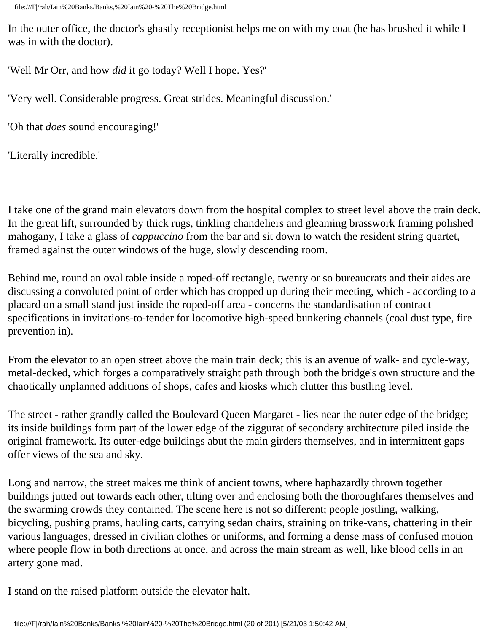In the outer office, the doctor's ghastly receptionist helps me on with my coat (he has brushed it while I was in with the doctor).

'Well Mr Orr, and how *did* it go today? Well I hope. Yes?'

'Very well. Considerable progress. Great strides. Meaningful discussion.'

'Oh that *does* sound encouraging!'

'Literally incredible.'

I take one of the grand main elevators down from the hospital complex to street level above the train deck. In the great lift, surrounded by thick rugs, tinkling chandeliers and gleaming brasswork framing polished mahogany, I take a glass of *cappuccino* from the bar and sit down to watch the resident string quartet, framed against the outer windows of the huge, slowly descending room.

Behind me, round an oval table inside a roped-off rectangle, twenty or so bureaucrats and their aides are discussing a convoluted point of order which has cropped up during their meeting, which - according to a placard on a small stand just inside the roped-off area - concerns the standardisation of contract specifications in invitations-to-tender for locomotive high-speed bunkering channels (coal dust type, fire prevention in).

From the elevator to an open street above the main train deck; this is an avenue of walk- and cycle-way, metal-decked, which forges a comparatively straight path through both the bridge's own structure and the chaotically unplanned additions of shops, cafes and kiosks which clutter this bustling level.

The street - rather grandly called the Boulevard Queen Margaret - lies near the outer edge of the bridge; its inside buildings form part of the lower edge of the ziggurat of secondary architecture piled inside the original framework. Its outer-edge buildings abut the main girders themselves, and in intermittent gaps offer views of the sea and sky.

Long and narrow, the street makes me think of ancient towns, where haphazardly thrown together buildings jutted out towards each other, tilting over and enclosing both the thoroughfares themselves and the swarming crowds they contained. The scene here is not so different; people jostling, walking, bicycling, pushing prams, hauling carts, carrying sedan chairs, straining on trike-vans, chattering in their various languages, dressed in civilian clothes or uniforms, and forming a dense mass of confused motion where people flow in both directions at once, and across the main stream as well, like blood cells in an artery gone mad.

I stand on the raised platform outside the elevator halt.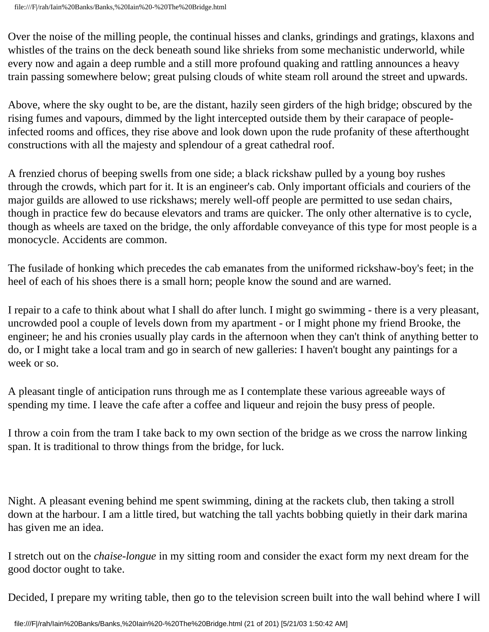Over the noise of the milling people, the continual hisses and clanks, grindings and gratings, klaxons and whistles of the trains on the deck beneath sound like shrieks from some mechanistic underworld, while every now and again a deep rumble and a still more profound quaking and rattling announces a heavy train passing somewhere below; great pulsing clouds of white steam roll around the street and upwards.

Above, where the sky ought to be, are the distant, hazily seen girders of the high bridge; obscured by the rising fumes and vapours, dimmed by the light intercepted outside them by their carapace of peopleinfected rooms and offices, they rise above and look down upon the rude profanity of these afterthought constructions with all the majesty and splendour of a great cathedral roof.

A frenzied chorus of beeping swells from one side; a black rickshaw pulled by a young boy rushes through the crowds, which part for it. It is an engineer's cab. Only important officials and couriers of the major guilds are allowed to use rickshaws; merely well-off people are permitted to use sedan chairs, though in practice few do because elevators and trams are quicker. The only other alternative is to cycle, though as wheels are taxed on the bridge, the only affordable conveyance of this type for most people is a monocycle. Accidents are common.

The fusilade of honking which precedes the cab emanates from the uniformed rickshaw-boy's feet; in the heel of each of his shoes there is a small horn; people know the sound and are warned.

I repair to a cafe to think about what I shall do after lunch. I might go swimming - there is a very pleasant, uncrowded pool a couple of levels down from my apartment - or I might phone my friend Brooke, the engineer; he and his cronies usually play cards in the afternoon when they can't think of anything better to do, or I might take a local tram and go in search of new galleries: I haven't bought any paintings for a week or so.

A pleasant tingle of anticipation runs through me as I contemplate these various agreeable ways of spending my time. I leave the cafe after a coffee and liqueur and rejoin the busy press of people.

I throw a coin from the tram I take back to my own section of the bridge as we cross the narrow linking span. It is traditional to throw things from the bridge, for luck.

Night. A pleasant evening behind me spent swimming, dining at the rackets club, then taking a stroll down at the harbour. I am a little tired, but watching the tall yachts bobbing quietly in their dark marina has given me an idea.

I stretch out on the *chaise-longue* in my sitting room and consider the exact form my next dream for the good doctor ought to take.

Decided, I prepare my writing table, then go to the television screen built into the wall behind where I will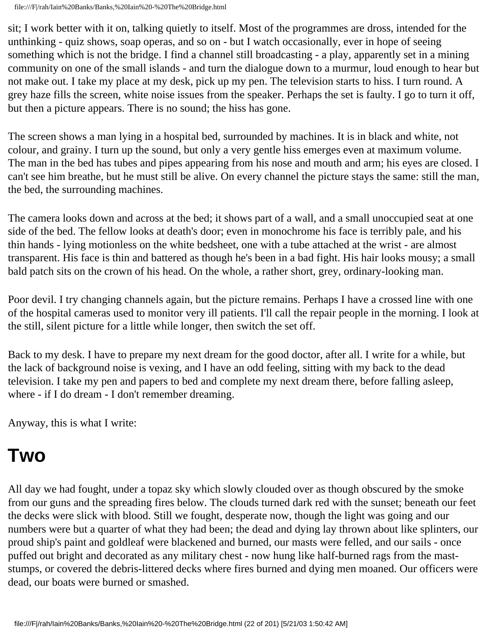sit; I work better with it on, talking quietly to itself. Most of the programmes are dross, intended for the unthinking - quiz shows, soap operas, and so on - but I watch occasionally, ever in hope of seeing something which is not the bridge. I find a channel still broadcasting - a play, apparently set in a mining community on one of the small islands - and turn the dialogue down to a murmur, loud enough to hear but not make out. I take my place at my desk, pick up my pen. The television starts to hiss. I turn round. A grey haze fills the screen, white noise issues from the speaker. Perhaps the set is faulty. I go to turn it off, but then a picture appears. There is no sound; the hiss has gone.

The screen shows a man lying in a hospital bed, surrounded by machines. It is in black and white, not colour, and grainy. I turn up the sound, but only a very gentle hiss emerges even at maximum volume. The man in the bed has tubes and pipes appearing from his nose and mouth and arm; his eyes are closed. I can't see him breathe, but he must still be alive. On every channel the picture stays the same: still the man, the bed, the surrounding machines.

The camera looks down and across at the bed; it shows part of a wall, and a small unoccupied seat at one side of the bed. The fellow looks at death's door; even in monochrome his face is terribly pale, and his thin hands - lying motionless on the white bedsheet, one with a tube attached at the wrist - are almost transparent. His face is thin and battered as though he's been in a bad fight. His hair looks mousy; a small bald patch sits on the crown of his head. On the whole, a rather short, grey, ordinary-looking man.

Poor devil. I try changing channels again, but the picture remains. Perhaps I have a crossed line with one of the hospital cameras used to monitor very ill patients. I'll call the repair people in the morning. I look at the still, silent picture for a little while longer, then switch the set off.

Back to my desk. I have to prepare my next dream for the good doctor, after all. I write for a while, but the lack of background noise is vexing, and I have an odd feeling, sitting with my back to the dead television. I take my pen and papers to bed and complete my next dream there, before falling asleep, where - if I do dream - I don't remember dreaming.

<span id="page-21-0"></span>Anyway, this is what I write:

## **Two**

All day we had fought, under a topaz sky which slowly clouded over as though obscured by the smoke from our guns and the spreading fires below. The clouds turned dark red with the sunset; beneath our feet the decks were slick with blood. Still we fought, desperate now, though the light was going and our numbers were but a quarter of what they had been; the dead and dying lay thrown about like splinters, our proud ship's paint and goldleaf were blackened and burned, our masts were felled, and our sails - once puffed out bright and decorated as any military chest - now hung like half-burned rags from the maststumps, or covered the debris-littered decks where fires burned and dying men moaned. Our officers were dead, our boats were burned or smashed.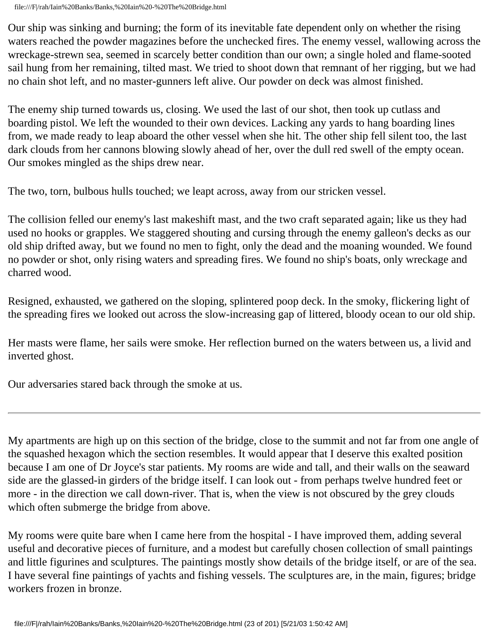Our ship was sinking and burning; the form of its inevitable fate dependent only on whether the rising waters reached the powder magazines before the unchecked fires. The enemy vessel, wallowing across the wreckage-strewn sea, seemed in scarcely better condition than our own; a single holed and flame-sooted sail hung from her remaining, tilted mast. We tried to shoot down that remnant of her rigging, but we had no chain shot left, and no master-gunners left alive. Our powder on deck was almost finished.

The enemy ship turned towards us, closing. We used the last of our shot, then took up cutlass and boarding pistol. We left the wounded to their own devices. Lacking any yards to hang boarding lines from, we made ready to leap aboard the other vessel when she hit. The other ship fell silent too, the last dark clouds from her cannons blowing slowly ahead of her, over the dull red swell of the empty ocean. Our smokes mingled as the ships drew near.

The two, torn, bulbous hulls touched; we leapt across, away from our stricken vessel.

The collision felled our enemy's last makeshift mast, and the two craft separated again; like us they had used no hooks or grapples. We staggered shouting and cursing through the enemy galleon's decks as our old ship drifted away, but we found no men to fight, only the dead and the moaning wounded. We found no powder or shot, only rising waters and spreading fires. We found no ship's boats, only wreckage and charred wood.

Resigned, exhausted, we gathered on the sloping, splintered poop deck. In the smoky, flickering light of the spreading fires we looked out across the slow-increasing gap of littered, bloody ocean to our old ship.

Her masts were flame, her sails were smoke. Her reflection burned on the waters between us, a livid and inverted ghost.

Our adversaries stared back through the smoke at us.

My apartments are high up on this section of the bridge, close to the summit and not far from one angle of the squashed hexagon which the section resembles. It would appear that I deserve this exalted position because I am one of Dr Joyce's star patients. My rooms are wide and tall, and their walls on the seaward side are the glassed-in girders of the bridge itself. I can look out - from perhaps twelve hundred feet or more - in the direction we call down-river. That is, when the view is not obscured by the grey clouds which often submerge the bridge from above.

My rooms were quite bare when I came here from the hospital - I have improved them, adding several useful and decorative pieces of furniture, and a modest but carefully chosen collection of small paintings and little figurines and sculptures. The paintings mostly show details of the bridge itself, or are of the sea. I have several fine paintings of yachts and fishing vessels. The sculptures are, in the main, figures; bridge workers frozen in bronze.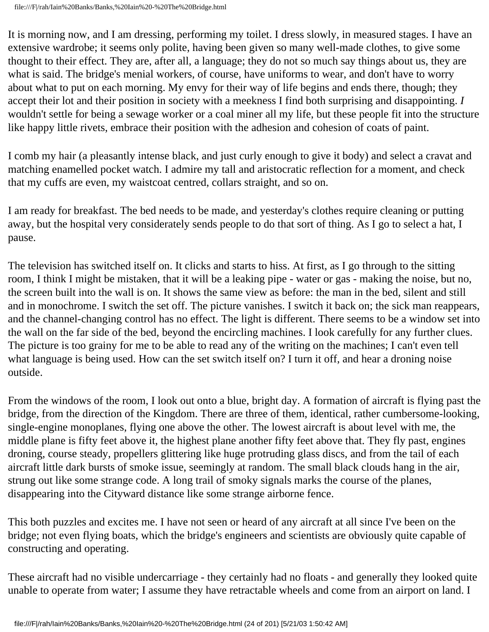It is morning now, and I am dressing, performing my toilet. I dress slowly, in measured stages. I have an extensive wardrobe; it seems only polite, having been given so many well-made clothes, to give some thought to their effect. They are, after all, a language; they do not so much say things about us, they are what is said. The bridge's menial workers, of course, have uniforms to wear, and don't have to worry about what to put on each morning. My envy for their way of life begins and ends there, though; they accept their lot and their position in society with a meekness I find both surprising and disappointing. *I* wouldn't settle for being a sewage worker or a coal miner all my life, but these people fit into the structure like happy little rivets, embrace their position with the adhesion and cohesion of coats of paint.

I comb my hair (a pleasantly intense black, and just curly enough to give it body) and select a cravat and matching enamelled pocket watch. I admire my tall and aristocratic reflection for a moment, and check that my cuffs are even, my waistcoat centred, collars straight, and so on.

I am ready for breakfast. The bed needs to be made, and yesterday's clothes require cleaning or putting away, but the hospital very considerately sends people to do that sort of thing. As I go to select a hat, I pause.

The television has switched itself on. It clicks and starts to hiss. At first, as I go through to the sitting room, I think I might be mistaken, that it will be a leaking pipe - water or gas - making the noise, but no, the screen built into the wall is on. It shows the same view as before: the man in the bed, silent and still and in monochrome. I switch the set off. The picture vanishes. I switch it back on; the sick man reappears, and the channel-changing control has no effect. The light is different. There seems to be a window set into the wall on the far side of the bed, beyond the encircling machines. I look carefully for any further clues. The picture is too grainy for me to be able to read any of the writing on the machines; I can't even tell what language is being used. How can the set switch itself on? I turn it off, and hear a droning noise outside.

From the windows of the room, I look out onto a blue, bright day. A formation of aircraft is flying past the bridge, from the direction of the Kingdom. There are three of them, identical, rather cumbersome-looking, single-engine monoplanes, flying one above the other. The lowest aircraft is about level with me, the middle plane is fifty feet above it, the highest plane another fifty feet above that. They fly past, engines droning, course steady, propellers glittering like huge protruding glass discs, and from the tail of each aircraft little dark bursts of smoke issue, seemingly at random. The small black clouds hang in the air, strung out like some strange code. A long trail of smoky signals marks the course of the planes, disappearing into the Cityward distance like some strange airborne fence.

This both puzzles and excites me. I have not seen or heard of any aircraft at all since I've been on the bridge; not even flying boats, which the bridge's engineers and scientists are obviously quite capable of constructing and operating.

These aircraft had no visible undercarriage - they certainly had no floats - and generally they looked quite unable to operate from water; I assume they have retractable wheels and come from an airport on land. I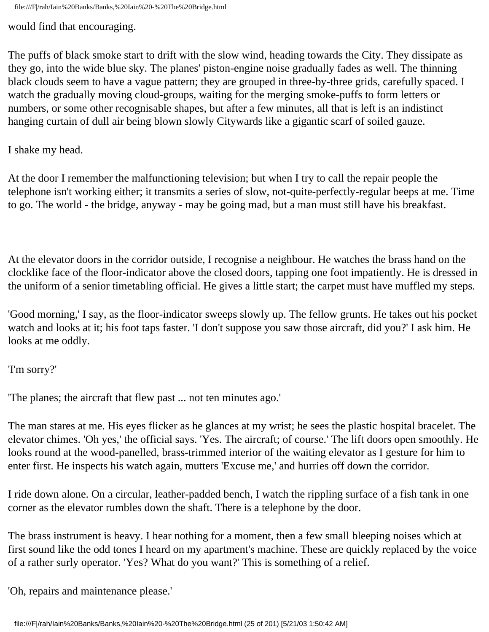would find that encouraging.

The puffs of black smoke start to drift with the slow wind, heading towards the City. They dissipate as they go, into the wide blue sky. The planes' piston-engine noise gradually fades as well. The thinning black clouds seem to have a vague pattern; they are grouped in three-by-three grids, carefully spaced. I watch the gradually moving cloud-groups, waiting for the merging smoke-puffs to form letters or numbers, or some other recognisable shapes, but after a few minutes, all that is left is an indistinct hanging curtain of dull air being blown slowly Citywards like a gigantic scarf of soiled gauze.

I shake my head.

At the door I remember the malfunctioning television; but when I try to call the repair people the telephone isn't working either; it transmits a series of slow, not-quite-perfectly-regular beeps at me. Time to go. The world - the bridge, anyway - may be going mad, but a man must still have his breakfast.

At the elevator doors in the corridor outside, I recognise a neighbour. He watches the brass hand on the clocklike face of the floor-indicator above the closed doors, tapping one foot impatiently. He is dressed in the uniform of a senior timetabling official. He gives a little start; the carpet must have muffled my steps.

'Good morning,' I say, as the floor-indicator sweeps slowly up. The fellow grunts. He takes out his pocket watch and looks at it; his foot taps faster. 'I don't suppose you saw those aircraft, did you?' I ask him. He looks at me oddly.

'I'm sorry?'

'The planes; the aircraft that flew past ... not ten minutes ago.'

The man stares at me. His eyes flicker as he glances at my wrist; he sees the plastic hospital bracelet. The elevator chimes. 'Oh yes,' the official says. 'Yes. The aircraft; of course.' The lift doors open smoothly. He looks round at the wood-panelled, brass-trimmed interior of the waiting elevator as I gesture for him to enter first. He inspects his watch again, mutters 'Excuse me,' and hurries off down the corridor.

I ride down alone. On a circular, leather-padded bench, I watch the rippling surface of a fish tank in one corner as the elevator rumbles down the shaft. There is a telephone by the door.

The brass instrument is heavy. I hear nothing for a moment, then a few small bleeping noises which at first sound like the odd tones I heard on my apartment's machine. These are quickly replaced by the voice of a rather surly operator. 'Yes? What do you want?' This is something of a relief.

'Oh, repairs and maintenance please.'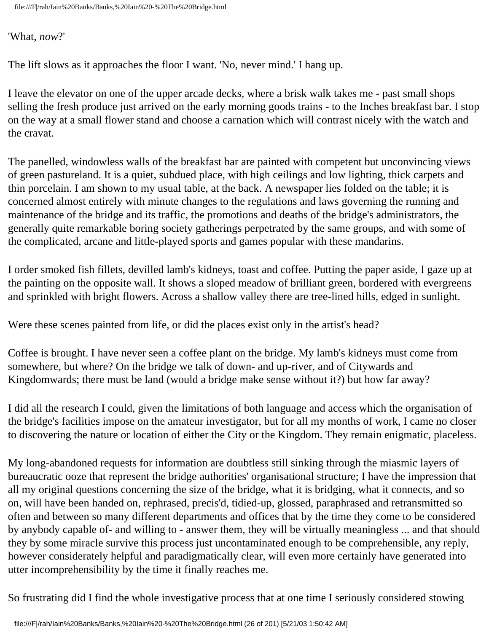file:///F|/rah/Iain%20Banks/Banks,%20Iain%20-%20The%20Bridge.html

'What, *now*?'

The lift slows as it approaches the floor I want. 'No, never mind.' I hang up.

I leave the elevator on one of the upper arcade decks, where a brisk walk takes me - past small shops selling the fresh produce just arrived on the early morning goods trains - to the Inches breakfast bar. I stop on the way at a small flower stand and choose a carnation which will contrast nicely with the watch and the cravat.

The panelled, windowless walls of the breakfast bar are painted with competent but unconvincing views of green pastureland. It is a quiet, subdued place, with high ceilings and low lighting, thick carpets and thin porcelain. I am shown to my usual table, at the back. A newspaper lies folded on the table; it is concerned almost entirely with minute changes to the regulations and laws governing the running and maintenance of the bridge and its traffic, the promotions and deaths of the bridge's administrators, the generally quite remarkable boring society gatherings perpetrated by the same groups, and with some of the complicated, arcane and little-played sports and games popular with these mandarins.

I order smoked fish fillets, devilled lamb's kidneys, toast and coffee. Putting the paper aside, I gaze up at the painting on the opposite wall. It shows a sloped meadow of brilliant green, bordered with evergreens and sprinkled with bright flowers. Across a shallow valley there are tree-lined hills, edged in sunlight.

Were these scenes painted from life, or did the places exist only in the artist's head?

Coffee is brought. I have never seen a coffee plant on the bridge. My lamb's kidneys must come from somewhere, but where? On the bridge we talk of down- and up-river, and of Citywards and Kingdomwards; there must be land (would a bridge make sense without it?) but how far away?

I did all the research I could, given the limitations of both language and access which the organisation of the bridge's facilities impose on the amateur investigator, but for all my months of work, I came no closer to discovering the nature or location of either the City or the Kingdom. They remain enigmatic, placeless.

My long-abandoned requests for information are doubtless still sinking through the miasmic layers of bureaucratic ooze that represent the bridge authorities' organisational structure; I have the impression that all my original questions concerning the size of the bridge, what it is bridging, what it connects, and so on, will have been handed on, rephrased, precis'd, tidied-up, glossed, paraphrased and retransmitted so often and between so many different departments and offices that by the time they come to be considered by anybody capable of- and willing to - answer them, they will be virtually meaningless ... and that should they by some miracle survive this process just uncontaminated enough to be comprehensible, any reply, however considerately helpful and paradigmatically clear, will even more certainly have generated into utter incomprehensibility by the time it finally reaches me.

So frustrating did I find the whole investigative process that at one time I seriously considered stowing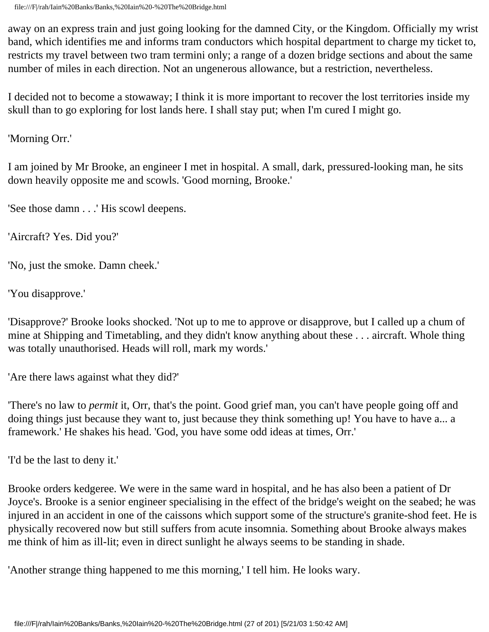away on an express train and just going looking for the damned City, or the Kingdom. Officially my wrist band, which identifies me and informs tram conductors which hospital department to charge my ticket to, restricts my travel between two tram termini only; a range of a dozen bridge sections and about the same number of miles in each direction. Not an ungenerous allowance, but a restriction, nevertheless.

I decided not to become a stowaway; I think it is more important to recover the lost territories inside my skull than to go exploring for lost lands here. I shall stay put; when I'm cured I might go.

'Morning Orr.'

I am joined by Mr Brooke, an engineer I met in hospital. A small, dark, pressured-looking man, he sits down heavily opposite me and scowls. 'Good morning, Brooke.'

'See those damn . . .' His scowl deepens.

'Aircraft? Yes. Did you?'

'No, just the smoke. Damn cheek.'

'You disapprove.'

'Disapprove?' Brooke looks shocked. 'Not up to me to approve or disapprove, but I called up a chum of mine at Shipping and Timetabling, and they didn't know anything about these . . . aircraft. Whole thing was totally unauthorised. Heads will roll, mark my words.'

'Are there laws against what they did?'

'There's no law to *permit* it, Orr, that's the point. Good grief man, you can't have people going off and doing things just because they want to, just because they think something up! You have to have a... a framework.' He shakes his head. 'God, you have some odd ideas at times, Orr.'

'I'd be the last to deny it.'

Brooke orders kedgeree. We were in the same ward in hospital, and he has also been a patient of Dr Joyce's. Brooke is a senior engineer specialising in the effect of the bridge's weight on the seabed; he was injured in an accident in one of the caissons which support some of the structure's granite-shod feet. He is physically recovered now but still suffers from acute insomnia. Something about Brooke always makes me think of him as ill-lit; even in direct sunlight he always seems to be standing in shade.

'Another strange thing happened to me this morning,' I tell him. He looks wary.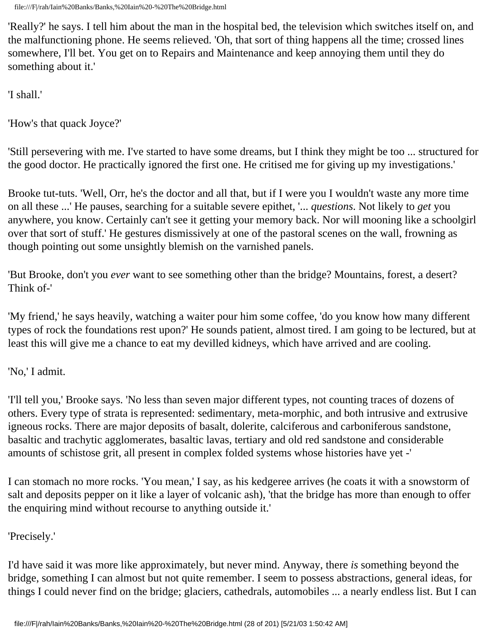'Really?' he says. I tell him about the man in the hospital bed, the television which switches itself on, and the malfunctioning phone. He seems relieved. 'Oh, that sort of thing happens all the time; crossed lines somewhere, I'll bet. You get on to Repairs and Maintenance and keep annoying them until they do something about it.'

'I shall.'

'How's that quack Joyce?'

'Still persevering with me. I've started to have some dreams, but I think they might be too ... structured for the good doctor. He practically ignored the first one. He critised me for giving up my investigations.'

Brooke tut-tuts. 'Well, Orr, he's the doctor and all that, but if I were you I wouldn't waste any more time on all these ...' He pauses, searching for a suitable severe epithet, '... *questions*. Not likely to *get* you anywhere, you know. Certainly can't see it getting your memory back. Nor will mooning like a schoolgirl over that sort of stuff.' He gestures dismissively at one of the pastoral scenes on the wall, frowning as though pointing out some unsightly blemish on the varnished panels.

'But Brooke, don't you *ever* want to see something other than the bridge? Mountains, forest, a desert? Think of-'

'My friend,' he says heavily, watching a waiter pour him some coffee, 'do you know how many different types of rock the foundations rest upon?' He sounds patient, almost tired. I am going to be lectured, but at least this will give me a chance to eat my devilled kidneys, which have arrived and are cooling.

'No,' I admit.

'I'll tell you,' Brooke says. 'No less than seven major different types, not counting traces of dozens of others. Every type of strata is represented: sedimentary, meta-morphic, and both intrusive and extrusive igneous rocks. There are major deposits of basalt, dolerite, calciferous and carboniferous sandstone, basaltic and trachytic agglomerates, basaltic lavas, tertiary and old red sandstone and considerable amounts of schistose grit, all present in complex folded systems whose histories have yet -'

I can stomach no more rocks. 'You mean,' I say, as his kedgeree arrives (he coats it with a snowstorm of salt and deposits pepper on it like a layer of volcanic ash), 'that the bridge has more than enough to offer the enquiring mind without recourse to anything outside it.'

'Precisely.'

I'd have said it was more like approximately, but never mind. Anyway, there *is* something beyond the bridge, something I can almost but not quite remember. I seem to possess abstractions, general ideas, for things I could never find on the bridge; glaciers, cathedrals, automobiles ... a nearly endless list. But I can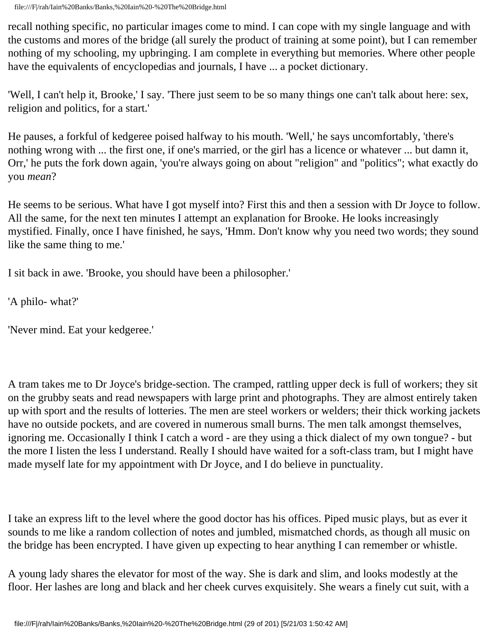recall nothing specific, no particular images come to mind. I can cope with my single language and with the customs and mores of the bridge (all surely the product of training at some point), but I can remember nothing of my schooling, my upbringing. I am complete in everything but memories. Where other people have the equivalents of encyclopedias and journals, I have ... a pocket dictionary.

'Well, I can't help it, Brooke,' I say. 'There just seem to be so many things one can't talk about here: sex, religion and politics, for a start.'

He pauses, a forkful of kedgeree poised halfway to his mouth. 'Well,' he says uncomfortably, 'there's nothing wrong with ... the first one, if one's married, or the girl has a licence or whatever ... but damn it, Orr,' he puts the fork down again, 'you're always going on about "religion" and "politics"; what exactly do you *mean*?

He seems to be serious. What have I got myself into? First this and then a session with Dr Joyce to follow. All the same, for the next ten minutes I attempt an explanation for Brooke. He looks increasingly mystified. Finally, once I have finished, he says, 'Hmm. Don't know why you need two words; they sound like the same thing to me.'

I sit back in awe. 'Brooke, you should have been a philosopher.'

'A philo- what?'

'Never mind. Eat your kedgeree.'

A tram takes me to Dr Joyce's bridge-section. The cramped, rattling upper deck is full of workers; they sit on the grubby seats and read newspapers with large print and photographs. They are almost entirely taken up with sport and the results of lotteries. The men are steel workers or welders; their thick working jackets have no outside pockets, and are covered in numerous small burns. The men talk amongst themselves, ignoring me. Occasionally I think I catch a word - are they using a thick dialect of my own tongue? - but the more I listen the less I understand. Really I should have waited for a soft-class tram, but I might have made myself late for my appointment with Dr Joyce, and I do believe in punctuality.

I take an express lift to the level where the good doctor has his offices. Piped music plays, but as ever it sounds to me like a random collection of notes and jumbled, mismatched chords, as though all music on the bridge has been encrypted. I have given up expecting to hear anything I can remember or whistle.

A young lady shares the elevator for most of the way. She is dark and slim, and looks modestly at the floor. Her lashes are long and black and her cheek curves exquisitely. She wears a finely cut suit, with a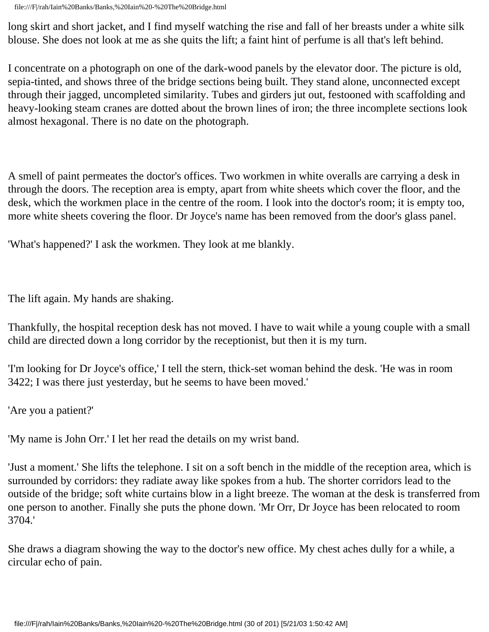long skirt and short jacket, and I find myself watching the rise and fall of her breasts under a white silk blouse. She does not look at me as she quits the lift; a faint hint of perfume is all that's left behind.

I concentrate on a photograph on one of the dark-wood panels by the elevator door. The picture is old, sepia-tinted, and shows three of the bridge sections being built. They stand alone, unconnected except through their jagged, uncompleted similarity. Tubes and girders jut out, festooned with scaffolding and heavy-looking steam cranes are dotted about the brown lines of iron; the three incomplete sections look almost hexagonal. There is no date on the photograph.

A smell of paint permeates the doctor's offices. Two workmen in white overalls are carrying a desk in through the doors. The reception area is empty, apart from white sheets which cover the floor, and the desk, which the workmen place in the centre of the room. I look into the doctor's room; it is empty too, more white sheets covering the floor. Dr Joyce's name has been removed from the door's glass panel.

'What's happened?' I ask the workmen. They look at me blankly.

The lift again. My hands are shaking.

Thankfully, the hospital reception desk has not moved. I have to wait while a young couple with a small child are directed down a long corridor by the receptionist, but then it is my turn.

'I'm looking for Dr Joyce's office,' I tell the stern, thick-set woman behind the desk. 'He was in room 3422; I was there just yesterday, but he seems to have been moved.'

'Are you a patient?'

'My name is John Orr.' I let her read the details on my wrist band.

'Just a moment.' She lifts the telephone. I sit on a soft bench in the middle of the reception area, which is surrounded by corridors: they radiate away like spokes from a hub. The shorter corridors lead to the outside of the bridge; soft white curtains blow in a light breeze. The woman at the desk is transferred from one person to another. Finally she puts the phone down. 'Mr Orr, Dr Joyce has been relocated to room 3704.'

She draws a diagram showing the way to the doctor's new office. My chest aches dully for a while, a circular echo of pain.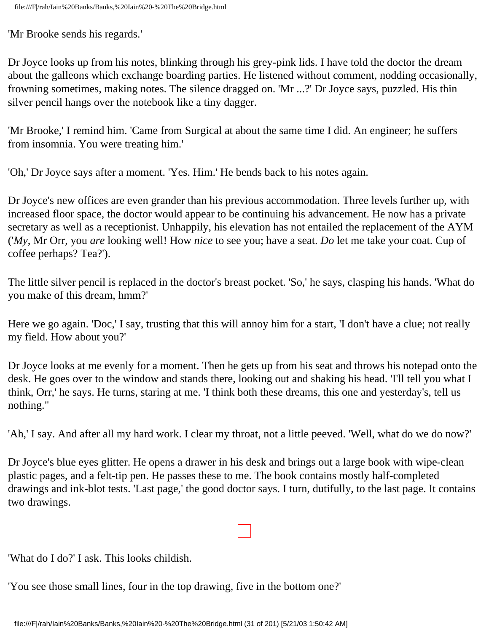'Mr Brooke sends his regards.'

Dr Joyce looks up from his notes, blinking through his grey-pink lids. I have told the doctor the dream about the galleons which exchange boarding parties. He listened without comment, nodding occasionally, frowning sometimes, making notes. The silence dragged on. 'Mr ...?' Dr Joyce says, puzzled. His thin silver pencil hangs over the notebook like a tiny dagger.

'Mr Brooke,' I remind him. 'Came from Surgical at about the same time I did. An engineer; he suffers from insomnia. You were treating him.'

'Oh,' Dr Joyce says after a moment. 'Yes. Him.' He bends back to his notes again.

Dr Joyce's new offices are even grander than his previous accommodation. Three levels further up, with increased floor space, the doctor would appear to be continuing his advancement. He now has a private secretary as well as a receptionist. Unhappily, his elevation has not entailed the replacement of the AYM ('*My*, Mr Orr, you *are* looking well! How *nice* to see you; have a seat. *Do* let me take your coat. Cup of coffee perhaps? Tea?').

The little silver pencil is replaced in the doctor's breast pocket. 'So,' he says, clasping his hands. 'What do you make of this dream, hmm?'

Here we go again. 'Doc,' I say, trusting that this will annoy him for a start, 'I don't have a clue; not really my field. How about you?'

Dr Joyce looks at me evenly for a moment. Then he gets up from his seat and throws his notepad onto the desk. He goes over to the window and stands there, looking out and shaking his head. 'I'll tell you what I think, Orr,' he says. He turns, staring at me. 'I think both these dreams, this one and yesterday's, tell us nothing."

'Ah,' I say. And after all my hard work. I clear my throat, not a little peeved. 'Well, what do we do now?'

Dr Joyce's blue eyes glitter. He opens a drawer in his desk and brings out a large book with wipe-clean plastic pages, and a felt-tip pen. He passes these to me. The book contains mostly half-completed drawings and ink-blot tests. 'Last page,' the good doctor says. I turn, dutifully, to the last page. It contains two drawings.

'What do I do?' I ask. This looks childish.

'You see those small lines, four in the top drawing, five in the bottom one?'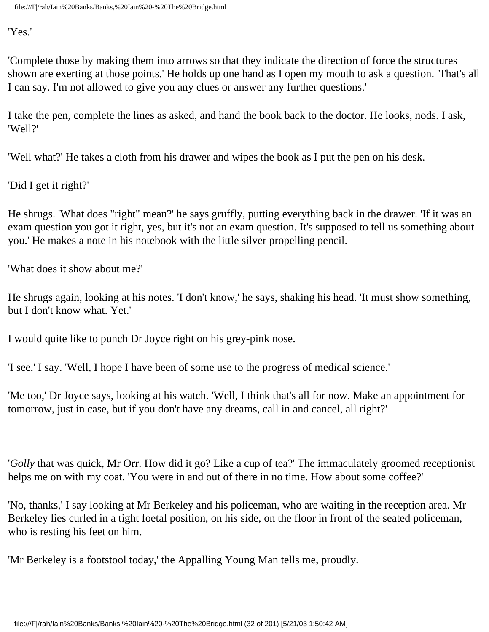'Yes.'

'Complete those by making them into arrows so that they indicate the direction of force the structures shown are exerting at those points.' He holds up one hand as I open my mouth to ask a question. 'That's all I can say. I'm not allowed to give you any clues or answer any further questions.'

I take the pen, complete the lines as asked, and hand the book back to the doctor. He looks, nods. I ask, 'Well?'

'Well what?' He takes a cloth from his drawer and wipes the book as I put the pen on his desk.

'Did I get it right?'

He shrugs. 'What does "right" mean?' he says gruffly, putting everything back in the drawer. 'If it was an exam question you got it right, yes, but it's not an exam question. It's supposed to tell us something about you.' He makes a note in his notebook with the little silver propelling pencil.

'What does it show about me?'

He shrugs again, looking at his notes. 'I don't know,' he says, shaking his head. 'It must show something, but I don't know what. Yet.'

I would quite like to punch Dr Joyce right on his grey-pink nose.

'I see,' I say. 'Well, I hope I have been of some use to the progress of medical science.'

'Me too,' Dr Joyce says, looking at his watch. 'Well, I think that's all for now. Make an appointment for tomorrow, just in case, but if you don't have any dreams, call in and cancel, all right?'

'*Golly* that was quick, Mr Orr. How did it go? Like a cup of tea?' The immaculately groomed receptionist helps me on with my coat. 'You were in and out of there in no time. How about some coffee?'

'No, thanks,' I say looking at Mr Berkeley and his policeman, who are waiting in the reception area. Mr Berkeley lies curled in a tight foetal position, on his side, on the floor in front of the seated policeman, who is resting his feet on him.

'Mr Berkeley is a footstool today,' the Appalling Young Man tells me, proudly.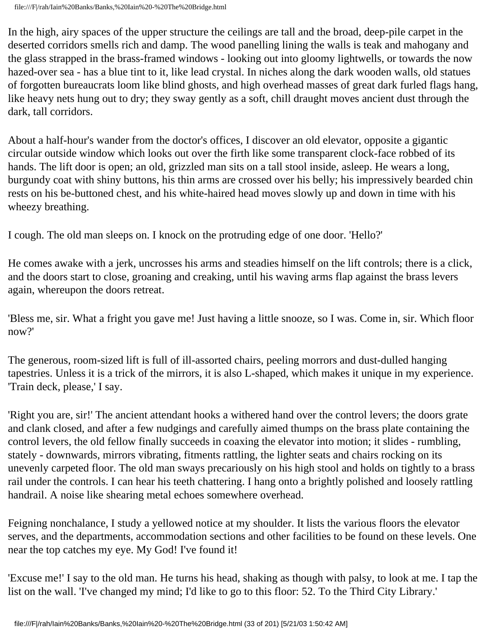In the high, airy spaces of the upper structure the ceilings are tall and the broad, deep-pile carpet in the deserted corridors smells rich and damp. The wood panelling lining the walls is teak and mahogany and the glass strapped in the brass-framed windows - looking out into gloomy lightwells, or towards the now hazed-over sea - has a blue tint to it, like lead crystal. In niches along the dark wooden walls, old statues of forgotten bureaucrats loom like blind ghosts, and high overhead masses of great dark furled flags hang, like heavy nets hung out to dry; they sway gently as a soft, chill draught moves ancient dust through the dark, tall corridors.

About a half-hour's wander from the doctor's offices, I discover an old elevator, opposite a gigantic circular outside window which looks out over the firth like some transparent clock-face robbed of its hands. The lift door is open; an old, grizzled man sits on a tall stool inside, asleep. He wears a long, burgundy coat with shiny buttons, his thin arms are crossed over his belly; his impressively bearded chin rests on his be-buttoned chest, and his white-haired head moves slowly up and down in time with his wheezy breathing.

I cough. The old man sleeps on. I knock on the protruding edge of one door. 'Hello?'

He comes awake with a jerk, uncrosses his arms and steadies himself on the lift controls; there is a click, and the doors start to close, groaning and creaking, until his waving arms flap against the brass levers again, whereupon the doors retreat.

'Bless me, sir. What a fright you gave me! Just having a little snooze, so I was. Come in, sir. Which floor now?'

The generous, room-sized lift is full of ill-assorted chairs, peeling morrors and dust-dulled hanging tapestries. Unless it is a trick of the mirrors, it is also L-shaped, which makes it unique in my experience. 'Train deck, please,' I say.

'Right you are, sir!' The ancient attendant hooks a withered hand over the control levers; the doors grate and clank closed, and after a few nudgings and carefully aimed thumps on the brass plate containing the control levers, the old fellow finally succeeds in coaxing the elevator into motion; it slides - rumbling, stately - downwards, mirrors vibrating, fitments rattling, the lighter seats and chairs rocking on its unevenly carpeted floor. The old man sways precariously on his high stool and holds on tightly to a brass rail under the controls. I can hear his teeth chattering. I hang onto a brightly polished and loosely rattling handrail. A noise like shearing metal echoes somewhere overhead.

Feigning nonchalance, I study a yellowed notice at my shoulder. It lists the various floors the elevator serves, and the departments, accommodation sections and other facilities to be found on these levels. One near the top catches my eye. My God! I've found it!

'Excuse me!' I say to the old man. He turns his head, shaking as though with palsy, to look at me. I tap the list on the wall. 'I've changed my mind; I'd like to go to this floor: 52. To the Third City Library.'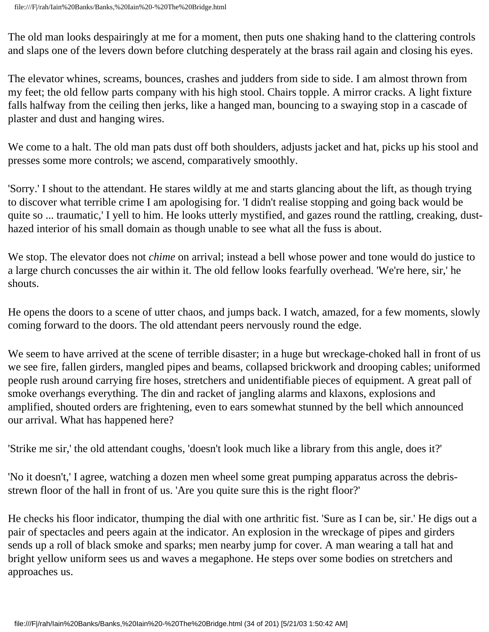The old man looks despairingly at me for a moment, then puts one shaking hand to the clattering controls and slaps one of the levers down before clutching desperately at the brass rail again and closing his eyes.

The elevator whines, screams, bounces, crashes and judders from side to side. I am almost thrown from my feet; the old fellow parts company with his high stool. Chairs topple. A mirror cracks. A light fixture falls halfway from the ceiling then jerks, like a hanged man, bouncing to a swaying stop in a cascade of plaster and dust and hanging wires.

We come to a halt. The old man pats dust off both shoulders, adjusts jacket and hat, picks up his stool and presses some more controls; we ascend, comparatively smoothly.

'Sorry.' I shout to the attendant. He stares wildly at me and starts glancing about the lift, as though trying to discover what terrible crime I am apologising for. 'I didn't realise stopping and going back would be quite so ... traumatic,' I yell to him. He looks utterly mystified, and gazes round the rattling, creaking, dusthazed interior of his small domain as though unable to see what all the fuss is about.

We stop. The elevator does not *chime* on arrival; instead a bell whose power and tone would do justice to a large church concusses the air within it. The old fellow looks fearfully overhead. 'We're here, sir,' he shouts.

He opens the doors to a scene of utter chaos, and jumps back. I watch, amazed, for a few moments, slowly coming forward to the doors. The old attendant peers nervously round the edge.

We seem to have arrived at the scene of terrible disaster; in a huge but wreckage-choked hall in front of us we see fire, fallen girders, mangled pipes and beams, collapsed brickwork and drooping cables; uniformed people rush around carrying fire hoses, stretchers and unidentifiable pieces of equipment. A great pall of smoke overhangs everything. The din and racket of jangling alarms and klaxons, explosions and amplified, shouted orders are frightening, even to ears somewhat stunned by the bell which announced our arrival. What has happened here?

'Strike me sir,' the old attendant coughs, 'doesn't look much like a library from this angle, does it?'

'No it doesn't,' I agree, watching a dozen men wheel some great pumping apparatus across the debrisstrewn floor of the hall in front of us. 'Are you quite sure this is the right floor?'

He checks his floor indicator, thumping the dial with one arthritic fist. 'Sure as I can be, sir.' He digs out a pair of spectacles and peers again at the indicator. An explosion in the wreckage of pipes and girders sends up a roll of black smoke and sparks; men nearby jump for cover. A man wearing a tall hat and bright yellow uniform sees us and waves a megaphone. He steps over some bodies on stretchers and approaches us.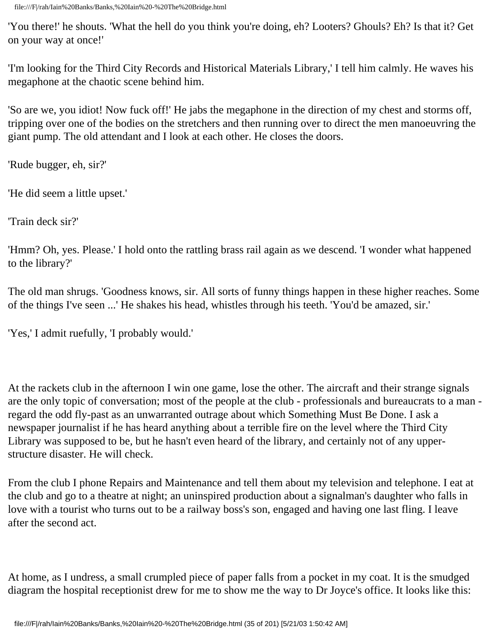'You there!' he shouts. 'What the hell do you think you're doing, eh? Looters? Ghouls? Eh? Is that it? Get on your way at once!'

'I'm looking for the Third City Records and Historical Materials Library,' I tell him calmly. He waves his megaphone at the chaotic scene behind him.

'So are we, you idiot! Now fuck off!' He jabs the megaphone in the direction of my chest and storms off, tripping over one of the bodies on the stretchers and then running over to direct the men manoeuvring the giant pump. The old attendant and I look at each other. He closes the doors.

'Rude bugger, eh, sir?'

'He did seem a little upset.'

'Train deck sir?'

'Hmm? Oh, yes. Please.' I hold onto the rattling brass rail again as we descend. 'I wonder what happened to the library?'

The old man shrugs. 'Goodness knows, sir. All sorts of funny things happen in these higher reaches. Some of the things I've seen ...' He shakes his head, whistles through his teeth. 'You'd be amazed, sir.'

'Yes,' I admit ruefully, 'I probably would.'

At the rackets club in the afternoon I win one game, lose the other. The aircraft and their strange signals are the only topic of conversation; most of the people at the club - professionals and bureaucrats to a man regard the odd fly-past as an unwarranted outrage about which Something Must Be Done. I ask a newspaper journalist if he has heard anything about a terrible fire on the level where the Third City Library was supposed to be, but he hasn't even heard of the library, and certainly not of any upperstructure disaster. He will check.

From the club I phone Repairs and Maintenance and tell them about my television and telephone. I eat at the club and go to a theatre at night; an uninspired production about a signalman's daughter who falls in love with a tourist who turns out to be a railway boss's son, engaged and having one last fling. I leave after the second act.

At home, as I undress, a small crumpled piece of paper falls from a pocket in my coat. It is the smudged diagram the hospital receptionist drew for me to show me the way to Dr Joyce's office. It looks like this: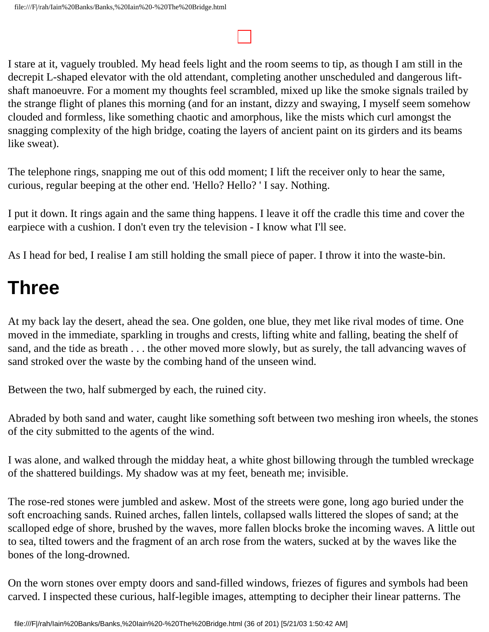I stare at it, vaguely troubled. My head feels light and the room seems to tip, as though I am still in the decrepit L-shaped elevator with the old attendant, completing another unscheduled and dangerous liftshaft manoeuvre. For a moment my thoughts feel scrambled, mixed up like the smoke signals trailed by the strange flight of planes this morning (and for an instant, dizzy and swaying, I myself seem somehow clouded and formless, like something chaotic and amorphous, like the mists which curl amongst the snagging complexity of the high bridge, coating the layers of ancient paint on its girders and its beams like sweat).

The telephone rings, snapping me out of this odd moment; I lift the receiver only to hear the same, curious, regular beeping at the other end. 'Hello? Hello?' I say. Nothing.

I put it down. It rings again and the same thing happens. I leave it off the cradle this time and cover the earpiece with a cushion. I don't even try the television - I know what I'll see.

<span id="page-35-0"></span>As I head for bed, I realise I am still holding the small piece of paper. I throw it into the waste-bin.

## **Three**

At my back lay the desert, ahead the sea. One golden, one blue, they met like rival modes of time. One moved in the immediate, sparkling in troughs and crests, lifting white and falling, beating the shelf of sand, and the tide as breath . . . the other moved more slowly, but as surely, the tall advancing waves of sand stroked over the waste by the combing hand of the unseen wind.

Between the two, half submerged by each, the ruined city.

Abraded by both sand and water, caught like something soft between two meshing iron wheels, the stones of the city submitted to the agents of the wind.

I was alone, and walked through the midday heat, a white ghost billowing through the tumbled wreckage of the shattered buildings. My shadow was at my feet, beneath me; invisible.

The rose-red stones were jumbled and askew. Most of the streets were gone, long ago buried under the soft encroaching sands. Ruined arches, fallen lintels, collapsed walls littered the slopes of sand; at the scalloped edge of shore, brushed by the waves, more fallen blocks broke the incoming waves. A little out to sea, tilted towers and the fragment of an arch rose from the waters, sucked at by the waves like the bones of the long-drowned.

On the worn stones over empty doors and sand-filled windows, friezes of figures and symbols had been carved. I inspected these curious, half-legible images, attempting to decipher their linear patterns. The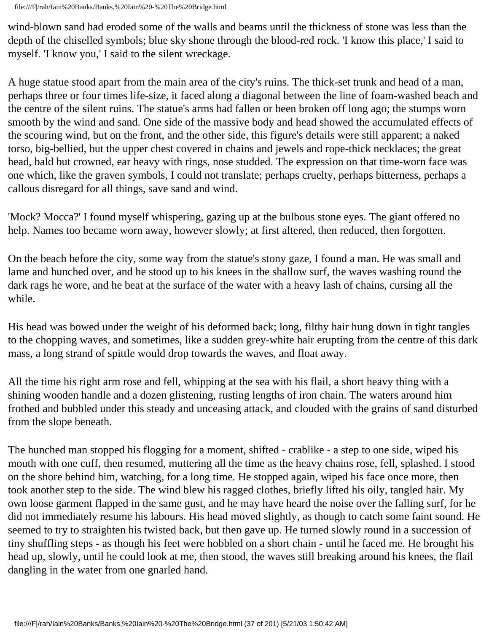wind-blown sand had eroded some of the walls and beams until the thickness of stone was less than the depth of the chiselled symbols; blue sky shone through the blood-red rock. 'I know this place,' I said to myself. 'I know you,' I said to the silent wreckage.

A huge statue stood apart from the main area of the city's ruins. The thick-set trunk and head of a man, perhaps three or four times life-size, it faced along a diagonal between the line of foam-washed beach and the centre of the silent ruins. The statue's arms had fallen or been broken off long ago; the stumps worn smooth by the wind and sand. One side of the massive body and head showed the accumulated effects of the scouring wind, but on the front, and the other side, this figure's details were still apparent; a naked torso, big-bellied, but the upper chest covered in chains and jewels and rope-thick necklaces; the great head, bald but crowned, ear heavy with rings, nose studded. The expression on that time-worn face was one which, like the graven symbols, I could not translate; perhaps cruelty, perhaps bitterness, perhaps a callous disregard for all things, save sand and wind.

'Mock? Mocca?' I found myself whispering, gazing up at the bulbous stone eyes. The giant offered no help. Names too became worn away, however slowly; at first altered, then reduced, then forgotten.

On the beach before the city, some way from the statue's stony gaze, I found a man. He was small and lame and hunched over, and he stood up to his knees in the shallow surf, the waves washing round the dark rags he wore, and he beat at the surface of the water with a heavy lash of chains, cursing all the while.

His head was bowed under the weight of his deformed back; long, filthy hair hung down in tight tangles to the chopping waves, and sometimes, like a sudden grey-white hair erupting from the centre of this dark mass, a long strand of spittle would drop towards the waves, and float away.

All the time his right arm rose and fell, whipping at the sea with his flail, a short heavy thing with a shining wooden handle and a dozen glistening, rusting lengths of iron chain. The waters around him frothed and bubbled under this steady and unceasing attack, and clouded with the grains of sand disturbed from the slope beneath.

The hunched man stopped his flogging for a moment, shifted - crablike - a step to one side, wiped his mouth with one cuff, then resumed, muttering all the time as the heavy chains rose, fell, splashed. I stood on the shore behind him, watching, for a long time. He stopped again, wiped his face once more, then took another step to the side. The wind blew his ragged clothes, briefly lifted his oily, tangled hair. My own loose garment flapped in the same gust, and he may have heard the noise over the falling surf, for he did not immediately resume his labours. His head moved slightly, as though to catch some faint sound. He seemed to try to straighten his twisted back, but then gave up. He turned slowly round in a succession of tiny shuffling steps - as though his feet were hobbled on a short chain - until he faced me. He brought his head up, slowly, until he could look at me, then stood, the waves still breaking around his knees, the flail dangling in the water from one gnarled hand.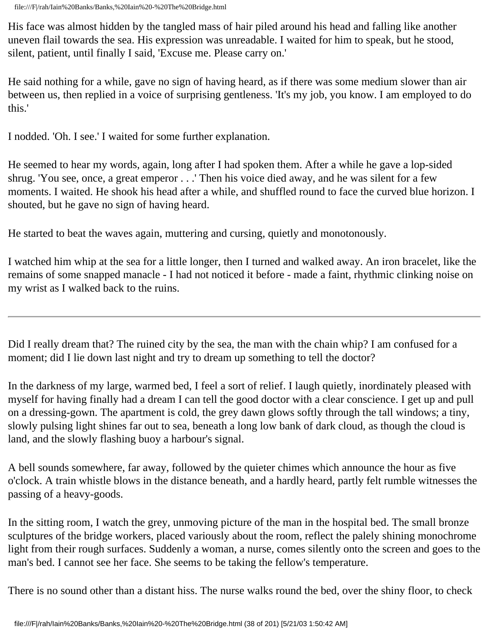His face was almost hidden by the tangled mass of hair piled around his head and falling like another uneven flail towards the sea. His expression was unreadable. I waited for him to speak, but he stood, silent, patient, until finally I said, 'Excuse me. Please carry on.'

He said nothing for a while, gave no sign of having heard, as if there was some medium slower than air between us, then replied in a voice of surprising gentleness. 'It's my job, you know. I am employed to do this.'

I nodded. 'Oh. I see.' I waited for some further explanation.

He seemed to hear my words, again, long after I had spoken them. After a while he gave a lop-sided shrug. 'You see, once, a great emperor . . .' Then his voice died away, and he was silent for a few moments. I waited. He shook his head after a while, and shuffled round to face the curved blue horizon. I shouted, but he gave no sign of having heard.

He started to beat the waves again, muttering and cursing, quietly and monotonously.

I watched him whip at the sea for a little longer, then I turned and walked away. An iron bracelet, like the remains of some snapped manacle - I had not noticed it before - made a faint, rhythmic clinking noise on my wrist as I walked back to the ruins.

Did I really dream that? The ruined city by the sea, the man with the chain whip? I am confused for a moment; did I lie down last night and try to dream up something to tell the doctor?

In the darkness of my large, warmed bed, I feel a sort of relief. I laugh quietly, inordinately pleased with myself for having finally had a dream I can tell the good doctor with a clear conscience. I get up and pull on a dressing-gown. The apartment is cold, the grey dawn glows softly through the tall windows; a tiny, slowly pulsing light shines far out to sea, beneath a long low bank of dark cloud, as though the cloud is land, and the slowly flashing buoy a harbour's signal.

A bell sounds somewhere, far away, followed by the quieter chimes which announce the hour as five o'clock. A train whistle blows in the distance beneath, and a hardly heard, partly felt rumble witnesses the passing of a heavy-goods.

In the sitting room, I watch the grey, unmoving picture of the man in the hospital bed. The small bronze sculptures of the bridge workers, placed variously about the room, reflect the palely shining monochrome light from their rough surfaces. Suddenly a woman, a nurse, comes silently onto the screen and goes to the man's bed. I cannot see her face. She seems to be taking the fellow's temperature.

There is no sound other than a distant hiss. The nurse walks round the bed, over the shiny floor, to check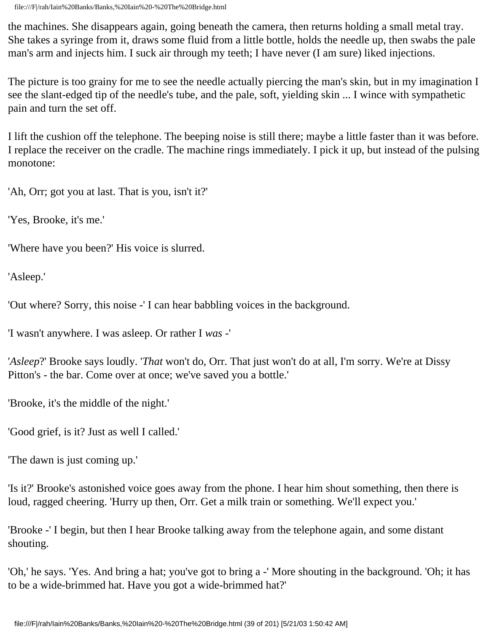the machines. She disappears again, going beneath the camera, then returns holding a small metal tray. She takes a syringe from it, draws some fluid from a little bottle, holds the needle up, then swabs the pale man's arm and injects him. I suck air through my teeth; I have never (I am sure) liked injections.

The picture is too grainy for me to see the needle actually piercing the man's skin, but in my imagination I see the slant-edged tip of the needle's tube, and the pale, soft, yielding skin ... I wince with sympathetic pain and turn the set off.

I lift the cushion off the telephone. The beeping noise is still there; maybe a little faster than it was before. I replace the receiver on the cradle. The machine rings immediately. I pick it up, but instead of the pulsing monotone:

'Ah, Orr; got you at last. That is you, isn't it?'

'Yes, Brooke, it's me.'

'Where have you been?' His voice is slurred.

'Asleep.'

'Out where? Sorry, this noise -' I can hear babbling voices in the background.

'I wasn't anywhere. I was asleep. Or rather I *was* -'

'*Asleep*?' Brooke says loudly. '*That* won't do, Orr. That just won't do at all, I'm sorry. We're at Dissy Pitton's - the bar. Come over at once; we've saved you a bottle.'

'Brooke, it's the middle of the night.'

'Good grief, is it? Just as well I called.'

'The dawn is just coming up.'

'Is it?' Brooke's astonished voice goes away from the phone. I hear him shout something, then there is loud, ragged cheering. 'Hurry up then, Orr. Get a milk train or something. We'll expect you.'

'Brooke -' I begin, but then I hear Brooke talking away from the telephone again, and some distant shouting.

'Oh,' he says. 'Yes. And bring a hat; you've got to bring a -' More shouting in the background. 'Oh; it has to be a wide-brimmed hat. Have you got a wide-brimmed hat?'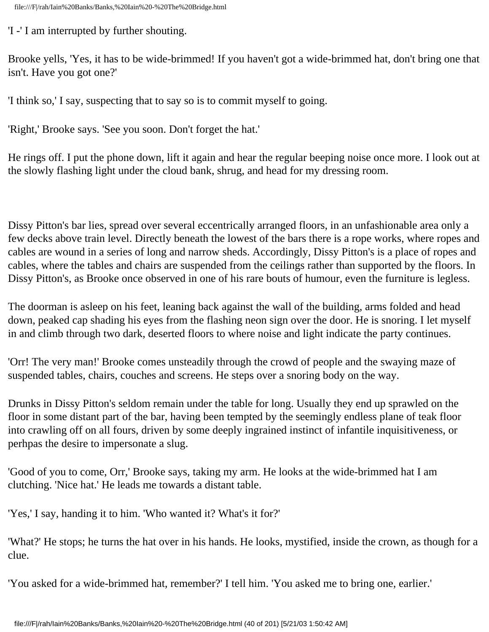'I -' I am interrupted by further shouting.

Brooke yells, 'Yes, it has to be wide-brimmed! If you haven't got a wide-brimmed hat, don't bring one that isn't. Have you got one?'

'I think so,' I say, suspecting that to say so is to commit myself to going.

'Right,' Brooke says. 'See you soon. Don't forget the hat.'

He rings off. I put the phone down, lift it again and hear the regular beeping noise once more. I look out at the slowly flashing light under the cloud bank, shrug, and head for my dressing room.

Dissy Pitton's bar lies, spread over several eccentrically arranged floors, in an unfashionable area only a few decks above train level. Directly beneath the lowest of the bars there is a rope works, where ropes and cables are wound in a series of long and narrow sheds. Accordingly, Dissy Pitton's is a place of ropes and cables, where the tables and chairs are suspended from the ceilings rather than supported by the floors. In Dissy Pitton's, as Brooke once observed in one of his rare bouts of humour, even the furniture is legless.

The doorman is asleep on his feet, leaning back against the wall of the building, arms folded and head down, peaked cap shading his eyes from the flashing neon sign over the door. He is snoring. I let myself in and climb through two dark, deserted floors to where noise and light indicate the party continues.

'Orr! The very man!' Brooke comes unsteadily through the crowd of people and the swaying maze of suspended tables, chairs, couches and screens. He steps over a snoring body on the way.

Drunks in Dissy Pitton's seldom remain under the table for long. Usually they end up sprawled on the floor in some distant part of the bar, having been tempted by the seemingly endless plane of teak floor into crawling off on all fours, driven by some deeply ingrained instinct of infantile inquisitiveness, or perhpas the desire to impersonate a slug.

'Good of you to come, Orr,' Brooke says, taking my arm. He looks at the wide-brimmed hat I am clutching. 'Nice hat.' He leads me towards a distant table.

'Yes,' I say, handing it to him. 'Who wanted it? What's it for?'

'What?' He stops; he turns the hat over in his hands. He looks, mystified, inside the crown, as though for a clue.

'You asked for a wide-brimmed hat, remember?' I tell him. 'You asked me to bring one, earlier.'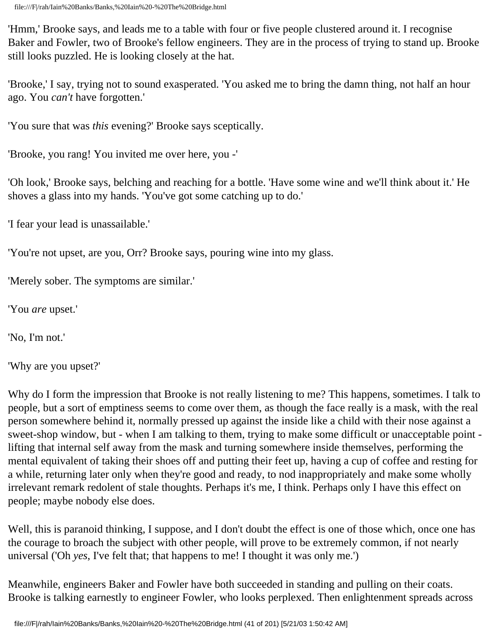'Hmm,' Brooke says, and leads me to a table with four or five people clustered around it. I recognise Baker and Fowler, two of Brooke's fellow engineers. They are in the process of trying to stand up. Brooke still looks puzzled. He is looking closely at the hat.

'Brooke,' I say, trying not to sound exasperated. 'You asked me to bring the damn thing, not half an hour ago. You *can't* have forgotten.'

'You sure that was *this* evening?' Brooke says sceptically.

'Brooke, you rang! You invited me over here, you -'

'Oh look,' Brooke says, belching and reaching for a bottle. 'Have some wine and we'll think about it.' He shoves a glass into my hands. 'You've got some catching up to do.'

'I fear your lead is unassailable.'

'You're not upset, are you, Orr? Brooke says, pouring wine into my glass.

'Merely sober. The symptoms are similar.'

'You *are* upset.'

'No, I'm not.'

'Why are you upset?'

Why do I form the impression that Brooke is not really listening to me? This happens, sometimes. I talk to people, but a sort of emptiness seems to come over them, as though the face really is a mask, with the real person somewhere behind it, normally pressed up against the inside like a child with their nose against a sweet-shop window, but - when I am talking to them, trying to make some difficult or unacceptable point lifting that internal self away from the mask and turning somewhere inside themselves, performing the mental equivalent of taking their shoes off and putting their feet up, having a cup of coffee and resting for a while, returning later only when they're good and ready, to nod inappropriately and make some wholly irrelevant remark redolent of stale thoughts. Perhaps it's me, I think. Perhaps only I have this effect on people; maybe nobody else does.

Well, this is paranoid thinking, I suppose, and I don't doubt the effect is one of those which, once one has the courage to broach the subject with other people, will prove to be extremely common, if not nearly universal ('Oh *yes*, I've felt that; that happens to me! I thought it was only me.')

Meanwhile, engineers Baker and Fowler have both succeeded in standing and pulling on their coats. Brooke is talking earnestly to engineer Fowler, who looks perplexed. Then enlightenment spreads across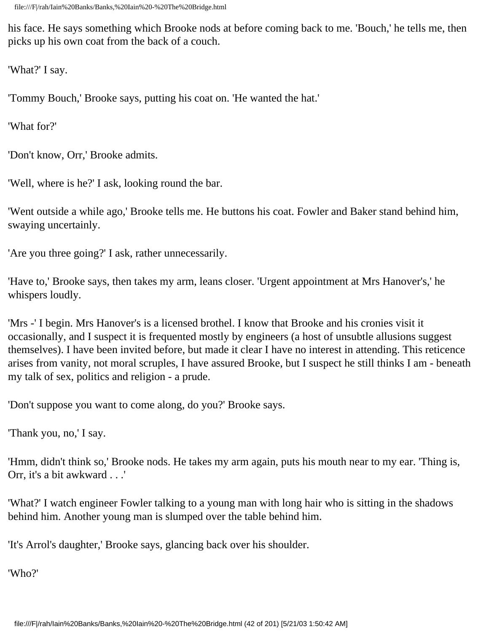```
file:///F|/rah/Iain%20Banks/Banks,%20Iain%20-%20The%20Bridge.html
```
his face. He says something which Brooke nods at before coming back to me. 'Bouch,' he tells me, then picks up his own coat from the back of a couch.

'What?' I say.

'Tommy Bouch,' Brooke says, putting his coat on. 'He wanted the hat.'

'What for?'

'Don't know, Orr,' Brooke admits.

'Well, where is he?' I ask, looking round the bar.

'Went outside a while ago,' Brooke tells me. He buttons his coat. Fowler and Baker stand behind him, swaying uncertainly.

'Are you three going?' I ask, rather unnecessarily.

'Have to,' Brooke says, then takes my arm, leans closer. 'Urgent appointment at Mrs Hanover's,' he whispers loudly.

'Mrs -' I begin. Mrs Hanover's is a licensed brothel. I know that Brooke and his cronies visit it occasionally, and I suspect it is frequented mostly by engineers (a host of unsubtle allusions suggest themselves). I have been invited before, but made it clear I have no interest in attending. This reticence arises from vanity, not moral scruples, I have assured Brooke, but I suspect he still thinks I am - beneath my talk of sex, politics and religion - a prude.

'Don't suppose you want to come along, do you?' Brooke says.

'Thank you, no,' I say.

'Hmm, didn't think so,' Brooke nods. He takes my arm again, puts his mouth near to my ear. 'Thing is, Orr, it's a bit awkward . . .'

'What?' I watch engineer Fowler talking to a young man with long hair who is sitting in the shadows behind him. Another young man is slumped over the table behind him.

'It's Arrol's daughter,' Brooke says, glancing back over his shoulder.

'Who?'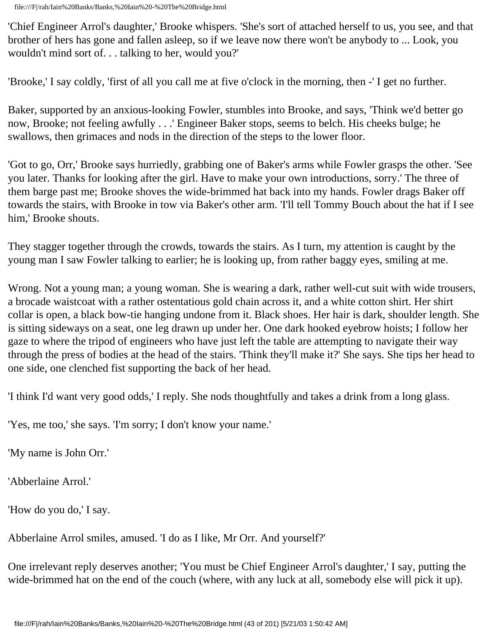'Chief Engineer Arrol's daughter,' Brooke whispers. 'She's sort of attached herself to us, you see, and that brother of hers has gone and fallen asleep, so if we leave now there won't be anybody to ... Look, you wouldn't mind sort of. . . talking to her, would you?'

'Brooke,' I say coldly, 'first of all you call me at five o'clock in the morning, then -' I get no further.

Baker, supported by an anxious-looking Fowler, stumbles into Brooke, and says, 'Think we'd better go now, Brooke; not feeling awfully . . .' Engineer Baker stops, seems to belch. His cheeks bulge; he swallows, then grimaces and nods in the direction of the steps to the lower floor.

'Got to go, Orr,' Brooke says hurriedly, grabbing one of Baker's arms while Fowler grasps the other. 'See you later. Thanks for looking after the girl. Have to make your own introductions, sorry.' The three of them barge past me; Brooke shoves the wide-brimmed hat back into my hands. Fowler drags Baker off towards the stairs, with Brooke in tow via Baker's other arm. 'I'll tell Tommy Bouch about the hat if I see him,' Brooke shouts.

They stagger together through the crowds, towards the stairs. As I turn, my attention is caught by the young man I saw Fowler talking to earlier; he is looking up, from rather baggy eyes, smiling at me.

Wrong. Not a young man; a young woman. She is wearing a dark, rather well-cut suit with wide trousers, a brocade waistcoat with a rather ostentatious gold chain across it, and a white cotton shirt. Her shirt collar is open, a black bow-tie hanging undone from it. Black shoes. Her hair is dark, shoulder length. She is sitting sideways on a seat, one leg drawn up under her. One dark hooked eyebrow hoists; I follow her gaze to where the tripod of engineers who have just left the table are attempting to navigate their way through the press of bodies at the head of the stairs. 'Think they'll make it?' She says. She tips her head to one side, one clenched fist supporting the back of her head.

'I think I'd want very good odds,' I reply. She nods thoughtfully and takes a drink from a long glass.

'Yes, me too,' she says. 'I'm sorry; I don't know your name.'

'My name is John Orr.'

'Abberlaine Arrol.'

'How do you do,' I say.

Abberlaine Arrol smiles, amused. 'I do as I like, Mr Orr. And yourself?'

One irrelevant reply deserves another; 'You must be Chief Engineer Arrol's daughter,' I say, putting the wide-brimmed hat on the end of the couch (where, with any luck at all, somebody else will pick it up).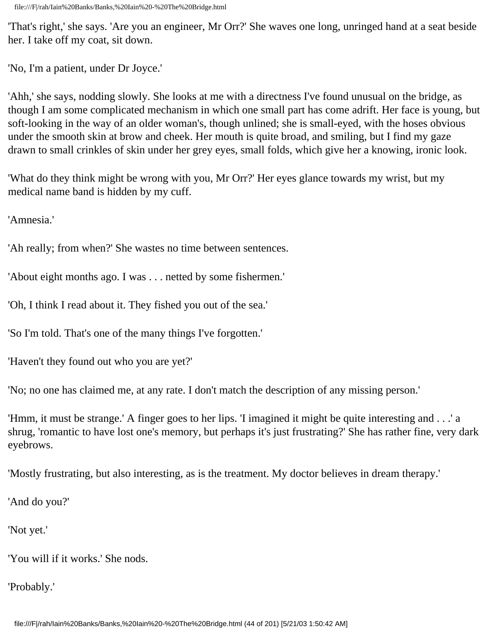'That's right,' she says. 'Are you an engineer, Mr Orr?' She waves one long, unringed hand at a seat beside her. I take off my coat, sit down.

'No, I'm a patient, under Dr Joyce.'

'Ahh,' she says, nodding slowly. She looks at me with a directness I've found unusual on the bridge, as though I am some complicated mechanism in which one small part has come adrift. Her face is young, but soft-looking in the way of an older woman's, though unlined; she is small-eyed, with the hoses obvious under the smooth skin at brow and cheek. Her mouth is quite broad, and smiling, but I find my gaze drawn to small crinkles of skin under her grey eyes, small folds, which give her a knowing, ironic look.

'What do they think might be wrong with you, Mr Orr?' Her eyes glance towards my wrist, but my medical name band is hidden by my cuff.

'Amnesia.'

'Ah really; from when?' She wastes no time between sentences.

'About eight months ago. I was . . . netted by some fishermen.'

'Oh, I think I read about it. They fished you out of the sea.'

'So I'm told. That's one of the many things I've forgotten.'

'Haven't they found out who you are yet?'

'No; no one has claimed me, at any rate. I don't match the description of any missing person.'

'Hmm, it must be strange.' A finger goes to her lips. 'I imagined it might be quite interesting and . . .' a shrug, 'romantic to have lost one's memory, but perhaps it's just frustrating?' She has rather fine, very dark eyebrows.

'Mostly frustrating, but also interesting, as is the treatment. My doctor believes in dream therapy.'

'And do you?'

'Not yet.'

'You will if it works.' She nods.

'Probably.'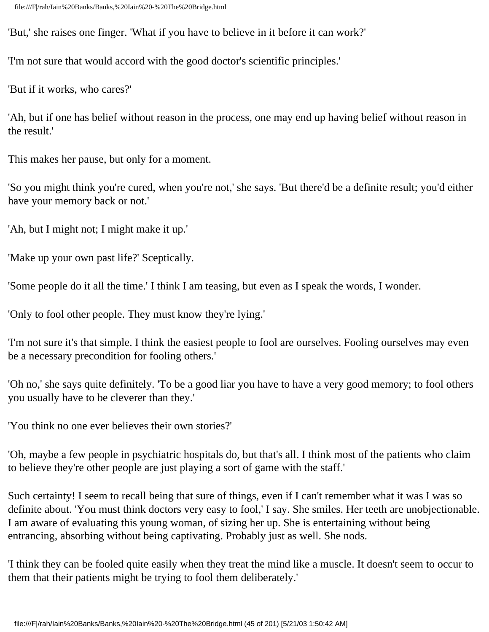'But,' she raises one finger. 'What if you have to believe in it before it can work?'

'I'm not sure that would accord with the good doctor's scientific principles.'

'But if it works, who cares?'

'Ah, but if one has belief without reason in the process, one may end up having belief without reason in the result.'

This makes her pause, but only for a moment.

'So you might think you're cured, when you're not,' she says. 'But there'd be a definite result; you'd either have your memory back or not.'

'Ah, but I might not; I might make it up.'

'Make up your own past life?' Sceptically.

'Some people do it all the time.' I think I am teasing, but even as I speak the words, I wonder.

'Only to fool other people. They must know they're lying.'

'I'm not sure it's that simple. I think the easiest people to fool are ourselves. Fooling ourselves may even be a necessary precondition for fooling others.'

'Oh no,' she says quite definitely. 'To be a good liar you have to have a very good memory; to fool others you usually have to be cleverer than they.'

'You think no one ever believes their own stories?'

'Oh, maybe a few people in psychiatric hospitals do, but that's all. I think most of the patients who claim to believe they're other people are just playing a sort of game with the staff.'

Such certainty! I seem to recall being that sure of things, even if I can't remember what it was I was so definite about. 'You must think doctors very easy to fool,' I say. She smiles. Her teeth are unobjectionable. I am aware of evaluating this young woman, of sizing her up. She is entertaining without being entrancing, absorbing without being captivating. Probably just as well. She nods.

'I think they can be fooled quite easily when they treat the mind like a muscle. It doesn't seem to occur to them that their patients might be trying to fool them deliberately.'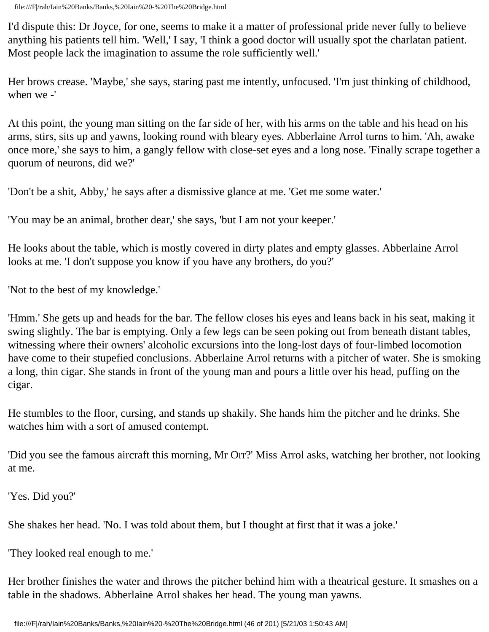I'd dispute this: Dr Joyce, for one, seems to make it a matter of professional pride never fully to believe anything his patients tell him. 'Well,' I say, 'I think a good doctor will usually spot the charlatan patient. Most people lack the imagination to assume the role sufficiently well.'

Her brows crease. 'Maybe,' she says, staring past me intently, unfocused. 'I'm just thinking of childhood, when we -'

At this point, the young man sitting on the far side of her, with his arms on the table and his head on his arms, stirs, sits up and yawns, looking round with bleary eyes. Abberlaine Arrol turns to him. 'Ah, awake once more,' she says to him, a gangly fellow with close-set eyes and a long nose. 'Finally scrape together a quorum of neurons, did we?'

'Don't be a shit, Abby,' he says after a dismissive glance at me. 'Get me some water.'

'You may be an animal, brother dear,' she says, 'but I am not your keeper.'

He looks about the table, which is mostly covered in dirty plates and empty glasses. Abberlaine Arrol looks at me. 'I don't suppose you know if you have any brothers, do you?'

'Not to the best of my knowledge.'

'Hmm.' She gets up and heads for the bar. The fellow closes his eyes and leans back in his seat, making it swing slightly. The bar is emptying. Only a few legs can be seen poking out from beneath distant tables, witnessing where their owners' alcoholic excursions into the long-lost days of four-limbed locomotion have come to their stupefied conclusions. Abberlaine Arrol returns with a pitcher of water. She is smoking a long, thin cigar. She stands in front of the young man and pours a little over his head, puffing on the cigar.

He stumbles to the floor, cursing, and stands up shakily. She hands him the pitcher and he drinks. She watches him with a sort of amused contempt.

'Did you see the famous aircraft this morning, Mr Orr?' Miss Arrol asks, watching her brother, not looking at me.

'Yes. Did you?'

She shakes her head. 'No. I was told about them, but I thought at first that it was a joke.'

'They looked real enough to me.'

Her brother finishes the water and throws the pitcher behind him with a theatrical gesture. It smashes on a table in the shadows. Abberlaine Arrol shakes her head. The young man yawns.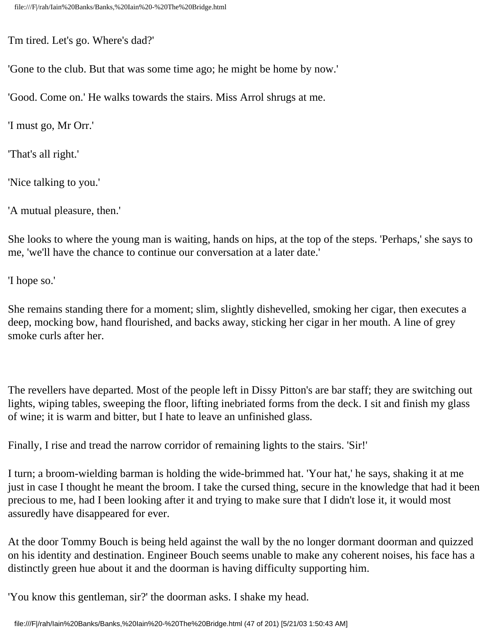Tm tired. Let's go. Where's dad?'

'Gone to the club. But that was some time ago; he might be home by now.'

'Good. Come on.' He walks towards the stairs. Miss Arrol shrugs at me.

'I must go, Mr Orr.'

'That's all right.'

'Nice talking to you.'

'A mutual pleasure, then.'

She looks to where the young man is waiting, hands on hips, at the top of the steps. 'Perhaps,' she says to me, 'we'll have the chance to continue our conversation at a later date.'

'I hope so.'

She remains standing there for a moment; slim, slightly dishevelled, smoking her cigar, then executes a deep, mocking bow, hand flourished, and backs away, sticking her cigar in her mouth. A line of grey smoke curls after her.

The revellers have departed. Most of the people left in Dissy Pitton's are bar staff; they are switching out lights, wiping tables, sweeping the floor, lifting inebriated forms from the deck. I sit and finish my glass of wine; it is warm and bitter, but I hate to leave an unfinished glass.

Finally, I rise and tread the narrow corridor of remaining lights to the stairs. 'Sir!'

I turn; a broom-wielding barman is holding the wide-brimmed hat. 'Your hat,' he says, shaking it at me just in case I thought he meant the broom. I take the cursed thing, secure in the knowledge that had it been precious to me, had I been looking after it and trying to make sure that I didn't lose it, it would most assuredly have disappeared for ever.

At the door Tommy Bouch is being held against the wall by the no longer dormant doorman and quizzed on his identity and destination. Engineer Bouch seems unable to make any coherent noises, his face has a distinctly green hue about it and the doorman is having difficulty supporting him.

'You know this gentleman, sir?' the doorman asks. I shake my head.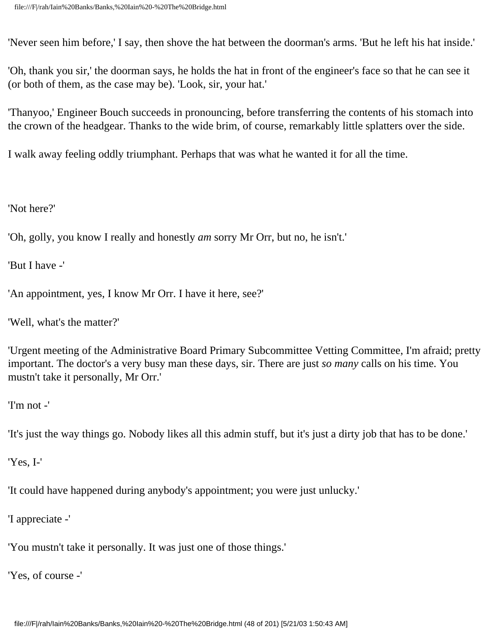'Never seen him before,' I say, then shove the hat between the doorman's arms. 'But he left his hat inside.'

'Oh, thank you sir,' the doorman says, he holds the hat in front of the engineer's face so that he can see it (or both of them, as the case may be). 'Look, sir, your hat.'

'Thanyoo,' Engineer Bouch succeeds in pronouncing, before transferring the contents of his stomach into the crown of the headgear. Thanks to the wide brim, of course, remarkably little splatters over the side.

I walk away feeling oddly triumphant. Perhaps that was what he wanted it for all the time.

'Not here?'

'Oh, golly, you know I really and honestly *am* sorry Mr Orr, but no, he isn't.'

'But I have -'

'An appointment, yes, I know Mr Orr. I have it here, see?'

'Well, what's the matter?'

'Urgent meeting of the Administrative Board Primary Subcommittee Vetting Committee, I'm afraid; pretty important. The doctor's a very busy man these days, sir. There are just *so many* calls on his time. You mustn't take it personally, Mr Orr.'

'I'm not -'

'It's just the way things go. Nobody likes all this admin stuff, but it's just a dirty job that has to be done.'

'Yes, I-'

'It could have happened during anybody's appointment; you were just unlucky.'

'I appreciate -'

'You mustn't take it personally. It was just one of those things.'

'Yes, of course -'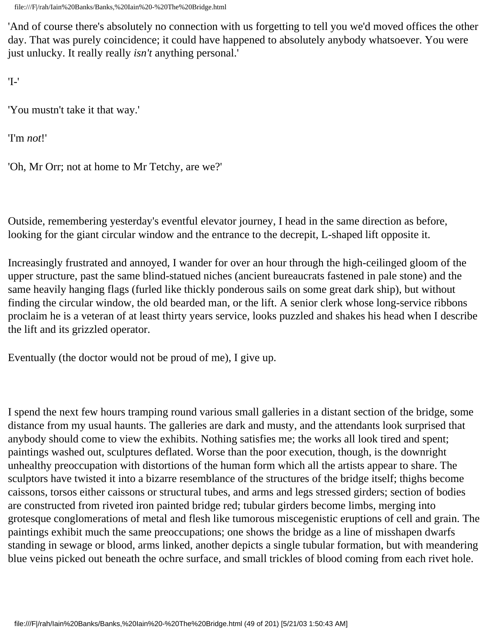'And of course there's absolutely no connection with us forgetting to tell you we'd moved offices the other day. That was purely coincidence; it could have happened to absolutely anybody whatsoever. You were just unlucky. It really really *isn't* anything personal.'

'I-'

'You mustn't take it that way.'

'I'm *not*!'

'Oh, Mr Orr; not at home to Mr Tetchy, are we?'

Outside, remembering yesterday's eventful elevator journey, I head in the same direction as before, looking for the giant circular window and the entrance to the decrepit, L-shaped lift opposite it.

Increasingly frustrated and annoyed, I wander for over an hour through the high-ceilinged gloom of the upper structure, past the same blind-statued niches (ancient bureaucrats fastened in pale stone) and the same heavily hanging flags (furled like thickly ponderous sails on some great dark ship), but without finding the circular window, the old bearded man, or the lift. A senior clerk whose long-service ribbons proclaim he is a veteran of at least thirty years service, looks puzzled and shakes his head when I describe the lift and its grizzled operator.

Eventually (the doctor would not be proud of me), I give up.

I spend the next few hours tramping round various small galleries in a distant section of the bridge, some distance from my usual haunts. The galleries are dark and musty, and the attendants look surprised that anybody should come to view the exhibits. Nothing satisfies me; the works all look tired and spent; paintings washed out, sculptures deflated. Worse than the poor execution, though, is the downright unhealthy preoccupation with distortions of the human form which all the artists appear to share. The sculptors have twisted it into a bizarre resemblance of the structures of the bridge itself; thighs become caissons, torsos either caissons or structural tubes, and arms and legs stressed girders; section of bodies are constructed from riveted iron painted bridge red; tubular girders become limbs, merging into grotesque conglomerations of metal and flesh like tumorous miscegenistic eruptions of cell and grain. The paintings exhibit much the same preoccupations; one shows the bridge as a line of misshapen dwarfs standing in sewage or blood, arms linked, another depicts a single tubular formation, but with meandering blue veins picked out beneath the ochre surface, and small trickles of blood coming from each rivet hole.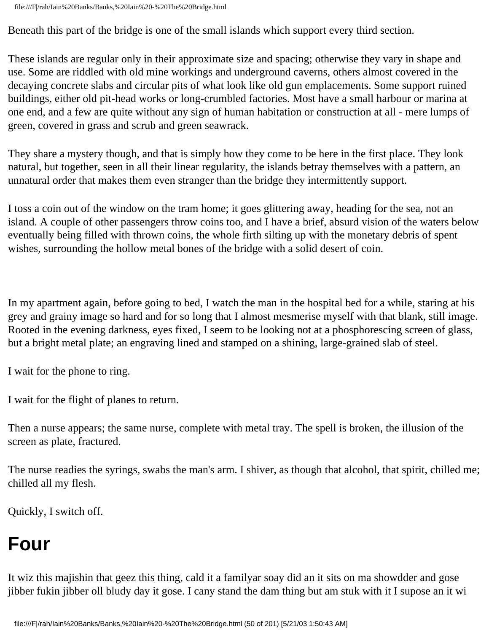Beneath this part of the bridge is one of the small islands which support every third section.

These islands are regular only in their approximate size and spacing; otherwise they vary in shape and use. Some are riddled with old mine workings and underground caverns, others almost covered in the decaying concrete slabs and circular pits of what look like old gun emplacements. Some support ruined buildings, either old pit-head works or long-crumbled factories. Most have a small harbour or marina at one end, and a few are quite without any sign of human habitation or construction at all - mere lumps of green, covered in grass and scrub and green seawrack.

They share a mystery though, and that is simply how they come to be here in the first place. They look natural, but together, seen in all their linear regularity, the islands betray themselves with a pattern, an unnatural order that makes them even stranger than the bridge they intermittently support.

I toss a coin out of the window on the tram home; it goes glittering away, heading for the sea, not an island. A couple of other passengers throw coins too, and I have a brief, absurd vision of the waters below eventually being filled with thrown coins, the whole firth silting up with the monetary debris of spent wishes, surrounding the hollow metal bones of the bridge with a solid desert of coin.

In my apartment again, before going to bed, I watch the man in the hospital bed for a while, staring at his grey and grainy image so hard and for so long that I almost mesmerise myself with that blank, still image. Rooted in the evening darkness, eyes fixed, I seem to be looking not at a phosphorescing screen of glass, but a bright metal plate; an engraving lined and stamped on a shining, large-grained slab of steel.

I wait for the phone to ring.

I wait for the flight of planes to return.

Then a nurse appears; the same nurse, complete with metal tray. The spell is broken, the illusion of the screen as plate, fractured.

The nurse readies the syrings, swabs the man's arm. I shiver, as though that alcohol, that spirit, chilled me; chilled all my flesh.

Quickly, I switch off.

# **Four**

It wiz this majishin that geez this thing, cald it a familyar soay did an it sits on ma showdder and gose jibber fukin jibber oll bludy day it gose. I cany stand the dam thing but am stuk with it I supose an it wi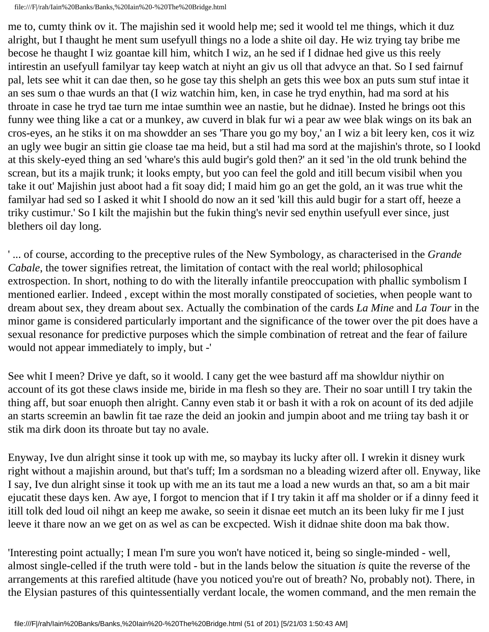me to, cumty think ov it. The majishin sed it woold help me; sed it woold tel me things, which it duz alright, but I thaught he ment sum usefyull things no a lode a shite oil day. He wiz trying tay bribe me becose he thaught I wiz goantae kill him, whitch I wiz, an he sed if I didnae hed give us this reely intirestin an usefyull familyar tay keep watch at niyht an giv us oll that advyce an that. So I sed fairnuf pal, lets see whit it can dae then, so he gose tay this shelph an gets this wee box an puts sum stuf intae it an ses sum o thae wurds an that (I wiz watchin him, ken, in case he tryd enythin, had ma sord at his throate in case he tryd tae turn me intae sumthin wee an nastie, but he didnae). Insted he brings oot this funny wee thing like a cat or a munkey, aw cuverd in blak fur wi a pear aw wee blak wings on its bak an cros-eyes, an he stiks it on ma showdder an ses 'Thare you go my boy,' an I wiz a bit leery ken, cos it wiz an ugly wee bugir an sittin gie cloase tae ma heid, but a stil had ma sord at the majishin's throte, so I lookd at this skely-eyed thing an sed 'whare's this auld bugir's gold then?' an it sed 'in the old trunk behind the screan, but its a majik trunk; it looks empty, but yoo can feel the gold and itill becum visibil when you take it out' Majishin just aboot had a fit soay did; I maid him go an get the gold, an it was true whit the familyar had sed so I asked it whit I shoold do now an it sed 'kill this auld bugir for a start off, heeze a triky custimur.' So I kilt the majishin but the fukin thing's nevir sed enythin usefyull ever since, just blethers oil day long.

' ... of course, according to the preceptive rules of the New Symbology, as characterised in the *Grande Cabale*, the tower signifies retreat, the limitation of contact with the real world; philosophical extrospection. In short, nothing to do with the literally infantile preoccupation with phallic symbolism I mentioned earlier. Indeed , except within the most morally constipated of societies, when people want to dream about sex, they dream about sex. Actually the combination of the cards *La Mine* and *La Tour* in the minor game is considered particularly important and the significance of the tower over the pit does have a sexual resonance for predictive purposes which the simple combination of retreat and the fear of failure would not appear immediately to imply, but -'

See whit I meen? Drive ye daft, so it woold. I cany get the wee basturd aff ma showldur niythir on account of its got these claws inside me, biride in ma flesh so they are. Their no soar untill I try takin the thing aff, but soar enuoph then alright. Canny even stab it or bash it with a rok on acount of its ded adjile an starts screemin an bawlin fit tae raze the deid an jookin and jumpin aboot and me triing tay bash it or stik ma dirk doon its throate but tay no avale.

Enyway, Ive dun alright sinse it took up with me, so maybay its lucky after oll. I wrekin it disney wurk right without a majishin around, but that's tuff; Im a sordsman no a bleading wizerd after oll. Enyway, like I say, Ive dun alright sinse it took up with me an its taut me a load a new wurds an that, so am a bit mair ejucatit these days ken. Aw aye, I forgot to mencion that if I try takin it aff ma sholder or if a dinny feed it itill tolk ded loud oil nihgt an keep me awake, so seein it disnae eet mutch an its been luky fir me I just leeve it thare now an we get on as wel as can be excpected. Wish it didnae shite doon ma bak thow.

'Interesting point actually; I mean I'm sure you won't have noticed it, being so single-minded - well, almost single-celled if the truth were told - but in the lands below the situation *is* quite the reverse of the arrangements at this rarefied altitude (have you noticed you're out of breath? No, probably not). There, in the Elysian pastures of this quintessentially verdant locale, the women command, and the men remain the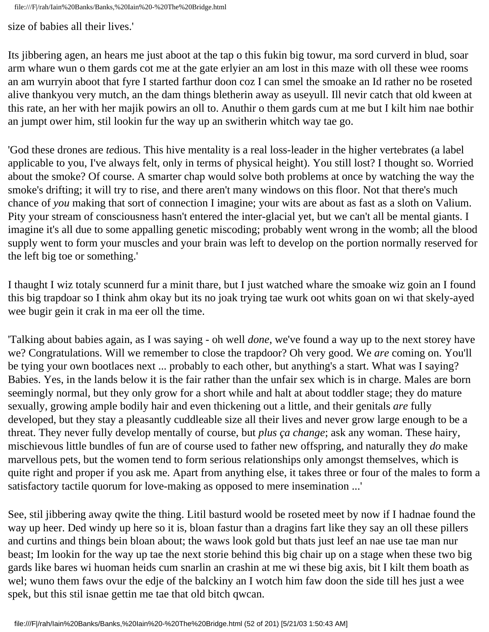file:///F|/rah/Iain%20Banks/Banks,%20Iain%20-%20The%20Bridge.html

size of babies all their lives.'

Its jibbering agen, an hears me just aboot at the tap o this fukin big towur, ma sord curverd in blud, soar arm whare wun o them gards cot me at the gate erlyier an am lost in this maze with oll these wee rooms an am wurryin aboot that fyre I started farthur doon coz I can smel the smoake an Id rather no be roseted alive thankyou very mutch, an the dam things bletherin away as useyull. Ill nevir catch that old kween at this rate, an her with her majik powirs an oll to. Anuthir o them gards cum at me but I kilt him nae bothir an jumpt ower him, stil lookin fur the way up an switherin whitch way tae go.

'God these drones are *te*dious. This hive mentality is a real loss-leader in the higher vertebrates (a label applicable to you, I've always felt, only in terms of physical height). You still lost? I thought so. Worried about the smoke? Of course. A smarter chap would solve both problems at once by watching the way the smoke's drifting; it will try to rise, and there aren't many windows on this floor. Not that there's much chance of *you* making that sort of connection I imagine; your wits are about as fast as a sloth on Valium. Pity your stream of consciousness hasn't entered the inter-glacial yet, but we can't all be mental giants. I imagine it's all due to some appalling genetic miscoding; probably went wrong in the womb; all the blood supply went to form your muscles and your brain was left to develop on the portion normally reserved for the left big toe or something.'

I thaught I wiz totaly scunnerd fur a minit thare, but I just watched whare the smoake wiz goin an I found this big trapdoar so I think ahm okay but its no joak trying tae wurk oot whits goan on wi that skely-ayed wee bugir gein it crak in ma eer oll the time.

'Talking about babies again, as I was saying - oh well *done*, we've found a way up to the next storey have we? Congratulations. Will we remember to close the trapdoor? Oh very good. We *are* coming on. You'll be tying your own bootlaces next ... probably to each other, but anything's a start. What was I saying? Babies. Yes, in the lands below it is the fair rather than the unfair sex which is in charge. Males are born seemingly normal, but they only grow for a short while and halt at about toddler stage; they do mature sexually, growing ample bodily hair and even thickening out a little, and their genitals *are* fully developed, but they stay a pleasantly cuddleable size all their lives and never grow large enough to be a threat. They never fully develop mentally of course, but *plus ça change*; ask any woman. These hairy, mischievous little bundles of fun are of course used to father new offspring, and naturally they *do* make marvellous pets, but the women tend to form serious relationships only amongst themselves, which is quite right and proper if you ask me. Apart from anything else, it takes three or four of the males to form a satisfactory tactile quorum for love-making as opposed to mere insemination ...'

See, stil jibbering away qwite the thing. Litil basturd woold be roseted meet by now if I hadnae found the way up heer. Ded windy up here so it is, bloan fastur than a dragins fart like they say an oll these pillers and curtins and things bein bloan about; the waws look gold but thats just leef an nae use tae man nur beast; Im lookin for the way up tae the next storie behind this big chair up on a stage when these two big gards like bares wi huoman heids cum snarlin an crashin at me wi these big axis, bit I kilt them boath as wel; wuno them faws ovur the edje of the balckiny an I wotch him faw doon the side till hes just a wee spek, but this stil isnae gettin me tae that old bitch qwcan.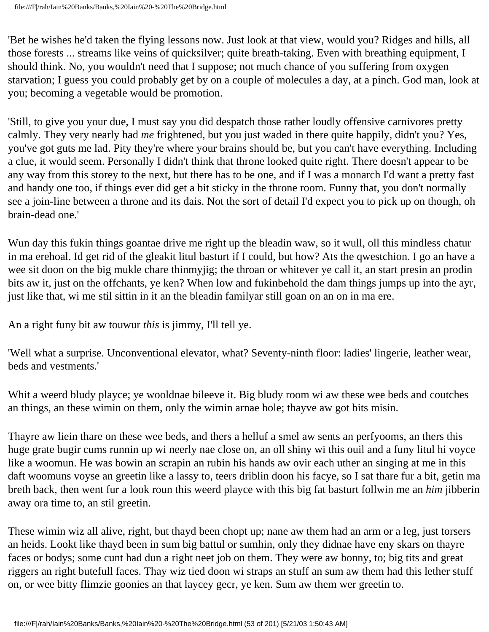'Bet he wishes he'd taken the flying lessons now. Just look at that view, would you? Ridges and hills, all those forests ... streams like veins of quicksilver; quite breath-taking. Even with breathing equipment, I should think. No, you wouldn't need that I suppose; not much chance of you suffering from oxygen starvation; I guess you could probably get by on a couple of molecules a day, at a pinch. God man, look at you; becoming a vegetable would be promotion.

'Still, to give you your due, I must say you did despatch those rather loudly offensive carnivores pretty calmly. They very nearly had *me* frightened, but you just waded in there quite happily, didn't you? Yes, you've got guts me lad. Pity they're where your brains should be, but you can't have everything. Including a clue, it would seem. Personally I didn't think that throne looked quite right. There doesn't appear to be any way from this storey to the next, but there has to be one, and if I was a monarch I'd want a pretty fast and handy one too, if things ever did get a bit sticky in the throne room. Funny that, you don't normally see a join-line between a throne and its dais. Not the sort of detail I'd expect you to pick up on though, oh brain-dead one.'

Wun day this fukin things goantae drive me right up the bleadin waw, so it wull, oll this mindless chatur in ma erehoal. Id get rid of the gleakit litul basturt if I could, but how? Ats the qwestchion. I go an have a wee sit doon on the big mukle chare thinmyjig; the throan or whitever ye call it, an start presin an prodin bits aw it, just on the offchants, ye ken? When low and fukinbehold the dam things jumps up into the ayr, just like that, wi me stil sittin in it an the bleadin familyar still goan on an on in ma ere.

An a right funy bit aw touwur *this* is jimmy, I'll tell ye.

'Well what a surprise. Unconventional elevator, what? Seventy-ninth floor: ladies' lingerie, leather wear, beds and vestments.'

Whit a weerd bludy playce; ye wooldnae bileeve it. Big bludy room wi aw these wee beds and coutches an things, an these wimin on them, only the wimin arnae hole; thayve aw got bits misin.

Thayre aw liein thare on these wee beds, and thers a helluf a smel aw sents an perfyooms, an thers this huge grate bugir cums runnin up wi neerly nae close on, an oll shiny wi this ouil and a funy litul hi voyce like a woomun. He was bowin an scrapin an rubin his hands aw ovir each uther an singing at me in this daft woomuns voyse an greetin like a lassy to, teers driblin doon his facye, so I sat thare fur a bit, getin ma breth back, then went fur a look roun this weerd playce with this big fat basturt follwin me an *him* jibberin away ora time to, an stil greetin.

These wimin wiz all alive, right, but thayd been chopt up; nane aw them had an arm or a leg, just torsers an heids. Lookt like thayd been in sum big battul or sumhin, only they didnae have eny skars on thayre faces or bodys; some cunt had dun a right neet job on them. They were aw bonny, to; big tits and great riggers an right butefull faces. Thay wiz tied doon wi straps an stuff an sum aw them had this lether stuff on, or wee bitty flimzie goonies an that laycey gecr, ye ken. Sum aw them wer greetin to.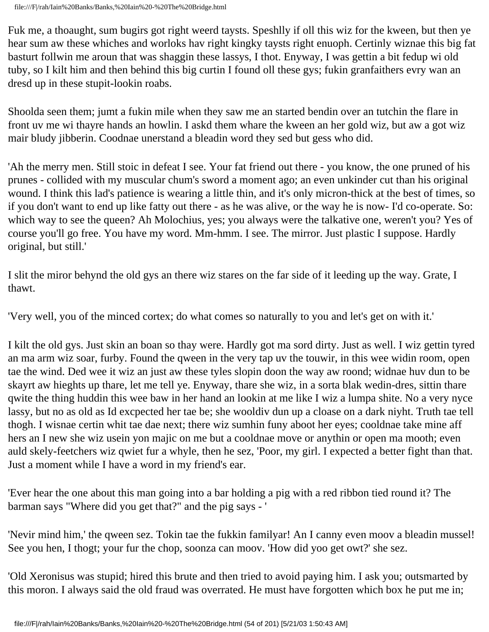Fuk me, a thoaught, sum bugirs got right weerd taysts. Speshlly if oll this wiz for the kween, but then ye hear sum aw these whiches and worloks hav right kingky taysts right enuoph. Certinly wiznae this big fat basturt follwin me aroun that was shaggin these lassys, I thot. Enyway, I was gettin a bit fedup wi old tuby, so I kilt him and then behind this big curtin I found oll these gys; fukin granfaithers evry wan an dresd up in these stupit-lookin roabs.

Shoolda seen them; jumt a fukin mile when they saw me an started bendin over an tutchin the flare in front uv me wi thayre hands an howlin. I askd them whare the kween an her gold wiz, but aw a got wiz mair bludy jibberin. Coodnae unerstand a bleadin word they sed but gess who did.

'Ah the merry men. Still stoic in defeat I see. Your fat friend out there - you know, the one pruned of his prunes - collided with my muscular chum's sword a moment ago; an even unkinder cut than his original wound. I think this lad's patience is wearing a little thin, and it's only micron-thick at the best of times, so if you don't want to end up like fatty out there - as he was alive, or the way he is now- I'd co-operate. So: which way to see the queen? Ah Molochius, yes; you always were the talkative one, weren't you? Yes of course you'll go free. You have my word. Mm-hmm. I see. The mirror. Just plastic I suppose. Hardly original, but still.'

I slit the miror behynd the old gys an there wiz stares on the far side of it leeding up the way. Grate, I thawt.

'Very well, you of the minced cortex; do what comes so naturally to you and let's get on with it.'

I kilt the old gys. Just skin an boan so thay were. Hardly got ma sord dirty. Just as well. I wiz gettin tyred an ma arm wiz soar, furby. Found the qween in the very tap uv the touwir, in this wee widin room, open tae the wind. Ded wee it wiz an just aw these tyles slopin doon the way aw roond; widnae huv dun to be skayrt aw hieghts up thare, let me tell ye. Enyway, thare she wiz, in a sorta blak wedin-dres, sittin thare qwite the thing huddin this wee baw in her hand an lookin at me like I wiz a lumpa shite. No a very nyce lassy, but no as old as Id excpected her tae be; she wooldiv dun up a cloase on a dark niyht. Truth tae tell thogh. I wisnae certin whit tae dae next; there wiz sumhin funy aboot her eyes; cooldnae take mine aff hers an I new she wiz usein yon majic on me but a cooldnae move or anythin or open ma mooth; even auld skely-feetchers wiz qwiet fur a whyle, then he sez, 'Poor, my girl. I expected a better fight than that. Just a moment while I have a word in my friend's ear.

'Ever hear the one about this man going into a bar holding a pig with a red ribbon tied round it? The barman says "Where did you get that?" and the pig says - '

'Nevir mind him,' the qween sez. Tokin tae the fukkin familyar! An I canny even moov a bleadin mussel! See you hen, I thogt; your fur the chop, soonza can moov. 'How did yoo get owt?' she sez.

'Old Xeronisus was stupid; hired this brute and then tried to avoid paying him. I ask you; outsmarted by this moron. I always said the old fraud was overrated. He must have forgotten which box he put me in;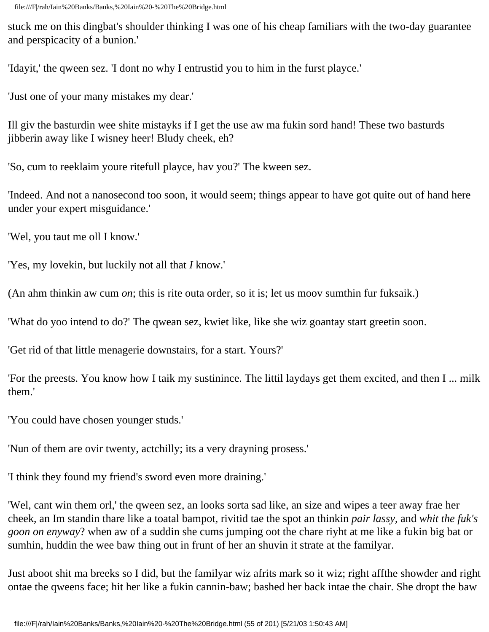stuck me on this dingbat's shoulder thinking I was one of his cheap familiars with the two-day guarantee and perspicacity of a bunion.'

'Idayit,' the qween sez. 'I dont no why I entrustid you to him in the furst playce.'

'Just one of your many mistakes my dear.'

Ill giv the basturdin wee shite mistayks if I get the use aw ma fukin sord hand! These two basturds jibberin away like I wisney heer! Bludy cheek, eh?

'So, cum to reeklaim youre ritefull playce, hav you?' The kween sez.

'Indeed. And not a nanosecond too soon, it would seem; things appear to have got quite out of hand here under your expert misguidance.'

'Wel, you taut me oll I know.'

'Yes, my lovekin, but luckily not all that *I* know.'

(An ahm thinkin aw cum *on*; this is rite outa order, so it is; let us moov sumthin fur fuksaik.)

'What do yoo intend to do?' The qwean sez, kwiet like, like she wiz goantay start greetin soon.

'Get rid of that little menagerie downstairs, for a start. Yours?'

'For the preests. You know how I taik my sustinince. The littil laydays get them excited, and then I ... milk them.'

'You could have chosen younger studs.'

'Nun of them are ovir twenty, actchilly; its a very drayning prosess.'

'I think they found my friend's sword even more draining.'

'Wel, cant win them orl,' the qween sez, an looks sorta sad like, an size and wipes a teer away frae her cheek, an Im standin thare like a toatal bampot, rivitid tae the spot an thinkin *pair lassy*, and *whit the fuk's goon on enyway*? when aw of a suddin she cums jumping oot the chare riyht at me like a fukin big bat or sumhin, huddin the wee baw thing out in frunt of her an shuvin it strate at the familyar.

Just aboot shit ma breeks so I did, but the familyar wiz afrits mark so it wiz; right affthe showder and right ontae the qweens face; hit her like a fukin cannin-baw; bashed her back intae the chair. She dropt the baw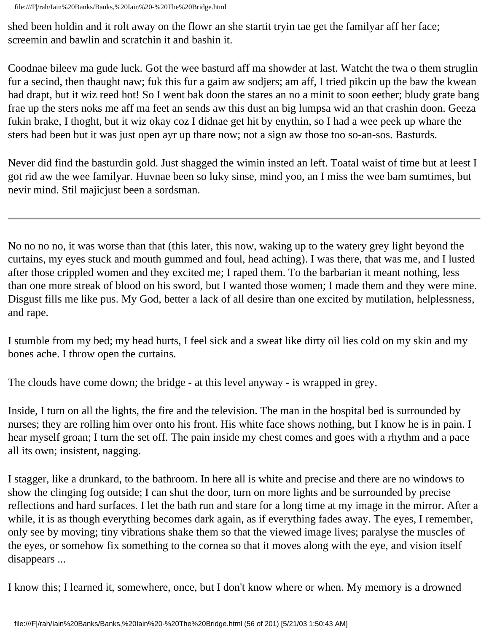shed been holdin and it rolt away on the flowr an she startit tryin tae get the familyar aff her face; screemin and bawlin and scratchin it and bashin it.

Coodnae bileev ma gude luck. Got the wee basturd aff ma showder at last. Watcht the twa o them struglin fur a secind, then thaught naw; fuk this fur a gaim aw sodjers; am aff, I tried pikcin up the baw the kwean had drapt, but it wiz reed hot! So I went bak doon the stares an no a minit to soon eether; bludy grate bang frae up the sters noks me aff ma feet an sends aw this dust an big lumpsa wid an that crashin doon. Geeza fukin brake, I thoght, but it wiz okay coz I didnae get hit by enythin, so I had a wee peek up whare the sters had been but it was just open ayr up thare now; not a sign aw those too so-an-sos. Basturds.

Never did find the basturdin gold. Just shagged the wimin insted an left. Toatal waist of time but at leest I got rid aw the wee familyar. Huvnae been so luky sinse, mind yoo, an I miss the wee bam sumtimes, but nevir mind. Stil majicjust been a sordsman.

No no no no, it was worse than that (this later, this now, waking up to the watery grey light beyond the curtains, my eyes stuck and mouth gummed and foul, head aching). I was there, that was me, and I lusted after those crippled women and they excited me; I raped them. To the barbarian it meant nothing, less than one more streak of blood on his sword, but I wanted those women; I made them and they were mine. Disgust fills me like pus. My God, better a lack of all desire than one excited by mutilation, helplessness, and rape.

I stumble from my bed; my head hurts, I feel sick and a sweat like dirty oil lies cold on my skin and my bones ache. I throw open the curtains.

The clouds have come down; the bridge - at this level anyway - is wrapped in grey.

Inside, I turn on all the lights, the fire and the television. The man in the hospital bed is surrounded by nurses; they are rolling him over onto his front. His white face shows nothing, but I know he is in pain. I hear myself groan; I turn the set off. The pain inside my chest comes and goes with a rhythm and a pace all its own; insistent, nagging.

I stagger, like a drunkard, to the bathroom. In here all is white and precise and there are no windows to show the clinging fog outside; I can shut the door, turn on more lights and be surrounded by precise reflections and hard surfaces. I let the bath run and stare for a long time at my image in the mirror. After a while, it is as though everything becomes dark again, as if everything fades away. The eyes, I remember, only see by moving; tiny vibrations shake them so that the viewed image lives; paralyse the muscles of the eyes, or somehow fix something to the cornea so that it moves along with the eye, and vision itself disappears ...

I know this; I learned it, somewhere, once, but I don't know where or when. My memory is a drowned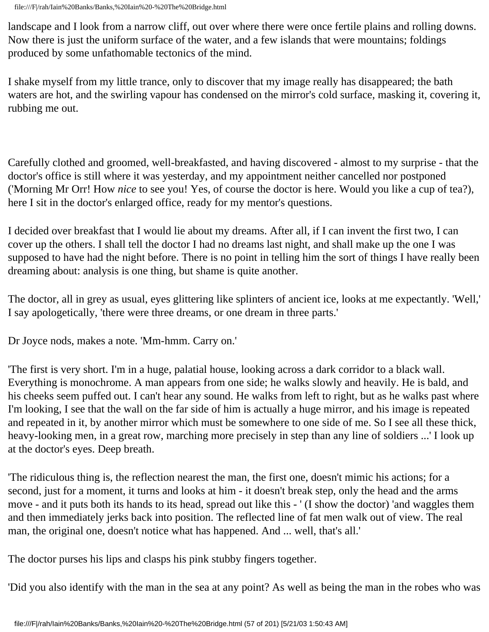landscape and I look from a narrow cliff, out over where there were once fertile plains and rolling downs. Now there is just the uniform surface of the water, and a few islands that were mountains; foldings produced by some unfathomable tectonics of the mind.

I shake myself from my little trance, only to discover that my image really has disappeared; the bath waters are hot, and the swirling vapour has condensed on the mirror's cold surface, masking it, covering it, rubbing me out.

Carefully clothed and groomed, well-breakfasted, and having discovered - almost to my surprise - that the doctor's office is still where it was yesterday, and my appointment neither cancelled nor postponed ('Morning Mr Orr! How *nice* to see you! Yes, of course the doctor is here. Would you like a cup of tea?), here I sit in the doctor's enlarged office, ready for my mentor's questions.

I decided over breakfast that I would lie about my dreams. After all, if I can invent the first two, I can cover up the others. I shall tell the doctor I had no dreams last night, and shall make up the one I was supposed to have had the night before. There is no point in telling him the sort of things I have really been dreaming about: analysis is one thing, but shame is quite another.

The doctor, all in grey as usual, eyes glittering like splinters of ancient ice, looks at me expectantly. 'Well,' I say apologetically, 'there were three dreams, or one dream in three parts.'

Dr Joyce nods, makes a note. 'Mm-hmm. Carry on.'

'The first is very short. I'm in a huge, palatial house, looking across a dark corridor to a black wall. Everything is monochrome. A man appears from one side; he walks slowly and heavily. He is bald, and his cheeks seem puffed out. I can't hear any sound. He walks from left to right, but as he walks past where I'm looking, I see that the wall on the far side of him is actually a huge mirror, and his image is repeated and repeated in it, by another mirror which must be somewhere to one side of me. So I see all these thick, heavy-looking men, in a great row, marching more precisely in step than any line of soldiers ...' I look up at the doctor's eyes. Deep breath.

'The ridiculous thing is, the reflection nearest the man, the first one, doesn't mimic his actions; for a second, just for a moment, it turns and looks at him - it doesn't break step, only the head and the arms move - and it puts both its hands to its head, spread out like this - ' (I show the doctor) 'and waggles them and then immediately jerks back into position. The reflected line of fat men walk out of view. The real man, the original one, doesn't notice what has happened. And ... well, that's all.'

The doctor purses his lips and clasps his pink stubby fingers together.

'Did you also identify with the man in the sea at any point? As well as being the man in the robes who was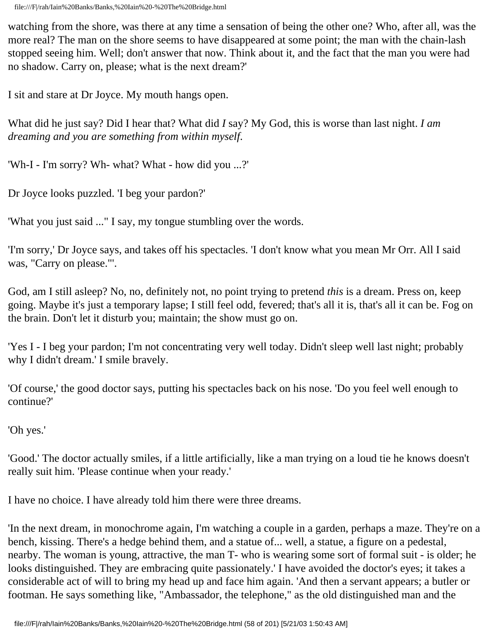watching from the shore, was there at any time a sensation of being the other one? Who, after all, was the more real? The man on the shore seems to have disappeared at some point; the man with the chain-lash stopped seeing him. Well; don't answer that now. Think about it, and the fact that the man you were had no shadow. Carry on, please; what is the next dream?'

I sit and stare at Dr Joyce. My mouth hangs open.

What did he just say? Did I hear that? What did *I* say? My God, this is worse than last night. *I am dreaming and you are something from within myself*.

'Wh-I - I'm sorry? Wh- what? What - how did you ...?'

Dr Joyce looks puzzled. 'I beg your pardon?'

'What you just said ..." I say, my tongue stumbling over the words.

'I'm sorry,' Dr Joyce says, and takes off his spectacles. 'I don't know what you mean Mr Orr. All I said was, "Carry on please."'.

God, am I still asleep? No, no, definitely not, no point trying to pretend *this* is a dream. Press on, keep going. Maybe it's just a temporary lapse; I still feel odd, fevered; that's all it is, that's all it can be. Fog on the brain. Don't let it disturb you; maintain; the show must go on.

'Yes I - I beg your pardon; I'm not concentrating very well today. Didn't sleep well last night; probably why I didn't dream.' I smile bravely.

'Of course,' the good doctor says, putting his spectacles back on his nose. 'Do you feel well enough to continue?'

'Oh yes.'

'Good.' The doctor actually smiles, if a little artificially, like a man trying on a loud tie he knows doesn't really suit him. 'Please continue when your ready.'

I have no choice. I have already told him there were three dreams.

'In the next dream, in monochrome again, I'm watching a couple in a garden, perhaps a maze. They're on a bench, kissing. There's a hedge behind them, and a statue of... well, a statue, a figure on a pedestal, nearby. The woman is young, attractive, the man T- who is wearing some sort of formal suit - is older; he looks distinguished. They are embracing quite passionately.' I have avoided the doctor's eyes; it takes a considerable act of will to bring my head up and face him again. 'And then a servant appears; a butler or footman. He says something like, "Ambassador, the telephone," as the old distinguished man and the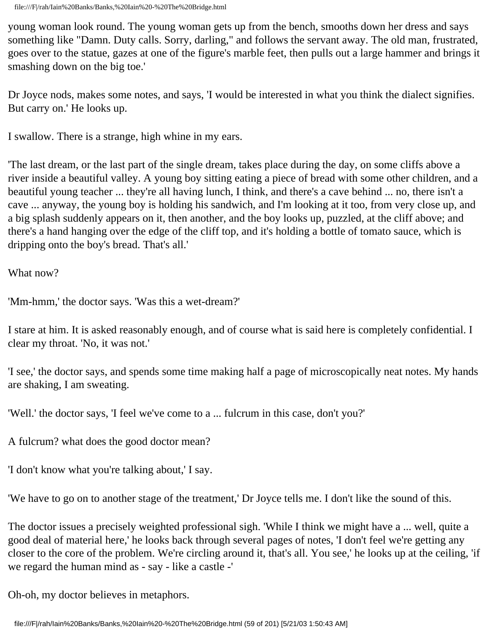young woman look round. The young woman gets up from the bench, smooths down her dress and says something like "Damn. Duty calls. Sorry, darling," and follows the servant away. The old man, frustrated, goes over to the statue, gazes at one of the figure's marble feet, then pulls out a large hammer and brings it smashing down on the big toe.'

Dr Joyce nods, makes some notes, and says, 'I would be interested in what you think the dialect signifies. But carry on.' He looks up.

I swallow. There is a strange, high whine in my ears.

'The last dream, or the last part of the single dream, takes place during the day, on some cliffs above a river inside a beautiful valley. A young boy sitting eating a piece of bread with some other children, and a beautiful young teacher ... they're all having lunch, I think, and there's a cave behind ... no, there isn't a cave ... anyway, the young boy is holding his sandwich, and I'm looking at it too, from very close up, and a big splash suddenly appears on it, then another, and the boy looks up, puzzled, at the cliff above; and there's a hand hanging over the edge of the cliff top, and it's holding a bottle of tomato sauce, which is dripping onto the boy's bread. That's all.'

What now?

'Mm-hmm,' the doctor says. 'Was this a wet-dream?'

I stare at him. It is asked reasonably enough, and of course what is said here is completely confidential. I clear my throat. 'No, it was not.'

'I see,' the doctor says, and spends some time making half a page of microscopically neat notes. My hands are shaking, I am sweating.

'Well.' the doctor says, 'I feel we've come to a ... fulcrum in this case, don't you?'

A fulcrum? what does the good doctor mean?

'I don't know what you're talking about,' I say.

'We have to go on to another stage of the treatment,' Dr Joyce tells me. I don't like the sound of this.

The doctor issues a precisely weighted professional sigh. 'While I think we might have a ... well, quite a good deal of material here,' he looks back through several pages of notes, 'I don't feel we're getting any closer to the core of the problem. We're circling around it, that's all. You see,' he looks up at the ceiling, 'if we regard the human mind as - say - like a castle -'

Oh-oh, my doctor believes in metaphors.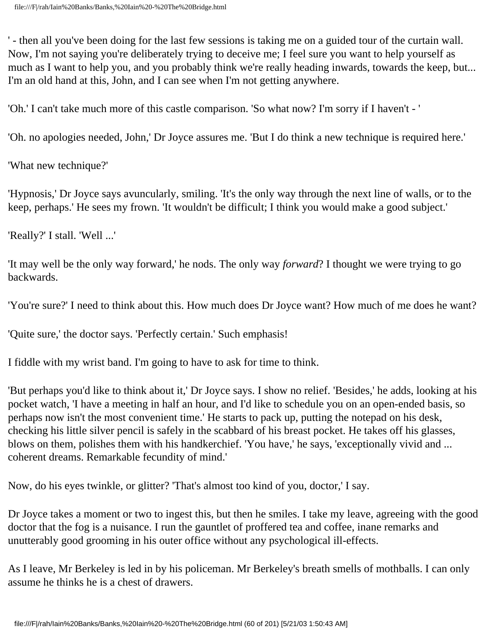' - then all you've been doing for the last few sessions is taking me on a guided tour of the curtain wall. Now, I'm not saying you're deliberately trying to deceive me; I feel sure you want to help yourself as much as I want to help you, and you probably think we're really heading inwards, towards the keep, but... I'm an old hand at this, John, and I can see when I'm not getting anywhere.

'Oh.' I can't take much more of this castle comparison. 'So what now? I'm sorry if I haven't - '

'Oh. no apologies needed, John,' Dr Joyce assures me. 'But I do think a new technique is required here.'

'What new technique?'

'Hypnosis,' Dr Joyce says avuncularly, smiling. 'It's the only way through the next line of walls, or to the keep, perhaps.' He sees my frown. 'It wouldn't be difficult; I think you would make a good subject.'

'Really?' I stall. 'Well ...'

'It may well be the only way forward,' he nods. The only way *forward*? I thought we were trying to go backwards.

'You're sure?' I need to think about this. How much does Dr Joyce want? How much of me does he want?

'Quite sure,' the doctor says. 'Perfectly certain.' Such emphasis!

I fiddle with my wrist band. I'm going to have to ask for time to think.

'But perhaps you'd like to think about it,' Dr Joyce says. I show no relief. 'Besides,' he adds, looking at his pocket watch, 'I have a meeting in half an hour, and I'd like to schedule you on an open-ended basis, so perhaps now isn't the most convenient time.' He starts to pack up, putting the notepad on his desk, checking his little silver pencil is safely in the scabbard of his breast pocket. He takes off his glasses, blows on them, polishes them with his handkerchief. 'You have,' he says, 'exceptionally vivid and ... coherent dreams. Remarkable fecundity of mind.'

Now, do his eyes twinkle, or glitter? 'That's almost too kind of you, doctor,' I say.

Dr Joyce takes a moment or two to ingest this, but then he smiles. I take my leave, agreeing with the good doctor that the fog is a nuisance. I run the gauntlet of proffered tea and coffee, inane remarks and unutterably good grooming in his outer office without any psychological ill-effects.

As I leave, Mr Berkeley is led in by his policeman. Mr Berkeley's breath smells of mothballs. I can only assume he thinks he is a chest of drawers.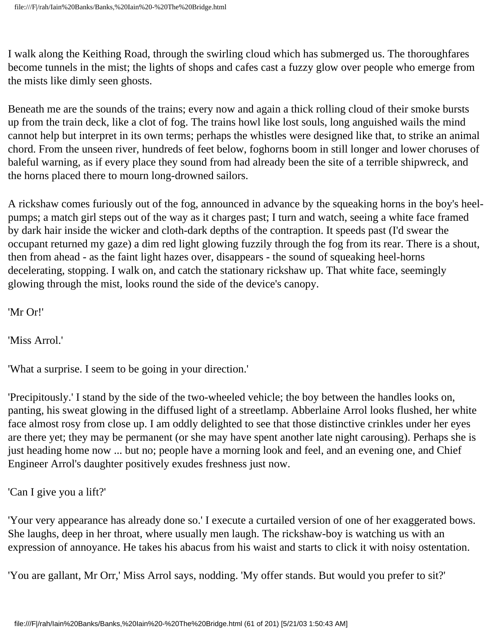I walk along the Keithing Road, through the swirling cloud which has submerged us. The thoroughfares become tunnels in the mist; the lights of shops and cafes cast a fuzzy glow over people who emerge from the mists like dimly seen ghosts.

Beneath me are the sounds of the trains; every now and again a thick rolling cloud of their smoke bursts up from the train deck, like a clot of fog. The trains howl like lost souls, long anguished wails the mind cannot help but interpret in its own terms; perhaps the whistles were designed like that, to strike an animal chord. From the unseen river, hundreds of feet below, foghorns boom in still longer and lower choruses of baleful warning, as if every place they sound from had already been the site of a terrible shipwreck, and the horns placed there to mourn long-drowned sailors.

A rickshaw comes furiously out of the fog, announced in advance by the squeaking horns in the boy's heelpumps; a match girl steps out of the way as it charges past; I turn and watch, seeing a white face framed by dark hair inside the wicker and cloth-dark depths of the contraption. It speeds past (I'd swear the occupant returned my gaze) a dim red light glowing fuzzily through the fog from its rear. There is a shout, then from ahead - as the faint light hazes over, disappears - the sound of squeaking heel-horns decelerating, stopping. I walk on, and catch the stationary rickshaw up. That white face, seemingly glowing through the mist, looks round the side of the device's canopy.

'Mr Or!'

'Miss Arrol.'

'What a surprise. I seem to be going in your direction.'

'Precipitously.' I stand by the side of the two-wheeled vehicle; the boy between the handles looks on, panting, his sweat glowing in the diffused light of a streetlamp. Abberlaine Arrol looks flushed, her white face almost rosy from close up. I am oddly delighted to see that those distinctive crinkles under her eyes are there yet; they may be permanent (or she may have spent another late night carousing). Perhaps she is just heading home now ... but no; people have a morning look and feel, and an evening one, and Chief Engineer Arrol's daughter positively exudes freshness just now.

'Can I give you a lift?'

'Your very appearance has already done so.' I execute a curtailed version of one of her exaggerated bows. She laughs, deep in her throat, where usually men laugh. The rickshaw-boy is watching us with an expression of annoyance. He takes his abacus from his waist and starts to click it with noisy ostentation.

'You are gallant, Mr Orr,' Miss Arrol says, nodding. 'My offer stands. But would you prefer to sit?'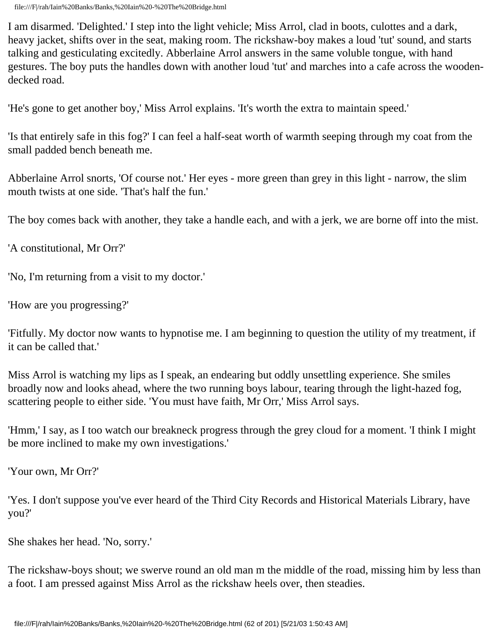I am disarmed. 'Delighted.' I step into the light vehicle; Miss Arrol, clad in boots, culottes and a dark, heavy jacket, shifts over in the seat, making room. The rickshaw-boy makes a loud 'tut' sound, and starts talking and gesticulating excitedly. Abberlaine Arrol answers in the same voluble tongue, with hand gestures. The boy puts the handles down with another loud 'tut' and marches into a cafe across the woodendecked road.

'He's gone to get another boy,' Miss Arrol explains. 'It's worth the extra to maintain speed.'

'Is that entirely safe in this fog?' I can feel a half-seat worth of warmth seeping through my coat from the small padded bench beneath me.

Abberlaine Arrol snorts, 'Of course not.' Her eyes - more green than grey in this light - narrow, the slim mouth twists at one side. 'That's half the fun.'

The boy comes back with another, they take a handle each, and with a jerk, we are borne off into the mist.

'A constitutional, Mr Orr?'

'No, I'm returning from a visit to my doctor.'

'How are you progressing?'

'Fitfully. My doctor now wants to hypnotise me. I am beginning to question the utility of my treatment, if it can be called that.'

Miss Arrol is watching my lips as I speak, an endearing but oddly unsettling experience. She smiles broadly now and looks ahead, where the two running boys labour, tearing through the light-hazed fog, scattering people to either side. 'You must have faith, Mr Orr,' Miss Arrol says.

'Hmm,' I say, as I too watch our breakneck progress through the grey cloud for a moment. 'I think I might be more inclined to make my own investigations.'

'Your own, Mr Orr?'

'Yes. I don't suppose you've ever heard of the Third City Records and Historical Materials Library, have you?'

She shakes her head. 'No, sorry.'

The rickshaw-boys shout; we swerve round an old man m the middle of the road, missing him by less than a foot. I am pressed against Miss Arrol as the rickshaw heels over, then steadies.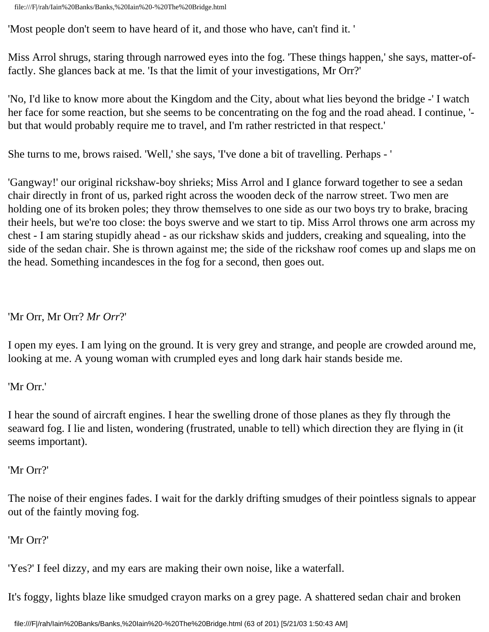'Most people don't seem to have heard of it, and those who have, can't find it. '

Miss Arrol shrugs, staring through narrowed eyes into the fog. 'These things happen,' she says, matter-offactly. She glances back at me. 'Is that the limit of your investigations, Mr Orr?'

'No, I'd like to know more about the Kingdom and the City, about what lies beyond the bridge -' I watch her face for some reaction, but she seems to be concentrating on the fog and the road ahead. I continue, ' but that would probably require me to travel, and I'm rather restricted in that respect.'

She turns to me, brows raised. 'Well,' she says, 'I've done a bit of travelling. Perhaps - '

'Gangway!' our original rickshaw-boy shrieks; Miss Arrol and I glance forward together to see a sedan chair directly in front of us, parked right across the wooden deck of the narrow street. Two men are holding one of its broken poles; they throw themselves to one side as our two boys try to brake, bracing their heels, but we're too close: the boys swerve and we start to tip. Miss Arrol throws one arm across my chest - I am staring stupidly ahead - as our rickshaw skids and judders, creaking and squealing, into the side of the sedan chair. She is thrown against me; the side of the rickshaw roof comes up and slaps me on the head. Something incandesces in the fog for a second, then goes out.

### 'Mr Orr, Mr Orr? *Mr Orr*?'

I open my eyes. I am lying on the ground. It is very grey and strange, and people are crowded around me, looking at me. A young woman with crumpled eyes and long dark hair stands beside me.

# 'Mr Orr.'

I hear the sound of aircraft engines. I hear the swelling drone of those planes as they fly through the seaward fog. I lie and listen, wondering (frustrated, unable to tell) which direction they are flying in (it seems important).

#### 'Mr Orr?'

The noise of their engines fades. I wait for the darkly drifting smudges of their pointless signals to appear out of the faintly moving fog.

# 'Mr Orr?'

'Yes?' I feel dizzy, and my ears are making their own noise, like a waterfall.

It's foggy, lights blaze like smudged crayon marks on a grey page. A shattered sedan chair and broken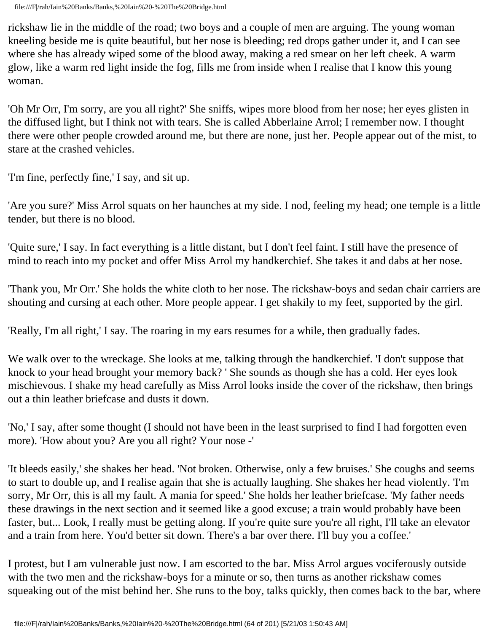rickshaw lie in the middle of the road; two boys and a couple of men are arguing. The young woman kneeling beside me is quite beautiful, but her nose is bleeding; red drops gather under it, and I can see where she has already wiped some of the blood away, making a red smear on her left cheek. A warm glow, like a warm red light inside the fog, fills me from inside when I realise that I know this young woman.

'Oh Mr Orr, I'm sorry, are you all right?' She sniffs, wipes more blood from her nose; her eyes glisten in the diffused light, but I think not with tears. She is called Abberlaine Arrol; I remember now. I thought there were other people crowded around me, but there are none, just her. People appear out of the mist, to stare at the crashed vehicles.

'I'm fine, perfectly fine,' I say, and sit up.

'Are you sure?' Miss Arrol squats on her haunches at my side. I nod, feeling my head; one temple is a little tender, but there is no blood.

'Quite sure,' I say. In fact everything is a little distant, but I don't feel faint. I still have the presence of mind to reach into my pocket and offer Miss Arrol my handkerchief. She takes it and dabs at her nose.

'Thank you, Mr Orr.' She holds the white cloth to her nose. The rickshaw-boys and sedan chair carriers are shouting and cursing at each other. More people appear. I get shakily to my feet, supported by the girl.

'Really, I'm all right,' I say. The roaring in my ears resumes for a while, then gradually fades.

We walk over to the wreckage. She looks at me, talking through the handkerchief. 'I don't suppose that knock to your head brought your memory back? ' She sounds as though she has a cold. Her eyes look mischievous. I shake my head carefully as Miss Arrol looks inside the cover of the rickshaw, then brings out a thin leather briefcase and dusts it down.

'No,' I say, after some thought (I should not have been in the least surprised to find I had forgotten even more). 'How about you? Are you all right? Your nose -'

'It bleeds easily,' she shakes her head. 'Not broken. Otherwise, only a few bruises.' She coughs and seems to start to double up, and I realise again that she is actually laughing. She shakes her head violently. 'I'm sorry, Mr Orr, this is all my fault. A mania for speed.' She holds her leather briefcase. 'My father needs these drawings in the next section and it seemed like a good excuse; a train would probably have been faster, but... Look, I really must be getting along. If you're quite sure you're all right, I'll take an elevator and a train from here. You'd better sit down. There's a bar over there. I'll buy you a coffee.'

I protest, but I am vulnerable just now. I am escorted to the bar. Miss Arrol argues vociferously outside with the two men and the rickshaw-boys for a minute or so, then turns as another rickshaw comes squeaking out of the mist behind her. She runs to the boy, talks quickly, then comes back to the bar, where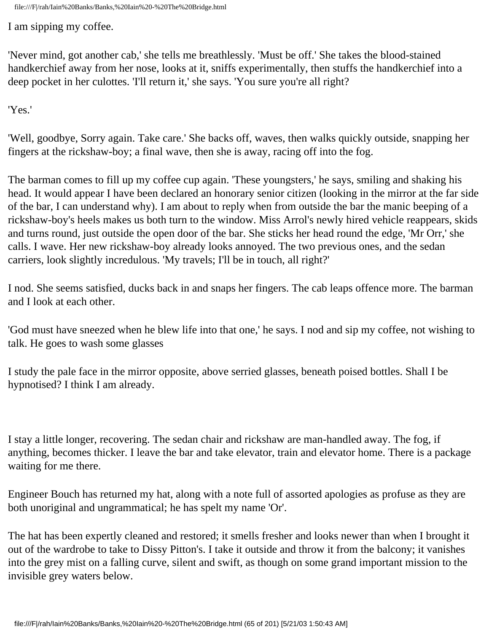I am sipping my coffee.

'Never mind, got another cab,' she tells me breathlessly. 'Must be off.' She takes the blood-stained handkerchief away from her nose, looks at it, sniffs experimentally, then stuffs the handkerchief into a deep pocket in her culottes. 'I'll return it,' she says. 'You sure you're all right?

'Yes.'

'Well, goodbye, Sorry again. Take care.' She backs off, waves, then walks quickly outside, snapping her fingers at the rickshaw-boy; a final wave, then she is away, racing off into the fog.

The barman comes to fill up my coffee cup again. 'These youngsters,' he says, smiling and shaking his head. It would appear I have been declared an honorary senior citizen (looking in the mirror at the far side of the bar, I can understand why). I am about to reply when from outside the bar the manic beeping of a rickshaw-boy's heels makes us both turn to the window. Miss Arrol's newly hired vehicle reappears, skids and turns round, just outside the open door of the bar. She sticks her head round the edge, 'Mr Orr,' she calls. I wave. Her new rickshaw-boy already looks annoyed. The two previous ones, and the sedan carriers, look slightly incredulous. 'My travels; I'll be in touch, all right?'

I nod. She seems satisfied, ducks back in and snaps her fingers. The cab leaps offence more. The barman and I look at each other.

'God must have sneezed when he blew life into that one,' he says. I nod and sip my coffee, not wishing to talk. He goes to wash some glasses

I study the pale face in the mirror opposite, above serried glasses, beneath poised bottles. Shall I be hypnotised? I think I am already.

I stay a little longer, recovering. The sedan chair and rickshaw are man-handled away. The fog, if anything, becomes thicker. I leave the bar and take elevator, train and elevator home. There is a package waiting for me there.

Engineer Bouch has returned my hat, along with a note full of assorted apologies as profuse as they are both unoriginal and ungrammatical; he has spelt my name 'Or'.

The hat has been expertly cleaned and restored; it smells fresher and looks newer than when I brought it out of the wardrobe to take to Dissy Pitton's. I take it outside and throw it from the balcony; it vanishes into the grey mist on a falling curve, silent and swift, as though on some grand important mission to the invisible grey waters below.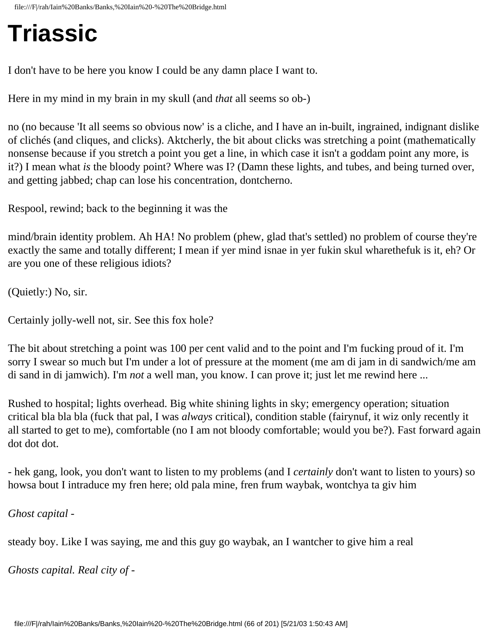# **Triassic**

I don't have to be here you know I could be any damn place I want to.

Here in my mind in my brain in my skull (and *that* all seems so ob-)

no (no because 'It all seems so obvious now' is a cliche, and I have an in-built, ingrained, indignant dislike of clichés (and cliques, and clicks). Aktcherly, the bit about clicks was stretching a point (mathematically nonsense because if you stretch a point you get a line, in which case it isn't a goddam point any more, is it?) I mean what *is* the bloody point? Where was I? (Damn these lights, and tubes, and being turned over, and getting jabbed; chap can lose his concentration, dontcherno.

Respool, rewind; back to the beginning it was the

mind/brain identity problem. Ah HA! No problem (phew, glad that's settled) no problem of course they're exactly the same and totally different; I mean if yer mind isnae in yer fukin skul wharethefuk is it, eh? Or are you one of these religious idiots?

(Quietly:) No, sir.

Certainly jolly-well not, sir. See this fox hole?

The bit about stretching a point was 100 per cent valid and to the point and I'm fucking proud of it. I'm sorry I swear so much but I'm under a lot of pressure at the moment (me am di jam in di sandwich/me am di sand in di jamwich). I'm *not* a well man, you know. I can prove it; just let me rewind here ...

Rushed to hospital; lights overhead. Big white shining lights in sky; emergency operation; situation critical bla bla bla (fuck that pal, I was *always* critical), condition stable (fairynuf, it wiz only recently it all started to get to me), comfortable (no I am not bloody comfortable; would you be?). Fast forward again dot dot dot.

- hek gang, look, you don't want to listen to my problems (and I *certainly* don't want to listen to yours) so howsa bout I intraduce my fren here; old pala mine, fren frum waybak, wontchya ta giv him

#### *Ghost capital* -

steady boy. Like I was saying, me and this guy go waybak, an I wantcher to give him a real

*Ghosts capital. Real city of* -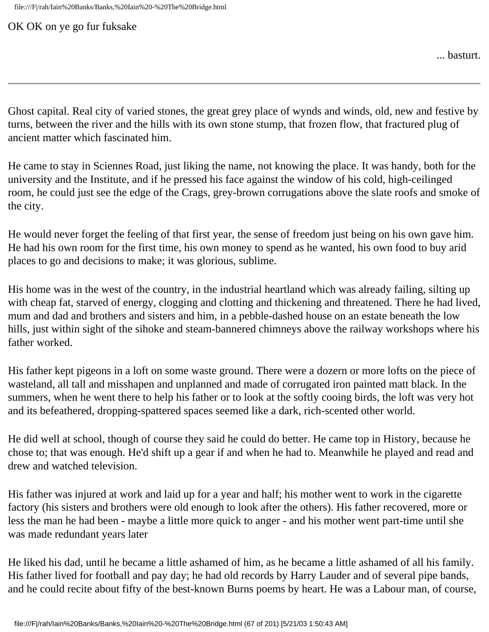OK OK on ye go fur fuksake

... basturt.

Ghost capital. Real city of varied stones, the great grey place of wynds and winds, old, new and festive by turns, between the river and the hills with its own stone stump, that frozen flow, that fractured plug of ancient matter which fascinated him.

He came to stay in Sciennes Road, just liking the name, not knowing the place. It was handy, both for the university and the Institute, and if he pressed his face against the window of his cold, high-ceilinged room, he could just see the edge of the Crags, grey-brown corrugations above the slate roofs and smoke of the city.

He would never forget the feeling of that first year, the sense of freedom just being on his own gave him. He had his own room for the first time, his own money to spend as he wanted, his own food to buy arid places to go and decisions to make; it was glorious, sublime.

His home was in the west of the country, in the industrial heartland which was already failing, silting up with cheap fat, starved of energy, clogging and clotting and thickening and threatened. There he had lived, mum and dad and brothers and sisters and him, in a pebble-dashed house on an estate beneath the low hills, just within sight of the sihoke and steam-bannered chimneys above the railway workshops where his father worked.

His father kept pigeons in a loft on some waste ground. There were a dozern or more lofts on the piece of wasteland, all tall and misshapen and unplanned and made of corrugated iron painted matt black. In the summers, when he went there to help his father or to look at the softly cooing birds, the loft was very hot and its befeathered, dropping-spattered spaces seemed like a dark, rich-scented other world.

He did well at school, though of course they said he could do better. He came top in History, because he chose to; that was enough. He'd shift up a gear if and when he had to. Meanwhile he played and read and drew and watched television.

His father was injured at work and laid up for a year and half; his mother went to work in the cigarette factory (his sisters and brothers were old enough to look after the others). His father recovered, more or less the man he had been - maybe a little more quick to anger - and his mother went part-time until she was made redundant years later

He liked his dad, until he became a little ashamed of him, as he became a little ashamed of all his family. His father lived for football and pay day; he had old records by Harry Lauder and of several pipe bands, and he could recite about fifty of the best-known Burns poems by heart. He was a Labour man, of course,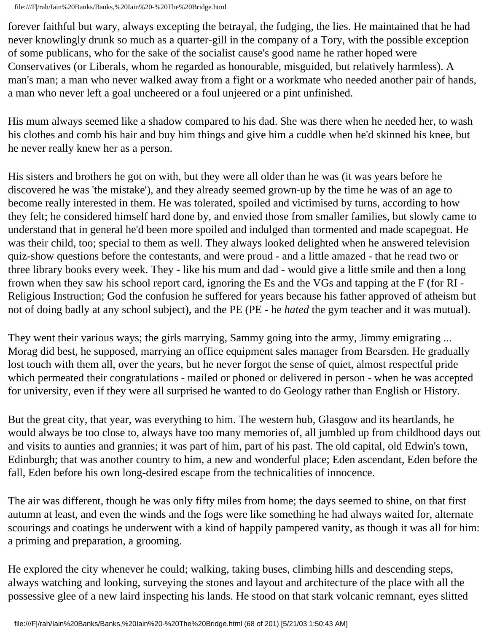forever faithful but wary, always excepting the betrayal, the fudging, the lies. He maintained that he had never knowlingly drunk so much as a quarter-gill in the company of a Tory, with the possible exception of some publicans, who for the sake of the socialist cause's good name he rather hoped were Conservatives (or Liberals, whom he regarded as honourable, misguided, but relatively harmless). A man's man; a man who never walked away from a fight or a workmate who needed another pair of hands, a man who never left a goal uncheered or a foul unjeered or a pint unfinished.

His mum always seemed like a shadow compared to his dad. She was there when he needed her, to wash his clothes and comb his hair and buy him things and give him a cuddle when he'd skinned his knee, but he never really knew her as a person.

His sisters and brothers he got on with, but they were all older than he was (it was years before he discovered he was 'the mistake'), and they already seemed grown-up by the time he was of an age to become really interested in them. He was tolerated, spoiled and victimised by turns, according to how they felt; he considered himself hard done by, and envied those from smaller families, but slowly came to understand that in general he'd been more spoiled and indulged than tormented and made scapegoat. He was their child, too; special to them as well. They always looked delighted when he answered television quiz-show questions before the contestants, and were proud - and a little amazed - that he read two or three library books every week. They - like his mum and dad - would give a little smile and then a long frown when they saw his school report card, ignoring the Es and the VGs and tapping at the F (for RI - Religious Instruction; God the confusion he suffered for years because his father approved of atheism but not of doing badly at any school subject), and the PE (PE - he *hated* the gym teacher and it was mutual).

They went their various ways; the girls marrying, Sammy going into the army, Jimmy emigrating ... Morag did best, he supposed, marrying an office equipment sales manager from Bearsden. He gradually lost touch with them all, over the years, but he never forgot the sense of quiet, almost respectful pride which permeated their congratulations - mailed or phoned or delivered in person - when he was accepted for university, even if they were all surprised he wanted to do Geology rather than English or History.

But the great city, that year, was everything to him. The western hub, Glasgow and its heartlands, he would always be too close to, always have too many memories of, all jumbled up from childhood days out and visits to aunties and grannies; it was part of him, part of his past. The old capital, old Edwin's town, Edinburgh; that was another country to him, a new and wonderful place; Eden ascendant, Eden before the fall, Eden before his own long-desired escape from the technicalities of innocence.

The air was different, though he was only fifty miles from home; the days seemed to shine, on that first autumn at least, and even the winds and the fogs were like something he had always waited for, alternate scourings and coatings he underwent with a kind of happily pampered vanity, as though it was all for him: a priming and preparation, a grooming.

He explored the city whenever he could; walking, taking buses, climbing hills and descending steps, always watching and looking, surveying the stones and layout and architecture of the place with all the possessive glee of a new laird inspecting his lands. He stood on that stark volcanic remnant, eyes slitted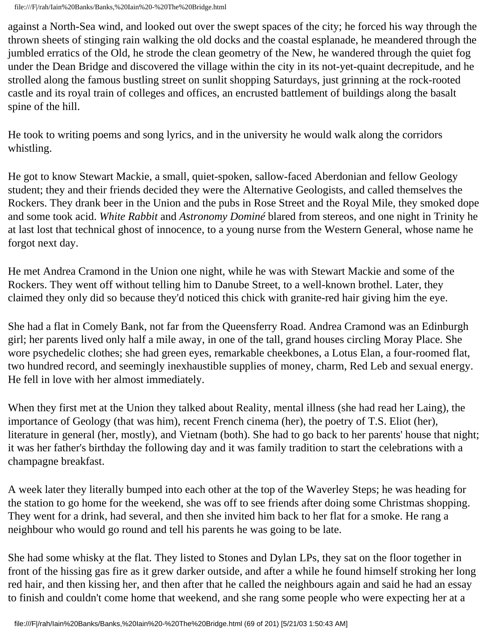against a North-Sea wind, and looked out over the swept spaces of the city; he forced his way through the thrown sheets of stinging rain walking the old docks and the coastal esplanade, he meandered through the jumbled erratics of the Old, he strode the clean geometry of the New, he wandered through the quiet fog under the Dean Bridge and discovered the village within the city in its not-yet-quaint decrepitude, and he strolled along the famous bustling street on sunlit shopping Saturdays, just grinning at the rock-rooted castle and its royal train of colleges and offices, an encrusted battlement of buildings along the basalt spine of the hill.

He took to writing poems and song lyrics, and in the university he would walk along the corridors whistling.

He got to know Stewart Mackie, a small, quiet-spoken, sallow-faced Aberdonian and fellow Geology student; they and their friends decided they were the Alternative Geologists, and called themselves the Rockers. They drank beer in the Union and the pubs in Rose Street and the Royal Mile, they smoked dope and some took acid. *White Rabbit* and *Astronomy Dominé* blared from stereos, and one night in Trinity he at last lost that technical ghost of innocence, to a young nurse from the Western General, whose name he forgot next day.

He met Andrea Cramond in the Union one night, while he was with Stewart Mackie and some of the Rockers. They went off without telling him to Danube Street, to a well-known brothel. Later, they claimed they only did so because they'd noticed this chick with granite-red hair giving him the eye.

She had a flat in Comely Bank, not far from the Queensferry Road. Andrea Cramond was an Edinburgh girl; her parents lived only half a mile away, in one of the tall, grand houses circling Moray Place. She wore psychedelic clothes; she had green eyes, remarkable cheekbones, a Lotus Elan, a four-roomed flat, two hundred record, and seemingly inexhaustible supplies of money, charm, Red Leb and sexual energy. He fell in love with her almost immediately.

When they first met at the Union they talked about Reality, mental illness (she had read her Laing), the importance of Geology (that was him), recent French cinema (her), the poetry of T.S. Eliot (her), literature in general (her, mostly), and Vietnam (both). She had to go back to her parents' house that night; it was her father's birthday the following day and it was family tradition to start the celebrations with a champagne breakfast.

A week later they literally bumped into each other at the top of the Waverley Steps; he was heading for the station to go home for the weekend, she was off to see friends after doing some Christmas shopping. They went for a drink, had several, and then she invited him back to her flat for a smoke. He rang a neighbour who would go round and tell his parents he was going to be late.

She had some whisky at the flat. They listed to Stones and Dylan LPs, they sat on the floor together in front of the hissing gas fire as it grew darker outside, and after a while he found himself stroking her long red hair, and then kissing her, and then after that he called the neighbours again and said he had an essay to finish and couldn't come home that weekend, and she rang some people who were expecting her at a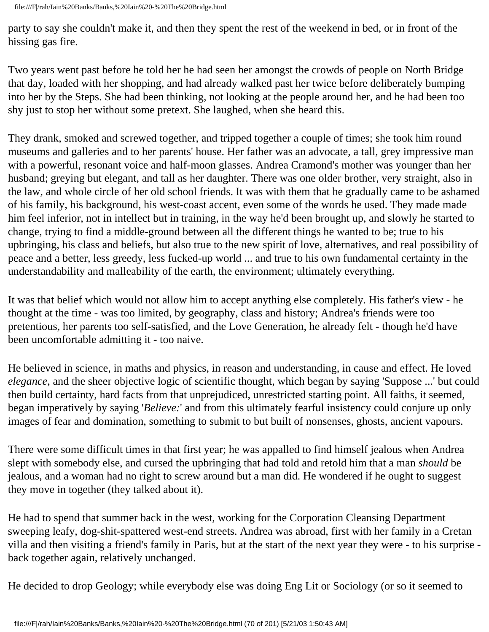party to say she couldn't make it, and then they spent the rest of the weekend in bed, or in front of the hissing gas fire.

Two years went past before he told her he had seen her amongst the crowds of people on North Bridge that day, loaded with her shopping, and had already walked past her twice before deliberately bumping into her by the Steps. She had been thinking, not looking at the people around her, and he had been too shy just to stop her without some pretext. She laughed, when she heard this.

They drank, smoked and screwed together, and tripped together a couple of times; she took him round museums and galleries and to her parents' house. Her father was an advocate, a tall, grey impressive man with a powerful, resonant voice and half-moon glasses. Andrea Cramond's mother was younger than her husband; greying but elegant, and tall as her daughter. There was one older brother, very straight, also in the law, and whole circle of her old school friends. It was with them that he gradually came to be ashamed of his family, his background, his west-coast accent, even some of the words he used. They made made him feel inferior, not in intellect but in training, in the way he'd been brought up, and slowly he started to change, trying to find a middle-ground between all the different things he wanted to be; true to his upbringing, his class and beliefs, but also true to the new spirit of love, alternatives, and real possibility of peace and a better, less greedy, less fucked-up world ... and true to his own fundamental certainty in the understandability and malleability of the earth, the environment; ultimately everything.

It was that belief which would not allow him to accept anything else completely. His father's view - he thought at the time - was too limited, by geography, class and history; Andrea's friends were too pretentious, her parents too self-satisfied, and the Love Generation, he already felt - though he'd have been uncomfortable admitting it - too naive.

He believed in science, in maths and physics, in reason and understanding, in cause and effect. He loved *elegance*, and the sheer objective logic of scientific thought, which began by saying 'Suppose ...' but could then build certainty, hard facts from that unprejudiced, unrestricted starting point. All faiths, it seemed, began imperatively by saying '*Believe:*' and from this ultimately fearful insistency could conjure up only images of fear and domination, something to submit to but built of nonsenses, ghosts, ancient vapours.

There were some difficult times in that first year; he was appalled to find himself jealous when Andrea slept with somebody else, and cursed the upbringing that had told and retold him that a man *should* be jealous, and a woman had no right to screw around but a man did. He wondered if he ought to suggest they move in together (they talked about it).

He had to spend that summer back in the west, working for the Corporation Cleansing Department sweeping leafy, dog-shit-spattered west-end streets. Andrea was abroad, first with her family in a Cretan villa and then visiting a friend's family in Paris, but at the start of the next year they were - to his surprise back together again, relatively unchanged.

He decided to drop Geology; while everybody else was doing Eng Lit or Sociology (or so it seemed to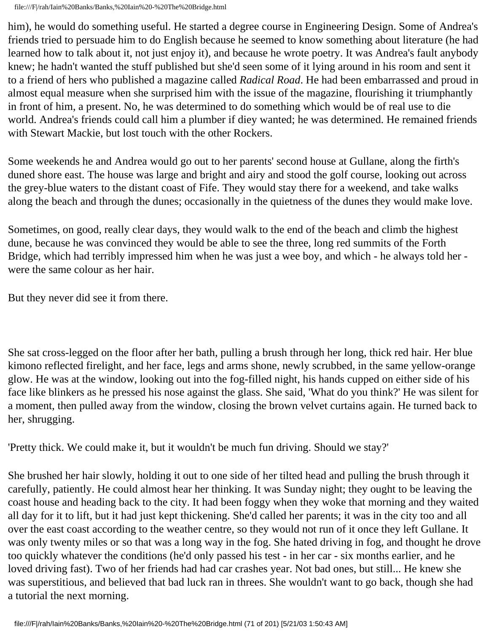him), he would do something useful. He started a degree course in Engineering Design. Some of Andrea's friends tried to persuade him to do English because he seemed to know something about literature (he had learned how to talk about it, not just enjoy it), and because he wrote poetry. It was Andrea's fault anybody knew; he hadn't wanted the stuff published but she'd seen some of it lying around in his room and sent it to a friend of hers who published a magazine called *Radical Road*. He had been embarrassed and proud in almost equal measure when she surprised him with the issue of the magazine, flourishing it triumphantly in front of him, a present. No, he was determined to do something which would be of real use to die world. Andrea's friends could call him a plumber if diey wanted; he was determined. He remained friends with Stewart Mackie, but lost touch with the other Rockers.

Some weekends he and Andrea would go out to her parents' second house at Gullane, along the firth's duned shore east. The house was large and bright and airy and stood the golf course, looking out across the grey-blue waters to the distant coast of Fife. They would stay there for a weekend, and take walks along the beach and through the dunes; occasionally in the quietness of the dunes they would make love.

Sometimes, on good, really clear days, they would walk to the end of the beach and climb the highest dune, because he was convinced they would be able to see the three, long red summits of the Forth Bridge, which had terribly impressed him when he was just a wee boy, and which - he always told her were the same colour as her hair.

But they never did see it from there.

She sat cross-legged on the floor after her bath, pulling a brush through her long, thick red hair. Her blue kimono reflected firelight, and her face, legs and arms shone, newly scrubbed, in the same yellow-orange glow. He was at the window, looking out into the fog-filled night, his hands cupped on either side of his face like blinkers as he pressed his nose against the glass. She said, 'What do you think?' He was silent for a moment, then pulled away from the window, closing the brown velvet curtains again. He turned back to her, shrugging.

'Pretty thick. We could make it, but it wouldn't be much fun driving. Should we stay?'

She brushed her hair slowly, holding it out to one side of her tilted head and pulling the brush through it carefully, patiently. He could almost hear her thinking. It was Sunday night; they ought to be leaving the coast house and heading back to the city. It had been foggy when they woke that morning and they waited all day for it to lift, but it had just kept thickening. She'd called her parents; it was in the city too and all over the east coast according to the weather centre, so they would not run of it once they left Gullane. It was only twenty miles or so that was a long way in the fog. She hated driving in fog, and thought he drove too quickly whatever the conditions (he'd only passed his test - in her car - six months earlier, and he loved driving fast). Two of her friends had had car crashes year. Not bad ones, but still... He knew she was superstitious, and believed that bad luck ran in threes. She wouldn't want to go back, though she had a tutorial the next morning.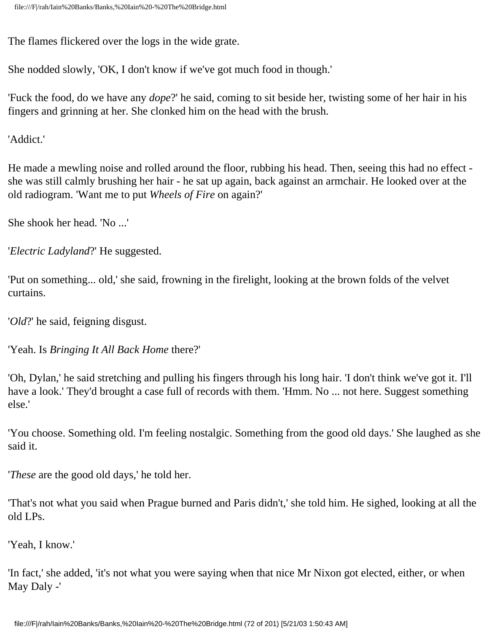The flames flickered over the logs in the wide grate.

She nodded slowly, 'OK, I don't know if we've got much food in though.'

'Fuck the food, do we have any *dope*?' he said, coming to sit beside her, twisting some of her hair in his fingers and grinning at her. She clonked him on the head with the brush.

'Addict.'

He made a mewling noise and rolled around the floor, rubbing his head. Then, seeing this had no effect she was still calmly brushing her hair - he sat up again, back against an armchair. He looked over at the old radiogram. 'Want me to put *Wheels of Fire* on again?'

She shook her head. 'No ...'

'*Electric Ladyland*?' He suggested.

'Put on something... old,' she said, frowning in the firelight, looking at the brown folds of the velvet curtains.

'*Old*?' he said, feigning disgust.

'Yeah. Is *Bringing It All Back Home* there?'

'Oh, Dylan,' he said stretching and pulling his fingers through his long hair. 'I don't think we've got it. I'll have a look.' They'd brought a case full of records with them. 'Hmm. No ... not here. Suggest something else.'

'You choose. Something old. I'm feeling nostalgic. Something from the good old days.' She laughed as she said it.

'*These* are the good old days,' he told her.

'That's not what you said when Prague burned and Paris didn't,' she told him. He sighed, looking at all the old LPs.

'Yeah, I know.'

'In fact,' she added, 'it's not what you were saying when that nice Mr Nixon got elected, either, or when May Daly -'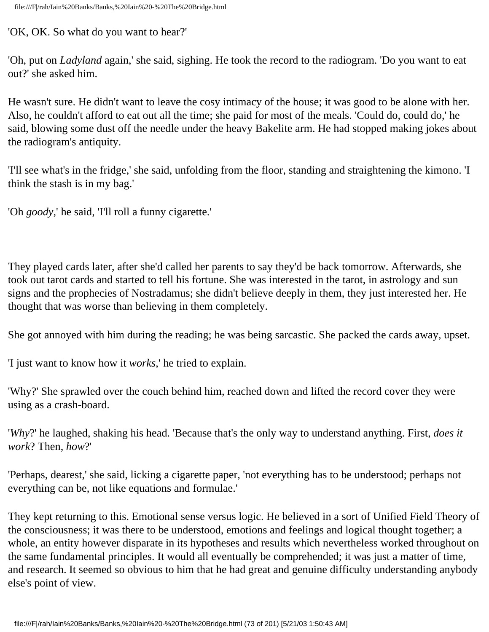'OK, OK. So what do you want to hear?'

'Oh, put on *Ladyland* again,' she said, sighing. He took the record to the radiogram. 'Do you want to eat out?' she asked him.

He wasn't sure. He didn't want to leave the cosy intimacy of the house; it was good to be alone with her. Also, he couldn't afford to eat out all the time; she paid for most of the meals. 'Could do, could do,' he said, blowing some dust off the needle under the heavy Bakelite arm. He had stopped making jokes about the radiogram's antiquity.

'I'll see what's in the fridge,' she said, unfolding from the floor, standing and straightening the kimono. 'I think the stash is in my bag.'

'Oh *goody*,' he said, 'I'll roll a funny cigarette.'

They played cards later, after she'd called her parents to say they'd be back tomorrow. Afterwards, she took out tarot cards and started to tell his fortune. She was interested in the tarot, in astrology and sun signs and the prophecies of Nostradamus; she didn't believe deeply in them, they just interested her. He thought that was worse than believing in them completely.

She got annoyed with him during the reading; he was being sarcastic. She packed the cards away, upset.

'I just want to know how it *works*,' he tried to explain.

'Why?' She sprawled over the couch behind him, reached down and lifted the record cover they were using as a crash-board.

'*Why*?' he laughed, shaking his head. 'Because that's the only way to understand anything. First, *does it work*? Then, *how*?'

'Perhaps, dearest,' she said, licking a cigarette paper, 'not everything has to be understood; perhaps not everything can be, not like equations and formulae.'

They kept returning to this. Emotional sense versus logic. He believed in a sort of Unified Field Theory of the consciousness; it was there to be understood, emotions and feelings and logical thought together; a whole, an entity however disparate in its hypotheses and results which nevertheless worked throughout on the same fundamental principles. It would all eventually be comprehended; it was just a matter of time, and research. It seemed so obvious to him that he had great and genuine difficulty understanding anybody else's point of view.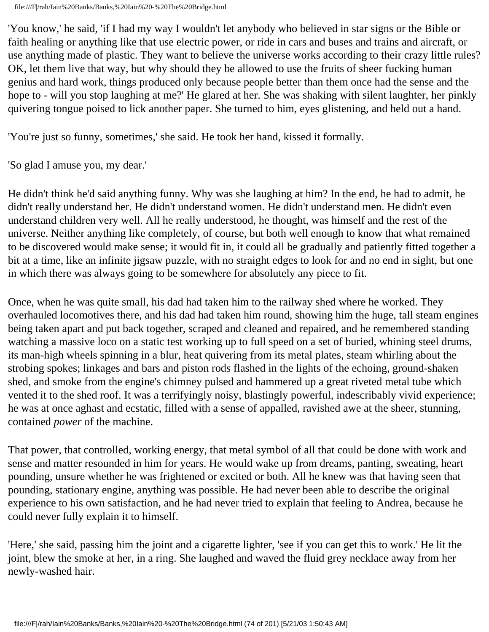'You know,' he said, 'if I had my way I wouldn't let anybody who believed in star signs or the Bible or faith healing or anything like that use electric power, or ride in cars and buses and trains and aircraft, or use anything made of plastic. They want to believe the universe works according to their crazy little rules? OK, let them live that way, but why should they be allowed to use the fruits of sheer fucking human genius and hard work, things produced only because people better than them once had the sense and the hope to - will you stop laughing at me?' He glared at her. She was shaking with silent laughter, her pinkly quivering tongue poised to lick another paper. She turned to him, eyes glistening, and held out a hand.

'You're just so funny, sometimes,' she said. He took her hand, kissed it formally.

'So glad I amuse you, my dear.'

He didn't think he'd said anything funny. Why was she laughing at him? In the end, he had to admit, he didn't really understand her. He didn't understand women. He didn't understand men. He didn't even understand children very well. All he really understood, he thought, was himself and the rest of the universe. Neither anything like completely, of course, but both well enough to know that what remained to be discovered would make sense; it would fit in, it could all be gradually and patiently fitted together a bit at a time, like an infinite jigsaw puzzle, with no straight edges to look for and no end in sight, but one in which there was always going to be somewhere for absolutely any piece to fit.

Once, when he was quite small, his dad had taken him to the railway shed where he worked. They overhauled locomotives there, and his dad had taken him round, showing him the huge, tall steam engines being taken apart and put back together, scraped and cleaned and repaired, and he remembered standing watching a massive loco on a static test working up to full speed on a set of buried, whining steel drums, its man-high wheels spinning in a blur, heat quivering from its metal plates, steam whirling about the strobing spokes; linkages and bars and piston rods flashed in the lights of the echoing, ground-shaken shed, and smoke from the engine's chimney pulsed and hammered up a great riveted metal tube which vented it to the shed roof. It was a terrifyingly noisy, blastingly powerful, indescribably vivid experience; he was at once aghast and ecstatic, filled with a sense of appalled, ravished awe at the sheer, stunning, contained *power* of the machine.

That power, that controlled, working energy, that metal symbol of all that could be done with work and sense and matter resounded in him for years. He would wake up from dreams, panting, sweating, heart pounding, unsure whether he was frightened or excited or both. All he knew was that having seen that pounding, stationary engine, anything was possible. He had never been able to describe the original experience to his own satisfaction, and he had never tried to explain that feeling to Andrea, because he could never fully explain it to himself.

'Here,' she said, passing him the joint and a cigarette lighter, 'see if you can get this to work.' He lit the joint, blew the smoke at her, in a ring. She laughed and waved the fluid grey necklace away from her newly-washed hair.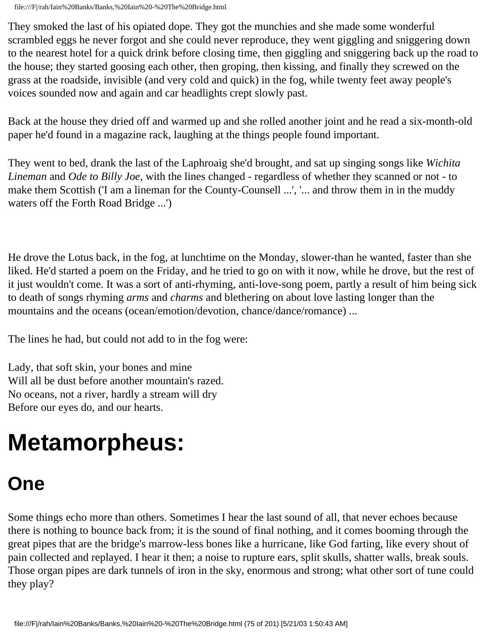They smoked the last of his opiated dope. They got the munchies and she made some wonderful scrambled eggs he never forgot and she could never reproduce, they went giggling and sniggering down to the nearest hotel for a quick drink before closing time, then giggling and sniggering back up the road to the house; they started goosing each other, then groping, then kissing, and finally they screwed on the grass at the roadside, invisible (and very cold and quick) in the fog, while twenty feet away people's voices sounded now and again and car headlights crept slowly past.

Back at the house they dried off and warmed up and she rolled another joint and he read a six-month-old paper he'd found in a magazine rack, laughing at the things people found important.

They went to bed, drank the last of the Laphroaig she'd brought, and sat up singing songs like *Wichita Lineman* and *Ode to Billy Joe*, with the lines changed - regardless of whether they scanned or not - to make them Scottish ('I am a lineman for the County-Counsell ...', '... and throw them in in the muddy waters off the Forth Road Bridge ...')

He drove the Lotus back, in the fog, at lunchtime on the Monday, slower-than he wanted, faster than she liked. He'd started a poem on the Friday, and he tried to go on with it now, while he drove, but the rest of it just wouldn't come. It was a sort of anti-rhyming, anti-love-song poem, partly a result of him being sick to death of songs rhyming *arms* and *charms* and blethering on about love lasting longer than the mountains and the oceans (ocean/emotion/devotion, chance/dance/romance) ...

The lines he had, but could not add to in the fog were:

Lady, that soft skin, your bones and mine Will all be dust before another mountain's razed. No oceans, not a river, hardly a stream will dry Before our eyes do, and our hearts.

# **Metamorpheus:**

# **One**

Some things echo more than others. Sometimes I hear the last sound of all, that never echoes because there is nothing to bounce back from; it is the sound of final nothing, and it comes booming through the great pipes that are the bridge's marrow-less bones like a hurricane, like God farting, like every shout of pain collected and replayed. I hear it then; a noise to rupture ears, split skulls, shatter walls, break souls. Those organ pipes are dark tunnels of iron in the sky, enormous and strong; what other sort of tune could they play?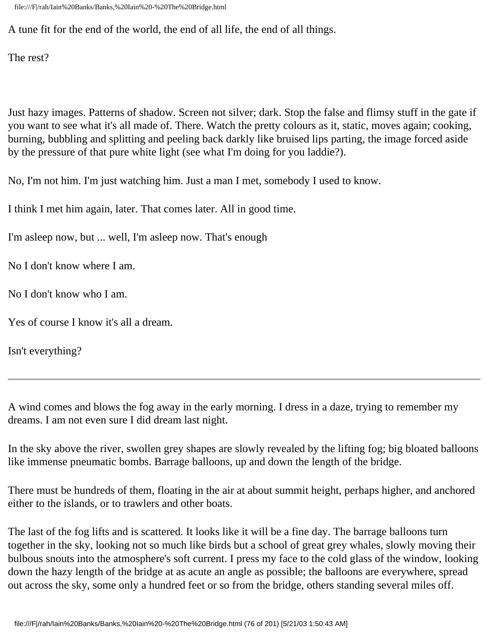```
file:///F|/rah/Iain%20Banks/Banks,%20Iain%20-%20The%20Bridge.html
```
A tune fit for the end of the world, the end of all life, the end of all things.

The rest?

Just hazy images. Patterns of shadow. Screen not silver; dark. Stop the false and flimsy stuff in the gate if you want to see what it's all made of. There. Watch the pretty colours as it, static, moves again; cooking, burning, bubbling and splitting and peeling back darkly like bruised lips parting, the image forced aside by the pressure of that pure white light (see what I'm doing for you laddie?).

No, I'm not him. I'm just watching him. Just a man I met, somebody I used to know.

I think I met him again, later. That comes later. All in good time.

I'm asleep now, but ... well, I'm asleep now. That's enough

No I don't know where I am.

No I don't know who I am.

Yes of course I know it's all a dream.

Isn't everything?

A wind comes and blows the fog away in the early morning. I dress in a daze, trying to remember my dreams. I am not even sure I did dream last night.

In the sky above the river, swollen grey shapes are slowly revealed by the lifting fog; big bloated balloons like immense pneumatic bombs. Barrage balloons, up and down the length of the bridge.

There must be hundreds of them, floating in the air at about summit height, perhaps higher, and anchored either to the islands, or to trawlers and other boats.

The last of the fog lifts and is scattered. It looks like it will be a fine day. The barrage balloons turn together in the sky, looking not so much like birds but a school of great grey whales, slowly moving their bulbous snouts into the atmosphere's soft current. I press my face to the cold glass of the window, looking down the hazy length of the bridge at as acute an angle as possible; the balloons are everywhere, spread out across the sky, some only a hundred feet or so from the bridge, others standing several miles off.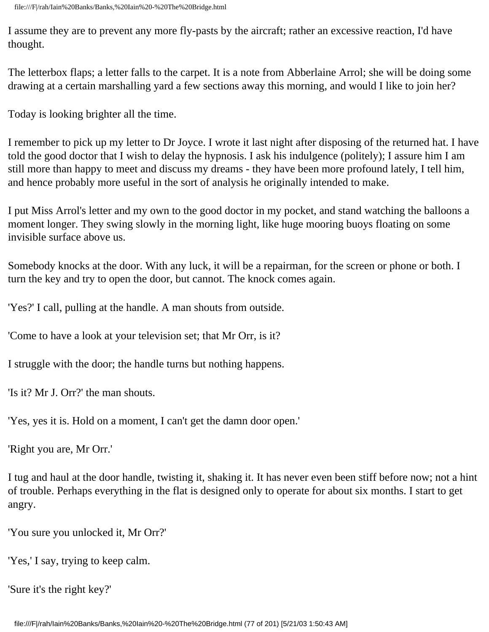I assume they are to prevent any more fly-pasts by the aircraft; rather an excessive reaction, I'd have thought.

The letterbox flaps; a letter falls to the carpet. It is a note from Abberlaine Arrol; she will be doing some drawing at a certain marshalling yard a few sections away this morning, and would I like to join her?

Today is looking brighter all the time.

I remember to pick up my letter to Dr Joyce. I wrote it last night after disposing of the returned hat. I have told the good doctor that I wish to delay the hypnosis. I ask his indulgence (politely); I assure him I am still more than happy to meet and discuss my dreams - they have been more profound lately, I tell him, and hence probably more useful in the sort of analysis he originally intended to make.

I put Miss Arrol's letter and my own to the good doctor in my pocket, and stand watching the balloons a moment longer. They swing slowly in the morning light, like huge mooring buoys floating on some invisible surface above us.

Somebody knocks at the door. With any luck, it will be a repairman, for the screen or phone or both. I turn the key and try to open the door, but cannot. The knock comes again.

'Yes?' I call, pulling at the handle. A man shouts from outside.

'Come to have a look at your television set; that Mr Orr, is it?

I struggle with the door; the handle turns but nothing happens.

'Is it? Mr J. Orr?' the man shouts.

'Yes, yes it is. Hold on a moment, I can't get the damn door open.'

'Right you are, Mr Orr.'

I tug and haul at the door handle, twisting it, shaking it. It has never even been stiff before now; not a hint of trouble. Perhaps everything in the flat is designed only to operate for about six months. I start to get angry.

'You sure you unlocked it, Mr Orr?'

'Yes,' I say, trying to keep calm.

'Sure it's the right key?'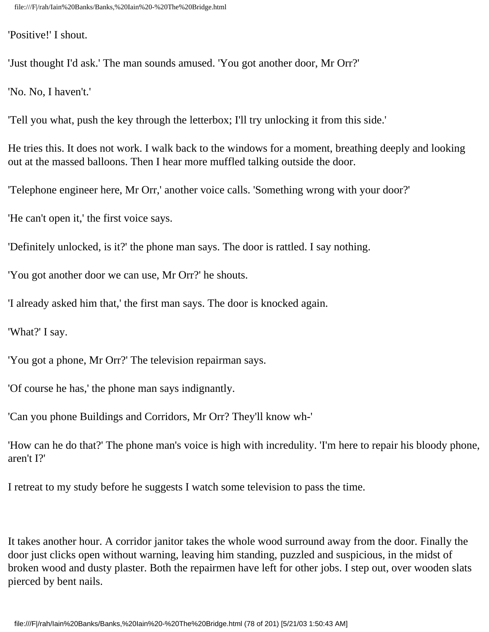'Positive!' I shout.

'Just thought I'd ask.' The man sounds amused. 'You got another door, Mr Orr?'

'No. No, I haven't.'

'Tell you what, push the key through the letterbox; I'll try unlocking it from this side.'

He tries this. It does not work. I walk back to the windows for a moment, breathing deeply and looking out at the massed balloons. Then I hear more muffled talking outside the door.

'Telephone engineer here, Mr Orr,' another voice calls. 'Something wrong with your door?'

'He can't open it,' the first voice says.

'Definitely unlocked, is it?' the phone man says. The door is rattled. I say nothing.

'You got another door we can use, Mr Orr?' he shouts.

'I already asked him that,' the first man says. The door is knocked again.

'What?' I say.

'You got a phone, Mr Orr?' The television repairman says.

'Of course he has,' the phone man says indignantly.

'Can you phone Buildings and Corridors, Mr Orr? They'll know wh-'

'How can he do that?' The phone man's voice is high with incredulity. 'I'm here to repair his bloody phone, aren't I?'

I retreat to my study before he suggests I watch some television to pass the time.

It takes another hour. A corridor janitor takes the whole wood surround away from the door. Finally the door just clicks open without warning, leaving him standing, puzzled and suspicious, in the midst of broken wood and dusty plaster. Both the repairmen have left for other jobs. I step out, over wooden slats pierced by bent nails.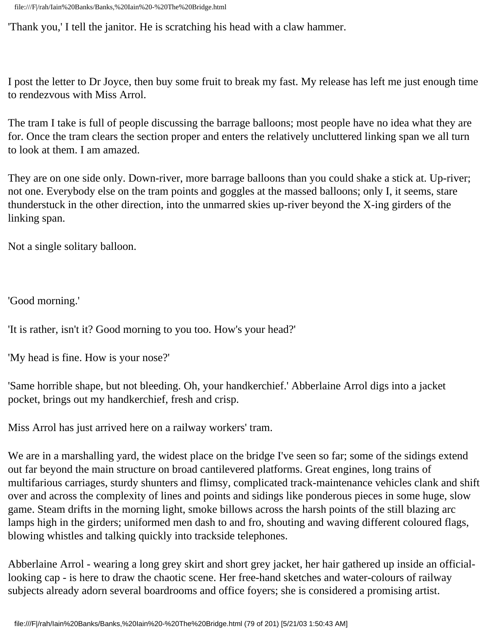'Thank you,' I tell the janitor. He is scratching his head with a claw hammer.

I post the letter to Dr Joyce, then buy some fruit to break my fast. My release has left me just enough time to rendezvous with Miss Arrol.

The tram I take is full of people discussing the barrage balloons; most people have no idea what they are for. Once the tram clears the section proper and enters the relatively uncluttered linking span we all turn to look at them. I am amazed.

They are on one side only. Down-river, more barrage balloons than you could shake a stick at. Up-river; not one. Everybody else on the tram points and goggles at the massed balloons; only I, it seems, stare thunderstuck in the other direction, into the unmarred skies up-river beyond the X-ing girders of the linking span.

Not a single solitary balloon.

'Good morning.'

'It is rather, isn't it? Good morning to you too. How's your head?'

'My head is fine. How is your nose?'

'Same horrible shape, but not bleeding. Oh, your handkerchief.' Abberlaine Arrol digs into a jacket pocket, brings out my handkerchief, fresh and crisp.

Miss Arrol has just arrived here on a railway workers' tram.

We are in a marshalling yard, the widest place on the bridge I've seen so far; some of the sidings extend out far beyond the main structure on broad cantilevered platforms. Great engines, long trains of multifarious carriages, sturdy shunters and flimsy, complicated track-maintenance vehicles clank and shift over and across the complexity of lines and points and sidings like ponderous pieces in some huge, slow game. Steam drifts in the morning light, smoke billows across the harsh points of the still blazing arc lamps high in the girders; uniformed men dash to and fro, shouting and waving different coloured flags, blowing whistles and talking quickly into trackside telephones.

Abberlaine Arrol - wearing a long grey skirt and short grey jacket, her hair gathered up inside an officiallooking cap - is here to draw the chaotic scene. Her free-hand sketches and water-colours of railway subjects already adorn several boardrooms and office foyers; she is considered a promising artist.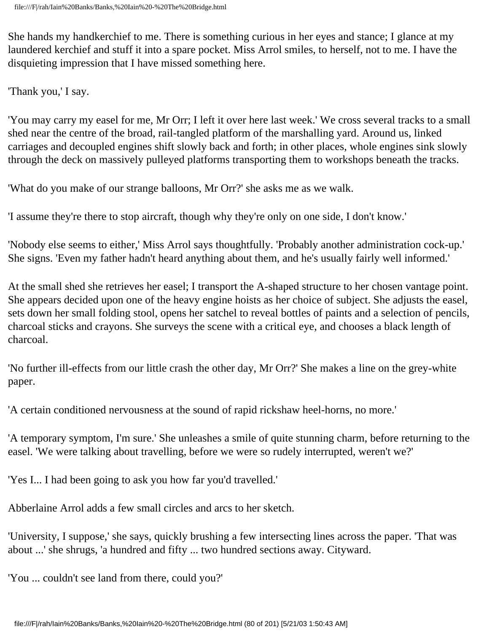She hands my handkerchief to me. There is something curious in her eyes and stance; I glance at my laundered kerchief and stuff it into a spare pocket. Miss Arrol smiles, to herself, not to me. I have the disquieting impression that I have missed something here.

'Thank you,' I say.

'You may carry my easel for me, Mr Orr; I left it over here last week.' We cross several tracks to a small shed near the centre of the broad, rail-tangled platform of the marshalling yard. Around us, linked carriages and decoupled engines shift slowly back and forth; in other places, whole engines sink slowly through the deck on massively pulleyed platforms transporting them to workshops beneath the tracks.

'What do you make of our strange balloons, Mr Orr?' she asks me as we walk.

'I assume they're there to stop aircraft, though why they're only on one side, I don't know.'

'Nobody else seems to either,' Miss Arrol says thoughtfully. 'Probably another administration cock-up.' She signs. 'Even my father hadn't heard anything about them, and he's usually fairly well informed.'

At the small shed she retrieves her easel; I transport the A-shaped structure to her chosen vantage point. She appears decided upon one of the heavy engine hoists as her choice of subject. She adjusts the easel, sets down her small folding stool, opens her satchel to reveal bottles of paints and a selection of pencils, charcoal sticks and crayons. She surveys the scene with a critical eye, and chooses a black length of charcoal.

'No further ill-effects from our little crash the other day, Mr Orr?' She makes a line on the grey-white paper.

'A certain conditioned nervousness at the sound of rapid rickshaw heel-horns, no more.'

'A temporary symptom, I'm sure.' She unleashes a smile of quite stunning charm, before returning to the easel. 'We were talking about travelling, before we were so rudely interrupted, weren't we?'

'Yes I... I had been going to ask you how far you'd travelled.'

Abberlaine Arrol adds a few small circles and arcs to her sketch.

'University, I suppose,' she says, quickly brushing a few intersecting lines across the paper. 'That was about ...' she shrugs, 'a hundred and fifty ... two hundred sections away. Cityward.

'You ... couldn't see land from there, could you?'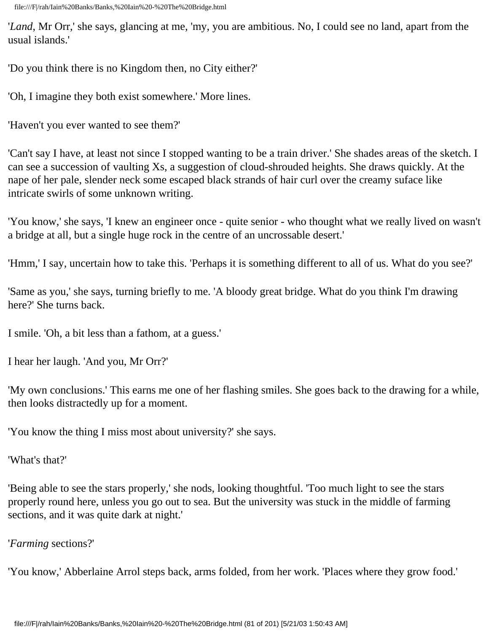'*Land*, Mr Orr,' she says, glancing at me, 'my, you are ambitious. No, I could see no land, apart from the usual islands.'

'Do you think there is no Kingdom then, no City either?'

'Oh, I imagine they both exist somewhere.' More lines.

'Haven't you ever wanted to see them?'

'Can't say I have, at least not since I stopped wanting to be a train driver.' She shades areas of the sketch. I can see a succession of vaulting Xs, a suggestion of cloud-shrouded heights. She draws quickly. At the nape of her pale, slender neck some escaped black strands of hair curl over the creamy suface like intricate swirls of some unknown writing.

'You know,' she says, 'I knew an engineer once - quite senior - who thought what we really lived on wasn't a bridge at all, but a single huge rock in the centre of an uncrossable desert.'

'Hmm,' I say, uncertain how to take this. 'Perhaps it is something different to all of us. What do you see?'

'Same as you,' she says, turning briefly to me. 'A bloody great bridge. What do you think I'm drawing here?' She turns back.

I smile. 'Oh, a bit less than a fathom, at a guess.'

I hear her laugh. 'And you, Mr Orr?'

'My own conclusions.' This earns me one of her flashing smiles. She goes back to the drawing for a while, then looks distractedly up for a moment.

'You know the thing I miss most about university?' she says.

'What's that?'

'Being able to see the stars properly,' she nods, looking thoughtful. 'Too much light to see the stars properly round here, unless you go out to sea. But the university was stuck in the middle of farming sections, and it was quite dark at night.'

### '*Farming* sections?'

'You know,' Abberlaine Arrol steps back, arms folded, from her work. 'Places where they grow food.'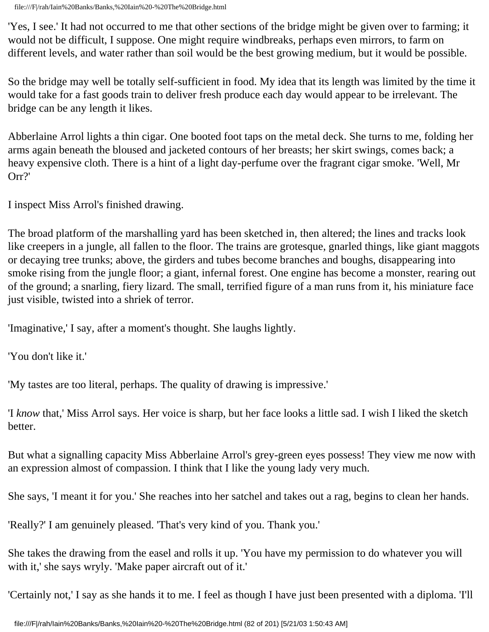'Yes, I see.' It had not occurred to me that other sections of the bridge might be given over to farming; it would not be difficult, I suppose. One might require windbreaks, perhaps even mirrors, to farm on different levels, and water rather than soil would be the best growing medium, but it would be possible.

So the bridge may well be totally self-sufficient in food. My idea that its length was limited by the time it would take for a fast goods train to deliver fresh produce each day would appear to be irrelevant. The bridge can be any length it likes.

Abberlaine Arrol lights a thin cigar. One booted foot taps on the metal deck. She turns to me, folding her arms again beneath the bloused and jacketed contours of her breasts; her skirt swings, comes back; a heavy expensive cloth. There is a hint of a light day-perfume over the fragrant cigar smoke. 'Well, Mr Orr?'

I inspect Miss Arrol's finished drawing.

The broad platform of the marshalling yard has been sketched in, then altered; the lines and tracks look like creepers in a jungle, all fallen to the floor. The trains are grotesque, gnarled things, like giant maggots or decaying tree trunks; above, the girders and tubes become branches and boughs, disappearing into smoke rising from the jungle floor; a giant, infernal forest. One engine has become a monster, rearing out of the ground; a snarling, fiery lizard. The small, terrified figure of a man runs from it, his miniature face just visible, twisted into a shriek of terror.

'Imaginative,' I say, after a moment's thought. She laughs lightly.

'You don't like it.'

'My tastes are too literal, perhaps. The quality of drawing is impressive.'

'I *know* that,' Miss Arrol says. Her voice is sharp, but her face looks a little sad. I wish I liked the sketch better.

But what a signalling capacity Miss Abberlaine Arrol's grey-green eyes possess! They view me now with an expression almost of compassion. I think that I like the young lady very much.

She says, 'I meant it for you.' She reaches into her satchel and takes out a rag, begins to clean her hands.

'Really?' I am genuinely pleased. 'That's very kind of you. Thank you.'

She takes the drawing from the easel and rolls it up. 'You have my permission to do whatever you will with it,' she says wryly. 'Make paper aircraft out of it.'

'Certainly not,' I say as she hands it to me. I feel as though I have just been presented with a diploma. 'I'll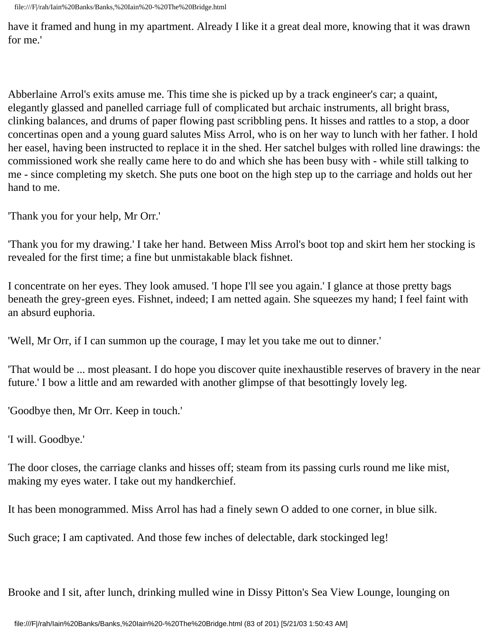have it framed and hung in my apartment. Already I like it a great deal more, knowing that it was drawn for me.'

Abberlaine Arrol's exits amuse me. This time she is picked up by a track engineer's car; a quaint, elegantly glassed and panelled carriage full of complicated but archaic instruments, all bright brass, clinking balances, and drums of paper flowing past scribbling pens. It hisses and rattles to a stop, a door concertinas open and a young guard salutes Miss Arrol, who is on her way to lunch with her father. I hold her easel, having been instructed to replace it in the shed. Her satchel bulges with rolled line drawings: the commissioned work she really came here to do and which she has been busy with - while still talking to me - since completing my sketch. She puts one boot on the high step up to the carriage and holds out her hand to me.

'Thank you for your help, Mr Orr.'

'Thank you for my drawing.' I take her hand. Between Miss Arrol's boot top and skirt hem her stocking is revealed for the first time; a fine but unmistakable black fishnet.

I concentrate on her eyes. They look amused. 'I hope I'll see you again.' I glance at those pretty bags beneath the grey-green eyes. Fishnet, indeed; I am netted again. She squeezes my hand; I feel faint with an absurd euphoria.

'Well, Mr Orr, if I can summon up the courage, I may let you take me out to dinner.'

'That would be ... most pleasant. I do hope you discover quite inexhaustible reserves of bravery in the near future.' I bow a little and am rewarded with another glimpse of that besottingly lovely leg.

'Goodbye then, Mr Orr. Keep in touch.'

'I will. Goodbye.'

The door closes, the carriage clanks and hisses off; steam from its passing curls round me like mist, making my eyes water. I take out my handkerchief.

It has been monogrammed. Miss Arrol has had a finely sewn O added to one corner, in blue silk.

Such grace; I am captivated. And those few inches of delectable, dark stockinged leg!

Brooke and I sit, after lunch, drinking mulled wine in Dissy Pitton's Sea View Lounge, lounging on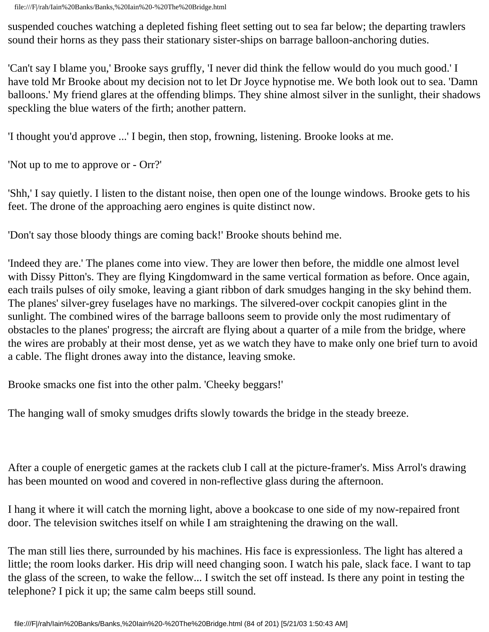suspended couches watching a depleted fishing fleet setting out to sea far below; the departing trawlers sound their horns as they pass their stationary sister-ships on barrage balloon-anchoring duties.

'Can't say I blame you,' Brooke says gruffly, 'I never did think the fellow would do you much good.' I have told Mr Brooke about my decision not to let Dr Joyce hypnotise me. We both look out to sea. 'Damn balloons.' My friend glares at the offending blimps. They shine almost silver in the sunlight, their shadows speckling the blue waters of the firth; another pattern.

'I thought you'd approve ...' I begin, then stop, frowning, listening. Brooke looks at me.

'Not up to me to approve or - Orr?'

'Shh,' I say quietly. I listen to the distant noise, then open one of the lounge windows. Brooke gets to his feet. The drone of the approaching aero engines is quite distinct now.

'Don't say those bloody things are coming back!' Brooke shouts behind me.

'Indeed they are.' The planes come into view. They are lower then before, the middle one almost level with Dissy Pitton's. They are flying Kingdomward in the same vertical formation as before. Once again, each trails pulses of oily smoke, leaving a giant ribbon of dark smudges hanging in the sky behind them. The planes' silver-grey fuselages have no markings. The silvered-over cockpit canopies glint in the sunlight. The combined wires of the barrage balloons seem to provide only the most rudimentary of obstacles to the planes' progress; the aircraft are flying about a quarter of a mile from the bridge, where the wires are probably at their most dense, yet as we watch they have to make only one brief turn to avoid a cable. The flight drones away into the distance, leaving smoke.

Brooke smacks one fist into the other palm. 'Cheeky beggars!'

The hanging wall of smoky smudges drifts slowly towards the bridge in the steady breeze.

After a couple of energetic games at the rackets club I call at the picture-framer's. Miss Arrol's drawing has been mounted on wood and covered in non-reflective glass during the afternoon.

I hang it where it will catch the morning light, above a bookcase to one side of my now-repaired front door. The television switches itself on while I am straightening the drawing on the wall.

The man still lies there, surrounded by his machines. His face is expressionless. The light has altered a little; the room looks darker. His drip will need changing soon. I watch his pale, slack face. I want to tap the glass of the screen, to wake the fellow... I switch the set off instead. Is there any point in testing the telephone? I pick it up; the same calm beeps still sound.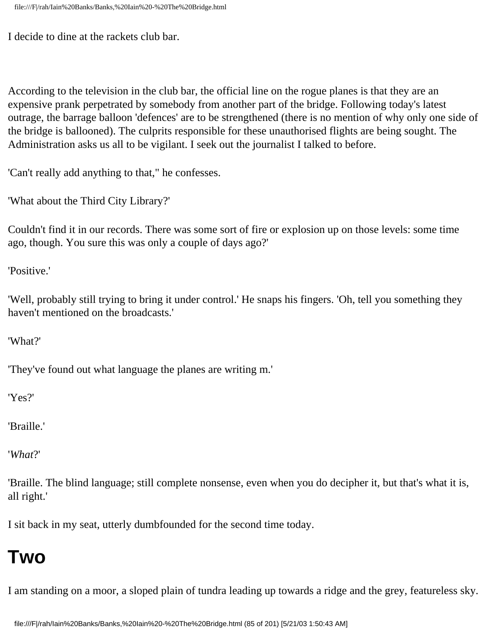I decide to dine at the rackets club bar.

According to the television in the club bar, the official line on the rogue planes is that they are an expensive prank perpetrated by somebody from another part of the bridge. Following today's latest outrage, the barrage balloon 'defences' are to be strengthened (there is no mention of why only one side of the bridge is ballooned). The culprits responsible for these unauthorised flights are being sought. The Administration asks us all to be vigilant. I seek out the journalist I talked to before.

'Can't really add anything to that," he confesses.

'What about the Third City Library?'

Couldn't find it in our records. There was some sort of fire or explosion up on those levels: some time ago, though. You sure this was only a couple of days ago?'

'Positive.'

'Well, probably still trying to bring it under control.' He snaps his fingers. 'Oh, tell you something they haven't mentioned on the broadcasts.'

'What?'

'They've found out what language the planes are writing m.'

'Yes?'

'Braille.'

'*What*?'

'Braille. The blind language; still complete nonsense, even when you do decipher it, but that's what it is, all right.'

I sit back in my seat, utterly dumbfounded for the second time today.

### **Two**

I am standing on a moor, a sloped plain of tundra leading up towards a ridge and the grey, featureless sky.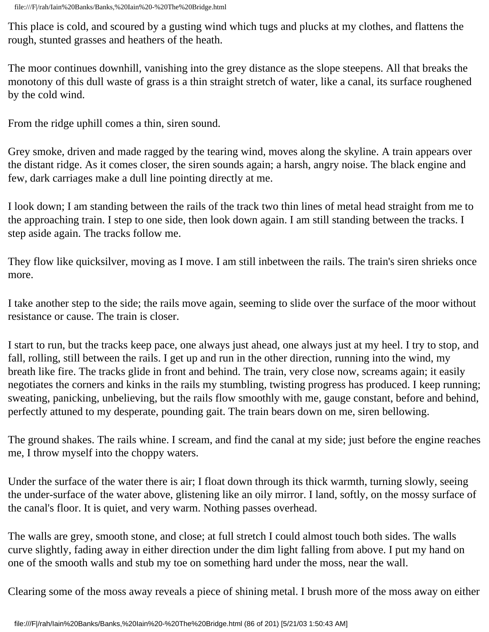This place is cold, and scoured by a gusting wind which tugs and plucks at my clothes, and flattens the rough, stunted grasses and heathers of the heath.

The moor continues downhill, vanishing into the grey distance as the slope steepens. All that breaks the monotony of this dull waste of grass is a thin straight stretch of water, like a canal, its surface roughened by the cold wind.

From the ridge uphill comes a thin, siren sound.

Grey smoke, driven and made ragged by the tearing wind, moves along the skyline. A train appears over the distant ridge. As it comes closer, the siren sounds again; a harsh, angry noise. The black engine and few, dark carriages make a dull line pointing directly at me.

I look down; I am standing between the rails of the track two thin lines of metal head straight from me to the approaching train. I step to one side, then look down again. I am still standing between the tracks. I step aside again. The tracks follow me.

They flow like quicksilver, moving as I move. I am still inbetween the rails. The train's siren shrieks once more.

I take another step to the side; the rails move again, seeming to slide over the surface of the moor without resistance or cause. The train is closer.

I start to run, but the tracks keep pace, one always just ahead, one always just at my heel. I try to stop, and fall, rolling, still between the rails. I get up and run in the other direction, running into the wind, my breath like fire. The tracks glide in front and behind. The train, very close now, screams again; it easily negotiates the corners and kinks in the rails my stumbling, twisting progress has produced. I keep running; sweating, panicking, unbelieving, but the rails flow smoothly with me, gauge constant, before and behind, perfectly attuned to my desperate, pounding gait. The train bears down on me, siren bellowing.

The ground shakes. The rails whine. I scream, and find the canal at my side; just before the engine reaches me, I throw myself into the choppy waters.

Under the surface of the water there is air; I float down through its thick warmth, turning slowly, seeing the under-surface of the water above, glistening like an oily mirror. I land, softly, on the mossy surface of the canal's floor. It is quiet, and very warm. Nothing passes overhead.

The walls are grey, smooth stone, and close; at full stretch I could almost touch both sides. The walls curve slightly, fading away in either direction under the dim light falling from above. I put my hand on one of the smooth walls and stub my toe on something hard under the moss, near the wall.

Clearing some of the moss away reveals a piece of shining metal. I brush more of the moss away on either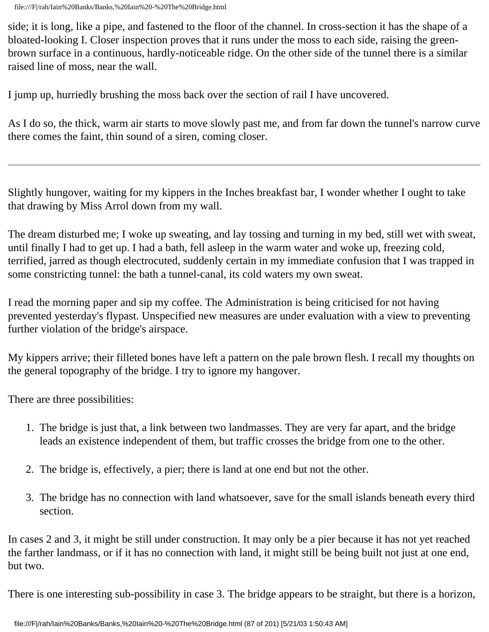side; it is long, like a pipe, and fastened to the floor of the channel. In cross-section it has the shape of a bloated-looking I. Closer inspection proves that it runs under the moss to each side, raising the greenbrown surface in a continuous, hardly-noticeable ridge. On the other side of the tunnel there is a similar raised line of moss, near the wall.

I jump up, hurriedly brushing the moss back over the section of rail I have uncovered.

As I do so, the thick, warm air starts to move slowly past me, and from far down the tunnel's narrow curve there comes the faint, thin sound of a siren, coming closer.

Slightly hungover, waiting for my kippers in the Inches breakfast bar, I wonder whether I ought to take that drawing by Miss Arrol down from my wall.

The dream disturbed me; I woke up sweating, and lay tossing and turning in my bed, still wet with sweat, until finally I had to get up. I had a bath, fell asleep in the warm water and woke up, freezing cold, terrified, jarred as though electrocuted, suddenly certain in my immediate confusion that I was trapped in some constricting tunnel: the bath a tunnel-canal, its cold waters my own sweat.

I read the morning paper and sip my coffee. The Administration is being criticised for not having prevented yesterday's flypast. Unspecified new measures are under evaluation with a view to preventing further violation of the bridge's airspace.

My kippers arrive; their filleted bones have left a pattern on the pale brown flesh. I recall my thoughts on the general topography of the bridge. I try to ignore my hangover.

There are three possibilities:

- 1. The bridge is just that, a link between two landmasses. They are very far apart, and the bridge leads an existence independent of them, but traffic crosses the bridge from one to the other.
- 2. The bridge is, effectively, a pier; there is land at one end but not the other.
- 3. The bridge has no connection with land whatsoever, save for the small islands beneath every third section.

In cases 2 and 3, it might be still under construction. It may only be a pier because it has not yet reached the farther landmass, or if it has no connection with land, it might still be being built not just at one end, but two.

There is one interesting sub-possibility in case 3. The bridge appears to be straight, but there is a horizon,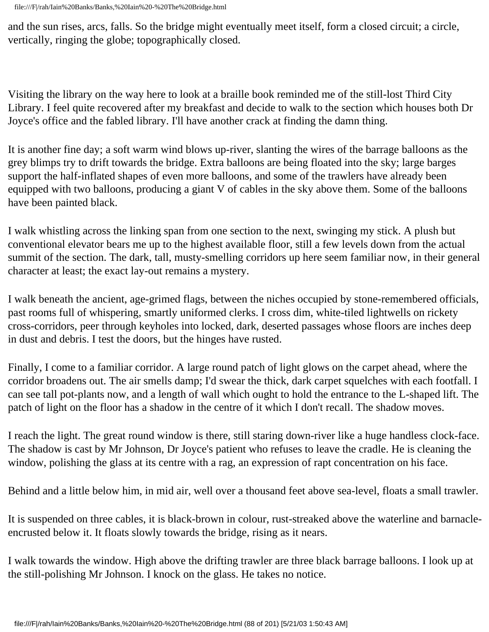and the sun rises, arcs, falls. So the bridge might eventually meet itself, form a closed circuit; a circle, vertically, ringing the globe; topographically closed.

Visiting the library on the way here to look at a braille book reminded me of the still-lost Third City Library. I feel quite recovered after my breakfast and decide to walk to the section which houses both Dr Joyce's office and the fabled library. I'll have another crack at finding the damn thing.

It is another fine day; a soft warm wind blows up-river, slanting the wires of the barrage balloons as the grey blimps try to drift towards the bridge. Extra balloons are being floated into the sky; large barges support the half-inflated shapes of even more balloons, and some of the trawlers have already been equipped with two balloons, producing a giant V of cables in the sky above them. Some of the balloons have been painted black.

I walk whistling across the linking span from one section to the next, swinging my stick. A plush but conventional elevator bears me up to the highest available floor, still a few levels down from the actual summit of the section. The dark, tall, musty-smelling corridors up here seem familiar now, in their general character at least; the exact lay-out remains a mystery.

I walk beneath the ancient, age-grimed flags, between the niches occupied by stone-remembered officials, past rooms full of whispering, smartly uniformed clerks. I cross dim, white-tiled lightwells on rickety cross-corridors, peer through keyholes into locked, dark, deserted passages whose floors are inches deep in dust and debris. I test the doors, but the hinges have rusted.

Finally, I come to a familiar corridor. A large round patch of light glows on the carpet ahead, where the corridor broadens out. The air smells damp; I'd swear the thick, dark carpet squelches with each footfall. I can see tall pot-plants now, and a length of wall which ought to hold the entrance to the L-shaped lift. The patch of light on the floor has a shadow in the centre of it which I don't recall. The shadow moves.

I reach the light. The great round window is there, still staring down-river like a huge handless clock-face. The shadow is cast by Mr Johnson, Dr Joyce's patient who refuses to leave the cradle. He is cleaning the window, polishing the glass at its centre with a rag, an expression of rapt concentration on his face.

Behind and a little below him, in mid air, well over a thousand feet above sea-level, floats a small trawler.

It is suspended on three cables, it is black-brown in colour, rust-streaked above the waterline and barnacleencrusted below it. It floats slowly towards the bridge, rising as it nears.

I walk towards the window. High above the drifting trawler are three black barrage balloons. I look up at the still-polishing Mr Johnson. I knock on the glass. He takes no notice.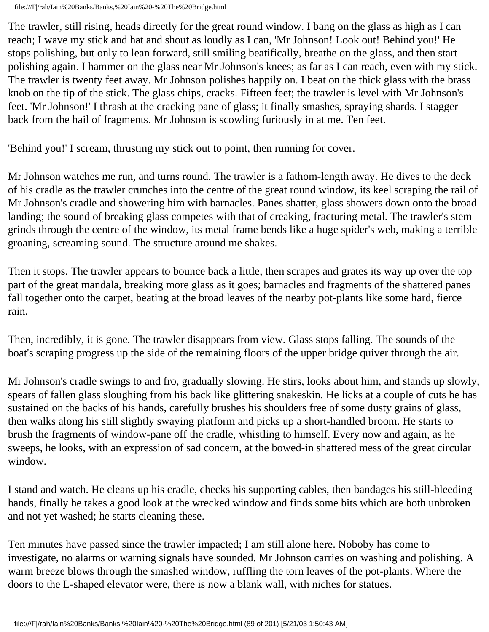The trawler, still rising, heads directly for the great round window. I bang on the glass as high as I can reach; I wave my stick and hat and shout as loudly as I can, 'Mr Johnson! Look out! Behind you!' He stops polishing, but only to lean forward, still smiling beatifically, breathe on the glass, and then start polishing again. I hammer on the glass near Mr Johnson's knees; as far as I can reach, even with my stick. The trawler is twenty feet away. Mr Johnson polishes happily on. I beat on the thick glass with the brass knob on the tip of the stick. The glass chips, cracks. Fifteen feet; the trawler is level with Mr Johnson's feet. 'Mr Johnson!' I thrash at the cracking pane of glass; it finally smashes, spraying shards. I stagger back from the hail of fragments. Mr Johnson is scowling furiously in at me. Ten feet.

'Behind you!' I scream, thrusting my stick out to point, then running for cover.

Mr Johnson watches me run, and turns round. The trawler is a fathom-length away. He dives to the deck of his cradle as the trawler crunches into the centre of the great round window, its keel scraping the rail of Mr Johnson's cradle and showering him with barnacles. Panes shatter, glass showers down onto the broad landing; the sound of breaking glass competes with that of creaking, fracturing metal. The trawler's stem grinds through the centre of the window, its metal frame bends like a huge spider's web, making a terrible groaning, screaming sound. The structure around me shakes.

Then it stops. The trawler appears to bounce back a little, then scrapes and grates its way up over the top part of the great mandala, breaking more glass as it goes; barnacles and fragments of the shattered panes fall together onto the carpet, beating at the broad leaves of the nearby pot-plants like some hard, fierce rain.

Then, incredibly, it is gone. The trawler disappears from view. Glass stops falling. The sounds of the boat's scraping progress up the side of the remaining floors of the upper bridge quiver through the air.

Mr Johnson's cradle swings to and fro, gradually slowing. He stirs, looks about him, and stands up slowly, spears of fallen glass sloughing from his back like glittering snakeskin. He licks at a couple of cuts he has sustained on the backs of his hands, carefully brushes his shoulders free of some dusty grains of glass, then walks along his still slightly swaying platform and picks up a short-handled broom. He starts to brush the fragments of window-pane off the cradle, whistling to himself. Every now and again, as he sweeps, he looks, with an expression of sad concern, at the bowed-in shattered mess of the great circular window.

I stand and watch. He cleans up his cradle, checks his supporting cables, then bandages his still-bleeding hands, finally he takes a good look at the wrecked window and finds some bits which are both unbroken and not yet washed; he starts cleaning these.

Ten minutes have passed since the trawler impacted; I am still alone here. Noboby has come to investigate, no alarms or warning signals have sounded. Mr Johnson carries on washing and polishing. A warm breeze blows through the smashed window, ruffling the torn leaves of the pot-plants. Where the doors to the L-shaped elevator were, there is now a blank wall, with niches for statues.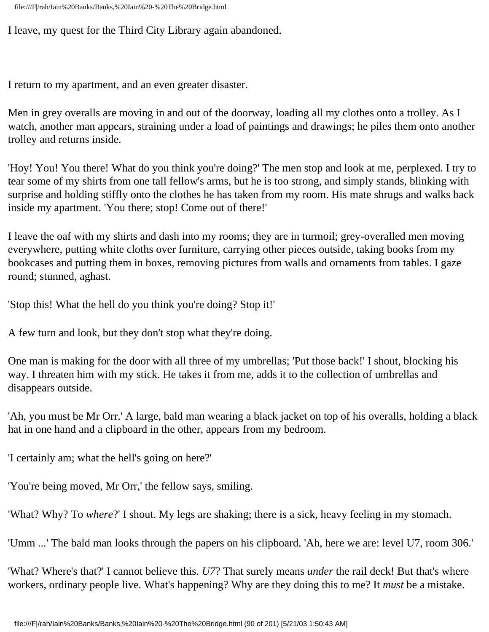I leave, my quest for the Third City Library again abandoned.

I return to my apartment, and an even greater disaster.

Men in grey overalls are moving in and out of the doorway, loading all my clothes onto a trolley. As I watch, another man appears, straining under a load of paintings and drawings; he piles them onto another trolley and returns inside.

'Hoy! You! You there! What do you think you're doing?' The men stop and look at me, perplexed. I try to tear some of my shirts from one tall fellow's arms, but he is too strong, and simply stands, blinking with surprise and holding stiffly onto the clothes he has taken from my room. His mate shrugs and walks back inside my apartment. 'You there; stop! Come out of there!'

I leave the oaf with my shirts and dash into my rooms; they are in turmoil; grey-overalled men moving everywhere, putting white cloths over furniture, carrying other pieces outside, taking books from my bookcases and putting them in boxes, removing pictures from walls and ornaments from tables. I gaze round; stunned, aghast.

'Stop this! What the hell do you think you're doing? Stop it!'

A few turn and look, but they don't stop what they're doing.

One man is making for the door with all three of my umbrellas; 'Put those back!' I shout, blocking his way. I threaten him with my stick. He takes it from me, adds it to the collection of umbrellas and disappears outside.

'Ah, you must be Mr Orr.' A large, bald man wearing a black jacket on top of his overalls, holding a black hat in one hand and a clipboard in the other, appears from my bedroom.

'I certainly am; what the hell's going on here?'

'You're being moved, Mr Orr,' the fellow says, smiling.

'What? Why? To *where*?' I shout. My legs are shaking; there is a sick, heavy feeling in my stomach.

'Umm ...' The bald man looks through the papers on his clipboard. 'Ah, here we are: level U7, room 306.'

'What? Where's that?' I cannot believe this. *U7*? That surely means *under* the rail deck! But that's where workers, ordinary people live. What's happening? Why are they doing this to me? It *must* be a mistake.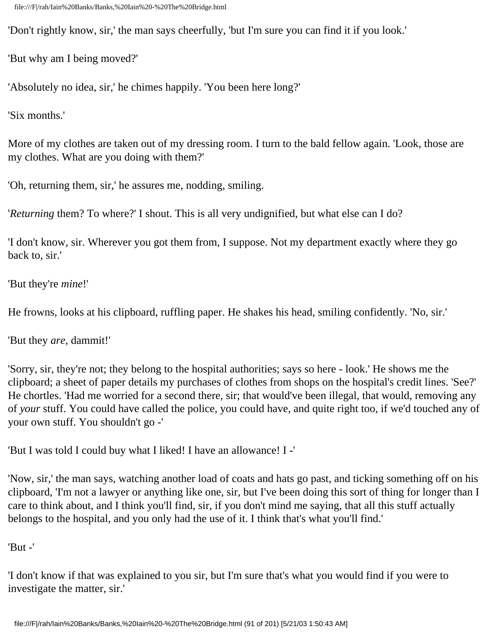'Don't rightly know, sir,' the man says cheerfully, 'but I'm sure you can find it if you look.'

'But why am I being moved?'

'Absolutely no idea, sir,' he chimes happily. 'You been here long?'

'Six months.'

More of my clothes are taken out of my dressing room. I turn to the bald fellow again. 'Look, those are my clothes. What are you doing with them?'

'Oh, returning them, sir,' he assures me, nodding, smiling.

'*Returning* them? To where?' I shout. This is all very undignified, but what else can I do?

'I don't know, sir. Wherever you got them from, I suppose. Not my department exactly where they go back to, sir.'

'But they're *mine*!'

He frowns, looks at his clipboard, ruffling paper. He shakes his head, smiling confidently. 'No, sir.'

'But they *are*, dammit!'

'Sorry, sir, they're not; they belong to the hospital authorities; says so here - look.' He shows me the clipboard; a sheet of paper details my purchases of clothes from shops on the hospital's credit lines. 'See?' He chortles. 'Had me worried for a second there, sir; that would've been illegal, that would, removing any of *your* stuff. You could have called the police, you could have, and quite right too, if we'd touched any of your own stuff. You shouldn't go -'

'But I was told I could buy what I liked! I have an allowance! I -'

'Now, sir,' the man says, watching another load of coats and hats go past, and ticking something off on his clipboard, 'I'm not a lawyer or anything like one, sir, but I've been doing this sort of thing for longer than I care to think about, and I think you'll find, sir, if you don't mind me saying, that all this stuff actually belongs to the hospital, and you only had the use of it. I think that's what you'll find.'

'But -'

'I don't know if that was explained to you sir, but I'm sure that's what you would find if you were to investigate the matter, sir.'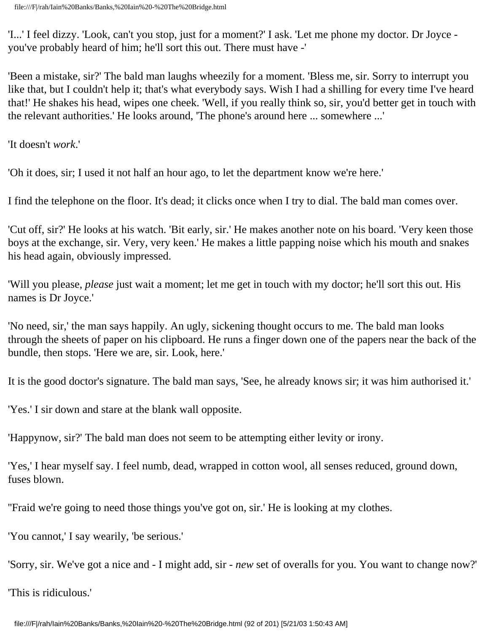'I...' I feel dizzy. 'Look, can't you stop, just for a moment?' I ask. 'Let me phone my doctor. Dr Joyce you've probably heard of him; he'll sort this out. There must have -'

'Been a mistake, sir?' The bald man laughs wheezily for a moment. 'Bless me, sir. Sorry to interrupt you like that, but I couldn't help it; that's what everybody says. Wish I had a shilling for every time I've heard that!' He shakes his head, wipes one cheek. 'Well, if you really think so, sir, you'd better get in touch with the relevant authorities.' He looks around, 'The phone's around here ... somewhere ...'

'It doesn't *work*.'

'Oh it does, sir; I used it not half an hour ago, to let the department know we're here.'

I find the telephone on the floor. It's dead; it clicks once when I try to dial. The bald man comes over.

'Cut off, sir?' He looks at his watch. 'Bit early, sir.' He makes another note on his board. 'Very keen those boys at the exchange, sir. Very, very keen.' He makes a little papping noise which his mouth and snakes his head again, obviously impressed.

'Will you please, *please* just wait a moment; let me get in touch with my doctor; he'll sort this out. His names is Dr Joyce.'

'No need, sir,' the man says happily. An ugly, sickening thought occurs to me. The bald man looks through the sheets of paper on his clipboard. He runs a finger down one of the papers near the back of the bundle, then stops. 'Here we are, sir. Look, here.'

It is the good doctor's signature. The bald man says, 'See, he already knows sir; it was him authorised it.'

'Yes.' I sir down and stare at the blank wall opposite.

'Happynow, sir?' The bald man does not seem to be attempting either levity or irony.

'Yes,' I hear myself say. I feel numb, dead, wrapped in cotton wool, all senses reduced, ground down, fuses blown.

''Fraid we're going to need those things you've got on, sir.' He is looking at my clothes.

'You cannot,' I say wearily, 'be serious.'

'Sorry, sir. We've got a nice and - I might add, sir - *new* set of overalls for you. You want to change now?'

'This is ridiculous.'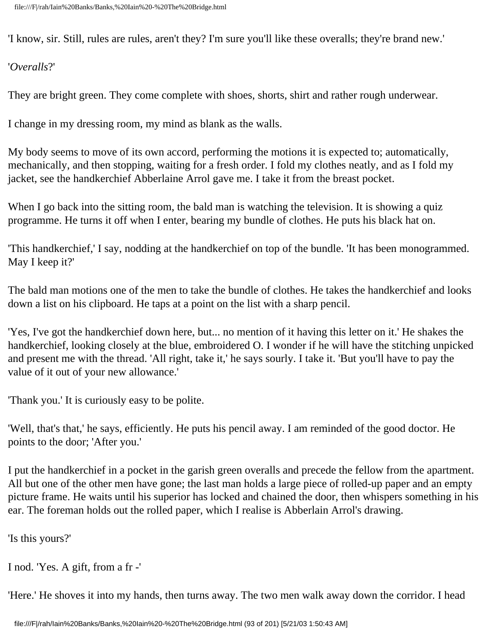'I know, sir. Still, rules are rules, aren't they? I'm sure you'll like these overalls; they're brand new.'

#### '*Overalls*?'

They are bright green. They come complete with shoes, shorts, shirt and rather rough underwear.

I change in my dressing room, my mind as blank as the walls.

My body seems to move of its own accord, performing the motions it is expected to; automatically, mechanically, and then stopping, waiting for a fresh order. I fold my clothes neatly, and as I fold my jacket, see the handkerchief Abberlaine Arrol gave me. I take it from the breast pocket.

When I go back into the sitting room, the bald man is watching the television. It is showing a quiz programme. He turns it off when I enter, bearing my bundle of clothes. He puts his black hat on.

'This handkerchief,' I say, nodding at the handkerchief on top of the bundle. 'It has been monogrammed. May I keep it?'

The bald man motions one of the men to take the bundle of clothes. He takes the handkerchief and looks down a list on his clipboard. He taps at a point on the list with a sharp pencil.

'Yes, I've got the handkerchief down here, but... no mention of it having this letter on it.' He shakes the handkerchief, looking closely at the blue, embroidered O. I wonder if he will have the stitching unpicked and present me with the thread. 'All right, take it,' he says sourly. I take it. 'But you'll have to pay the value of it out of your new allowance.'

'Thank you.' It is curiously easy to be polite.

'Well, that's that,' he says, efficiently. He puts his pencil away. I am reminded of the good doctor. He points to the door; 'After you.'

I put the handkerchief in a pocket in the garish green overalls and precede the fellow from the apartment. All but one of the other men have gone; the last man holds a large piece of rolled-up paper and an empty picture frame. He waits until his superior has locked and chained the door, then whispers something in his ear. The foreman holds out the rolled paper, which I realise is Abberlain Arrol's drawing.

'Is this yours?'

I nod. 'Yes. A gift, from a fr -'

'Here.' He shoves it into my hands, then turns away. The two men walk away down the corridor. I head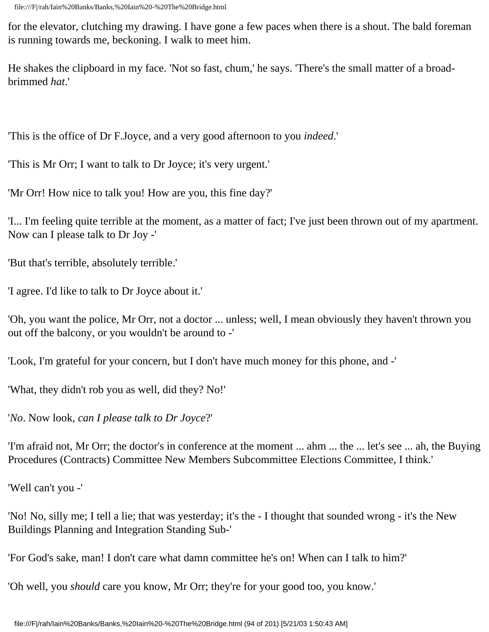for the elevator, clutching my drawing. I have gone a few paces when there is a shout. The bald foreman is running towards me, beckoning. I walk to meet him.

He shakes the clipboard in my face. 'Not so fast, chum,' he says. 'There's the small matter of a broadbrimmed *hat*.'

'This is the office of Dr F.Joyce, and a very good afternoon to you *indeed*.'

'This is Mr Orr; I want to talk to Dr Joyce; it's very urgent.'

'Mr Orr! How nice to talk you! How are you, this fine day?'

'I... I'm feeling quite terrible at the moment, as a matter of fact; I've just been thrown out of my apartment. Now can I please talk to Dr Joy -'

'But that's terrible, absolutely terrible.'

'I agree. I'd like to talk to Dr Joyce about it.'

'Oh, you want the police, Mr Orr, not a doctor ... unless; well, I mean obviously they haven't thrown you out off the balcony, or you wouldn't be around to -'

'Look, I'm grateful for your concern, but I don't have much money for this phone, and -'

'What, they didn't rob you as well, did they? No!'

'*No*. Now look, *can I please talk to Dr Joyce*?'

'I'm afraid not, Mr Orr; the doctor's in conference at the moment ... ahm ... the ... let's see ... ah, the Buying Procedures (Contracts) Committee New Members Subcommittee Elections Committee, I think.'

'Well can't you -'

'No! No, silly me; I tell a lie; that was yesterday; it's the - I thought that sounded wrong - it's the New Buildings Planning and Integration Standing Sub-'

'For God's sake, man! I don't care what damn committee he's on! When can I talk to him?'

'Oh well, you *should* care you know, Mr Orr; they're for your good too, you know.'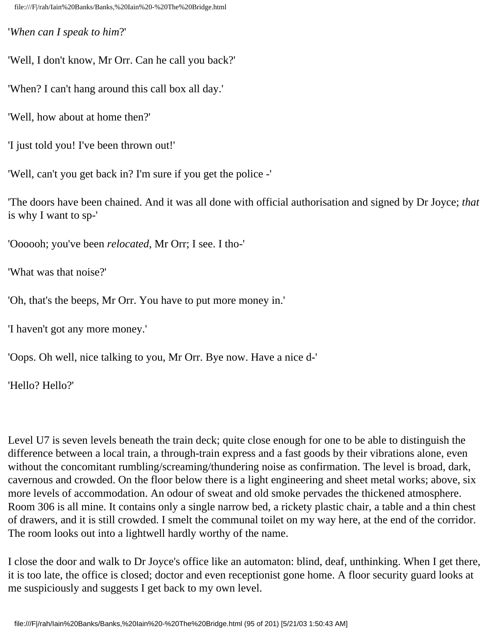file:///F|/rah/Iain%20Banks/Banks,%20Iain%20-%20The%20Bridge.html

'*When can I speak to him*?'

'Well, I don't know, Mr Orr. Can he call you back?'

'When? I can't hang around this call box all day.'

'Well, how about at home then?'

'I just told you! I've been thrown out!'

'Well, can't you get back in? I'm sure if you get the police -'

'The doors have been chained. And it was all done with official authorisation and signed by Dr Joyce; *that* is why I want to sp-'

'Oooooh; you've been *relocated*, Mr Orr; I see. I tho-'

'What was that noise?'

'Oh, that's the beeps, Mr Orr. You have to put more money in.'

'I haven't got any more money.'

'Oops. Oh well, nice talking to you, Mr Orr. Bye now. Have a nice d-'

'Hello? Hello?'

Level U7 is seven levels beneath the train deck; quite close enough for one to be able to distinguish the difference between a local train, a through-train express and a fast goods by their vibrations alone, even without the concomitant rumbling/screaming/thundering noise as confirmation. The level is broad, dark, cavernous and crowded. On the floor below there is a light engineering and sheet metal works; above, six more levels of accommodation. An odour of sweat and old smoke pervades the thickened atmosphere. Room 306 is all mine. It contains only a single narrow bed, a rickety plastic chair, a table and a thin chest of drawers, and it is still crowded. I smelt the communal toilet on my way here, at the end of the corridor. The room looks out into a lightwell hardly worthy of the name.

I close the door and walk to Dr Joyce's office like an automaton: blind, deaf, unthinking. When I get there, it is too late, the office is closed; doctor and even receptionist gone home. A floor security guard looks at me suspiciously and suggests I get back to my own level.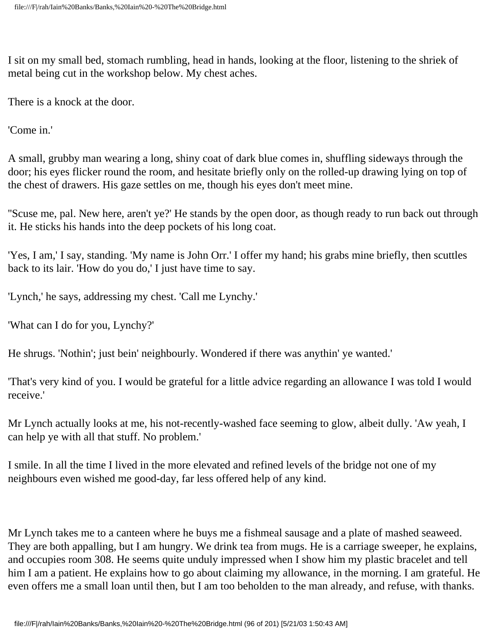I sit on my small bed, stomach rumbling, head in hands, looking at the floor, listening to the shriek of metal being cut in the workshop below. My chest aches.

There is a knock at the door.

'Come in.'

A small, grubby man wearing a long, shiny coat of dark blue comes in, shuffling sideways through the door; his eyes flicker round the room, and hesitate briefly only on the rolled-up drawing lying on top of the chest of drawers. His gaze settles on me, though his eyes don't meet mine.

''Scuse me, pal. New here, aren't ye?' He stands by the open door, as though ready to run back out through it. He sticks his hands into the deep pockets of his long coat.

'Yes, I am,' I say, standing. 'My name is John Orr.' I offer my hand; his grabs mine briefly, then scuttles back to its lair. 'How do you do,' I just have time to say.

'Lynch,' he says, addressing my chest. 'Call me Lynchy.'

'What can I do for you, Lynchy?'

He shrugs. 'Nothin'; just bein' neighbourly. Wondered if there was anythin' ye wanted.'

'That's very kind of you. I would be grateful for a little advice regarding an allowance I was told I would receive.'

Mr Lynch actually looks at me, his not-recently-washed face seeming to glow, albeit dully. 'Aw yeah, I can help ye with all that stuff. No problem.'

I smile. In all the time I lived in the more elevated and refined levels of the bridge not one of my neighbours even wished me good-day, far less offered help of any kind.

Mr Lynch takes me to a canteen where he buys me a fishmeal sausage and a plate of mashed seaweed. They are both appalling, but I am hungry. We drink tea from mugs. He is a carriage sweeper, he explains, and occupies room 308. He seems quite unduly impressed when I show him my plastic bracelet and tell him I am a patient. He explains how to go about claiming my allowance, in the morning. I am grateful. He even offers me a small loan until then, but I am too beholden to the man already, and refuse, with thanks.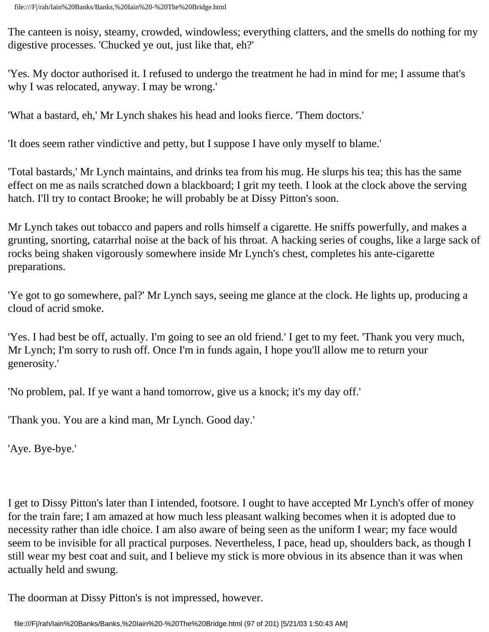The canteen is noisy, steamy, crowded, windowless; everything clatters, and the smells do nothing for my digestive processes. 'Chucked ye out, just like that, eh?'

'Yes. My doctor authorised it. I refused to undergo the treatment he had in mind for me; I assume that's why I was relocated, anyway. I may be wrong.'

'What a bastard, eh,' Mr Lynch shakes his head and looks fierce. 'Them doctors.'

'It does seem rather vindictive and petty, but I suppose I have only myself to blame.'

'Total bastards,' Mr Lynch maintains, and drinks tea from his mug. He slurps his tea; this has the same effect on me as nails scratched down a blackboard; I grit my teeth. I look at the clock above the serving hatch. I'll try to contact Brooke; he will probably be at Dissy Pitton's soon.

Mr Lynch takes out tobacco and papers and rolls himself a cigarette. He sniffs powerfully, and makes a grunting, snorting, catarrhal noise at the back of his throat. A hacking series of coughs, like a large sack of rocks being shaken vigorously somewhere inside Mr Lynch's chest, completes his ante-cigarette preparations.

'Ye got to go somewhere, pal?' Mr Lynch says, seeing me glance at the clock. He lights up, producing a cloud of acrid smoke.

'Yes. I had best be off, actually. I'm going to see an old friend.' I get to my feet. 'Thank you very much, Mr Lynch; I'm sorry to rush off. Once I'm in funds again, I hope you'll allow me to return your generosity.'

'No problem, pal. If ye want a hand tomorrow, give us a knock; it's my day off.'

'Thank you. You are a kind man, Mr Lynch. Good day.'

'Aye. Bye-bye.'

I get to Dissy Pitton's later than I intended, footsore. I ought to have accepted Mr Lynch's offer of money for the train fare; I am amazed at how much less pleasant walking becomes when it is adopted due to necessity rather than idle choice. I am also aware of being seen as the uniform I wear; my face would seem to be invisible for all practical purposes. Nevertheless, I pace, head up, shoulders back, as though I still wear my best coat and suit, and I believe my stick is more obvious in its absence than it was when actually held and swung.

The doorman at Dissy Pitton's is not impressed, however.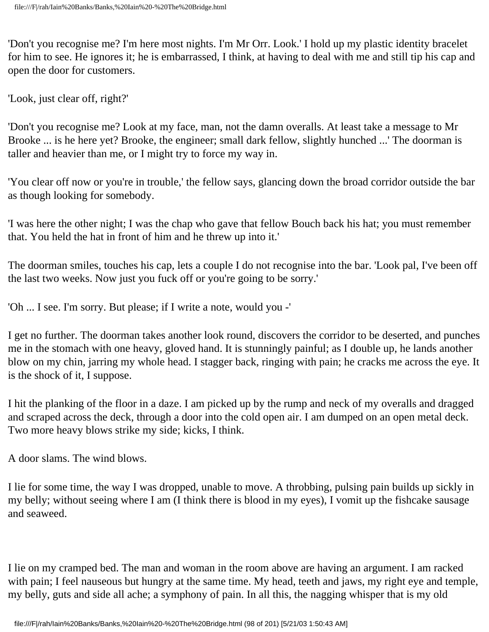'Don't you recognise me? I'm here most nights. I'm Mr Orr. Look.' I hold up my plastic identity bracelet for him to see. He ignores it; he is embarrassed, I think, at having to deal with me and still tip his cap and open the door for customers.

'Look, just clear off, right?'

'Don't you recognise me? Look at my face, man, not the damn overalls. At least take a message to Mr Brooke ... is he here yet? Brooke, the engineer; small dark fellow, slightly hunched ...' The doorman is taller and heavier than me, or I might try to force my way in.

'You clear off now or you're in trouble,' the fellow says, glancing down the broad corridor outside the bar as though looking for somebody.

'I was here the other night; I was the chap who gave that fellow Bouch back his hat; you must remember that. You held the hat in front of him and he threw up into it.'

The doorman smiles, touches his cap, lets a couple I do not recognise into the bar. 'Look pal, I've been off the last two weeks. Now just you fuck off or you're going to be sorry.'

'Oh ... I see. I'm sorry. But please; if I write a note, would you -'

I get no further. The doorman takes another look round, discovers the corridor to be deserted, and punches me in the stomach with one heavy, gloved hand. It is stunningly painful; as I double up, he lands another blow on my chin, jarring my whole head. I stagger back, ringing with pain; he cracks me across the eye. It is the shock of it, I suppose.

I hit the planking of the floor in a daze. I am picked up by the rump and neck of my overalls and dragged and scraped across the deck, through a door into the cold open air. I am dumped on an open metal deck. Two more heavy blows strike my side; kicks, I think.

A door slams. The wind blows.

I lie for some time, the way I was dropped, unable to move. A throbbing, pulsing pain builds up sickly in my belly; without seeing where I am (I think there is blood in my eyes), I vomit up the fishcake sausage and seaweed.

I lie on my cramped bed. The man and woman in the room above are having an argument. I am racked with pain; I feel nauseous but hungry at the same time. My head, teeth and jaws, my right eye and temple, my belly, guts and side all ache; a symphony of pain. In all this, the nagging whisper that is my old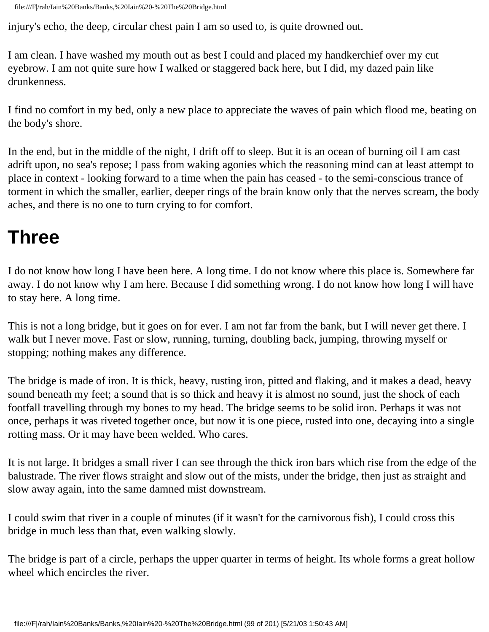injury's echo, the deep, circular chest pain I am so used to, is quite drowned out.

I am clean. I have washed my mouth out as best I could and placed my handkerchief over my cut eyebrow. I am not quite sure how I walked or staggered back here, but I did, my dazed pain like drunkenness.

I find no comfort in my bed, only a new place to appreciate the waves of pain which flood me, beating on the body's shore.

In the end, but in the middle of the night, I drift off to sleep. But it is an ocean of burning oil I am cast adrift upon, no sea's repose; I pass from waking agonies which the reasoning mind can at least attempt to place in context - looking forward to a time when the pain has ceased - to the semi-conscious trance of torment in which the smaller, earlier, deeper rings of the brain know only that the nerves scream, the body aches, and there is no one to turn crying to for comfort.

## **Three**

I do not know how long I have been here. A long time. I do not know where this place is. Somewhere far away. I do not know why I am here. Because I did something wrong. I do not know how long I will have to stay here. A long time.

This is not a long bridge, but it goes on for ever. I am not far from the bank, but I will never get there. I walk but I never move. Fast or slow, running, turning, doubling back, jumping, throwing myself or stopping; nothing makes any difference.

The bridge is made of iron. It is thick, heavy, rusting iron, pitted and flaking, and it makes a dead, heavy sound beneath my feet; a sound that is so thick and heavy it is almost no sound, just the shock of each footfall travelling through my bones to my head. The bridge seems to be solid iron. Perhaps it was not once, perhaps it was riveted together once, but now it is one piece, rusted into one, decaying into a single rotting mass. Or it may have been welded. Who cares.

It is not large. It bridges a small river I can see through the thick iron bars which rise from the edge of the balustrade. The river flows straight and slow out of the mists, under the bridge, then just as straight and slow away again, into the same damned mist downstream.

I could swim that river in a couple of minutes (if it wasn't for the carnivorous fish), I could cross this bridge in much less than that, even walking slowly.

The bridge is part of a circle, perhaps the upper quarter in terms of height. Its whole forms a great hollow wheel which encircles the river.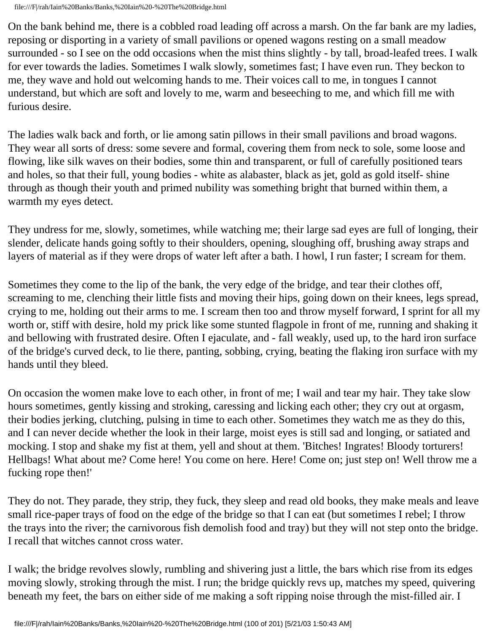On the bank behind me, there is a cobbled road leading off across a marsh. On the far bank are my ladies, reposing or disporting in a variety of small pavilions or opened wagons resting on a small meadow surrounded - so I see on the odd occasions when the mist thins slightly - by tall, broad-leafed trees. I walk for ever towards the ladies. Sometimes I walk slowly, sometimes fast; I have even run. They beckon to me, they wave and hold out welcoming hands to me. Their voices call to me, in tongues I cannot understand, but which are soft and lovely to me, warm and beseeching to me, and which fill me with furious desire.

The ladies walk back and forth, or lie among satin pillows in their small pavilions and broad wagons. They wear all sorts of dress: some severe and formal, covering them from neck to sole, some loose and flowing, like silk waves on their bodies, some thin and transparent, or full of carefully positioned tears and holes, so that their full, young bodies - white as alabaster, black as jet, gold as gold itself- shine through as though their youth and primed nubility was something bright that burned within them, a warmth my eyes detect.

They undress for me, slowly, sometimes, while watching me; their large sad eyes are full of longing, their slender, delicate hands going softly to their shoulders, opening, sloughing off, brushing away straps and layers of material as if they were drops of water left after a bath. I howl, I run faster; I scream for them.

Sometimes they come to the lip of the bank, the very edge of the bridge, and tear their clothes off, screaming to me, clenching their little fists and moving their hips, going down on their knees, legs spread, crying to me, holding out their arms to me. I scream then too and throw myself forward, I sprint for all my worth or, stiff with desire, hold my prick like some stunted flagpole in front of me, running and shaking it and bellowing with frustrated desire. Often I ejaculate, and - fall weakly, used up, to the hard iron surface of the bridge's curved deck, to lie there, panting, sobbing, crying, beating the flaking iron surface with my hands until they bleed.

On occasion the women make love to each other, in front of me; I wail and tear my hair. They take slow hours sometimes, gently kissing and stroking, caressing and licking each other; they cry out at orgasm, their bodies jerking, clutching, pulsing in time to each other. Sometimes they watch me as they do this, and I can never decide whether the look in their large, moist eyes is still sad and longing, or satiated and mocking. I stop and shake my fist at them, yell and shout at them. 'Bitches! Ingrates! Bloody torturers! Hellbags! What about me? Come here! You come on here. Here! Come on; just step on! Well throw me a fucking rope then!'

They do not. They parade, they strip, they fuck, they sleep and read old books, they make meals and leave small rice-paper trays of food on the edge of the bridge so that I can eat (but sometimes I rebel; I throw the trays into the river; the carnivorous fish demolish food and tray) but they will not step onto the bridge. I recall that witches cannot cross water.

I walk; the bridge revolves slowly, rumbling and shivering just a little, the bars which rise from its edges moving slowly, stroking through the mist. I run; the bridge quickly revs up, matches my speed, quivering beneath my feet, the bars on either side of me making a soft ripping noise through the mist-filled air. I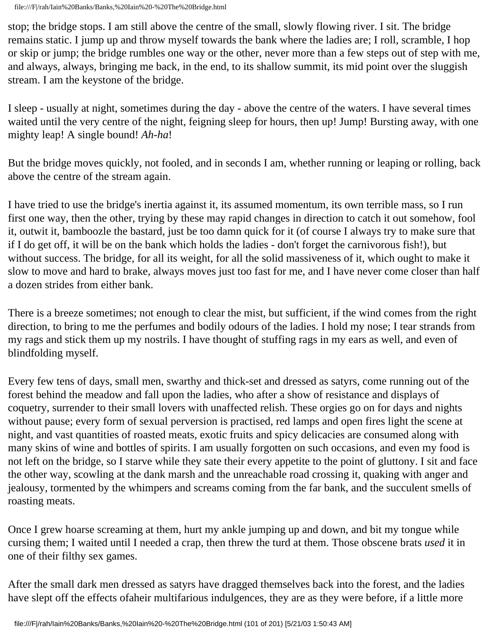stop; the bridge stops. I am still above the centre of the small, slowly flowing river. I sit. The bridge remains static. I jump up and throw myself towards the bank where the ladies are; I roll, scramble, I hop or skip or jump; the bridge rumbles one way or the other, never more than a few steps out of step with me, and always, always, bringing me back, in the end, to its shallow summit, its mid point over the sluggish stream. I am the keystone of the bridge.

I sleep - usually at night, sometimes during the day - above the centre of the waters. I have several times waited until the very centre of the night, feigning sleep for hours, then up! Jump! Bursting away, with one mighty leap! A single bound! *Ah-ha*!

But the bridge moves quickly, not fooled, and in seconds I am, whether running or leaping or rolling, back above the centre of the stream again.

I have tried to use the bridge's inertia against it, its assumed momentum, its own terrible mass, so I run first one way, then the other, trying by these may rapid changes in direction to catch it out somehow, fool it, outwit it, bamboozle the bastard, just be too damn quick for it (of course I always try to make sure that if I do get off, it will be on the bank which holds the ladies - don't forget the carnivorous fish!), but without success. The bridge, for all its weight, for all the solid massiveness of it, which ought to make it slow to move and hard to brake, always moves just too fast for me, and I have never come closer than half a dozen strides from either bank.

There is a breeze sometimes; not enough to clear the mist, but sufficient, if the wind comes from the right direction, to bring to me the perfumes and bodily odours of the ladies. I hold my nose; I tear strands from my rags and stick them up my nostrils. I have thought of stuffing rags in my ears as well, and even of blindfolding myself.

Every few tens of days, small men, swarthy and thick-set and dressed as satyrs, come running out of the forest behind the meadow and fall upon the ladies, who after a show of resistance and displays of coquetry, surrender to their small lovers with unaffected relish. These orgies go on for days and nights without pause; every form of sexual perversion is practised, red lamps and open fires light the scene at night, and vast quantities of roasted meats, exotic fruits and spicy delicacies are consumed along with many skins of wine and bottles of spirits. I am usually forgotten on such occasions, and even my food is not left on the bridge, so I starve while they sate their every appetite to the point of gluttony. I sit and face the other way, scowling at the dank marsh and the unreachable road crossing it, quaking with anger and jealousy, tormented by the whimpers and screams coming from the far bank, and the succulent smells of roasting meats.

Once I grew hoarse screaming at them, hurt my ankle jumping up and down, and bit my tongue while cursing them; I waited until I needed a crap, then threw the turd at them. Those obscene brats *used* it in one of their filthy sex games.

After the small dark men dressed as satyrs have dragged themselves back into the forest, and the ladies have slept off the effects ofaheir multifarious indulgences, they are as they were before, if a little more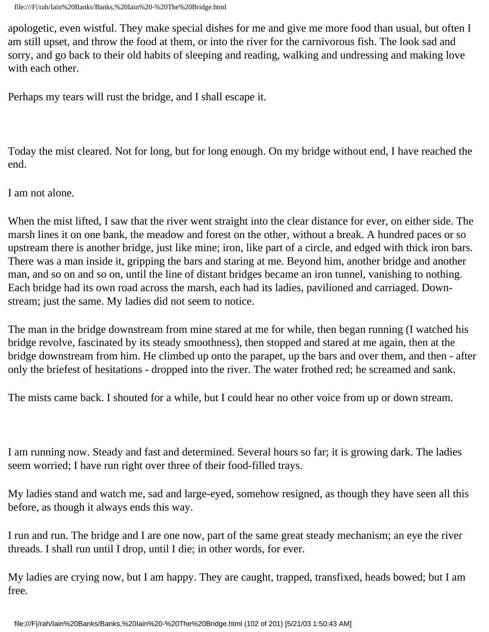apologetic, even wistful. They make special dishes for me and give me more food than usual, but often I am still upset, and throw the food at them, or into the river for the carnivorous fish. The look sad and sorry, and go back to their old habits of sleeping and reading, walking and undressing and making love with each other.

Perhaps my tears will rust the bridge, and I shall escape it.

Today the mist cleared. Not for long, but for long enough. On my bridge without end, I have reached the end.

I am not alone.

When the mist lifted, I saw that the river went straight into the clear distance for ever, on either side. The marsh lines it on one bank, the meadow and forest on the other, without a break. A hundred paces or so upstream there is another bridge, just like mine; iron, like part of a circle, and edged with thick iron bars. There was a man inside it, gripping the bars and staring at me. Beyond him, another bridge and another man, and so on and so on, until the line of distant bridges became an iron tunnel, vanishing to nothing. Each bridge had its own road across the marsh, each had its ladies, pavilioned and carriaged. Downstream; just the same. My ladies did not seem to notice.

The man in the bridge downstream from mine stared at me for while, then began running (I watched his bridge revolve, fascinated by its steady smoothness), then stopped and stared at me again, then at the bridge downstream from him. He climbed up onto the parapet, up the bars and over them, and then - after only the briefest of hesitations - dropped into the river. The water frothed red; he screamed and sank.

The mists came back. I shouted for a while, but I could hear no other voice from up or down stream.

I am running now. Steady and fast and determined. Several hours so far; it is growing dark. The ladies seem worried; I have run right over three of their food-filled trays.

My ladies stand and watch me, sad and large-eyed, somehow resigned, as though they have seen all this before, as though it always ends this way.

I run and run. The bridge and I are one now, part of the same great steady mechanism; an eye the river threads. I shall run until I drop, until I die; in other words, for ever.

My ladies are crying now, but I am happy. They are caught, trapped, transfixed, heads bowed; but I am free.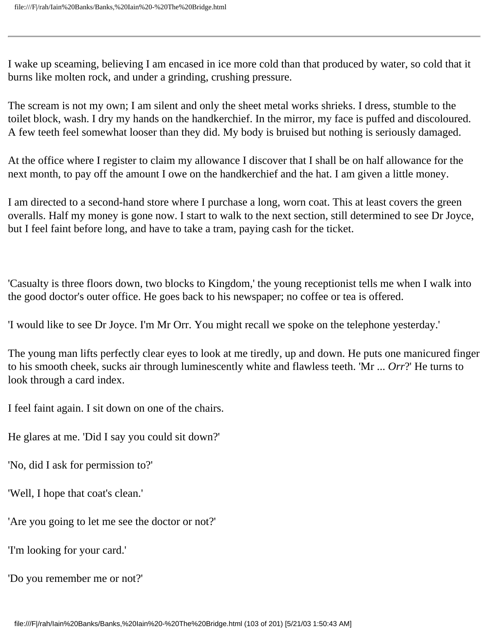I wake up sceaming, believing I am encased in ice more cold than that produced by water, so cold that it burns like molten rock, and under a grinding, crushing pressure.

The scream is not my own; I am silent and only the sheet metal works shrieks. I dress, stumble to the toilet block, wash. I dry my hands on the handkerchief. In the mirror, my face is puffed and discoloured. A few teeth feel somewhat looser than they did. My body is bruised but nothing is seriously damaged.

At the office where I register to claim my allowance I discover that I shall be on half allowance for the next month, to pay off the amount I owe on the handkerchief and the hat. I am given a little money.

I am directed to a second-hand store where I purchase a long, worn coat. This at least covers the green overalls. Half my money is gone now. I start to walk to the next section, still determined to see Dr Joyce, but I feel faint before long, and have to take a tram, paying cash for the ticket.

'Casualty is three floors down, two blocks to Kingdom,' the young receptionist tells me when I walk into the good doctor's outer office. He goes back to his newspaper; no coffee or tea is offered.

'I would like to see Dr Joyce. I'm Mr Orr. You might recall we spoke on the telephone yesterday.'

The young man lifts perfectly clear eyes to look at me tiredly, up and down. He puts one manicured finger to his smooth cheek, sucks air through luminescently white and flawless teeth. 'Mr ... *Orr*?' He turns to look through a card index.

I feel faint again. I sit down on one of the chairs.

He glares at me. 'Did I say you could sit down?'

'No, did I ask for permission to?'

'Well, I hope that coat's clean.'

'Are you going to let me see the doctor or not?'

'I'm looking for your card.'

```
'Do you remember me or not?'
```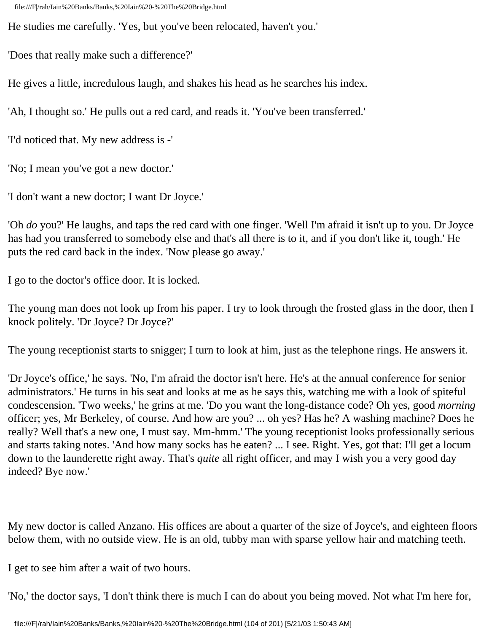He studies me carefully. 'Yes, but you've been relocated, haven't you.'

'Does that really make such a difference?'

He gives a little, incredulous laugh, and shakes his head as he searches his index.

'Ah, I thought so.' He pulls out a red card, and reads it. 'You've been transferred.'

'I'd noticed that. My new address is -'

'No; I mean you've got a new doctor.'

'I don't want a new doctor; I want Dr Joyce.'

'Oh *do* you?' He laughs, and taps the red card with one finger. 'Well I'm afraid it isn't up to you. Dr Joyce has had you transferred to somebody else and that's all there is to it, and if you don't like it, tough.' He puts the red card back in the index. 'Now please go away.'

I go to the doctor's office door. It is locked.

The young man does not look up from his paper. I try to look through the frosted glass in the door, then I knock politely. 'Dr Joyce? Dr Joyce?'

The young receptionist starts to snigger; I turn to look at him, just as the telephone rings. He answers it.

'Dr Joyce's office,' he says. 'No, I'm afraid the doctor isn't here. He's at the annual conference for senior administrators.' He turns in his seat and looks at me as he says this, watching me with a look of spiteful condescension. 'Two weeks,' he grins at me. 'Do you want the long-distance code? Oh yes, good *morning* officer; yes, Mr Berkeley, of course. And how are you? ... oh yes? Has he? A washing machine? Does he really? Well that's a new one, I must say. Mm-hmm.' The young receptionist looks professionally serious and starts taking notes. 'And how many socks has he eaten? ... I see. Right. Yes, got that: I'll get a locum down to the launderette right away. That's *quite* all right officer, and may I wish you a very good day indeed? Bye now.'

My new doctor is called Anzano. His offices are about a quarter of the size of Joyce's, and eighteen floors below them, with no outside view. He is an old, tubby man with sparse yellow hair and matching teeth.

I get to see him after a wait of two hours.

'No,' the doctor says, 'I don't think there is much I can do about you being moved. Not what I'm here for,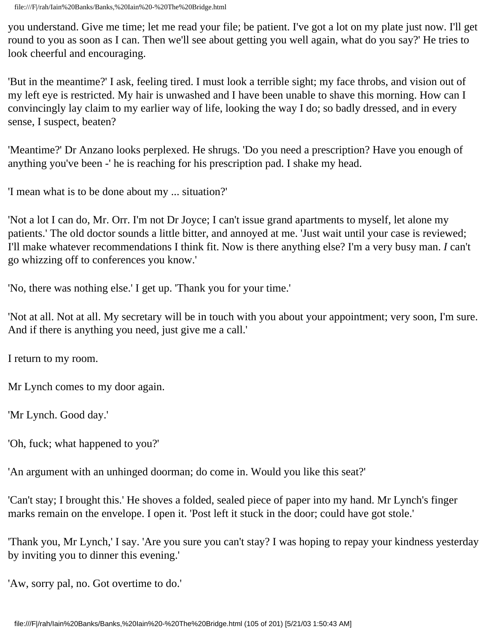you understand. Give me time; let me read your file; be patient. I've got a lot on my plate just now. I'll get round to you as soon as I can. Then we'll see about getting you well again, what do you say?' He tries to look cheerful and encouraging.

'But in the meantime?' I ask, feeling tired. I must look a terrible sight; my face throbs, and vision out of my left eye is restricted. My hair is unwashed and I have been unable to shave this morning. How can I convincingly lay claim to my earlier way of life, looking the way I do; so badly dressed, and in every sense, I suspect, beaten?

'Meantime?' Dr Anzano looks perplexed. He shrugs. 'Do you need a prescription? Have you enough of anything you've been -' he is reaching for his prescription pad. I shake my head.

'I mean what is to be done about my ... situation?'

'Not a lot I can do, Mr. Orr. I'm not Dr Joyce; I can't issue grand apartments to myself, let alone my patients.' The old doctor sounds a little bitter, and annoyed at me. 'Just wait until your case is reviewed; I'll make whatever recommendations I think fit. Now is there anything else? I'm a very busy man. *I* can't go whizzing off to conferences you know.'

'No, there was nothing else.' I get up. 'Thank you for your time.'

'Not at all. Not at all. My secretary will be in touch with you about your appointment; very soon, I'm sure. And if there is anything you need, just give me a call.'

I return to my room.

Mr Lynch comes to my door again.

'Mr Lynch. Good day.'

'Oh, fuck; what happened to you?'

'An argument with an unhinged doorman; do come in. Would you like this seat?'

'Can't stay; I brought this.' He shoves a folded, sealed piece of paper into my hand. Mr Lynch's finger marks remain on the envelope. I open it. 'Post left it stuck in the door; could have got stole.'

'Thank you, Mr Lynch,' I say. 'Are you sure you can't stay? I was hoping to repay your kindness yesterday by inviting you to dinner this evening.'

'Aw, sorry pal, no. Got overtime to do.'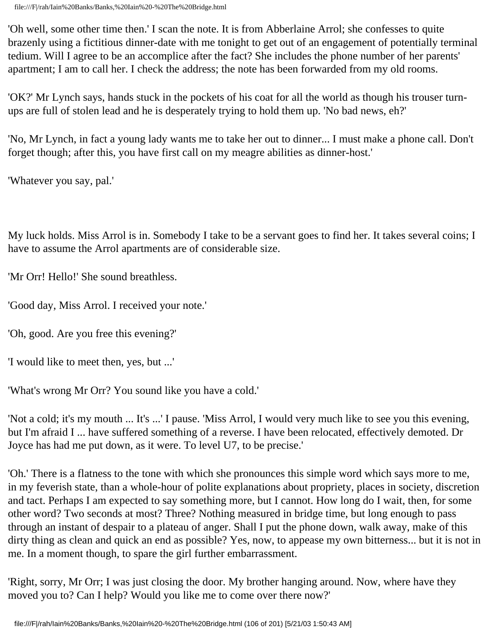'Oh well, some other time then.' I scan the note. It is from Abberlaine Arrol; she confesses to quite brazenly using a fictitious dinner-date with me tonight to get out of an engagement of potentially terminal tedium. Will I agree to be an accomplice after the fact? She includes the phone number of her parents' apartment; I am to call her. I check the address; the note has been forwarded from my old rooms.

'OK?' Mr Lynch says, hands stuck in the pockets of his coat for all the world as though his trouser turnups are full of stolen lead and he is desperately trying to hold them up. 'No bad news, eh?'

'No, Mr Lynch, in fact a young lady wants me to take her out to dinner... I must make a phone call. Don't forget though; after this, you have first call on my meagre abilities as dinner-host.'

'Whatever you say, pal.'

My luck holds. Miss Arrol is in. Somebody I take to be a servant goes to find her. It takes several coins; I have to assume the Arrol apartments are of considerable size.

'Mr Orr! Hello!' She sound breathless.

'Good day, Miss Arrol. I received your note.'

'Oh, good. Are you free this evening?'

'I would like to meet then, yes, but ...'

'What's wrong Mr Orr? You sound like you have a cold.'

'Not a cold; it's my mouth ... It's ...' I pause. 'Miss Arrol, I would very much like to see you this evening, but I'm afraid I ... have suffered something of a reverse. I have been relocated, effectively demoted. Dr Joyce has had me put down, as it were. To level U7, to be precise.'

'Oh.' There is a flatness to the tone with which she pronounces this simple word which says more to me, in my feverish state, than a whole-hour of polite explanations about propriety, places in society, discretion and tact. Perhaps I am expected to say something more, but I cannot. How long do I wait, then, for some other word? Two seconds at most? Three? Nothing measured in bridge time, but long enough to pass through an instant of despair to a plateau of anger. Shall I put the phone down, walk away, make of this dirty thing as clean and quick an end as possible? Yes, now, to appease my own bitterness... but it is not in me. In a moment though, to spare the girl further embarrassment.

'Right, sorry, Mr Orr; I was just closing the door. My brother hanging around. Now, where have they moved you to? Can I help? Would you like me to come over there now?'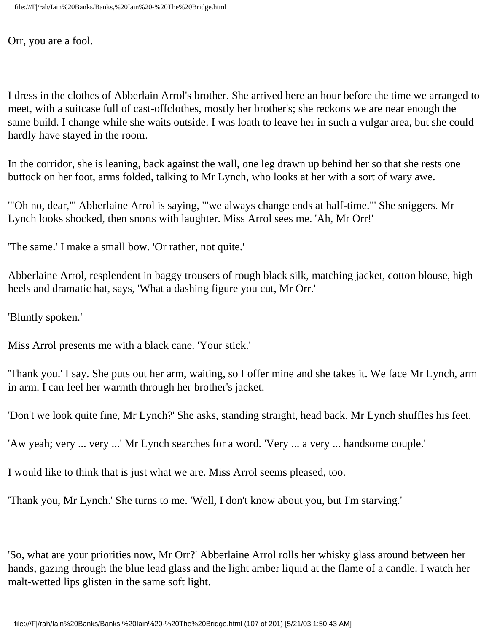Orr, you are a fool.

I dress in the clothes of Abberlain Arrol's brother. She arrived here an hour before the time we arranged to meet, with a suitcase full of cast-offclothes, mostly her brother's; she reckons we are near enough the same build. I change while she waits outside. I was loath to leave her in such a vulgar area, but she could hardly have stayed in the room.

In the corridor, she is leaning, back against the wall, one leg drawn up behind her so that she rests one buttock on her foot, arms folded, talking to Mr Lynch, who looks at her with a sort of wary awe.

'"Oh no, dear,"' Abberlaine Arrol is saying, '"we always change ends at half-time."' She sniggers. Mr Lynch looks shocked, then snorts with laughter. Miss Arrol sees me. 'Ah, Mr Orr!'

'The same.' I make a small bow. 'Or rather, not quite.'

Abberlaine Arrol, resplendent in baggy trousers of rough black silk, matching jacket, cotton blouse, high heels and dramatic hat, says, 'What a dashing figure you cut, Mr Orr.'

'Bluntly spoken.'

Miss Arrol presents me with a black cane. 'Your stick.'

'Thank you.' I say. She puts out her arm, waiting, so I offer mine and she takes it. We face Mr Lynch, arm in arm. I can feel her warmth through her brother's jacket.

'Don't we look quite fine, Mr Lynch?' She asks, standing straight, head back. Mr Lynch shuffles his feet.

'Aw yeah; very ... very ...' Mr Lynch searches for a word. 'Very ... a very ... handsome couple.'

I would like to think that is just what we are. Miss Arrol seems pleased, too.

'Thank you, Mr Lynch.' She turns to me. 'Well, I don't know about you, but I'm starving.'

'So, what are your priorities now, Mr Orr?' Abberlaine Arrol rolls her whisky glass around between her hands, gazing through the blue lead glass and the light amber liquid at the flame of a candle. I watch her malt-wetted lips glisten in the same soft light.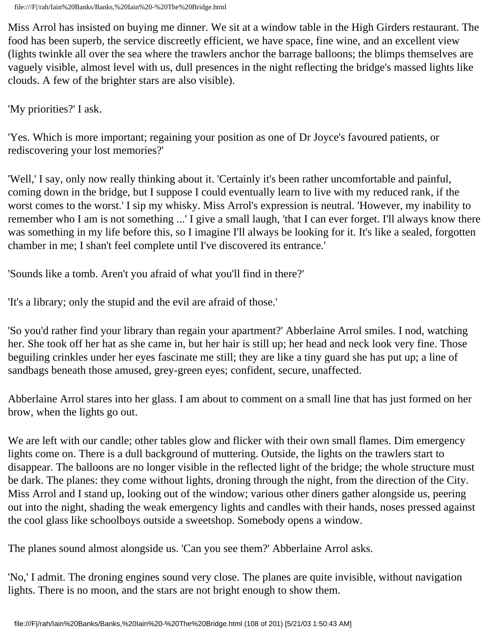Miss Arrol has insisted on buying me dinner. We sit at a window table in the High Girders restaurant. The food has been superb, the service discreetly efficient, we have space, fine wine, and an excellent view (lights twinkle all over the sea where the trawlers anchor the barrage balloons; the blimps themselves are vaguely visible, almost level with us, dull presences in the night reflecting the bridge's massed lights like clouds. A few of the brighter stars are also visible).

'My priorities?' I ask.

'Yes. Which is more important; regaining your position as one of Dr Joyce's favoured patients, or rediscovering your lost memories?'

'Well,' I say, only now really thinking about it. 'Certainly it's been rather uncomfortable and painful, coming down in the bridge, but I suppose I could eventually learn to live with my reduced rank, if the worst comes to the worst.' I sip my whisky. Miss Arrol's expression is neutral. 'However, my inability to remember who I am is not something ...' I give a small laugh, 'that I can ever forget. I'll always know there was something in my life before this, so I imagine I'll always be looking for it. It's like a sealed, forgotten chamber in me; I shan't feel complete until I've discovered its entrance.'

'Sounds like a tomb. Aren't you afraid of what you'll find in there?'

'It's a library; only the stupid and the evil are afraid of those.'

'So you'd rather find your library than regain your apartment?' Abberlaine Arrol smiles. I nod, watching her. She took off her hat as she came in, but her hair is still up; her head and neck look very fine. Those beguiling crinkles under her eyes fascinate me still; they are like a tiny guard she has put up; a line of sandbags beneath those amused, grey-green eyes; confident, secure, unaffected.

Abberlaine Arrol stares into her glass. I am about to comment on a small line that has just formed on her brow, when the lights go out.

We are left with our candle; other tables glow and flicker with their own small flames. Dim emergency lights come on. There is a dull background of muttering. Outside, the lights on the trawlers start to disappear. The balloons are no longer visible in the reflected light of the bridge; the whole structure must be dark. The planes: they come without lights, droning through the night, from the direction of the City. Miss Arrol and I stand up, looking out of the window; various other diners gather alongside us, peering out into the night, shading the weak emergency lights and candles with their hands, noses pressed against the cool glass like schoolboys outside a sweetshop. Somebody opens a window.

The planes sound almost alongside us. 'Can you see them?' Abberlaine Arrol asks.

'No,' I admit. The droning engines sound very close. The planes are quite invisible, without navigation lights. There is no moon, and the stars are not bright enough to show them.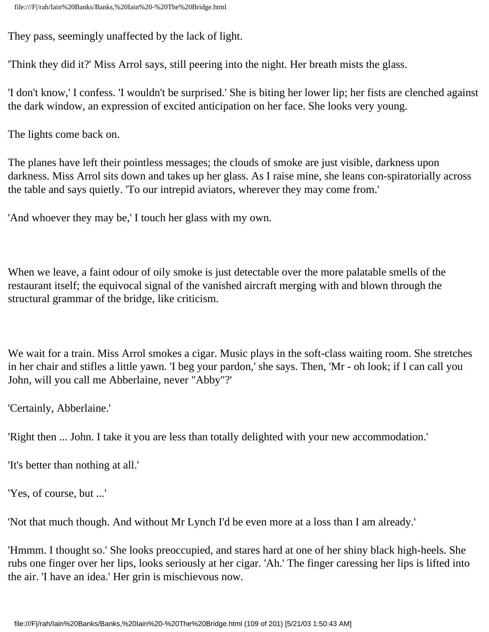They pass, seemingly unaffected by the lack of light.

'Think they did it?' Miss Arrol says, still peering into the night. Her breath mists the glass.

'I don't know,' I confess. 'I wouldn't be surprised.' She is biting her lower lip; her fists are clenched against the dark window, an expression of excited anticipation on her face. She looks very young.

The lights come back on.

The planes have left their pointless messages; the clouds of smoke are just visible, darkness upon darkness. Miss Arrol sits down and takes up her glass. As I raise mine, she leans con-spiratorially across the table and says quietly. 'To our intrepid aviators, wherever they may come from.'

'And whoever they may be,' I touch her glass with my own.

When we leave, a faint odour of oily smoke is just detectable over the more palatable smells of the restaurant itself; the equivocal signal of the vanished aircraft merging with and blown through the structural grammar of the bridge, like criticism.

We wait for a train. Miss Arrol smokes a cigar. Music plays in the soft-class waiting room. She stretches in her chair and stifles a little yawn. 'I beg your pardon,' she says. Then, 'Mr - oh look; if I can call you John, will you call me Abberlaine, never "Abby"?'

'Certainly, Abberlaine.'

'Right then ... John. I take it you are less than totally delighted with your new accommodation.'

'It's better than nothing at all.'

'Yes, of course, but ...'

'Not that much though. And without Mr Lynch I'd be even more at a loss than I am already.'

'Hmmm. I thought so.' She looks preoccupied, and stares hard at one of her shiny black high-heels. She rubs one finger over her lips, looks seriously at her cigar. 'Ah.' The finger caressing her lips is lifted into the air. 'I have an idea.' Her grin is mischievous now.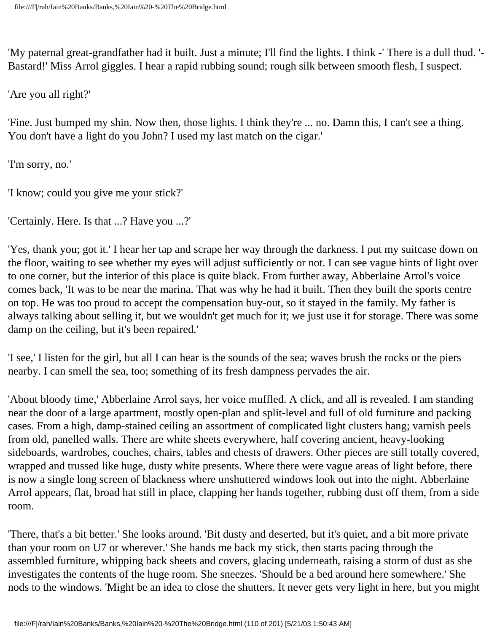'My paternal great-grandfather had it built. Just a minute; I'll find the lights. I think -' There is a dull thud. '- Bastard!' Miss Arrol giggles. I hear a rapid rubbing sound; rough silk between smooth flesh, I suspect.

'Are you all right?'

'Fine. Just bumped my shin. Now then, those lights. I think they're ... no. Damn this, I can't see a thing. You don't have a light do you John? I used my last match on the cigar.'

'I'm sorry, no.'

'I know; could you give me your stick?'

'Certainly. Here. Is that ...? Have you ...?'

'Yes, thank you; got it.' I hear her tap and scrape her way through the darkness. I put my suitcase down on the floor, waiting to see whether my eyes will adjust sufficiently or not. I can see vague hints of light over to one corner, but the interior of this place is quite black. From further away, Abberlaine Arrol's voice comes back, 'It was to be near the marina. That was why he had it built. Then they built the sports centre on top. He was too proud to accept the compensation buy-out, so it stayed in the family. My father is always talking about selling it, but we wouldn't get much for it; we just use it for storage. There was some damp on the ceiling, but it's been repaired.'

'I see,' I listen for the girl, but all I can hear is the sounds of the sea; waves brush the rocks or the piers nearby. I can smell the sea, too; something of its fresh dampness pervades the air.

'About bloody time,' Abberlaine Arrol says, her voice muffled. A click, and all is revealed. I am standing near the door of a large apartment, mostly open-plan and split-level and full of old furniture and packing cases. From a high, damp-stained ceiling an assortment of complicated light clusters hang; varnish peels from old, panelled walls. There are white sheets everywhere, half covering ancient, heavy-looking sideboards, wardrobes, couches, chairs, tables and chests of drawers. Other pieces are still totally covered, wrapped and trussed like huge, dusty white presents. Where there were vague areas of light before, there is now a single long screen of blackness where unshuttered windows look out into the night. Abberlaine Arrol appears, flat, broad hat still in place, clapping her hands together, rubbing dust off them, from a side room.

'There, that's a bit better.' She looks around. 'Bit dusty and deserted, but it's quiet, and a bit more private than your room on U7 or wherever.' She hands me back my stick, then starts pacing through the assembled furniture, whipping back sheets and covers, glacing underneath, raising a storm of dust as she investigates the contents of the huge room. She sneezes. 'Should be a bed around here somewhere.' She nods to the windows. 'Might be an idea to close the shutters. It never gets very light in here, but you might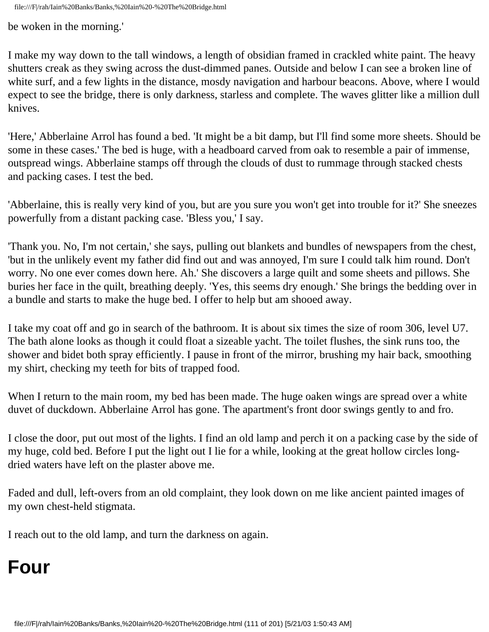be woken in the morning.'

I make my way down to the tall windows, a length of obsidian framed in crackled white paint. The heavy shutters creak as they swing across the dust-dimmed panes. Outside and below I can see a broken line of white surf, and a few lights in the distance, mosdy navigation and harbour beacons. Above, where I would expect to see the bridge, there is only darkness, starless and complete. The waves glitter like a million dull knives.

'Here,' Abberlaine Arrol has found a bed. 'It might be a bit damp, but I'll find some more sheets. Should be some in these cases.' The bed is huge, with a headboard carved from oak to resemble a pair of immense, outspread wings. Abberlaine stamps off through the clouds of dust to rummage through stacked chests and packing cases. I test the bed.

'Abberlaine, this is really very kind of you, but are you sure you won't get into trouble for it?' She sneezes powerfully from a distant packing case. 'Bless you,' I say.

'Thank you. No, I'm not certain,' she says, pulling out blankets and bundles of newspapers from the chest, 'but in the unlikely event my father did find out and was annoyed, I'm sure I could talk him round. Don't worry. No one ever comes down here. Ah.' She discovers a large quilt and some sheets and pillows. She buries her face in the quilt, breathing deeply. 'Yes, this seems dry enough.' She brings the bedding over in a bundle and starts to make the huge bed. I offer to help but am shooed away.

I take my coat off and go in search of the bathroom. It is about six times the size of room 306, level U7. The bath alone looks as though it could float a sizeable yacht. The toilet flushes, the sink runs too, the shower and bidet both spray efficiently. I pause in front of the mirror, brushing my hair back, smoothing my shirt, checking my teeth for bits of trapped food.

When I return to the main room, my bed has been made. The huge oaken wings are spread over a white duvet of duckdown. Abberlaine Arrol has gone. The apartment's front door swings gently to and fro.

I close the door, put out most of the lights. I find an old lamp and perch it on a packing case by the side of my huge, cold bed. Before I put the light out I lie for a while, looking at the great hollow circles longdried waters have left on the plaster above me.

Faded and dull, left-overs from an old complaint, they look down on me like ancient painted images of my own chest-held stigmata.

I reach out to the old lamp, and turn the darkness on again.

## **Four**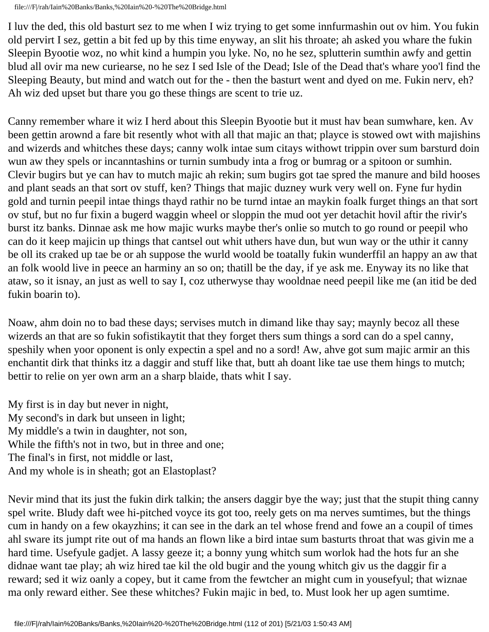I luv the ded, this old basturt sez to me when I wiz trying to get some innfurmashin out ov him. You fukin old pervirt I sez, gettin a bit fed up by this time enyway, an slit his throate; ah asked you whare the fukin Sleepin Byootie woz, no whit kind a humpin you lyke. No, no he sez, splutterin sumthin awfy and gettin blud all ovir ma new curiearse, no he sez I sed Isle of the Dead; Isle of the Dead that's whare yoo'l find the Sleeping Beauty, but mind and watch out for the - then the basturt went and dyed on me. Fukin nerv, eh? Ah wiz ded upset but thare you go these things are scent to trie uz.

Canny remember whare it wiz I herd about this Sleepin Byootie but it must hav bean sumwhare, ken. Av been gettin arownd a fare bit resently whot with all that majic an that; playce is stowed owt with majishins and wizerds and whitches these days; canny wolk intae sum citays withowt trippin over sum barsturd doin wun aw they spels or incanntashins or turnin sumbudy inta a frog or bumrag or a spitoon or sumhin. Clevir bugirs but ye can hav to mutch majic ah rekin; sum bugirs got tae spred the manure and bild hooses and plant seads an that sort ov stuff, ken? Things that majic duzney wurk very well on. Fyne fur hydin gold and turnin peepil intae things thayd rathir no be turnd intae an maykin foalk furget things an that sort ov stuf, but no fur fixin a bugerd waggin wheel or sloppin the mud oot yer detachit hovil aftir the rivir's burst itz banks. Dinnae ask me how majic wurks maybe ther's onlie so mutch to go round or peepil who can do it keep majicin up things that cantsel out whit uthers have dun, but wun way or the uthir it canny be oll its craked up tae be or ah suppose the wurld woold be toatally fukin wunderffil an happy an aw that an folk woold live in peece an harminy an so on; thatill be the day, if ye ask me. Enyway its no like that ataw, so it isnay, an just as well to say I, coz utherwyse thay wooldnae need peepil like me (an itid be ded fukin boarin to).

Noaw, ahm doin no to bad these days; servises mutch in dimand like thay say; maynly becoz all these wizerds an that are so fukin sofistikaytit that they forget thers sum things a sord can do a spel canny, speshily when yoor oponent is only expectin a spel and no a sord! Aw, ahve got sum majic armir an this enchantit dirk that thinks itz a daggir and stuff like that, butt ah doant like tae use them hings to mutch; bettir to relie on yer own arm an a sharp blaide, thats whit I say.

My first is in day but never in night, My second's in dark but unseen in light; My middle's a twin in daughter, not son, While the fifth's not in two, but in three and one; The final's in first, not middle or last, And my whole is in sheath; got an Elastoplast?

Nevir mind that its just the fukin dirk talkin; the ansers daggir bye the way; just that the stupit thing canny spel write. Bludy daft wee hi-pitched voyce its got too, reely gets on ma nerves sumtimes, but the things cum in handy on a few okayzhins; it can see in the dark an tel whose frend and fowe an a coupil of times ahl sware its jumpt rite out of ma hands an flown like a bird intae sum basturts throat that was givin me a hard time. Usefyule gadjet. A lassy geeze it; a bonny yung whitch sum worlok had the hots fur an she didnae want tae play; ah wiz hired tae kil the old bugir and the young whitch giv us the daggir fir a reward; sed it wiz oanly a copey, but it came from the fewtcher an might cum in yousefyul; that wiznae ma only reward either. See these whitches? Fukin majic in bed, to. Must look her up agen sumtime.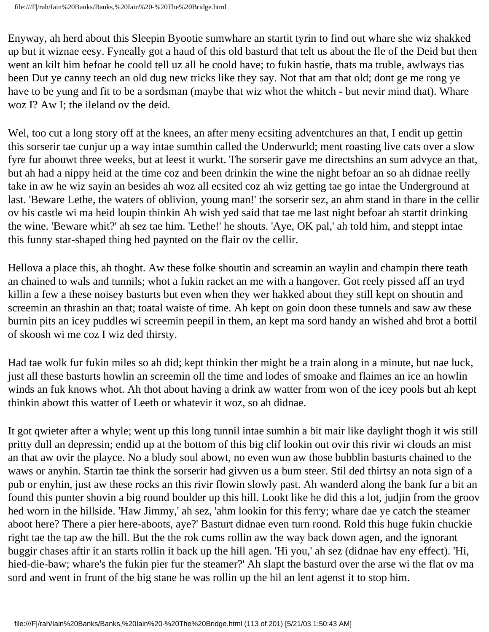Enyway, ah herd about this Sleepin Byootie sumwhare an startit tyrin to find out whare she wiz shakked up but it wiznae eesy. Fyneally got a haud of this old basturd that telt us about the Ile of the Deid but then went an kilt him befoar he coold tell uz all he coold have; to fukin hastie, thats ma truble, awlways tias been Dut ye canny teech an old dug new tricks like they say. Not that am that old; dont ge me rong ye have to be yung and fit to be a sordsman (maybe that wiz whot the whitch - but nevir mind that). Whare woz I? Aw I; the ileland ov the deid.

Wel, too cut a long story off at the knees, an after meny ecsiting advent chures an that, I endit up gettin this sorserir tae cunjur up a way intae sumthin called the Underwurld; ment roasting live cats over a slow fyre fur abouwt three weeks, but at leest it wurkt. The sorserir gave me directshins an sum advyce an that, but ah had a nippy heid at the time coz and been drinkin the wine the night befoar an so ah didnae reelly take in aw he wiz sayin an besides ah woz all ecsited coz ah wiz getting tae go intae the Underground at last. 'Beware Lethe, the waters of oblivion, young man!' the sorserir sez, an ahm stand in thare in the cellir ov his castle wi ma heid loupin thinkin Ah wish yed said that tae me last night befoar ah startit drinking the wine. 'Beware whit?' ah sez tae him. 'Lethe!' he shouts. 'Aye, OK pal,' ah told him, and steppt intae this funny star-shaped thing hed paynted on the flair ov the cellir.

Hellova a place this, ah thoght. Aw these folke shoutin and screamin an waylin and champin there teath an chained to wals and tunnils; whot a fukin racket an me with a hangover. Got reely pissed aff an tryd killin a few a these noisey basturts but even when they wer hakked about they still kept on shoutin and screemin an thrashin an that; toatal waiste of time. Ah kept on goin doon these tunnels and saw aw these burnin pits an icey puddles wi screemin peepil in them, an kept ma sord handy an wished ahd brot a bottil of skoosh wi me coz I wiz ded thirsty.

Had tae wolk fur fukin miles so ah did; kept thinkin ther might be a train along in a minute, but nae luck, just all these basturts howlin an screemin oll the time and lodes of smoake and flaimes an ice an howlin winds an fuk knows whot. Ah thot about having a drink aw watter from won of the icey pools but ah kept thinkin abowt this watter of Leeth or whatevir it woz, so ah didnae.

It got qwieter after a whyle; went up this long tunnil intae sumhin a bit mair like daylight thogh it wis still pritty dull an depressin; endid up at the bottom of this big clif lookin out ovir this rivir wi clouds an mist an that aw ovir the playce. No a bludy soul abowt, no even wun aw those bubblin basturts chained to the waws or anyhin. Startin tae think the sorserir had givven us a bum steer. Stil ded thirtsy an nota sign of a pub or enyhin, just aw these rocks an this rivir flowin slowly past. Ah wanderd along the bank fur a bit an found this punter shovin a big round boulder up this hill. Lookt like he did this a lot, judjin from the groov hed worn in the hillside. 'Haw Jimmy,' ah sez, 'ahm lookin for this ferry; whare dae ye catch the steamer aboot here? There a pier here-aboots, aye?' Basturt didnae even turn roond. Rold this huge fukin chuckie right tae the tap aw the hill. But the the rok cums rollin aw the way back down agen, and the ignorant buggir chases aftir it an starts rollin it back up the hill agen. 'Hi you,' ah sez (didnae hav eny effect). 'Hi, hied-die-baw; whare's the fukin pier fur the steamer?' Ah slapt the basturd over the arse wi the flat ov ma sord and went in frunt of the big stane he was rollin up the hil an lent agenst it to stop him.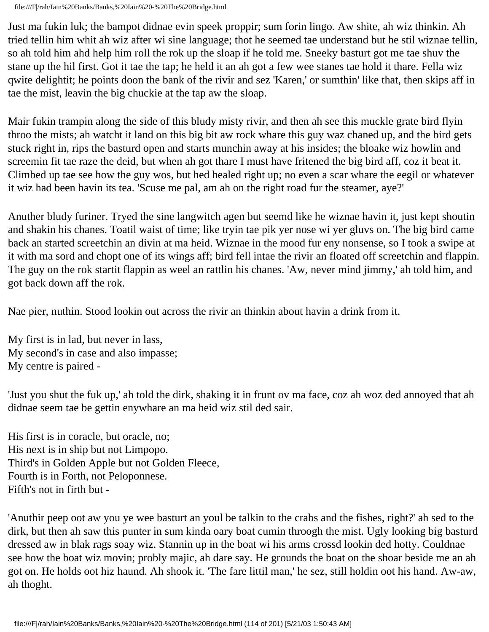Just ma fukin luk; the bampot didnae evin speek proppir; sum forin lingo. Aw shite, ah wiz thinkin. Ah tried tellin him whit ah wiz after wi sine language; thot he seemed tae understand but he stil wiznae tellin, so ah told him ahd help him roll the rok up the sloap if he told me. Sneeky basturt got me tae shuv the stane up the hil first. Got it tae the tap; he held it an ah got a few wee stanes tae hold it thare. Fella wiz qwite delightit; he points doon the bank of the rivir and sez 'Karen,' or sumthin' like that, then skips aff in tae the mist, leavin the big chuckie at the tap aw the sloap.

Mair fukin trampin along the side of this bludy misty rivir, and then ah see this muckle grate bird flyin throo the mists; ah watcht it land on this big bit aw rock whare this guy waz chaned up, and the bird gets stuck right in, rips the basturd open and starts munchin away at his insides; the bloake wiz howlin and screemin fit tae raze the deid, but when ah got thare I must have fritened the big bird aff, coz it beat it. Climbed up tae see how the guy wos, but hed healed right up; no even a scar whare the eegil or whatever it wiz had been havin its tea. 'Scuse me pal, am ah on the right road fur the steamer, aye?'

Anuther bludy furiner. Tryed the sine langwitch agen but seemd like he wiznae havin it, just kept shoutin and shakin his chanes. Toatil waist of time; like tryin tae pik yer nose wi yer gluvs on. The big bird came back an started screetchin an divin at ma heid. Wiznae in the mood fur eny nonsense, so I took a swipe at it with ma sord and chopt one of its wings aff; bird fell intae the rivir an floated off screetchin and flappin. The guy on the rok startit flappin as weel an rattlin his chanes. 'Aw, never mind jimmy,' ah told him, and got back down aff the rok.

Nae pier, nuthin. Stood lookin out across the rivir an thinkin about havin a drink from it.

My first is in lad, but never in lass, My second's in case and also impasse; My centre is paired -

'Just you shut the fuk up,' ah told the dirk, shaking it in frunt ov ma face, coz ah woz ded annoyed that ah didnae seem tae be gettin enywhare an ma heid wiz stil ded sair.

His first is in coracle, but oracle, no; His next is in ship but not Limpopo. Third's in Golden Apple but not Golden Fleece, Fourth is in Forth, not Peloponnese. Fifth's not in firth but -

'Anuthir peep oot aw you ye wee basturt an youl be talkin to the crabs and the fishes, right?' ah sed to the dirk, but then ah saw this punter in sum kinda oary boat cumin throogh the mist. Ugly looking big basturd dressed aw in blak rags soay wiz. Stannin up in the boat wi his arms crossd lookin ded hotty. Couldnae see how the boat wiz movin; probly majic, ah dare say. He grounds the boat on the shoar beside me an ah got on. He holds oot hiz haund. Ah shook it. 'The fare littil man,' he sez, still holdin oot his hand. Aw-aw, ah thoght.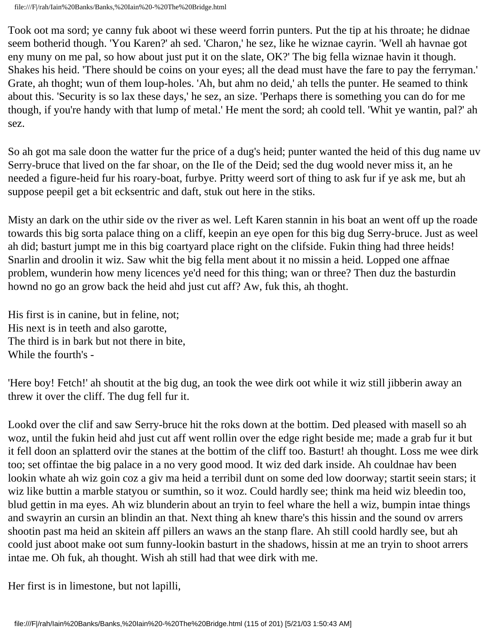Took oot ma sord; ye canny fuk aboot wi these weerd forrin punters. Put the tip at his throate; he didnae seem botherid though. 'You Karen?' ah sed. 'Charon,' he sez, like he wiznae cayrin. 'Well ah havnae got eny muny on me pal, so how about just put it on the slate, OK?' The big fella wiznae havin it though. Shakes his heid. 'There should be coins on your eyes; all the dead must have the fare to pay the ferryman.' Grate, ah thoght; wun of them loup-holes. 'Ah, but ahm no deid,' ah tells the punter. He seamed to think about this. 'Security is so lax these days,' he sez, an size. 'Perhaps there is something you can do for me though, if you're handy with that lump of metal.' He ment the sord; ah coold tell. 'Whit ye wantin, pal?' ah sez.

So ah got ma sale doon the watter fur the price of a dug's heid; punter wanted the heid of this dug name uv Serry-bruce that lived on the far shoar, on the Ile of the Deid; sed the dug woold never miss it, an he needed a figure-heid fur his roary-boat, furbye. Pritty weerd sort of thing to ask fur if ye ask me, but ah suppose peepil get a bit ecksentric and daft, stuk out here in the stiks.

Misty an dark on the uthir side ov the river as wel. Left Karen stannin in his boat an went off up the roade towards this big sorta palace thing on a cliff, keepin an eye open for this big dug Serry-bruce. Just as weel ah did; basturt jumpt me in this big coartyard place right on the clifside. Fukin thing had three heids! Snarlin and droolin it wiz. Saw whit the big fella ment about it no missin a heid. Lopped one affnae problem, wunderin how meny licences ye'd need for this thing; wan or three? Then duz the basturdin hownd no go an grow back the heid ahd just cut aff? Aw, fuk this, ah thoght.

His first is in canine, but in feline, not; His next is in teeth and also garotte, The third is in bark but not there in bite, While the fourth's -

'Here boy! Fetch!' ah shoutit at the big dug, an took the wee dirk oot while it wiz still jibberin away an threw it over the cliff. The dug fell fur it.

Lookd over the clif and saw Serry-bruce hit the roks down at the bottim. Ded pleased with masell so ah woz, until the fukin heid ahd just cut aff went rollin over the edge right beside me; made a grab fur it but it fell doon an splatterd ovir the stanes at the bottim of the cliff too. Basturt! ah thought. Loss me wee dirk too; set offintae the big palace in a no very good mood. It wiz ded dark inside. Ah couldnae hav been lookin whate ah wiz goin coz a giv ma heid a terribil dunt on some ded low doorway; startit seein stars; it wiz like buttin a marble statyou or sumthin, so it woz. Could hardly see; think ma heid wiz bleedin too, blud gettin in ma eyes. Ah wiz blunderin about an tryin to feel whare the hell a wiz, bumpin intae things and swayrin an cursin an blindin an that. Next thing ah knew thare's this hissin and the sound ov arrers shootin past ma heid an skitein aff pillers an waws an the stanp flare. Ah still coold hardly see, but ah coold just aboot make oot sum funny-lookin basturt in the shadows, hissin at me an tryin to shoot arrers intae me. Oh fuk, ah thought. Wish ah still had that wee dirk with me.

Her first is in limestone, but not lapilli,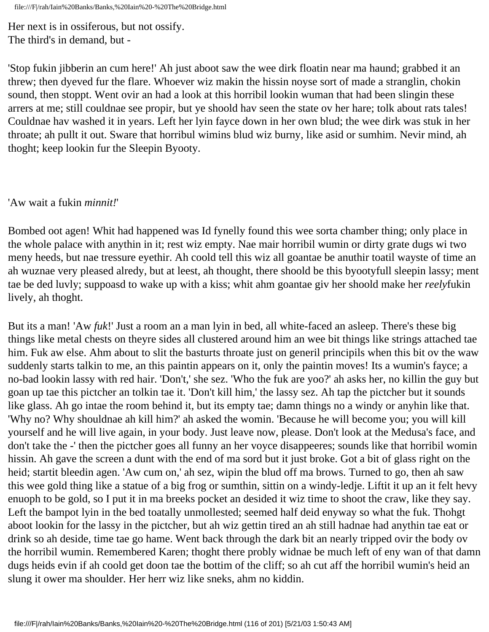Her next is in ossiferous, but not ossify. The third's in demand, but -

'Stop fukin jibberin an cum here!' Ah just aboot saw the wee dirk floatin near ma haund; grabbed it an threw; then dyeved fur the flare. Whoever wiz makin the hissin noyse sort of made a stranglin, chokin sound, then stoppt. Went ovir an had a look at this horribil lookin wuman that had been slingin these arrers at me; still couldnae see propir, but ye shoold hav seen the state ov her hare; tolk about rats tales! Couldnae hav washed it in years. Left her lyin fayce down in her own blud; the wee dirk was stuk in her throate; ah pullt it out. Sware that horribul wimins blud wiz burny, like asid or sumhim. Nevir mind, ah thoght; keep lookin fur the Sleepin Byooty.

'Aw wait a fukin *minnit!*'

Bombed oot agen! Whit had happened was Id fynelly found this wee sorta chamber thing; only place in the whole palace with anythin in it; rest wiz empty. Nae mair horribil wumin or dirty grate dugs wi two meny heeds, but nae tressure eyethir. Ah coold tell this wiz all goantae be anuthir toatil wayste of time an ah wuznae very pleased alredy, but at leest, ah thought, there shoold be this byootyfull sleepin lassy; ment tae be ded luvly; suppoasd to wake up with a kiss; whit ahm goantae giv her shoold make her *reely*fukin lively, ah thoght.

But its a man! 'Aw *fuk*!' Just a room an a man lyin in bed, all white-faced an asleep. There's these big things like metal chests on theyre sides all clustered around him an wee bit things like strings attached tae him. Fuk aw else. Ahm about to slit the basturts throate just on generil principils when this bit ov the waw suddenly starts talkin to me, an this paintin appears on it, only the paintin moves! Its a wumin's fayce; a no-bad lookin lassy with red hair. 'Don't,' she sez. 'Who the fuk are yoo?' ah asks her, no killin the guy but goan up tae this pictcher an tolkin tae it. 'Don't kill him,' the lassy sez. Ah tap the pictcher but it sounds like glass. Ah go intae the room behind it, but its empty tae; damn things no a windy or anyhin like that. 'Why no? Why shouldnae ah kill him?' ah asked the womin. 'Because he will become you; you will kill yourself and he will live again, in your body. Just leave now, please. Don't look at the Medusa's face, and don't take the -' then the pictcher goes all funny an her voyce disappeeres; sounds like that horribil womin hissin. Ah gave the screen a dunt with the end of ma sord but it just broke. Got a bit of glass right on the heid; startit bleedin agen. 'Aw cum on,' ah sez, wipin the blud off ma brows. Turned to go, then ah saw this wee gold thing like a statue of a big frog or sumthin, sittin on a windy-ledje. Liftit it up an it felt hevy enuoph to be gold, so I put it in ma breeks pocket an desided it wiz time to shoot the craw, like they say. Left the bampot lyin in the bed toatally unmollested; seemed half deid enyway so what the fuk. Thohgt aboot lookin for the lassy in the pictcher, but ah wiz gettin tired an ah still hadnae had anythin tae eat or drink so ah deside, time tae go hame. Went back through the dark bit an nearly tripped ovir the body ov the horribil wumin. Remembered Karen; thoght there probly widnae be much left of eny wan of that damn dugs heids evin if ah coold get doon tae the bottim of the cliff; so ah cut aff the horribil wumin's heid an slung it ower ma shoulder. Her herr wiz like sneks, ahm no kiddin.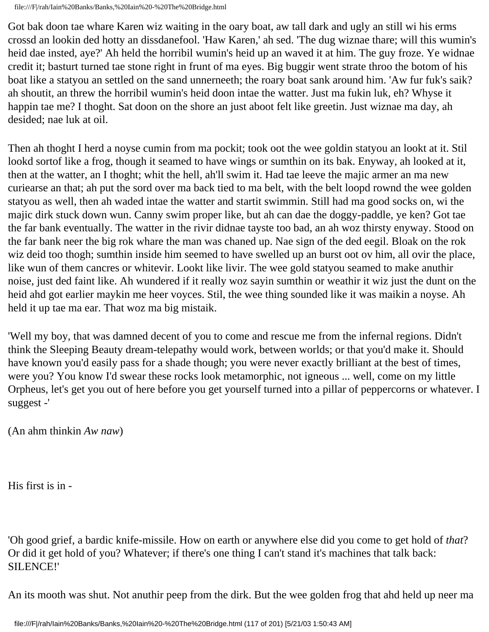Got bak doon tae whare Karen wiz waiting in the oary boat, aw tall dark and ugly an still wi his erms crossd an lookin ded hotty an dissdanefool. 'Haw Karen,' ah sed. 'The dug wiznae thare; will this wumin's heid dae insted, aye?' Ah held the horribil wumin's heid up an waved it at him. The guy froze. Ye widnae credit it; basturt turned tae stone right in frunt of ma eyes. Big buggir went strate throo the botom of his boat like a statyou an settled on the sand unnerneeth; the roary boat sank around him. 'Aw fur fuk's saik? ah shoutit, an threw the horribil wumin's heid doon intae the watter. Just ma fukin luk, eh? Whyse it happin tae me? I thoght. Sat doon on the shore an just aboot felt like greetin. Just wiznae ma day, ah desided; nae luk at oil.

Then ah thoght I herd a noyse cumin from ma pockit; took oot the wee goldin statyou an lookt at it. Stil lookd sortof like a frog, though it seamed to have wings or sumthin on its bak. Enyway, ah looked at it, then at the watter, an I thoght; whit the hell, ah'll swim it. Had tae leeve the majic armer an ma new curiearse an that; ah put the sord over ma back tied to ma belt, with the belt loopd rownd the wee golden statyou as well, then ah waded intae the watter and startit swimmin. Still had ma good socks on, wi the majic dirk stuck down wun. Canny swim proper like, but ah can dae the doggy-paddle, ye ken? Got tae the far bank eventually. The watter in the rivir didnae tayste too bad, an ah woz thirsty enyway. Stood on the far bank neer the big rok whare the man was chaned up. Nae sign of the ded eegil. Bloak on the rok wiz deid too thogh; sumthin inside him seemed to have swelled up an burst oot ov him, all ovir the place, like wun of them cancres or whitevir. Lookt like livir. The wee gold statyou seamed to make anuthir noise, just ded faint like. Ah wundered if it really woz sayin sumthin or weathir it wiz just the dunt on the heid ahd got earlier maykin me heer voyces. Stil, the wee thing sounded like it was maikin a noyse. Ah held it up tae ma ear. That woz ma big mistaik.

'Well my boy, that was damned decent of you to come and rescue me from the infernal regions. Didn't think the Sleeping Beauty dream-telepathy would work, between worlds; or that you'd make it. Should have known you'd easily pass for a shade though; you were never exactly brilliant at the best of times, were you? You know I'd swear these rocks look metamorphic, not igneous ... well, come on my little Orpheus, let's get you out of here before you get yourself turned into a pillar of peppercorns or whatever. I suggest -'

(An ahm thinkin *Aw naw*)

His first is in -

'Oh good grief, a bardic knife-missile. How on earth or anywhere else did you come to get hold of *that*? Or did it get hold of you? Whatever; if there's one thing I can't stand it's machines that talk back: SILENCE!'

An its mooth was shut. Not anuthir peep from the dirk. But the wee golden frog that ahd held up neer ma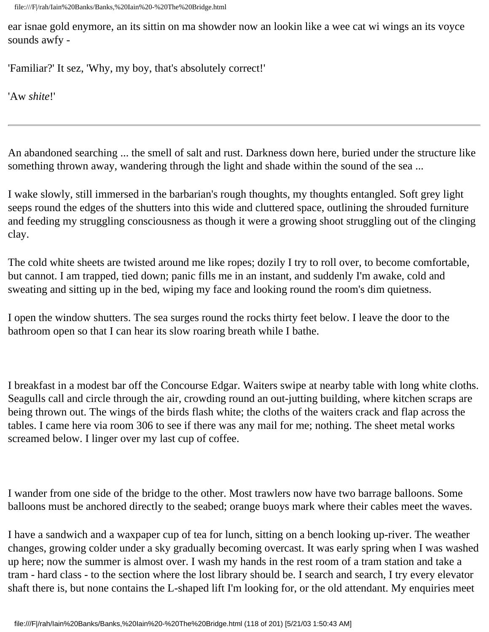ear isnae gold enymore, an its sittin on ma showder now an lookin like a wee cat wi wings an its voyce sounds awfy -

'Familiar?' It sez, 'Why, my boy, that's absolutely correct!'

'Aw *shite*!'

An abandoned searching ... the smell of salt and rust. Darkness down here, buried under the structure like something thrown away, wandering through the light and shade within the sound of the sea ...

I wake slowly, still immersed in the barbarian's rough thoughts, my thoughts entangled. Soft grey light seeps round the edges of the shutters into this wide and cluttered space, outlining the shrouded furniture and feeding my struggling consciousness as though it were a growing shoot struggling out of the clinging clay.

The cold white sheets are twisted around me like ropes; dozily I try to roll over, to become comfortable, but cannot. I am trapped, tied down; panic fills me in an instant, and suddenly I'm awake, cold and sweating and sitting up in the bed, wiping my face and looking round the room's dim quietness.

I open the window shutters. The sea surges round the rocks thirty feet below. I leave the door to the bathroom open so that I can hear its slow roaring breath while I bathe.

I breakfast in a modest bar off the Concourse Edgar. Waiters swipe at nearby table with long white cloths. Seagulls call and circle through the air, crowding round an out-jutting building, where kitchen scraps are being thrown out. The wings of the birds flash white; the cloths of the waiters crack and flap across the tables. I came here via room 306 to see if there was any mail for me; nothing. The sheet metal works screamed below. I linger over my last cup of coffee.

I wander from one side of the bridge to the other. Most trawlers now have two barrage balloons. Some balloons must be anchored directly to the seabed; orange buoys mark where their cables meet the waves.

I have a sandwich and a waxpaper cup of tea for lunch, sitting on a bench looking up-river. The weather changes, growing colder under a sky gradually becoming overcast. It was early spring when I was washed up here; now the summer is almost over. I wash my hands in the rest room of a tram station and take a tram - hard class - to the section where the lost library should be. I search and search, I try every elevator shaft there is, but none contains the L-shaped lift I'm looking for, or the old attendant. My enquiries meet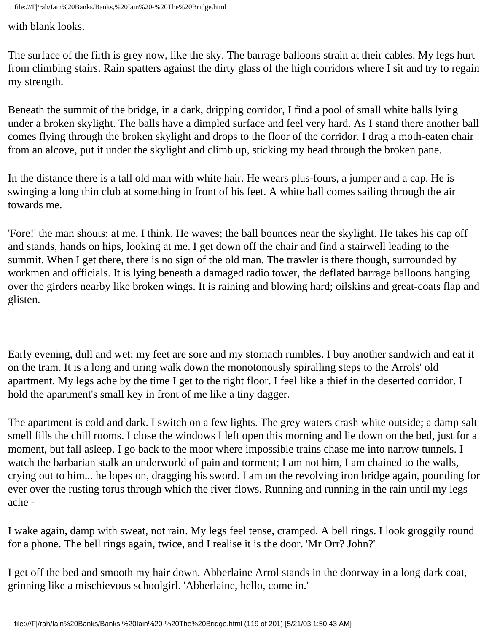file:///F|/rah/Iain%20Banks/Banks,%20Iain%20-%20The%20Bridge.html

with blank looks.

The surface of the firth is grey now, like the sky. The barrage balloons strain at their cables. My legs hurt from climbing stairs. Rain spatters against the dirty glass of the high corridors where I sit and try to regain my strength.

Beneath the summit of the bridge, in a dark, dripping corridor, I find a pool of small white balls lying under a broken skylight. The balls have a dimpled surface and feel very hard. As I stand there another ball comes flying through the broken skylight and drops to the floor of the corridor. I drag a moth-eaten chair from an alcove, put it under the skylight and climb up, sticking my head through the broken pane.

In the distance there is a tall old man with white hair. He wears plus-fours, a jumper and a cap. He is swinging a long thin club at something in front of his feet. A white ball comes sailing through the air towards me.

'Fore!' the man shouts; at me, I think. He waves; the ball bounces near the skylight. He takes his cap off and stands, hands on hips, looking at me. I get down off the chair and find a stairwell leading to the summit. When I get there, there is no sign of the old man. The trawler is there though, surrounded by workmen and officials. It is lying beneath a damaged radio tower, the deflated barrage balloons hanging over the girders nearby like broken wings. It is raining and blowing hard; oilskins and great-coats flap and glisten.

Early evening, dull and wet; my feet are sore and my stomach rumbles. I buy another sandwich and eat it on the tram. It is a long and tiring walk down the monotonously spiralling steps to the Arrols' old apartment. My legs ache by the time I get to the right floor. I feel like a thief in the deserted corridor. I hold the apartment's small key in front of me like a tiny dagger.

The apartment is cold and dark. I switch on a few lights. The grey waters crash white outside; a damp salt smell fills the chill rooms. I close the windows I left open this morning and lie down on the bed, just for a moment, but fall asleep. I go back to the moor where impossible trains chase me into narrow tunnels. I watch the barbarian stalk an underworld of pain and torment; I am not him, I am chained to the walls, crying out to him... he lopes on, dragging his sword. I am on the revolving iron bridge again, pounding for ever over the rusting torus through which the river flows. Running and running in the rain until my legs ache -

I wake again, damp with sweat, not rain. My legs feel tense, cramped. A bell rings. I look groggily round for a phone. The bell rings again, twice, and I realise it is the door. 'Mr Orr? John?'

I get off the bed and smooth my hair down. Abberlaine Arrol stands in the doorway in a long dark coat, grinning like a mischievous schoolgirl. 'Abberlaine, hello, come in.'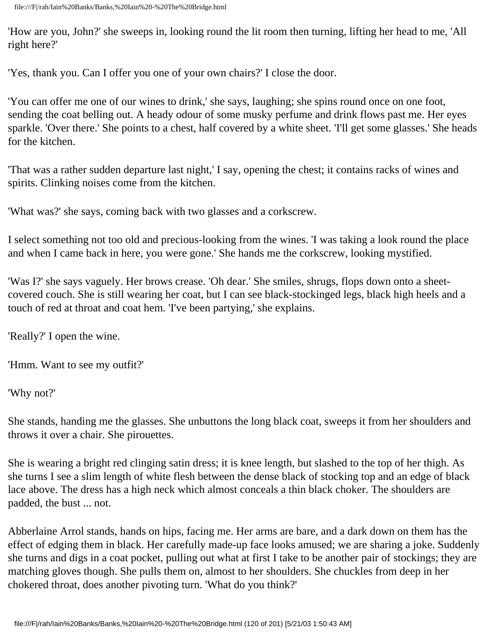'How are you, John?' she sweeps in, looking round the lit room then turning, lifting her head to me, 'All right here?'

'Yes, thank you. Can I offer you one of your own chairs?' I close the door.

'You can offer me one of our wines to drink,' she says, laughing; she spins round once on one foot, sending the coat belling out. A heady odour of some musky perfume and drink flows past me. Her eyes sparkle. 'Over there.' She points to a chest, half covered by a white sheet. 'I'll get some glasses.' She heads for the kitchen.

'That was a rather sudden departure last night,' I say, opening the chest; it contains racks of wines and spirits. Clinking noises come from the kitchen.

'What was?' she says, coming back with two glasses and a corkscrew.

I select something not too old and precious-looking from the wines. 'I was taking a look round the place and when I came back in here, you were gone.' She hands me the corkscrew, looking mystified.

'Was I?' she says vaguely. Her brows crease. 'Oh dear.' She smiles, shrugs, flops down onto a sheetcovered couch. She is still wearing her coat, but I can see black-stockinged legs, black high heels and a touch of red at throat and coat hem. 'I've been partying,' she explains.

'Really?' I open the wine.

'Hmm. Want to see my outfit?'

'Why not?'

She stands, handing me the glasses. She unbuttons the long black coat, sweeps it from her shoulders and throws it over a chair. She pirouettes.

She is wearing a bright red clinging satin dress; it is knee length, but slashed to the top of her thigh. As she turns I see a slim length of white flesh between the dense black of stocking top and an edge of black lace above. The dress has a high neck which almost conceals a thin black choker. The shoulders are padded, the bust ... not.

Abberlaine Arrol stands, hands on hips, facing me. Her arms are bare, and a dark down on them has the effect of edging them in black. Her carefully made-up face looks amused; we are sharing a joke. Suddenly she turns and digs in a coat pocket, pulling out what at first I take to be another pair of stockings; they are matching gloves though. She pulls them on, almost to her shoulders. She chuckles from deep in her chokered throat, does another pivoting turn. 'What do you think?'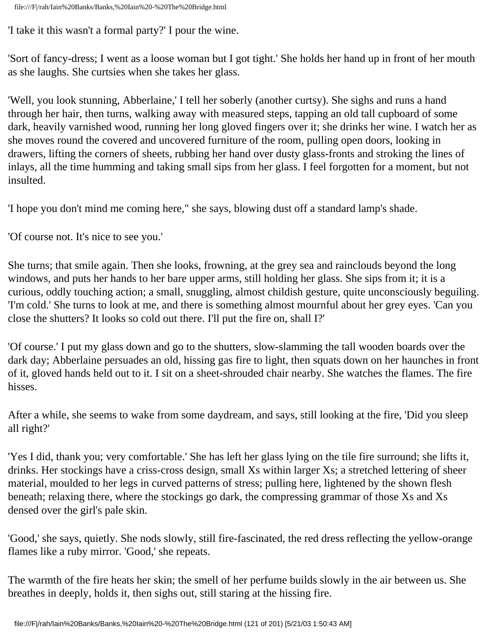'I take it this wasn't a formal party?' I pour the wine.

'Sort of fancy-dress; I went as a loose woman but I got tight.' She holds her hand up in front of her mouth as she laughs. She curtsies when she takes her glass.

'Well, you look stunning, Abberlaine,' I tell her soberly (another curtsy). She sighs and runs a hand through her hair, then turns, walking away with measured steps, tapping an old tall cupboard of some dark, heavily varnished wood, running her long gloved fingers over it; she drinks her wine. I watch her as she moves round the covered and uncovered furniture of the room, pulling open doors, looking in drawers, lifting the corners of sheets, rubbing her hand over dusty glass-fronts and stroking the lines of inlays, all the time humming and taking small sips from her glass. I feel forgotten for a moment, but not insulted.

'I hope you don't mind me coming here," she says, blowing dust off a standard lamp's shade.

'Of course not. It's nice to see you.'

She turns; that smile again. Then she looks, frowning, at the grey sea and rainclouds beyond the long windows, and puts her hands to her bare upper arms, still holding her glass. She sips from it; it is a curious, oddly touching action; a small, snuggling, almost childish gesture, quite unconsciously beguiling. 'I'm cold.' She turns to look at me, and there is something almost mournful about her grey eyes. 'Can you close the shutters? It looks so cold out there. I'll put the fire on, shall I?'

'Of course.' I put my glass down and go to the shutters, slow-slamming the tall wooden boards over the dark day; Abberlaine persuades an old, hissing gas fire to light, then squats down on her haunches in front of it, gloved hands held out to it. I sit on a sheet-shrouded chair nearby. She watches the flames. The fire hisses.

After a while, she seems to wake from some daydream, and says, still looking at the fire, 'Did you sleep all right?'

'Yes I did, thank you; very comfortable.' She has left her glass lying on the tile fire surround; she lifts it, drinks. Her stockings have a criss-cross design, small Xs within larger Xs; a stretched lettering of sheer material, moulded to her legs in curved patterns of stress; pulling here, lightened by the shown flesh beneath; relaxing there, where the stockings go dark, the compressing grammar of those Xs and Xs densed over the girl's pale skin.

'Good,' she says, quietly. She nods slowly, still fire-fascinated, the red dress reflecting the yellow-orange flames like a ruby mirror. 'Good,' she repeats.

The warmth of the fire heats her skin; the smell of her perfume builds slowly in the air between us. She breathes in deeply, holds it, then sighs out, still staring at the hissing fire.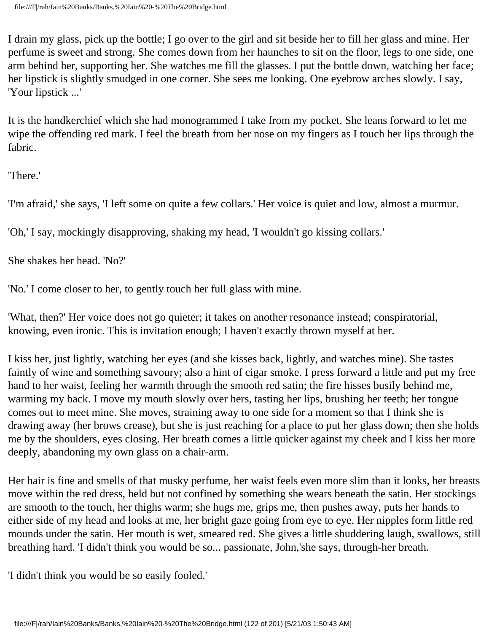I drain my glass, pick up the bottle; I go over to the girl and sit beside her to fill her glass and mine. Her perfume is sweet and strong. She comes down from her haunches to sit on the floor, legs to one side, one arm behind her, supporting her. She watches me fill the glasses. I put the bottle down, watching her face; her lipstick is slightly smudged in one corner. She sees me looking. One eyebrow arches slowly. I say, 'Your lipstick ...'

It is the handkerchief which she had monogrammed I take from my pocket. She leans forward to let me wipe the offending red mark. I feel the breath from her nose on my fingers as I touch her lips through the fabric.

'There.'

'I'm afraid,' she says, 'I left some on quite a few collars.' Her voice is quiet and low, almost a murmur.

'Oh,' I say, mockingly disapproving, shaking my head, 'I wouldn't go kissing collars.'

She shakes her head. 'No?'

'No.' I come closer to her, to gently touch her full glass with mine.

'What, then?' Her voice does not go quieter; it takes on another resonance instead; conspiratorial, knowing, even ironic. This is invitation enough; I haven't exactly thrown myself at her.

I kiss her, just lightly, watching her eyes (and she kisses back, lightly, and watches mine). She tastes faintly of wine and something savoury; also a hint of cigar smoke. I press forward a little and put my free hand to her waist, feeling her warmth through the smooth red satin; the fire hisses busily behind me, warming my back. I move my mouth slowly over hers, tasting her lips, brushing her teeth; her tongue comes out to meet mine. She moves, straining away to one side for a moment so that I think she is drawing away (her brows crease), but she is just reaching for a place to put her glass down; then she holds me by the shoulders, eyes closing. Her breath comes a little quicker against my cheek and I kiss her more deeply, abandoning my own glass on a chair-arm.

Her hair is fine and smells of that musky perfume, her waist feels even more slim than it looks, her breasts move within the red dress, held but not confined by something she wears beneath the satin. Her stockings are smooth to the touch, her thighs warm; she hugs me, grips me, then pushes away, puts her hands to either side of my head and looks at me, her bright gaze going from eye to eye. Her nipples form little red mounds under the satin. Her mouth is wet, smeared red. She gives a little shuddering laugh, swallows, still breathing hard. 'I didn't think you would be so... passionate, John,'she says, through-her breath.

'I didn't think you would be so easily fooled.'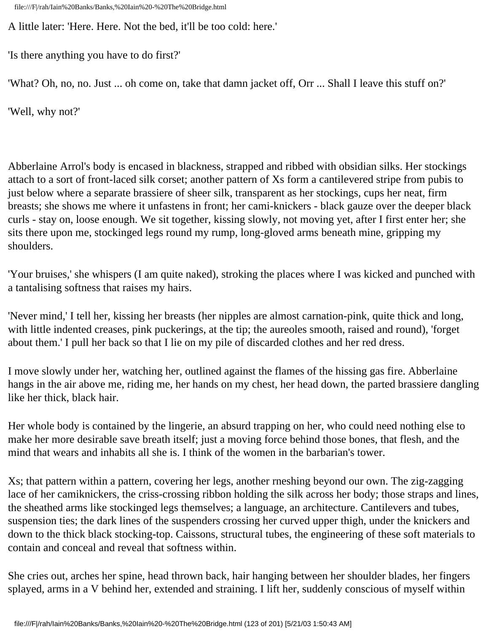```
file:///F|/rah/Iain%20Banks/Banks,%20Iain%20-%20The%20Bridge.html
```
A little later: 'Here. Here. Not the bed, it'll be too cold: here.'

'Is there anything you have to do first?'

'What? Oh, no, no. Just ... oh come on, take that damn jacket off, Orr ... Shall I leave this stuff on?'

'Well, why not?'

Abberlaine Arrol's body is encased in blackness, strapped and ribbed with obsidian silks. Her stockings attach to a sort of front-laced silk corset; another pattern of Xs form a cantilevered stripe from pubis to just below where a separate brassiere of sheer silk, transparent as her stockings, cups her neat, firm breasts; she shows me where it unfastens in front; her cami-knickers - black gauze over the deeper black curls - stay on, loose enough. We sit together, kissing slowly, not moving yet, after I first enter her; she sits there upon me, stockinged legs round my rump, long-gloved arms beneath mine, gripping my shoulders.

'Your bruises,' she whispers (I am quite naked), stroking the places where I was kicked and punched with a tantalising softness that raises my hairs.

'Never mind,' I tell her, kissing her breasts (her nipples are almost carnation-pink, quite thick and long, with little indented creases, pink puckerings, at the tip; the aureoles smooth, raised and round), 'forget about them.' I pull her back so that I lie on my pile of discarded clothes and her red dress.

I move slowly under her, watching her, outlined against the flames of the hissing gas fire. Abberlaine hangs in the air above me, riding me, her hands on my chest, her head down, the parted brassiere dangling like her thick, black hair.

Her whole body is contained by the lingerie, an absurd trapping on her, who could need nothing else to make her more desirable save breath itself; just a moving force behind those bones, that flesh, and the mind that wears and inhabits all she is. I think of the women in the barbarian's tower.

Xs; that pattern within a pattern, covering her legs, another rneshing beyond our own. The zig-zagging lace of her camiknickers, the criss-crossing ribbon holding the silk across her body; those straps and lines, the sheathed arms like stockinged legs themselves; a language, an architecture. Cantilevers and tubes, suspension ties; the dark lines of the suspenders crossing her curved upper thigh, under the knickers and down to the thick black stocking-top. Caissons, structural tubes, the engineering of these soft materials to contain and conceal and reveal that softness within.

She cries out, arches her spine, head thrown back, hair hanging between her shoulder blades, her fingers splayed, arms in a V behind her, extended and straining. I lift her, suddenly conscious of myself within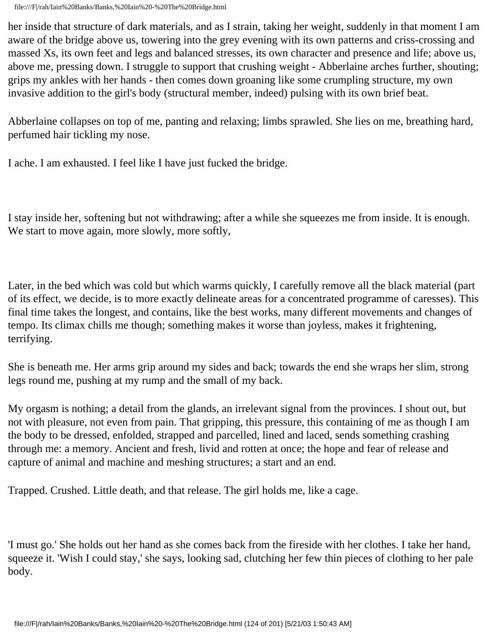her inside that structure of dark materials, and as I strain, taking her weight, suddenly in that moment I am aware of the bridge above us, towering into the grey evening with its own patterns and criss-crossing and massed Xs, its own feet and legs and balanced stresses, its own character and presence and life; above us, above me, pressing down. I struggle to support that crushing weight - Abberlaine arches further, shouting; grips my ankles with her hands - then comes down groaning like some crumpling structure, my own invasive addition to the girl's body (structural member, indeed) pulsing with its own brief beat.

Abberlaine collapses on top of me, panting and relaxing; limbs sprawled. She lies on me, breathing hard, perfumed hair tickling my nose.

I ache. I am exhausted. I feel like I have just fucked the bridge.

I stay inside her, softening but not withdrawing; after a while she squeezes me from inside. It is enough. We start to move again, more slowly, more softly,

Later, in the bed which was cold but which warms quickly, I carefully remove all the black material (part of its effect, we decide, is to more exactly delineate areas for a concentrated programme of caresses). This final time takes the longest, and contains, like the best works, many different movements and changes of tempo. Its climax chills me though; something makes it worse than joyless, makes it frightening, terrifying.

She is beneath me. Her arms grip around my sides and back; towards the end she wraps her slim, strong legs round me, pushing at my rump and the small of my back.

My orgasm is nothing; a detail from the glands, an irrelevant signal from the provinces. I shout out, but not with pleasure, not even from pain. That gripping, this pressure, this containing of me as though I am the body to be dressed, enfolded, strapped and parcelled, lined and laced, sends something crashing through me: a memory. Ancient and fresh, livid and rotten at once; the hope and fear of release and capture of animal and machine and meshing structures; a start and an end.

Trapped. Crushed. Little death, and that release. The girl holds me, like a cage.

'I must go.' She holds out her hand as she comes back from the fireside with her clothes. I take her hand, squeeze it. 'Wish I could stay,' she says, looking sad, clutching her few thin pieces of clothing to her pale body.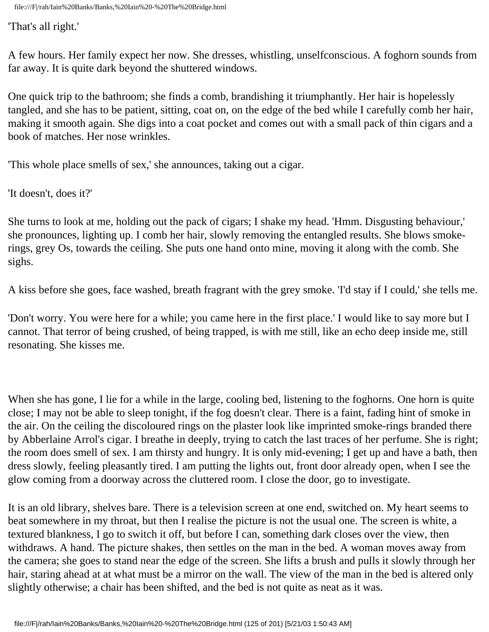file:///F|/rah/Iain%20Banks/Banks,%20Iain%20-%20The%20Bridge.html

'That's all right.'

A few hours. Her family expect her now. She dresses, whistling, unselfconscious. A foghorn sounds from far away. It is quite dark beyond the shuttered windows.

One quick trip to the bathroom; she finds a comb, brandishing it triumphantly. Her hair is hopelessly tangled, and she has to be patient, sitting, coat on, on the edge of the bed while I carefully comb her hair, making it smooth again. She digs into a coat pocket and comes out with a small pack of thin cigars and a book of matches. Her nose wrinkles.

'This whole place smells of sex,' she announces, taking out a cigar.

'It doesn't, does it?'

She turns to look at me, holding out the pack of cigars; I shake my head. 'Hmm. Disgusting behaviour,' she pronounces, lighting up. I comb her hair, slowly removing the entangled results. She blows smokerings, grey Os, towards the ceiling. She puts one hand onto mine, moving it along with the comb. She sighs.

A kiss before she goes, face washed, breath fragrant with the grey smoke. 'I'd stay if I could,' she tells me.

'Don't worry. You were here for a while; you came here in the first place.' I would like to say more but I cannot. That terror of being crushed, of being trapped, is with me still, like an echo deep inside me, still resonating. She kisses me.

When she has gone, I lie for a while in the large, cooling bed, listening to the foghorns. One horn is quite close; I may not be able to sleep tonight, if the fog doesn't clear. There is a faint, fading hint of smoke in the air. On the ceiling the discoloured rings on the plaster look like imprinted smoke-rings branded there by Abberlaine Arrol's cigar. I breathe in deeply, trying to catch the last traces of her perfume. She is right; the room does smell of sex. I am thirsty and hungry. It is only mid-evening; I get up and have a bath, then dress slowly, feeling pleasantly tired. I am putting the lights out, front door already open, when I see the glow coming from a doorway across the cluttered room. I close the door, go to investigate.

It is an old library, shelves bare. There is a television screen at one end, switched on. My heart seems to beat somewhere in my throat, but then I realise the picture is not the usual one. The screen is white, a textured blankness, I go to switch it off, but before I can, something dark closes over the view, then withdraws. A hand. The picture shakes, then settles on the man in the bed. A woman moves away from the camera; she goes to stand near the edge of the screen. She lifts a brush and pulls it slowly through her hair, staring ahead at at what must be a mirror on the wall. The view of the man in the bed is altered only slightly otherwise; a chair has been shifted, and the bed is not quite as neat as it was.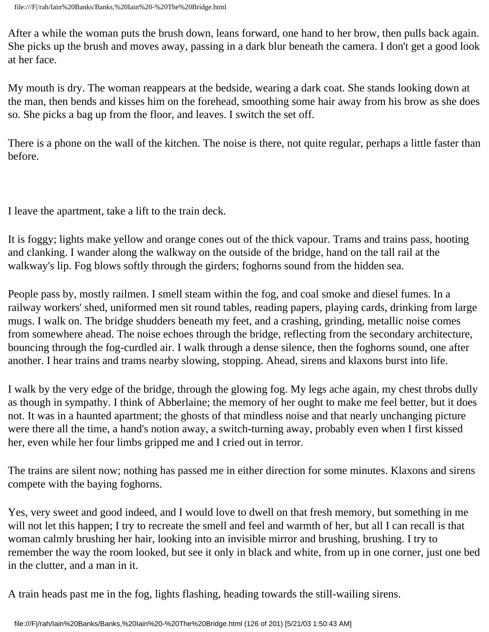After a while the woman puts the brush down, leans forward, one hand to her brow, then pulls back again. She picks up the brush and moves away, passing in a dark blur beneath the camera. I don't get a good look at her face.

My mouth is dry. The woman reappears at the bedside, wearing a dark coat. She stands looking down at the man, then bends and kisses him on the forehead, smoothing some hair away from his brow as she does so. She picks a bag up from the floor, and leaves. I switch the set off.

There is a phone on the wall of the kitchen. The noise is there, not quite regular, perhaps a little faster than before.

I leave the apartment, take a lift to the train deck.

It is foggy; lights make yellow and orange cones out of the thick vapour. Trams and trains pass, hooting and clanking. I wander along the walkway on the outside of the bridge, hand on the tall rail at the walkway's lip. Fog blows softly through the girders; foghorns sound from the hidden sea.

People pass by, mostly railmen. I smell steam within the fog, and coal smoke and diesel fumes. In a railway workers' shed, uniformed men sit round tables, reading papers, playing cards, drinking from large mugs. I walk on. The bridge shudders beneath my feet, and a crashing, grinding, metallic noise comes from somewhere ahead. The noise echoes through the bridge, reflecting from the secondary architecture, bouncing through the fog-curdled air. I walk through a dense silence, then the foghorns sound, one after another. I hear trains and trams nearby slowing, stopping. Ahead, sirens and klaxons burst into life.

I walk by the very edge of the bridge, through the glowing fog. My legs ache again, my chest throbs dully as though in sympathy. I think of Abberlaine; the memory of her ought to make me feel better, but it does not. It was in a haunted apartment; the ghosts of that mindless noise and that nearly unchanging picture were there all the time, a hand's notion away, a switch-turning away, probably even when I first kissed her, even while her four limbs gripped me and I cried out in terror.

The trains are silent now; nothing has passed me in either direction for some minutes. Klaxons and sirens compete with the baying foghorns.

Yes, very sweet and good indeed, and I would love to dwell on that fresh memory, but something in me will not let this happen; I try to recreate the smell and feel and warmth of her, but all I can recall is that woman calmly brushing her hair, looking into an invisible mirror and brushing, brushing. I try to remember the way the room looked, but see it only in black and white, from up in one corner, just one bed in the clutter, and a man in it.

A train heads past me in the fog, lights flashing, heading towards the still-wailing sirens.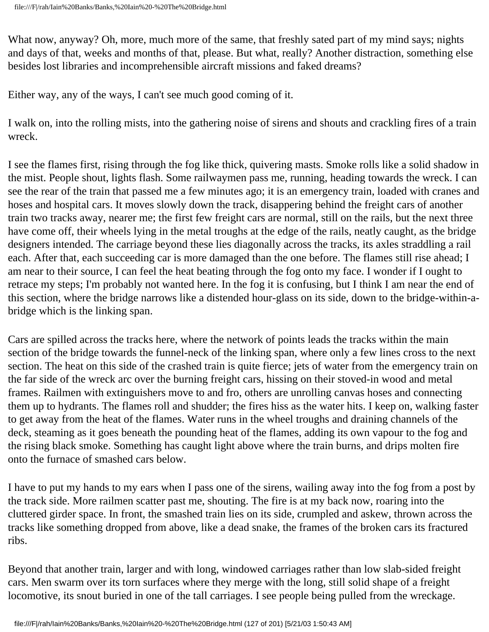What now, anyway? Oh, more, much more of the same, that freshly sated part of my mind says; nights and days of that, weeks and months of that, please. But what, really? Another distraction, something else besides lost libraries and incomprehensible aircraft missions and faked dreams?

Either way, any of the ways, I can't see much good coming of it.

I walk on, into the rolling mists, into the gathering noise of sirens and shouts and crackling fires of a train wreck.

I see the flames first, rising through the fog like thick, quivering masts. Smoke rolls like a solid shadow in the mist. People shout, lights flash. Some railwaymen pass me, running, heading towards the wreck. I can see the rear of the train that passed me a few minutes ago; it is an emergency train, loaded with cranes and hoses and hospital cars. It moves slowly down the track, disappering behind the freight cars of another train two tracks away, nearer me; the first few freight cars are normal, still on the rails, but the next three have come off, their wheels lying in the metal troughs at the edge of the rails, neatly caught, as the bridge designers intended. The carriage beyond these lies diagonally across the tracks, its axles straddling a rail each. After that, each succeeding car is more damaged than the one before. The flames still rise ahead; I am near to their source, I can feel the heat beating through the fog onto my face. I wonder if I ought to retrace my steps; I'm probably not wanted here. In the fog it is confusing, but I think I am near the end of this section, where the bridge narrows like a distended hour-glass on its side, down to the bridge-within-abridge which is the linking span.

Cars are spilled across the tracks here, where the network of points leads the tracks within the main section of the bridge towards the funnel-neck of the linking span, where only a few lines cross to the next section. The heat on this side of the crashed train is quite fierce; jets of water from the emergency train on the far side of the wreck arc over the burning freight cars, hissing on their stoved-in wood and metal frames. Railmen with extinguishers move to and fro, others are unrolling canvas hoses and connecting them up to hydrants. The flames roll and shudder; the fires hiss as the water hits. I keep on, walking faster to get away from the heat of the flames. Water runs in the wheel troughs and draining channels of the deck, steaming as it goes beneath the pounding heat of the flames, adding its own vapour to the fog and the rising black smoke. Something has caught light above where the train burns, and drips molten fire onto the furnace of smashed cars below.

I have to put my hands to my ears when I pass one of the sirens, wailing away into the fog from a post by the track side. More railmen scatter past me, shouting. The fire is at my back now, roaring into the cluttered girder space. In front, the smashed train lies on its side, crumpled and askew, thrown across the tracks like something dropped from above, like a dead snake, the frames of the broken cars its fractured ribs.

Beyond that another train, larger and with long, windowed carriages rather than low slab-sided freight cars. Men swarm over its torn surfaces where they merge with the long, still solid shape of a freight locomotive, its snout buried in one of the tall carriages. I see people being pulled from the wreckage.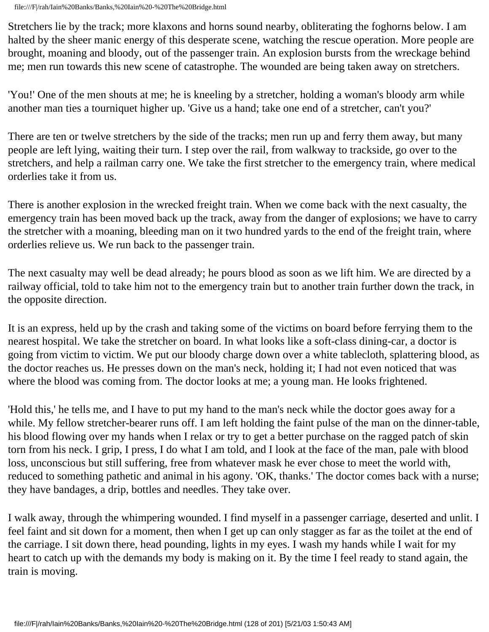Stretchers lie by the track; more klaxons and horns sound nearby, obliterating the foghorns below. I am halted by the sheer manic energy of this desperate scene, watching the rescue operation. More people are brought, moaning and bloody, out of the passenger train. An explosion bursts from the wreckage behind me; men run towards this new scene of catastrophe. The wounded are being taken away on stretchers.

'You!' One of the men shouts at me; he is kneeling by a stretcher, holding a woman's bloody arm while another man ties a tourniquet higher up. 'Give us a hand; take one end of a stretcher, can't you?'

There are ten or twelve stretchers by the side of the tracks; men run up and ferry them away, but many people are left lying, waiting their turn. I step over the rail, from walkway to trackside, go over to the stretchers, and help a railman carry one. We take the first stretcher to the emergency train, where medical orderlies take it from us.

There is another explosion in the wrecked freight train. When we come back with the next casualty, the emergency train has been moved back up the track, away from the danger of explosions; we have to carry the stretcher with a moaning, bleeding man on it two hundred yards to the end of the freight train, where orderlies relieve us. We run back to the passenger train.

The next casualty may well be dead already; he pours blood as soon as we lift him. We are directed by a railway official, told to take him not to the emergency train but to another train further down the track, in the opposite direction.

It is an express, held up by the crash and taking some of the victims on board before ferrying them to the nearest hospital. We take the stretcher on board. In what looks like a soft-class dining-car, a doctor is going from victim to victim. We put our bloody charge down over a white tablecloth, splattering blood, as the doctor reaches us. He presses down on the man's neck, holding it; I had not even noticed that was where the blood was coming from. The doctor looks at me; a young man. He looks frightened.

'Hold this,' he tells me, and I have to put my hand to the man's neck while the doctor goes away for a while. My fellow stretcher-bearer runs off. I am left holding the faint pulse of the man on the dinner-table, his blood flowing over my hands when I relax or try to get a better purchase on the ragged patch of skin torn from his neck. I grip, I press, I do what I am told, and I look at the face of the man, pale with blood loss, unconscious but still suffering, free from whatever mask he ever chose to meet the world with, reduced to something pathetic and animal in his agony. 'OK, thanks.' The doctor comes back with a nurse; they have bandages, a drip, bottles and needles. They take over.

I walk away, through the whimpering wounded. I find myself in a passenger carriage, deserted and unlit. I feel faint and sit down for a moment, then when I get up can only stagger as far as the toilet at the end of the carriage. I sit down there, head pounding, lights in my eyes. I wash my hands while I wait for my heart to catch up with the demands my body is making on it. By the time I feel ready to stand again, the train is moving.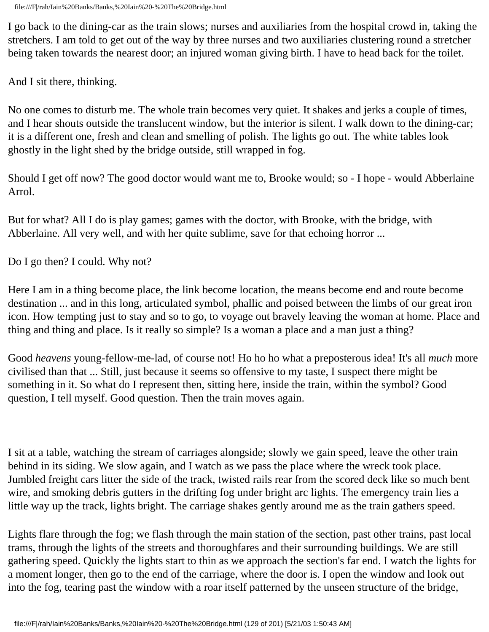I go back to the dining-car as the train slows; nurses and auxiliaries from the hospital crowd in, taking the stretchers. I am told to get out of the way by three nurses and two auxiliaries clustering round a stretcher being taken towards the nearest door; an injured woman giving birth. I have to head back for the toilet.

And I sit there, thinking.

No one comes to disturb me. The whole train becomes very quiet. It shakes and jerks a couple of times, and I hear shouts outside the translucent window, but the interior is silent. I walk down to the dining-car; it is a different one, fresh and clean and smelling of polish. The lights go out. The white tables look ghostly in the light shed by the bridge outside, still wrapped in fog.

Should I get off now? The good doctor would want me to, Brooke would; so - I hope - would Abberlaine Arrol.

But for what? All I do is play games; games with the doctor, with Brooke, with the bridge, with Abberlaine. All very well, and with her quite sublime, save for that echoing horror ...

Do I go then? I could. Why not?

Here I am in a thing become place, the link become location, the means become end and route become destination ... and in this long, articulated symbol, phallic and poised between the limbs of our great iron icon. How tempting just to stay and so to go, to voyage out bravely leaving the woman at home. Place and thing and thing and place. Is it really so simple? Is a woman a place and a man just a thing?

Good *heavens* young-fellow-me-lad, of course not! Ho ho ho what a preposterous idea! It's all *much* more civilised than that ... Still, just because it seems so offensive to my taste, I suspect there might be something in it. So what do I represent then, sitting here, inside the train, within the symbol? Good question, I tell myself. Good question. Then the train moves again.

I sit at a table, watching the stream of carriages alongside; slowly we gain speed, leave the other train behind in its siding. We slow again, and I watch as we pass the place where the wreck took place. Jumbled freight cars litter the side of the track, twisted rails rear from the scored deck like so much bent wire, and smoking debris gutters in the drifting fog under bright arc lights. The emergency train lies a little way up the track, lights bright. The carriage shakes gently around me as the train gathers speed.

Lights flare through the fog; we flash through the main station of the section, past other trains, past local trams, through the lights of the streets and thoroughfares and their surrounding buildings. We are still gathering speed. Quickly the lights start to thin as we approach the section's far end. I watch the lights for a moment longer, then go to the end of the carriage, where the door is. I open the window and look out into the fog, tearing past the window with a roar itself patterned by the unseen structure of the bridge,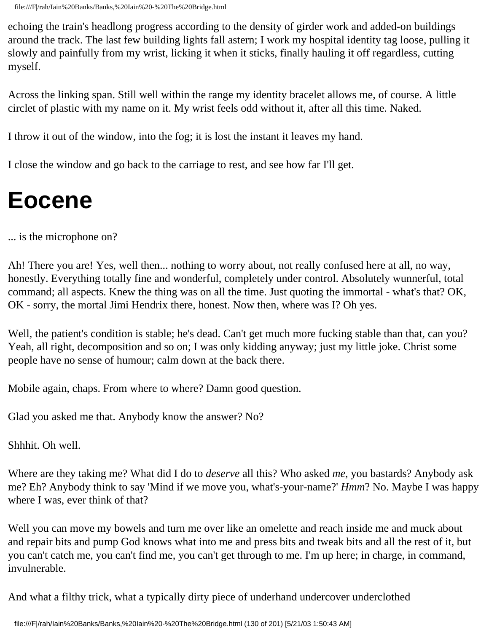echoing the train's headlong progress according to the density of girder work and added-on buildings around the track. The last few building lights fall astern; I work my hospital identity tag loose, pulling it slowly and painfully from my wrist, licking it when it sticks, finally hauling it off regardless, cutting myself.

Across the linking span. Still well within the range my identity bracelet allows me, of course. A little circlet of plastic with my name on it. My wrist feels odd without it, after all this time. Naked.

I throw it out of the window, into the fog; it is lost the instant it leaves my hand.

I close the window and go back to the carriage to rest, and see how far I'll get.

## **Eocene**

... is the microphone on?

Ah! There you are! Yes, well then... nothing to worry about, not really confused here at all, no way, honestly. Everything totally fine and wonderful, completely under control. Absolutely wunnerful, total command; all aspects. Knew the thing was on all the time. Just quoting the immortal - what's that? OK, OK - sorry, the mortal Jimi Hendrix there, honest. Now then, where was I? Oh yes.

Well, the patient's condition is stable; he's dead. Can't get much more fucking stable than that, can you? Yeah, all right, decomposition and so on; I was only kidding anyway; just my little joke. Christ some people have no sense of humour; calm down at the back there.

Mobile again, chaps. From where to where? Damn good question.

Glad you asked me that. Anybody know the answer? No?

Shhhit. Oh well.

Where are they taking me? What did I do to *deserve* all this? Who asked *me*, you bastards? Anybody ask me? Eh? Anybody think to say 'Mind if we move you, what's-your-name?' *Hmm*? No. Maybe I was happy where I was, ever think of that?

Well you can move my bowels and turn me over like an omelette and reach inside me and muck about and repair bits and pump God knows what into me and press bits and tweak bits and all the rest of it, but you can't catch me, you can't find me, you can't get through to me. I'm up here; in charge, in command, invulnerable.

And what a filthy trick, what a typically dirty piece of underhand undercover underclothed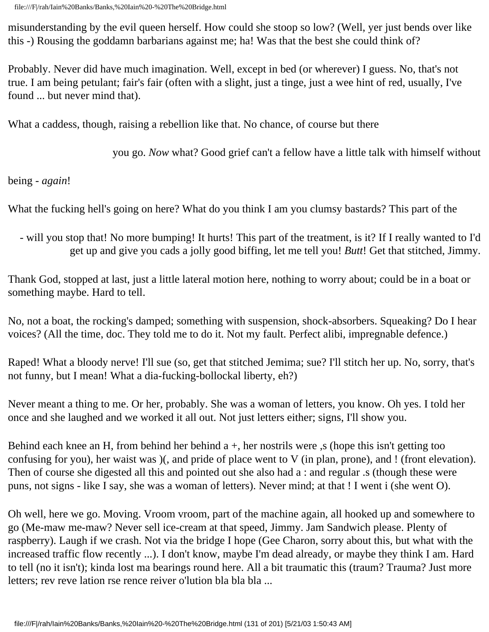misunderstanding by the evil queen herself. How could she stoop so low? (Well, yer just bends over like this -) Rousing the goddamn barbarians against me; ha! Was that the best she could think of?

Probably. Never did have much imagination. Well, except in bed (or wherever) I guess. No, that's not true. I am being petulant; fair's fair (often with a slight, just a tinge, just a wee hint of red, usually, I've found ... but never mind that).

What a caddess, though, raising a rebellion like that. No chance, of course but there

you go. *Now* what? Good grief can't a fellow have a little talk with himself without

being - *again*!

What the fucking hell's going on here? What do you think I am you clumsy bastards? This part of the

- will you stop that! No more bumping! It hurts! This part of the treatment, is it? If I really wanted to I'd get up and give you cads a jolly good biffing, let me tell you! *Butt*! Get that stitched, Jimmy.

Thank God, stopped at last, just a little lateral motion here, nothing to worry about; could be in a boat or something maybe. Hard to tell.

No, not a boat, the rocking's damped; something with suspension, shock-absorbers. Squeaking? Do I hear voices? (All the time, doc. They told me to do it. Not my fault. Perfect alibi, impregnable defence.)

Raped! What a bloody nerve! I'll sue (so, get that stitched Jemima; sue? I'll stitch her up. No, sorry, that's not funny, but I mean! What a dia-fucking-bollockal liberty, eh?)

Never meant a thing to me. Or her, probably. She was a woman of letters, you know. Oh yes. I told her once and she laughed and we worked it all out. Not just letters either; signs, I'll show you.

Behind each knee an H, from behind her behind  $a +$ , her nostrils were ,s (hope this isn't getting too confusing for you), her waist was )(, and pride of place went to V (in plan, prone), and ! (front elevation). Then of course she digested all this and pointed out she also had a : and regular .s (though these were puns, not signs - like I say, she was a woman of letters). Never mind; at that ! I went i (she went O).

Oh well, here we go. Moving. Vroom vroom, part of the machine again, all hooked up and somewhere to go (Me-maw me-maw? Never sell ice-cream at that speed, Jimmy. Jam Sandwich please. Plenty of raspberry). Laugh if we crash. Not via the bridge I hope (Gee Charon, sorry about this, but what with the increased traffic flow recently ...). I don't know, maybe I'm dead already, or maybe they think I am. Hard to tell (no it isn't); kinda lost ma bearings round here. All a bit traumatic this (traum? Trauma? Just more letters; rev reve lation rse rence reiver o'lution bla bla bla ...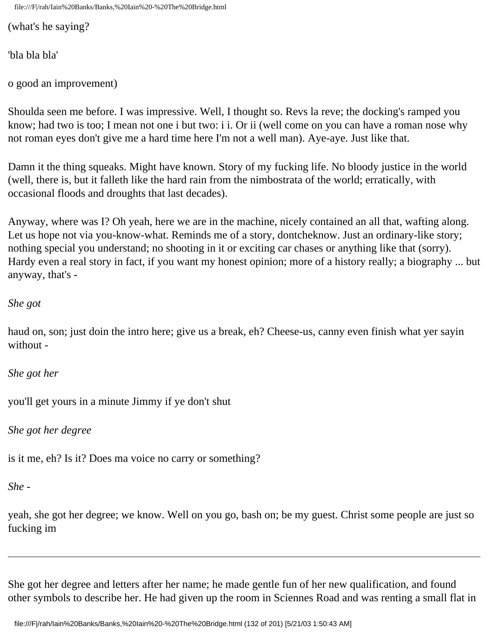file:///F|/rah/Iain%20Banks/Banks,%20Iain%20-%20The%20Bridge.html

(what's he saying?

'bla bla bla'

o good an improvement)

Shoulda seen me before. I was impressive. Well, I thought so. Revs la reve; the docking's ramped you know; had two is too; I mean not one i but two: i i. Or ii (well come on you can have a roman nose why not roman eyes don't give me a hard time here I'm not a well man). Aye-aye. Just like that.

Damn it the thing squeaks. Might have known. Story of my fucking life. No bloody justice in the world (well, there is, but it falleth like the hard rain from the nimbostrata of the world; erratically, with occasional floods and droughts that last decades).

Anyway, where was I? Oh yeah, here we are in the machine, nicely contained an all that, wafting along. Let us hope not via you-know-what. Reminds me of a story, dontcheknow. Just an ordinary-like story; nothing special you understand; no shooting in it or exciting car chases or anything like that (sorry). Hardy even a real story in fact, if you want my honest opinion; more of a history really; a biography ... but anyway, that's -

## *She got*

haud on, son; just doin the intro here; give us a break, eh? Cheese-us, canny even finish what yer sayin without -

*She got her*

you'll get yours in a minute Jimmy if ye don't shut

*She got her degree*

is it me, eh? Is it? Does ma voice no carry or something?

*She* -

yeah, she got her degree; we know. Well on you go, bash on; be my guest. Christ some people are just so fucking im

She got her degree and letters after her name; he made gentle fun of her new qualification, and found other symbols to describe her. He had given up the room in Sciennes Road and was renting a small flat in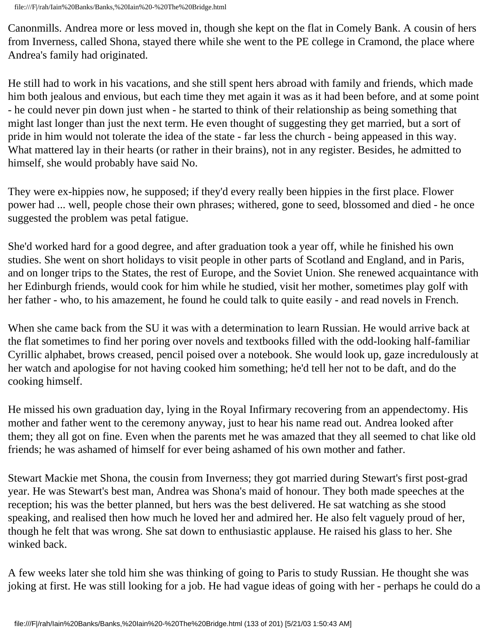Canonmills. Andrea more or less moved in, though she kept on the flat in Comely Bank. A cousin of hers from Inverness, called Shona, stayed there while she went to the PE college in Cramond, the place where Andrea's family had originated.

He still had to work in his vacations, and she still spent hers abroad with family and friends, which made him both jealous and envious, but each time they met again it was as it had been before, and at some point - he could never pin down just when - he started to think of their relationship as being something that might last longer than just the next term. He even thought of suggesting they get married, but a sort of pride in him would not tolerate the idea of the state - far less the church - being appeased in this way. What mattered lay in their hearts (or rather in their brains), not in any register. Besides, he admitted to himself, she would probably have said No.

They were ex-hippies now, he supposed; if they'd every really been hippies in the first place. Flower power had ... well, people chose their own phrases; withered, gone to seed, blossomed and died - he once suggested the problem was petal fatigue.

She'd worked hard for a good degree, and after graduation took a year off, while he finished his own studies. She went on short holidays to visit people in other parts of Scotland and England, and in Paris, and on longer trips to the States, the rest of Europe, and the Soviet Union. She renewed acquaintance with her Edinburgh friends, would cook for him while he studied, visit her mother, sometimes play golf with her father - who, to his amazement, he found he could talk to quite easily - and read novels in French.

When she came back from the SU it was with a determination to learn Russian. He would arrive back at the flat sometimes to find her poring over novels and textbooks filled with the odd-looking half-familiar Cyrillic alphabet, brows creased, pencil poised over a notebook. She would look up, gaze incredulously at her watch and apologise for not having cooked him something; he'd tell her not to be daft, and do the cooking himself.

He missed his own graduation day, lying in the Royal Infirmary recovering from an appendectomy. His mother and father went to the ceremony anyway, just to hear his name read out. Andrea looked after them; they all got on fine. Even when the parents met he was amazed that they all seemed to chat like old friends; he was ashamed of himself for ever being ashamed of his own mother and father.

Stewart Mackie met Shona, the cousin from Inverness; they got married during Stewart's first post-grad year. He was Stewart's best man, Andrea was Shona's maid of honour. They both made speeches at the reception; his was the better planned, but hers was the best delivered. He sat watching as she stood speaking, and realised then how much he loved her and admired her. He also felt vaguely proud of her, though he felt that was wrong. She sat down to enthusiastic applause. He raised his glass to her. She winked back.

A few weeks later she told him she was thinking of going to Paris to study Russian. He thought she was joking at first. He was still looking for a job. He had vague ideas of going with her - perhaps he could do a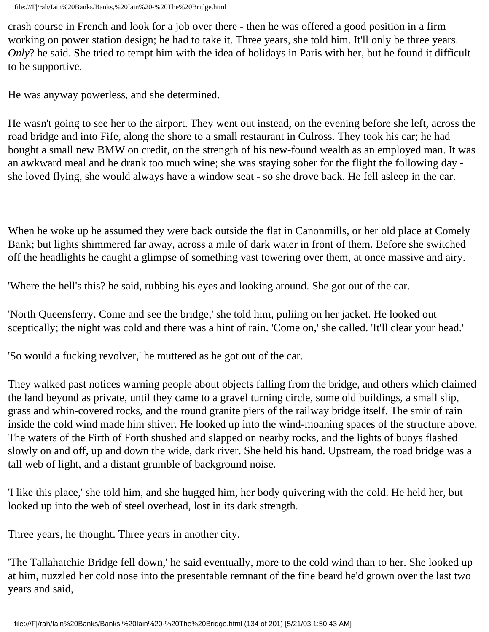crash course in French and look for a job over there - then he was offered a good position in a firm working on power station design; he had to take it. Three years, she told him. It'll only be three years. *Only*? he said. She tried to tempt him with the idea of holidays in Paris with her, but he found it difficult to be supportive.

He was anyway powerless, and she determined.

He wasn't going to see her to the airport. They went out instead, on the evening before she left, across the road bridge and into Fife, along the shore to a small restaurant in Culross. They took his car; he had bought a small new BMW on credit, on the strength of his new-found wealth as an employed man. It was an awkward meal and he drank too much wine; she was staying sober for the flight the following day she loved flying, she would always have a window seat - so she drove back. He fell asleep in the car.

When he woke up he assumed they were back outside the flat in Canonmills, or her old place at Comely Bank; but lights shimmered far away, across a mile of dark water in front of them. Before she switched off the headlights he caught a glimpse of something vast towering over them, at once massive and airy.

'Where the hell's this? he said, rubbing his eyes and looking around. She got out of the car.

'North Queensferry. Come and see the bridge,' she told him, puliing on her jacket. He looked out sceptically; the night was cold and there was a hint of rain. 'Come on,' she called. 'It'll clear your head.'

'So would a fucking revolver,' he muttered as he got out of the car.

They walked past notices warning people about objects falling from the bridge, and others which claimed the land beyond as private, until they came to a gravel turning circle, some old buildings, a small slip, grass and whin-covered rocks, and the round granite piers of the railway bridge itself. The smir of rain inside the cold wind made him shiver. He looked up into the wind-moaning spaces of the structure above. The waters of the Firth of Forth shushed and slapped on nearby rocks, and the lights of buoys flashed slowly on and off, up and down the wide, dark river. She held his hand. Upstream, the road bridge was a tall web of light, and a distant grumble of background noise.

'I like this place,' she told him, and she hugged him, her body quivering with the cold. He held her, but looked up into the web of steel overhead, lost in its dark strength.

Three years, he thought. Three years in another city.

'The Tallahatchie Bridge fell down,' he said eventually, more to the cold wind than to her. She looked up at him, nuzzled her cold nose into the presentable remnant of the fine beard he'd grown over the last two years and said,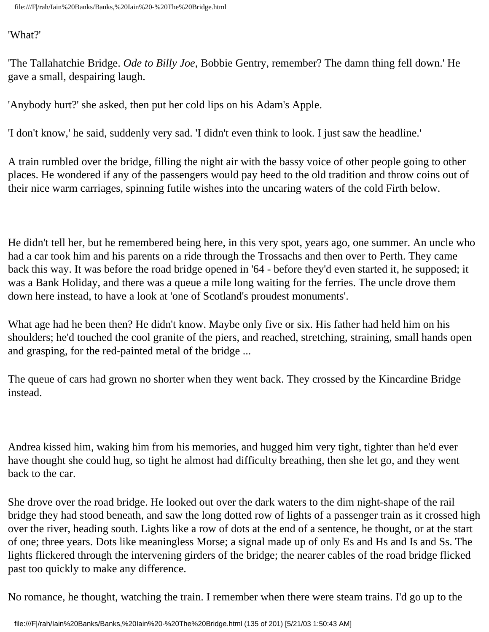## 'What?'

'The Tallahatchie Bridge. *Ode to Billy Joe*, Bobbie Gentry, remember? The damn thing fell down.' He gave a small, despairing laugh.

'Anybody hurt?' she asked, then put her cold lips on his Adam's Apple.

'I don't know,' he said, suddenly very sad. 'I didn't even think to look. I just saw the headline.'

A train rumbled over the bridge, filling the night air with the bassy voice of other people going to other places. He wondered if any of the passengers would pay heed to the old tradition and throw coins out of their nice warm carriages, spinning futile wishes into the uncaring waters of the cold Firth below.

He didn't tell her, but he remembered being here, in this very spot, years ago, one summer. An uncle who had a car took him and his parents on a ride through the Trossachs and then over to Perth. They came back this way. It was before the road bridge opened in '64 - before they'd even started it, he supposed; it was a Bank Holiday, and there was a queue a mile long waiting for the ferries. The uncle drove them down here instead, to have a look at 'one of Scotland's proudest monuments'.

What age had he been then? He didn't know. Maybe only five or six. His father had held him on his shoulders; he'd touched the cool granite of the piers, and reached, stretching, straining, small hands open and grasping, for the red-painted metal of the bridge ...

The queue of cars had grown no shorter when they went back. They crossed by the Kincardine Bridge instead.

Andrea kissed him, waking him from his memories, and hugged him very tight, tighter than he'd ever have thought she could hug, so tight he almost had difficulty breathing, then she let go, and they went back to the car.

She drove over the road bridge. He looked out over the dark waters to the dim night-shape of the rail bridge they had stood beneath, and saw the long dotted row of lights of a passenger train as it crossed high over the river, heading south. Lights like a row of dots at the end of a sentence, he thought, or at the start of one; three years. Dots like meaningless Morse; a signal made up of only Es and Hs and Is and Ss. The lights flickered through the intervening girders of the bridge; the nearer cables of the road bridge flicked past too quickly to make any difference.

No romance, he thought, watching the train. I remember when there were steam trains. I'd go up to the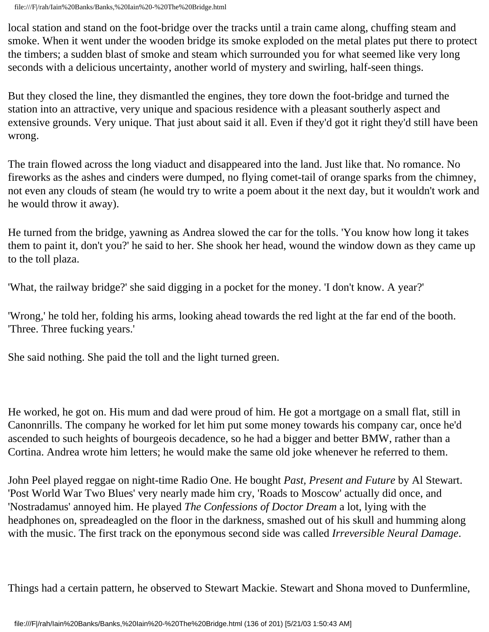local station and stand on the foot-bridge over the tracks until a train came along, chuffing steam and smoke. When it went under the wooden bridge its smoke exploded on the metal plates put there to protect the timbers; a sudden blast of smoke and steam which surrounded you for what seemed like very long seconds with a delicious uncertainty, another world of mystery and swirling, half-seen things.

But they closed the line, they dismantled the engines, they tore down the foot-bridge and turned the station into an attractive, very unique and spacious residence with a pleasant southerly aspect and extensive grounds. Very unique. That just about said it all. Even if they'd got it right they'd still have been wrong.

The train flowed across the long viaduct and disappeared into the land. Just like that. No romance. No fireworks as the ashes and cinders were dumped, no flying comet-tail of orange sparks from the chimney, not even any clouds of steam (he would try to write a poem about it the next day, but it wouldn't work and he would throw it away).

He turned from the bridge, yawning as Andrea slowed the car for the tolls. 'You know how long it takes them to paint it, don't you?' he said to her. She shook her head, wound the window down as they came up to the toll plaza.

'What, the railway bridge?' she said digging in a pocket for the money. 'I don't know. A year?'

'Wrong,' he told her, folding his arms, looking ahead towards the red light at the far end of the booth. 'Three. Three fucking years.'

She said nothing. She paid the toll and the light turned green.

He worked, he got on. His mum and dad were proud of him. He got a mortgage on a small flat, still in Canonnrills. The company he worked for let him put some money towards his company car, once he'd ascended to such heights of bourgeois decadence, so he had a bigger and better BMW, rather than a Cortina. Andrea wrote him letters; he would make the same old joke whenever he referred to them.

John Peel played reggae on night-time Radio One. He bought *Past, Present and Future* by Al Stewart. 'Post World War Two Blues' very nearly made him cry, 'Roads to Moscow' actually did once, and 'Nostradamus' annoyed him. He played *The Confessions of Doctor Dream* a lot, lying with the headphones on, spreadeagled on the floor in the darkness, smashed out of his skull and humming along with the music. The first track on the eponymous second side was called *Irreversible Neural Damage*.

Things had a certain pattern, he observed to Stewart Mackie. Stewart and Shona moved to Dunfermline,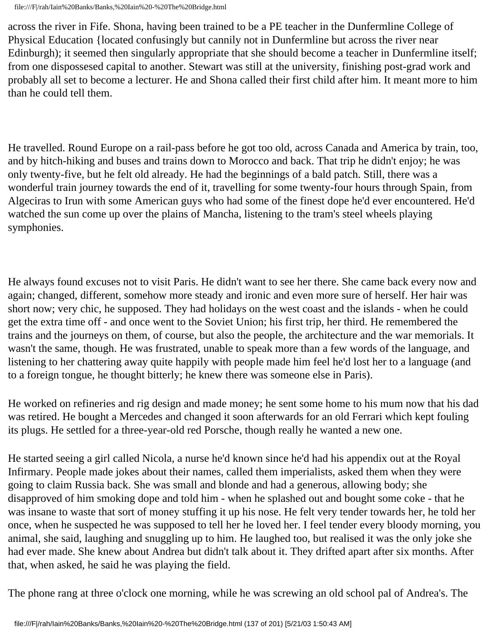across the river in Fife. Shona, having been trained to be a PE teacher in the Dunfermline College of Physical Education {located confusingly but cannily not in Dunfermline but across the river near Edinburgh); it seemed then singularly appropriate that she should become a teacher in Dunfermline itself; from one dispossesed capital to another. Stewart was still at the university, finishing post-grad work and probably all set to become a lecturer. He and Shona called their first child after him. It meant more to him than he could tell them.

He travelled. Round Europe on a rail-pass before he got too old, across Canada and America by train, too, and by hitch-hiking and buses and trains down to Morocco and back. That trip he didn't enjoy; he was only twenty-five, but he felt old already. He had the beginnings of a bald patch. Still, there was a wonderful train journey towards the end of it, travelling for some twenty-four hours through Spain, from Algeciras to Irun with some American guys who had some of the finest dope he'd ever encountered. He'd watched the sun come up over the plains of Mancha, listening to the tram's steel wheels playing symphonies.

He always found excuses not to visit Paris. He didn't want to see her there. She came back every now and again; changed, different, somehow more steady and ironic and even more sure of herself. Her hair was short now; very chic, he supposed. They had holidays on the west coast and the islands - when he could get the extra time off - and once went to the Soviet Union; his first trip, her third. He remembered the trains and the journeys on them, of course, but also the people, the architecture and the war memorials. It wasn't the same, though. He was frustrated, unable to speak more than a few words of the language, and listening to her chattering away quite happily with people made him feel he'd lost her to a language (and to a foreign tongue, he thought bitterly; he knew there was someone else in Paris).

He worked on refineries and rig design and made money; he sent some home to his mum now that his dad was retired. He bought a Mercedes and changed it soon afterwards for an old Ferrari which kept fouling its plugs. He settled for a three-year-old red Porsche, though really he wanted a new one.

He started seeing a girl called Nicola, a nurse he'd known since he'd had his appendix out at the Royal Infirmary. People made jokes about their names, called them imperialists, asked them when they were going to claim Russia back. She was small and blonde and had a generous, allowing body; she disapproved of him smoking dope and told him - when he splashed out and bought some coke - that he was insane to waste that sort of money stuffing it up his nose. He felt very tender towards her, he told her once, when he suspected he was supposed to tell her he loved her. I feel tender every bloody morning, you animal, she said, laughing and snuggling up to him. He laughed too, but realised it was the only joke she had ever made. She knew about Andrea but didn't talk about it. They drifted apart after six months. After that, when asked, he said he was playing the field.

The phone rang at three o'clock one morning, while he was screwing an old school pal of Andrea's. The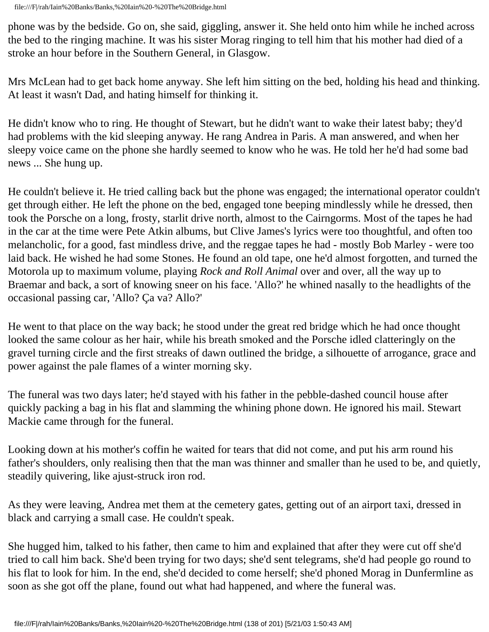phone was by the bedside. Go on, she said, giggling, answer it. She held onto him while he inched across the bed to the ringing machine. It was his sister Morag ringing to tell him that his mother had died of a stroke an hour before in the Southern General, in Glasgow.

Mrs McLean had to get back home anyway. She left him sitting on the bed, holding his head and thinking. At least it wasn't Dad, and hating himself for thinking it.

He didn't know who to ring. He thought of Stewart, but he didn't want to wake their latest baby; they'd had problems with the kid sleeping anyway. He rang Andrea in Paris. A man answered, and when her sleepy voice came on the phone she hardly seemed to know who he was. He told her he'd had some bad news ... She hung up.

He couldn't believe it. He tried calling back but the phone was engaged; the international operator couldn't get through either. He left the phone on the bed, engaged tone beeping mindlessly while he dressed, then took the Porsche on a long, frosty, starlit drive north, almost to the Cairngorms. Most of the tapes he had in the car at the time were Pete Atkin albums, but Clive James's lyrics were too thoughtful, and often too melancholic, for a good, fast mindless drive, and the reggae tapes he had - mostly Bob Marley - were too laid back. He wished he had some Stones. He found an old tape, one he'd almost forgotten, and turned the Motorola up to maximum volume, playing *Rock and Roll Animal* over and over, all the way up to Braemar and back, a sort of knowing sneer on his face. 'Allo?' he whined nasally to the headlights of the occasional passing car, 'Allo? Ça va? Allo?'

He went to that place on the way back; he stood under the great red bridge which he had once thought looked the same colour as her hair, while his breath smoked and the Porsche idled clatteringly on the gravel turning circle and the first streaks of dawn outlined the bridge, a silhouette of arrogance, grace and power against the pale flames of a winter morning sky.

The funeral was two days later; he'd stayed with his father in the pebble-dashed council house after quickly packing a bag in his flat and slamming the whining phone down. He ignored his mail. Stewart Mackie came through for the funeral.

Looking down at his mother's coffin he waited for tears that did not come, and put his arm round his father's shoulders, only realising then that the man was thinner and smaller than he used to be, and quietly, steadily quivering, like ajust-struck iron rod.

As they were leaving, Andrea met them at the cemetery gates, getting out of an airport taxi, dressed in black and carrying a small case. He couldn't speak.

She hugged him, talked to his father, then came to him and explained that after they were cut off she'd tried to call him back. She'd been trying for two days; she'd sent telegrams, she'd had people go round to his flat to look for him. In the end, she'd decided to come herself; she'd phoned Morag in Dunfermline as soon as she got off the plane, found out what had happened, and where the funeral was.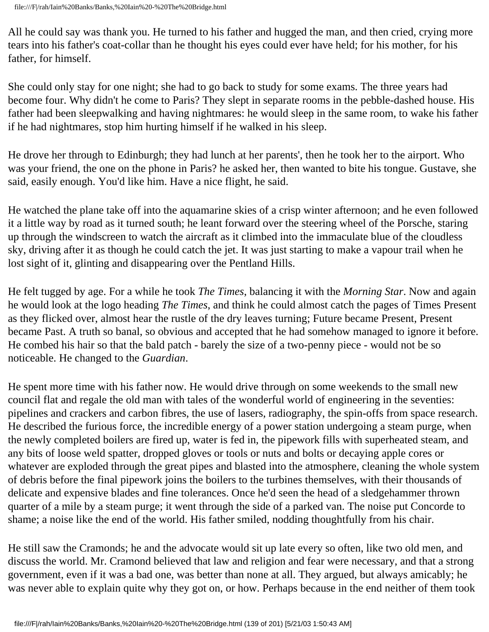All he could say was thank you. He turned to his father and hugged the man, and then cried, crying more tears into his father's coat-collar than he thought his eyes could ever have held; for his mother, for his father, for himself.

She could only stay for one night; she had to go back to study for some exams. The three years had become four. Why didn't he come to Paris? They slept in separate rooms in the pebble-dashed house. His father had been sleepwalking and having nightmares: he would sleep in the same room, to wake his father if he had nightmares, stop him hurting himself if he walked in his sleep.

He drove her through to Edinburgh; they had lunch at her parents', then he took her to the airport. Who was your friend, the one on the phone in Paris? he asked her, then wanted to bite his tongue. Gustave, she said, easily enough. You'd like him. Have a nice flight, he said.

He watched the plane take off into the aquamarine skies of a crisp winter afternoon; and he even followed it a little way by road as it turned south; he leant forward over the steering wheel of the Porsche, staring up through the windscreen to watch the aircraft as it climbed into the immaculate blue of the cloudless sky, driving after it as though he could catch the jet. It was just starting to make a vapour trail when he lost sight of it, glinting and disappearing over the Pentland Hills.

He felt tugged by age. For a while he took *The Times*, balancing it with the *Morning Star*. Now and again he would look at the logo heading *The Times*, and think he could almost catch the pages of Times Present as they flicked over, almost hear the rustle of the dry leaves turning; Future became Present, Present became Past. A truth so banal, so obvious and accepted that he had somehow managed to ignore it before. He combed his hair so that the bald patch - barely the size of a two-penny piece - would not be so noticeable. He changed to the *Guardian*.

He spent more time with his father now. He would drive through on some weekends to the small new council flat and regale the old man with tales of the wonderful world of engineering in the seventies: pipelines and crackers and carbon fibres, the use of lasers, radiography, the spin-offs from space research. He described the furious force, the incredible energy of a power station undergoing a steam purge, when the newly completed boilers are fired up, water is fed in, the pipework fills with superheated steam, and any bits of loose weld spatter, dropped gloves or tools or nuts and bolts or decaying apple cores or whatever are exploded through the great pipes and blasted into the atmosphere, cleaning the whole system of debris before the final pipework joins the boilers to the turbines themselves, with their thousands of delicate and expensive blades and fine tolerances. Once he'd seen the head of a sledgehammer thrown quarter of a mile by a steam purge; it went through the side of a parked van. The noise put Concorde to shame; a noise like the end of the world. His father smiled, nodding thoughtfully from his chair.

He still saw the Cramonds; he and the advocate would sit up late every so often, like two old men, and discuss the world. Mr. Cramond believed that law and religion and fear were necessary, and that a strong government, even if it was a bad one, was better than none at all. They argued, but always amicably; he was never able to explain quite why they got on, or how. Perhaps because in the end neither of them took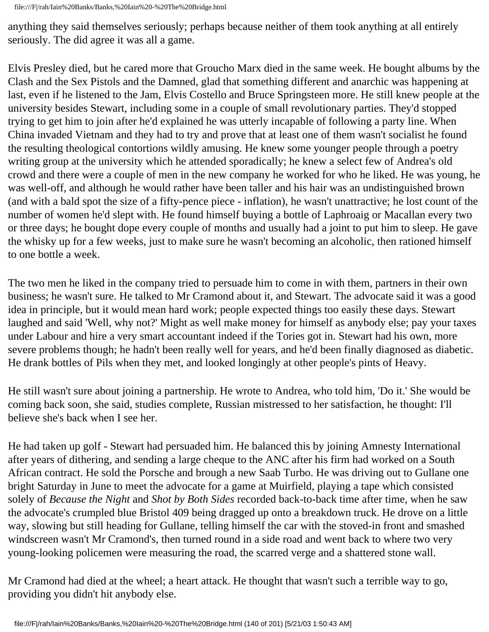anything they said themselves seriously; perhaps because neither of them took anything at all entirely seriously. The did agree it was all a game.

Elvis Presley died, but he cared more that Groucho Marx died in the same week. He bought albums by the Clash and the Sex Pistols and the Damned, glad that something different and anarchic was happening at last, even if he listened to the Jam, Elvis Costello and Bruce Springsteen more. He still knew people at the university besides Stewart, including some in a couple of small revolutionary parties. They'd stopped trying to get him to join after he'd explained he was utterly incapable of following a party line. When China invaded Vietnam and they had to try and prove that at least one of them wasn't socialist he found the resulting theological contortions wildly amusing. He knew some younger people through a poetry writing group at the university which he attended sporadically; he knew a select few of Andrea's old crowd and there were a couple of men in the new company he worked for who he liked. He was young, he was well-off, and although he would rather have been taller and his hair was an undistinguished brown (and with a bald spot the size of a fifty-pence piece - inflation), he wasn't unattractive; he lost count of the number of women he'd slept with. He found himself buying a bottle of Laphroaig or Macallan every two or three days; he bought dope every couple of months and usually had a joint to put him to sleep. He gave the whisky up for a few weeks, just to make sure he wasn't becoming an alcoholic, then rationed himself to one bottle a week.

The two men he liked in the company tried to persuade him to come in with them, partners in their own business; he wasn't sure. He talked to Mr Cramond about it, and Stewart. The advocate said it was a good idea in principle, but it would mean hard work; people expected things too easily these days. Stewart laughed and said 'Well, why not?' Might as well make money for himself as anybody else; pay your taxes under Labour and hire a very smart accountant indeed if the Tories got in. Stewart had his own, more severe problems though; he hadn't been really well for years, and he'd been finally diagnosed as diabetic. He drank bottles of Pils when they met, and looked longingly at other people's pints of Heavy.

He still wasn't sure about joining a partnership. He wrote to Andrea, who told him, 'Do it.' She would be coming back soon, she said, studies complete, Russian mistressed to her satisfaction, he thought: I'll believe she's back when I see her.

He had taken up golf - Stewart had persuaded him. He balanced this by joining Amnesty International after years of dithering, and sending a large cheque to the ANC after his firm had worked on a South African contract. He sold the Porsche and brough a new Saab Turbo. He was driving out to Gullane one bright Saturday in June to meet the advocate for a game at Muirfield, playing a tape which consisted solely of *Because the Night* and *Shot by Both Sides* recorded back-to-back time after time, when he saw the advocate's crumpled blue Bristol 409 being dragged up onto a breakdown truck. He drove on a little way, slowing but still heading for Gullane, telling himself the car with the stoved-in front and smashed windscreen wasn't Mr Cramond's, then turned round in a side road and went back to where two very young-looking policemen were measuring the road, the scarred verge and a shattered stone wall.

Mr Cramond had died at the wheel; a heart attack. He thought that wasn't such a terrible way to go, providing you didn't hit anybody else.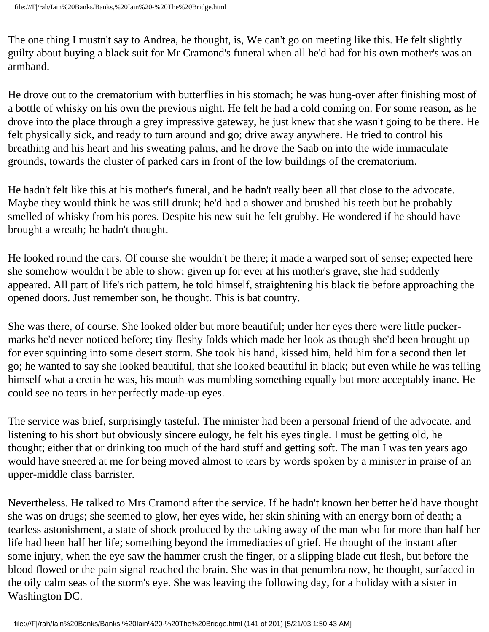The one thing I mustn't say to Andrea, he thought, is, We can't go on meeting like this. He felt slightly guilty about buying a black suit for Mr Cramond's funeral when all he'd had for his own mother's was an armband.

He drove out to the crematorium with butterflies in his stomach; he was hung-over after finishing most of a bottle of whisky on his own the previous night. He felt he had a cold coming on. For some reason, as he drove into the place through a grey impressive gateway, he just knew that she wasn't going to be there. He felt physically sick, and ready to turn around and go; drive away anywhere. He tried to control his breathing and his heart and his sweating palms, and he drove the Saab on into the wide immaculate grounds, towards the cluster of parked cars in front of the low buildings of the crematorium.

He hadn't felt like this at his mother's funeral, and he hadn't really been all that close to the advocate. Maybe they would think he was still drunk; he'd had a shower and brushed his teeth but he probably smelled of whisky from his pores. Despite his new suit he felt grubby. He wondered if he should have brought a wreath; he hadn't thought.

He looked round the cars. Of course she wouldn't be there; it made a warped sort of sense; expected here she somehow wouldn't be able to show; given up for ever at his mother's grave, she had suddenly appeared. All part of life's rich pattern, he told himself, straightening his black tie before approaching the opened doors. Just remember son, he thought. This is bat country.

She was there, of course. She looked older but more beautiful; under her eyes there were little puckermarks he'd never noticed before; tiny fleshy folds which made her look as though she'd been brought up for ever squinting into some desert storm. She took his hand, kissed him, held him for a second then let go; he wanted to say she looked beautiful, that she looked beautiful in black; but even while he was telling himself what a cretin he was, his mouth was mumbling something equally but more acceptably inane. He could see no tears in her perfectly made-up eyes.

The service was brief, surprisingly tasteful. The minister had been a personal friend of the advocate, and listening to his short but obviously sincere eulogy, he felt his eyes tingle. I must be getting old, he thought; either that or drinking too much of the hard stuff and getting soft. The man I was ten years ago would have sneered at me for being moved almost to tears by words spoken by a minister in praise of an upper-middle class barrister.

Nevertheless. He talked to Mrs Cramond after the service. If he hadn't known her better he'd have thought she was on drugs; she seemed to glow, her eyes wide, her skin shining with an energy born of death; a tearless astonishment, a state of shock produced by the taking away of the man who for more than half her life had been half her life; something beyond the immediacies of grief. He thought of the instant after some injury, when the eye saw the hammer crush the finger, or a slipping blade cut flesh, but before the blood flowed or the pain signal reached the brain. She was in that penumbra now, he thought, surfaced in the oily calm seas of the storm's eye. She was leaving the following day, for a holiday with a sister in Washington DC.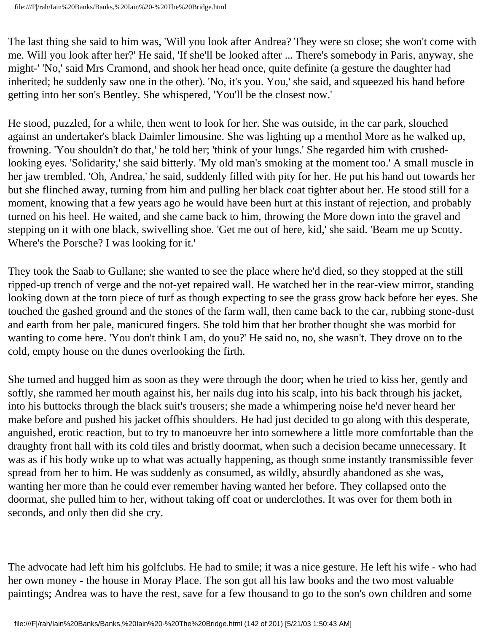The last thing she said to him was, 'Will you look after Andrea? They were so close; she won't come with me. Will you look after her?' He said, 'If she'll be looked after ... There's somebody in Paris, anyway, she might-' 'No,' said Mrs Cramond, and shook her head once, quite definite (a gesture the daughter had inherited; he suddenly saw one in the other). 'No, it's you. You,' she said, and squeezed his hand before getting into her son's Bentley. She whispered, 'You'll be the closest now.'

He stood, puzzled, for a while, then went to look for her. She was outside, in the car park, slouched against an undertaker's black Daimler limousine. She was lighting up a menthol More as he walked up, frowning. 'You shouldn't do that,' he told her; 'think of your lungs.' She regarded him with crushedlooking eyes. 'Solidarity,' she said bitterly. 'My old man's smoking at the moment too.' A small muscle in her jaw trembled. 'Oh, Andrea,' he said, suddenly filled with pity for her. He put his hand out towards her but she flinched away, turning from him and pulling her black coat tighter about her. He stood still for a moment, knowing that a few years ago he would have been hurt at this instant of rejection, and probably turned on his heel. He waited, and she came back to him, throwing the More down into the gravel and stepping on it with one black, swivelling shoe. 'Get me out of here, kid,' she said. 'Beam me up Scotty. Where's the Porsche? I was looking for it.'

They took the Saab to Gullane; she wanted to see the place where he'd died, so they stopped at the still ripped-up trench of verge and the not-yet repaired wall. He watched her in the rear-view mirror, standing looking down at the torn piece of turf as though expecting to see the grass grow back before her eyes. She touched the gashed ground and the stones of the farm wall, then came back to the car, rubbing stone-dust and earth from her pale, manicured fingers. She told him that her brother thought she was morbid for wanting to come here. 'You don't think I am, do you?' He said no, no, she wasn't. They drove on to the cold, empty house on the dunes overlooking the firth.

She turned and hugged him as soon as they were through the door; when he tried to kiss her, gently and softly, she rammed her mouth against his, her nails dug into his scalp, into his back through his jacket, into his buttocks through the black suit's trousers; she made a whimpering noise he'd never heard her make before and pushed his jacket offhis shoulders. He had just decided to go along with this desperate, anguished, erotic reaction, but to try to manoeuvre her into somewhere a little more comfortable than the draughty front hall with its cold tiles and bristly doormat, when such a decision became unnecessary. It was as if his body woke up to what was actually happening, as though some instantly transmissible fever spread from her to him. He was suddenly as consumed, as wildly, absurdly abandoned as she was, wanting her more than he could ever remember having wanted her before. They collapsed onto the doormat, she pulled him to her, without taking off coat or underclothes. It was over for them both in seconds, and only then did she cry.

The advocate had left him his golfclubs. He had to smile; it was a nice gesture. He left his wife - who had her own money - the house in Moray Place. The son got all his law books and the two most valuable paintings; Andrea was to have the rest, save for a few thousand to go to the son's own children and some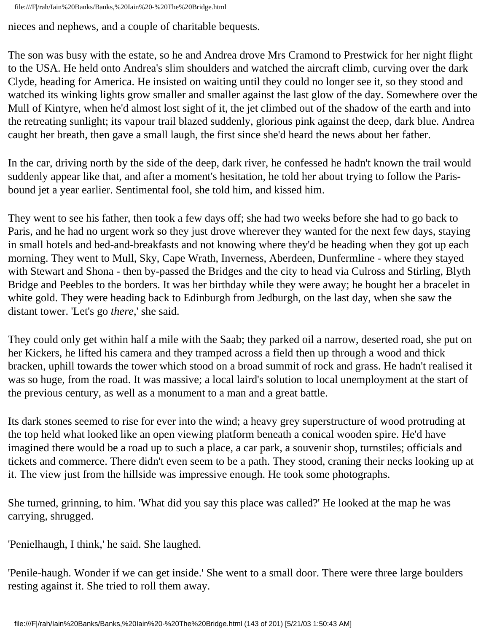file:///F|/rah/Iain%20Banks/Banks,%20Iain%20-%20The%20Bridge.html

nieces and nephews, and a couple of charitable bequests.

The son was busy with the estate, so he and Andrea drove Mrs Cramond to Prestwick for her night flight to the USA. He held onto Andrea's slim shoulders and watched the aircraft climb, curving over the dark Clyde, heading for America. He insisted on waiting until they could no longer see it, so they stood and watched its winking lights grow smaller and smaller against the last glow of the day. Somewhere over the Mull of Kintyre, when he'd almost lost sight of it, the jet climbed out of the shadow of the earth and into the retreating sunlight; its vapour trail blazed suddenly, glorious pink against the deep, dark blue. Andrea caught her breath, then gave a small laugh, the first since she'd heard the news about her father.

In the car, driving north by the side of the deep, dark river, he confessed he hadn't known the trail would suddenly appear like that, and after a moment's hesitation, he told her about trying to follow the Parisbound jet a year earlier. Sentimental fool, she told him, and kissed him.

They went to see his father, then took a few days off; she had two weeks before she had to go back to Paris, and he had no urgent work so they just drove wherever they wanted for the next few days, staying in small hotels and bed-and-breakfasts and not knowing where they'd be heading when they got up each morning. They went to Mull, Sky, Cape Wrath, Inverness, Aberdeen, Dunfermline - where they stayed with Stewart and Shona - then by-passed the Bridges and the city to head via Culross and Stirling, Blyth Bridge and Peebles to the borders. It was her birthday while they were away; he bought her a bracelet in white gold. They were heading back to Edinburgh from Jedburgh, on the last day, when she saw the distant tower. 'Let's go *there*,' she said.

They could only get within half a mile with the Saab; they parked oil a narrow, deserted road, she put on her Kickers, he lifted his camera and they tramped across a field then up through a wood and thick bracken, uphill towards the tower which stood on a broad summit of rock and grass. He hadn't realised it was so huge, from the road. It was massive; a local laird's solution to local unemployment at the start of the previous century, as well as a monument to a man and a great battle.

Its dark stones seemed to rise for ever into the wind; a heavy grey superstructure of wood protruding at the top held what looked like an open viewing platform beneath a conical wooden spire. He'd have imagined there would be a road up to such a place, a car park, a souvenir shop, turnstiles; officials and tickets and commerce. There didn't even seem to be a path. They stood, craning their necks looking up at it. The view just from the hillside was impressive enough. He took some photographs.

She turned, grinning, to him. 'What did you say this place was called?' He looked at the map he was carrying, shrugged.

'Penielhaugh, I think,' he said. She laughed.

'Penile-haugh. Wonder if we can get inside.' She went to a small door. There were three large boulders resting against it. She tried to roll them away.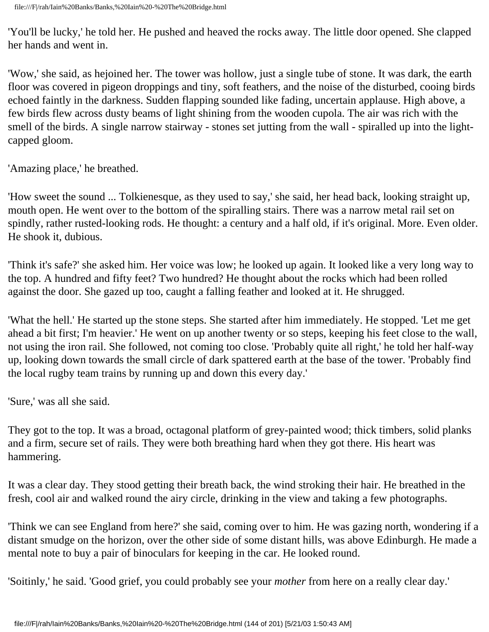'You'll be lucky,' he told her. He pushed and heaved the rocks away. The little door opened. She clapped her hands and went in.

'Wow,' she said, as hejoined her. The tower was hollow, just a single tube of stone. It was dark, the earth floor was covered in pigeon droppings and tiny, soft feathers, and the noise of the disturbed, cooing birds echoed faintly in the darkness. Sudden flapping sounded like fading, uncertain applause. High above, a few birds flew across dusty beams of light shining from the wooden cupola. The air was rich with the smell of the birds. A single narrow stairway - stones set jutting from the wall - spiralled up into the lightcapped gloom.

'Amazing place,' he breathed.

'How sweet the sound ... Tolkienesque, as they used to say,' she said, her head back, looking straight up, mouth open. He went over to the bottom of the spiralling stairs. There was a narrow metal rail set on spindly, rather rusted-looking rods. He thought: a century and a half old, if it's original. More. Even older. He shook it, dubious.

'Think it's safe?' she asked him. Her voice was low; he looked up again. It looked like a very long way to the top. A hundred and fifty feet? Two hundred? He thought about the rocks which had been rolled against the door. She gazed up too, caught a falling feather and looked at it. He shrugged.

'What the hell.' He started up the stone steps. She started after him immediately. He stopped. 'Let me get ahead a bit first; I'm heavier.' He went on up another twenty or so steps, keeping his feet close to the wall, not using the iron rail. She followed, not coming too close. 'Probably quite all right,' he told her half-way up, looking down towards the small circle of dark spattered earth at the base of the tower. 'Probably find the local rugby team trains by running up and down this every day.'

'Sure,' was all she said.

They got to the top. It was a broad, octagonal platform of grey-painted wood; thick timbers, solid planks and a firm, secure set of rails. They were both breathing hard when they got there. His heart was hammering.

It was a clear day. They stood getting their breath back, the wind stroking their hair. He breathed in the fresh, cool air and walked round the airy circle, drinking in the view and taking a few photographs.

'Think we can see England from here?' she said, coming over to him. He was gazing north, wondering if a distant smudge on the horizon, over the other side of some distant hills, was above Edinburgh. He made a mental note to buy a pair of binoculars for keeping in the car. He looked round.

'Soitinly,' he said. 'Good grief, you could probably see your *mother* from here on a really clear day.'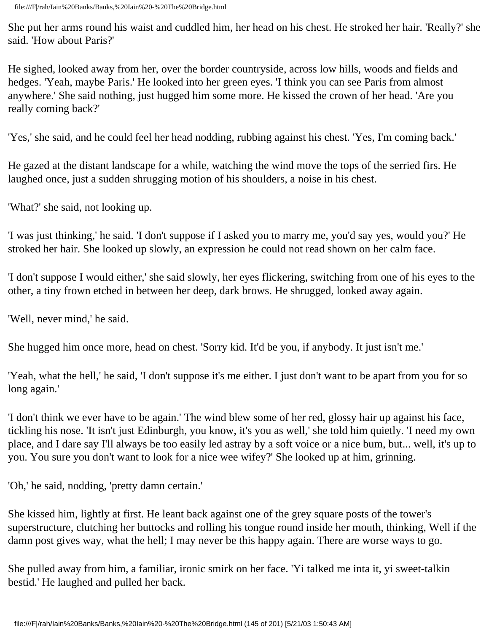She put her arms round his waist and cuddled him, her head on his chest. He stroked her hair. 'Really?' she said. 'How about Paris?'

He sighed, looked away from her, over the border countryside, across low hills, woods and fields and hedges. 'Yeah, maybe Paris.' He looked into her green eyes. 'I think you can see Paris from almost anywhere.' She said nothing, just hugged him some more. He kissed the crown of her head. 'Are you really coming back?'

'Yes,' she said, and he could feel her head nodding, rubbing against his chest. 'Yes, I'm coming back.'

He gazed at the distant landscape for a while, watching the wind move the tops of the serried firs. He laughed once, just a sudden shrugging motion of his shoulders, a noise in his chest.

'What?' she said, not looking up.

'I was just thinking,' he said. 'I don't suppose if I asked you to marry me, you'd say yes, would you?' He stroked her hair. She looked up slowly, an expression he could not read shown on her calm face.

'I don't suppose I would either,' she said slowly, her eyes flickering, switching from one of his eyes to the other, a tiny frown etched in between her deep, dark brows. He shrugged, looked away again.

'Well, never mind,' he said.

She hugged him once more, head on chest. 'Sorry kid. It'd be you, if anybody. It just isn't me.'

'Yeah, what the hell,' he said, 'I don't suppose it's me either. I just don't want to be apart from you for so long again.'

'I don't think we ever have to be again.' The wind blew some of her red, glossy hair up against his face, tickling his nose. 'It isn't just Edinburgh, you know, it's you as well,' she told him quietly. 'I need my own place, and I dare say I'll always be too easily led astray by a soft voice or a nice bum, but... well, it's up to you. You sure you don't want to look for a nice wee wifey?' She looked up at him, grinning.

'Oh,' he said, nodding, 'pretty damn certain.'

She kissed him, lightly at first. He leant back against one of the grey square posts of the tower's superstructure, clutching her buttocks and rolling his tongue round inside her mouth, thinking, Well if the damn post gives way, what the hell; I may never be this happy again. There are worse ways to go.

She pulled away from him, a familiar, ironic smirk on her face. 'Yi talked me inta it, yi sweet-talkin bestid.' He laughed and pulled her back.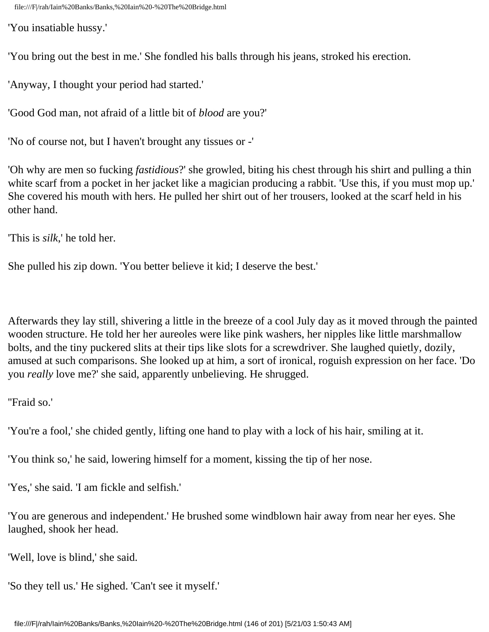file:///F|/rah/Iain%20Banks/Banks,%20Iain%20-%20The%20Bridge.html

'You insatiable hussy.'

'You bring out the best in me.' She fondled his balls through his jeans, stroked his erection.

'Anyway, I thought your period had started.'

'Good God man, not afraid of a little bit of *blood* are you?'

'No of course not, but I haven't brought any tissues or -'

'Oh why are men so fucking *fastidious*?' she growled, biting his chest through his shirt and pulling a thin white scarf from a pocket in her jacket like a magician producing a rabbit. 'Use this, if you must mop up.' She covered his mouth with hers. He pulled her shirt out of her trousers, looked at the scarf held in his other hand.

'This is *silk*,' he told her.

She pulled his zip down. 'You better believe it kid; I deserve the best.'

Afterwards they lay still, shivering a little in the breeze of a cool July day as it moved through the painted wooden structure. He told her her aureoles were like pink washers, her nipples like little marshmallow bolts, and the tiny puckered slits at their tips like slots for a screwdriver. She laughed quietly, dozily, amused at such comparisons. She looked up at him, a sort of ironical, roguish expression on her face. 'Do you *really* love me?' she said, apparently unbelieving. He shrugged.

''Fraid so.'

'You're a fool,' she chided gently, lifting one hand to play with a lock of his hair, smiling at it.

'You think so,' he said, lowering himself for a moment, kissing the tip of her nose.

'Yes,' she said. 'I am fickle and selfish.'

'You are generous and independent.' He brushed some windblown hair away from near her eyes. She laughed, shook her head.

'Well, love is blind,' she said.

'So they tell us.' He sighed. 'Can't see it myself.'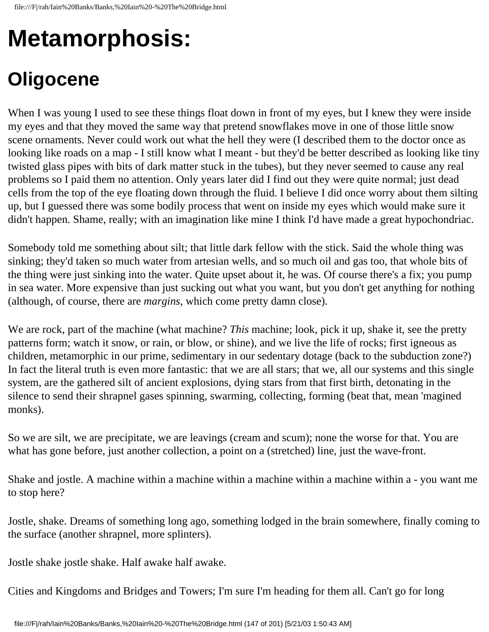# **Metamorphosis:**

## **Oligocene**

When I was young I used to see these things float down in front of my eyes, but I knew they were inside my eyes and that they moved the same way that pretend snowflakes move in one of those little snow scene ornaments. Never could work out what the hell they were (I described them to the doctor once as looking like roads on a map - I still know what I meant - but they'd be better described as looking like tiny twisted glass pipes with bits of dark matter stuck in the tubes), but they never seemed to cause any real problems so I paid them no attention. Only years later did I find out they were quite normal; just dead cells from the top of the eye floating down through the fluid. I believe I did once worry about them silting up, but I guessed there was some bodily process that went on inside my eyes which would make sure it didn't happen. Shame, really; with an imagination like mine I think I'd have made a great hypochondriac.

Somebody told me something about silt; that little dark fellow with the stick. Said the whole thing was sinking; they'd taken so much water from artesian wells, and so much oil and gas too, that whole bits of the thing were just sinking into the water. Quite upset about it, he was. Of course there's a fix; you pump in sea water. More expensive than just sucking out what you want, but you don't get anything for nothing (although, of course, there are *margins*, which come pretty damn close).

We are rock, part of the machine (what machine? *This* machine; look, pick it up, shake it, see the pretty patterns form; watch it snow, or rain, or blow, or shine), and we live the life of rocks; first igneous as children, metamorphic in our prime, sedimentary in our sedentary dotage (back to the subduction zone?) In fact the literal truth is even more fantastic: that we are all stars; that we, all our systems and this single system, are the gathered silt of ancient explosions, dying stars from that first birth, detonating in the silence to send their shrapnel gases spinning, swarming, collecting, forming (beat that, mean 'magined monks).

So we are silt, we are precipitate, we are leavings (cream and scum); none the worse for that. You are what has gone before, just another collection, a point on a (stretched) line, just the wave-front.

Shake and jostle. A machine within a machine within a machine within a machine within a - you want me to stop here?

Jostle, shake. Dreams of something long ago, something lodged in the brain somewhere, finally coming to the surface (another shrapnel, more splinters).

Jostle shake jostle shake. Half awake half awake.

Cities and Kingdoms and Bridges and Towers; I'm sure I'm heading for them all. Can't go for long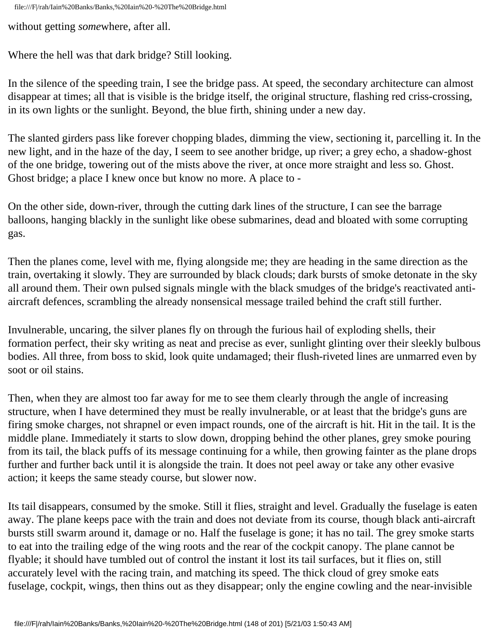without getting *some*where, after all.

Where the hell was that dark bridge? Still looking.

In the silence of the speeding train, I see the bridge pass. At speed, the secondary architecture can almost disappear at times; all that is visible is the bridge itself, the original structure, flashing red criss-crossing, in its own lights or the sunlight. Beyond, the blue firth, shining under a new day.

The slanted girders pass like forever chopping blades, dimming the view, sectioning it, parcelling it. In the new light, and in the haze of the day, I seem to see another bridge, up river; a grey echo, a shadow-ghost of the one bridge, towering out of the mists above the river, at once more straight and less so. Ghost. Ghost bridge; a place I knew once but know no more. A place to -

On the other side, down-river, through the cutting dark lines of the structure, I can see the barrage balloons, hanging blackly in the sunlight like obese submarines, dead and bloated with some corrupting gas.

Then the planes come, level with me, flying alongside me; they are heading in the same direction as the train, overtaking it slowly. They are surrounded by black clouds; dark bursts of smoke detonate in the sky all around them. Their own pulsed signals mingle with the black smudges of the bridge's reactivated antiaircraft defences, scrambling the already nonsensical message trailed behind the craft still further.

Invulnerable, uncaring, the silver planes fly on through the furious hail of exploding shells, their formation perfect, their sky writing as neat and precise as ever, sunlight glinting over their sleekly bulbous bodies. All three, from boss to skid, look quite undamaged; their flush-riveted lines are unmarred even by soot or oil stains.

Then, when they are almost too far away for me to see them clearly through the angle of increasing structure, when I have determined they must be really invulnerable, or at least that the bridge's guns are firing smoke charges, not shrapnel or even impact rounds, one of the aircraft is hit. Hit in the tail. It is the middle plane. Immediately it starts to slow down, dropping behind the other planes, grey smoke pouring from its tail, the black puffs of its message continuing for a while, then growing fainter as the plane drops further and further back until it is alongside the train. It does not peel away or take any other evasive action; it keeps the same steady course, but slower now.

Its tail disappears, consumed by the smoke. Still it flies, straight and level. Gradually the fuselage is eaten away. The plane keeps pace with the train and does not deviate from its course, though black anti-aircraft bursts still swarm around it, damage or no. Half the fuselage is gone; it has no tail. The grey smoke starts to eat into the trailing edge of the wing roots and the rear of the cockpit canopy. The plane cannot be flyable; it should have tumbled out of control the instant it lost its tail surfaces, but it flies on, still accurately level with the racing train, and matching its speed. The thick cloud of grey smoke eats fuselage, cockpit, wings, then thins out as they disappear; only the engine cowling and the near-invisible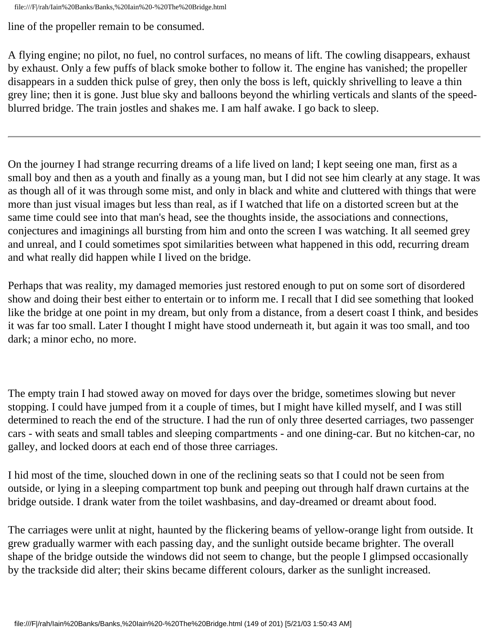file:///F|/rah/Iain%20Banks/Banks,%20Iain%20-%20The%20Bridge.html

line of the propeller remain to be consumed.

A flying engine; no pilot, no fuel, no control surfaces, no means of lift. The cowling disappears, exhaust by exhaust. Only a few puffs of black smoke bother to follow it. The engine has vanished; the propeller disappears in a sudden thick pulse of grey, then only the boss is left, quickly shrivelling to leave a thin grey line; then it is gone. Just blue sky and balloons beyond the whirling verticals and slants of the speedblurred bridge. The train jostles and shakes me. I am half awake. I go back to sleep.

On the journey I had strange recurring dreams of a life lived on land; I kept seeing one man, first as a small boy and then as a youth and finally as a young man, but I did not see him clearly at any stage. It was as though all of it was through some mist, and only in black and white and cluttered with things that were more than just visual images but less than real, as if I watched that life on a distorted screen but at the same time could see into that man's head, see the thoughts inside, the associations and connections, conjectures and imaginings all bursting from him and onto the screen I was watching. It all seemed grey and unreal, and I could sometimes spot similarities between what happened in this odd, recurring dream and what really did happen while I lived on the bridge.

Perhaps that was reality, my damaged memories just restored enough to put on some sort of disordered show and doing their best either to entertain or to inform me. I recall that I did see something that looked like the bridge at one point in my dream, but only from a distance, from a desert coast I think, and besides it was far too small. Later I thought I might have stood underneath it, but again it was too small, and too dark; a minor echo, no more.

The empty train I had stowed away on moved for days over the bridge, sometimes slowing but never stopping. I could have jumped from it a couple of times, but I might have killed myself, and I was still determined to reach the end of the structure. I had the run of only three deserted carriages, two passenger cars - with seats and small tables and sleeping compartments - and one dining-car. But no kitchen-car, no galley, and locked doors at each end of those three carriages.

I hid most of the time, slouched down in one of the reclining seats so that I could not be seen from outside, or lying in a sleeping compartment top bunk and peeping out through half drawn curtains at the bridge outside. I drank water from the toilet washbasins, and day-dreamed or dreamt about food.

The carriages were unlit at night, haunted by the flickering beams of yellow-orange light from outside. It grew gradually warmer with each passing day, and the sunlight outside became brighter. The overall shape of the bridge outside the windows did not seem to change, but the people I glimpsed occasionally by the trackside did alter; their skins became different colours, darker as the sunlight increased.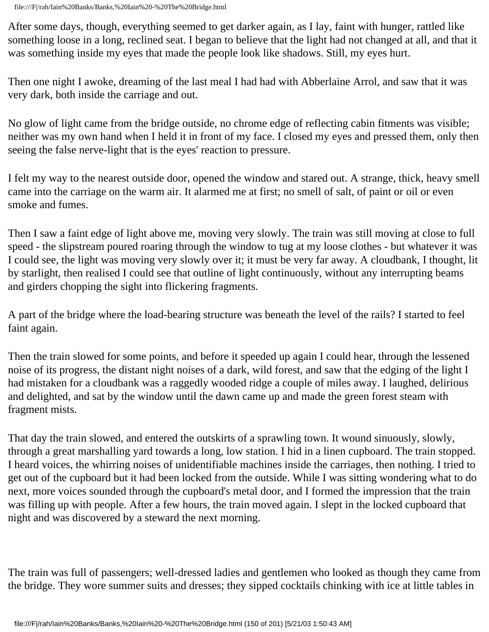After some days, though, everything seemed to get darker again, as I lay, faint with hunger, rattled like something loose in a long, reclined seat. I began to believe that the light had not changed at all, and that it was something inside my eyes that made the people look like shadows. Still, my eyes hurt.

Then one night I awoke, dreaming of the last meal I had had with Abberlaine Arrol, and saw that it was very dark, both inside the carriage and out.

No glow of light came from the bridge outside, no chrome edge of reflecting cabin fitments was visible; neither was my own hand when I held it in front of my face. I closed my eyes and pressed them, only then seeing the false nerve-light that is the eyes' reaction to pressure.

I felt my way to the nearest outside door, opened the window and stared out. A strange, thick, heavy smell came into the carriage on the warm air. It alarmed me at first; no smell of salt, of paint or oil or even smoke and fumes.

Then I saw a faint edge of light above me, moving very slowly. The train was still moving at close to full speed - the slipstream poured roaring through the window to tug at my loose clothes - but whatever it was I could see, the light was moving very slowly over it; it must be very far away. A cloudbank, I thought, lit by starlight, then realised I could see that outline of light continuously, without any interrupting beams and girders chopping the sight into flickering fragments.

A part of the bridge where the load-bearing structure was beneath the level of the rails? I started to feel faint again.

Then the train slowed for some points, and before it speeded up again I could hear, through the lessened noise of its progress, the distant night noises of a dark, wild forest, and saw that the edging of the light I had mistaken for a cloudbank was a raggedly wooded ridge a couple of miles away. I laughed, delirious and delighted, and sat by the window until the dawn came up and made the green forest steam with fragment mists.

That day the train slowed, and entered the outskirts of a sprawling town. It wound sinuously, slowly, through a great marshalling yard towards a long, low station. I hid in a linen cupboard. The train stopped. I heard voices, the whirring noises of unidentifiable machines inside the carriages, then nothing. I tried to get out of the cupboard but it had been locked from the outside. While I was sitting wondering what to do next, more voices sounded through the cupboard's metal door, and I formed the impression that the train was filling up with people. After a few hours, the train moved again. I slept in the locked cupboard that night and was discovered by a steward the next morning.

The train was full of passengers; well-dressed ladies and gentlemen who looked as though they came from the bridge. They wore summer suits and dresses; they sipped cocktails chinking with ice at little tables in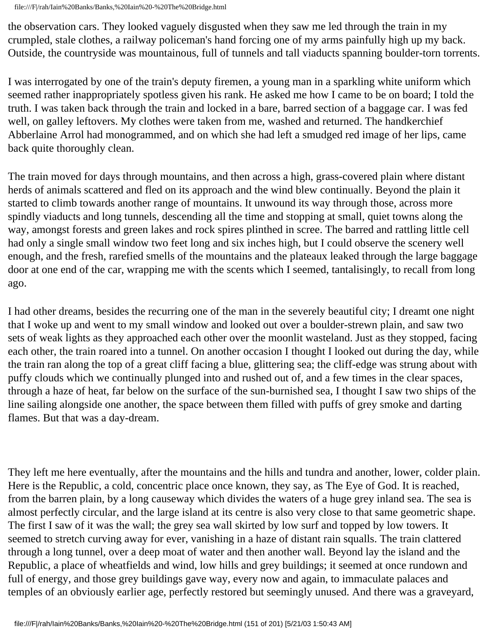the observation cars. They looked vaguely disgusted when they saw me led through the train in my crumpled, stale clothes, a railway policeman's hand forcing one of my arms painfully high up my back. Outside, the countryside was mountainous, full of tunnels and tall viaducts spanning boulder-torn torrents.

I was interrogated by one of the train's deputy firemen, a young man in a sparkling white uniform which seemed rather inappropriately spotless given his rank. He asked me how I came to be on board; I told the truth. I was taken back through the train and locked in a bare, barred section of a baggage car. I was fed well, on galley leftovers. My clothes were taken from me, washed and returned. The handkerchief Abberlaine Arrol had monogrammed, and on which she had left a smudged red image of her lips, came back quite thoroughly clean.

The train moved for days through mountains, and then across a high, grass-covered plain where distant herds of animals scattered and fled on its approach and the wind blew continually. Beyond the plain it started to climb towards another range of mountains. It unwound its way through those, across more spindly viaducts and long tunnels, descending all the time and stopping at small, quiet towns along the way, amongst forests and green lakes and rock spires plinthed in scree. The barred and rattling little cell had only a single small window two feet long and six inches high, but I could observe the scenery well enough, and the fresh, rarefied smells of the mountains and the plateaux leaked through the large baggage door at one end of the car, wrapping me with the scents which I seemed, tantalisingly, to recall from long ago.

I had other dreams, besides the recurring one of the man in the severely beautiful city; I dreamt one night that I woke up and went to my small window and looked out over a boulder-strewn plain, and saw two sets of weak lights as they approached each other over the moonlit wasteland. Just as they stopped, facing each other, the train roared into a tunnel. On another occasion I thought I looked out during the day, while the train ran along the top of a great cliff facing a blue, glittering sea; the cliff-edge was strung about with puffy clouds which we continually plunged into and rushed out of, and a few times in the clear spaces, through a haze of heat, far below on the surface of the sun-burnished sea, I thought I saw two ships of the line sailing alongside one another, the space between them filled with puffs of grey smoke and darting flames. But that was a day-dream.

They left me here eventually, after the mountains and the hills and tundra and another, lower, colder plain. Here is the Republic, a cold, concentric place once known, they say, as The Eye of God. It is reached, from the barren plain, by a long causeway which divides the waters of a huge grey inland sea. The sea is almost perfectly circular, and the large island at its centre is also very close to that same geometric shape. The first I saw of it was the wall; the grey sea wall skirted by low surf and topped by low towers. It seemed to stretch curving away for ever, vanishing in a haze of distant rain squalls. The train clattered through a long tunnel, over a deep moat of water and then another wall. Beyond lay the island and the Republic, a place of wheatfields and wind, low hills and grey buildings; it seemed at once rundown and full of energy, and those grey buildings gave way, every now and again, to immaculate palaces and temples of an obviously earlier age, perfectly restored but seemingly unused. And there was a graveyard,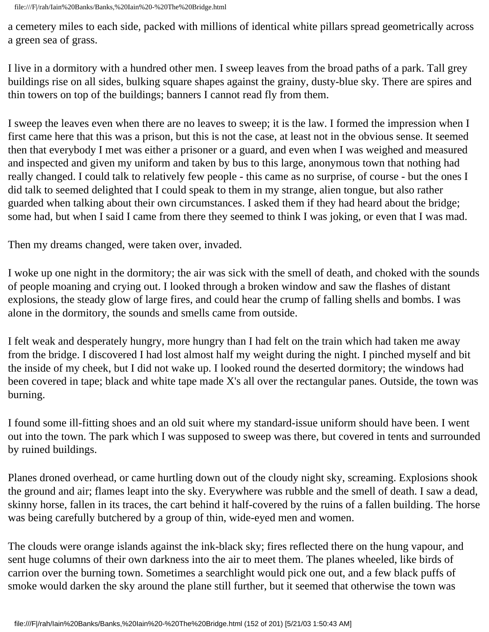a cemetery miles to each side, packed with millions of identical white pillars spread geometrically across a green sea of grass.

I live in a dormitory with a hundred other men. I sweep leaves from the broad paths of a park. Tall grey buildings rise on all sides, bulking square shapes against the grainy, dusty-blue sky. There are spires and thin towers on top of the buildings; banners I cannot read fly from them.

I sweep the leaves even when there are no leaves to sweep; it is the law. I formed the impression when I first came here that this was a prison, but this is not the case, at least not in the obvious sense. It seemed then that everybody I met was either a prisoner or a guard, and even when I was weighed and measured and inspected and given my uniform and taken by bus to this large, anonymous town that nothing had really changed. I could talk to relatively few people - this came as no surprise, of course - but the ones I did talk to seemed delighted that I could speak to them in my strange, alien tongue, but also rather guarded when talking about their own circumstances. I asked them if they had heard about the bridge; some had, but when I said I came from there they seemed to think I was joking, or even that I was mad.

Then my dreams changed, were taken over, invaded.

I woke up one night in the dormitory; the air was sick with the smell of death, and choked with the sounds of people moaning and crying out. I looked through a broken window and saw the flashes of distant explosions, the steady glow of large fires, and could hear the crump of falling shells and bombs. I was alone in the dormitory, the sounds and smells came from outside.

I felt weak and desperately hungry, more hungry than I had felt on the train which had taken me away from the bridge. I discovered I had lost almost half my weight during the night. I pinched myself and bit the inside of my cheek, but I did not wake up. I looked round the deserted dormitory; the windows had been covered in tape; black and white tape made X's all over the rectangular panes. Outside, the town was burning.

I found some ill-fitting shoes and an old suit where my standard-issue uniform should have been. I went out into the town. The park which I was supposed to sweep was there, but covered in tents and surrounded by ruined buildings.

Planes droned overhead, or came hurtling down out of the cloudy night sky, screaming. Explosions shook the ground and air; flames leapt into the sky. Everywhere was rubble and the smell of death. I saw a dead, skinny horse, fallen in its traces, the cart behind it half-covered by the ruins of a fallen building. The horse was being carefully butchered by a group of thin, wide-eyed men and women.

The clouds were orange islands against the ink-black sky; fires reflected there on the hung vapour, and sent huge columns of their own darkness into the air to meet them. The planes wheeled, like birds of carrion over the burning town. Sometimes a searchlight would pick one out, and a few black puffs of smoke would darken the sky around the plane still further, but it seemed that otherwise the town was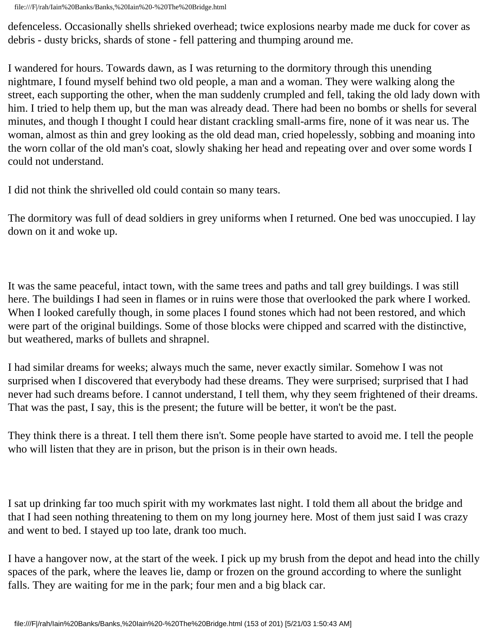defenceless. Occasionally shells shrieked overhead; twice explosions nearby made me duck for cover as debris - dusty bricks, shards of stone - fell pattering and thumping around me.

I wandered for hours. Towards dawn, as I was returning to the dormitory through this unending nightmare, I found myself behind two old people, a man and a woman. They were walking along the street, each supporting the other, when the man suddenly crumpled and fell, taking the old lady down with him. I tried to help them up, but the man was already dead. There had been no bombs or shells for several minutes, and though I thought I could hear distant crackling small-arms fire, none of it was near us. The woman, almost as thin and grey looking as the old dead man, cried hopelessly, sobbing and moaning into the worn collar of the old man's coat, slowly shaking her head and repeating over and over some words I could not understand.

I did not think the shrivelled old could contain so many tears.

The dormitory was full of dead soldiers in grey uniforms when I returned. One bed was unoccupied. I lay down on it and woke up.

It was the same peaceful, intact town, with the same trees and paths and tall grey buildings. I was still here. The buildings I had seen in flames or in ruins were those that overlooked the park where I worked. When I looked carefully though, in some places I found stones which had not been restored, and which were part of the original buildings. Some of those blocks were chipped and scarred with the distinctive, but weathered, marks of bullets and shrapnel.

I had similar dreams for weeks; always much the same, never exactly similar. Somehow I was not surprised when I discovered that everybody had these dreams. They were surprised; surprised that I had never had such dreams before. I cannot understand, I tell them, why they seem frightened of their dreams. That was the past, I say, this is the present; the future will be better, it won't be the past.

They think there is a threat. I tell them there isn't. Some people have started to avoid me. I tell the people who will listen that they are in prison, but the prison is in their own heads.

I sat up drinking far too much spirit with my workmates last night. I told them all about the bridge and that I had seen nothing threatening to them on my long journey here. Most of them just said I was crazy and went to bed. I stayed up too late, drank too much.

I have a hangover now, at the start of the week. I pick up my brush from the depot and head into the chilly spaces of the park, where the leaves lie, damp or frozen on the ground according to where the sunlight falls. They are waiting for me in the park; four men and a big black car.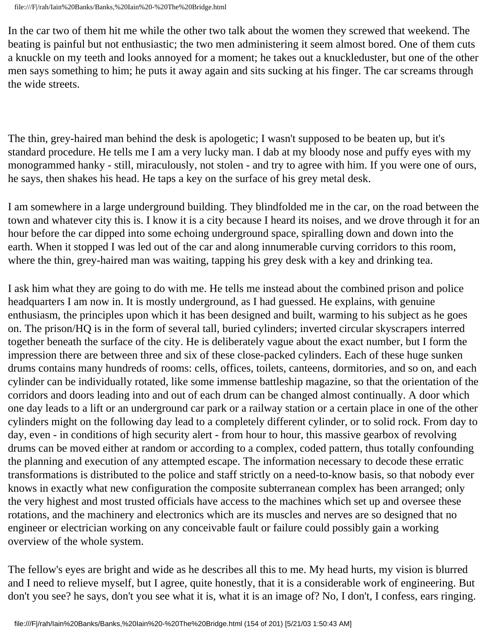In the car two of them hit me while the other two talk about the women they screwed that weekend. The beating is painful but not enthusiastic; the two men administering it seem almost bored. One of them cuts a knuckle on my teeth and looks annoyed for a moment; he takes out a knuckleduster, but one of the other men says something to him; he puts it away again and sits sucking at his finger. The car screams through the wide streets.

The thin, grey-haired man behind the desk is apologetic; I wasn't supposed to be beaten up, but it's standard procedure. He tells me I am a very lucky man. I dab at my bloody nose and puffy eyes with my monogrammed hanky - still, miraculously, not stolen - and try to agree with him. If you were one of ours, he says, then shakes his head. He taps a key on the surface of his grey metal desk.

I am somewhere in a large underground building. They blindfolded me in the car, on the road between the town and whatever city this is. I know it is a city because I heard its noises, and we drove through it for an hour before the car dipped into some echoing underground space, spiralling down and down into the earth. When it stopped I was led out of the car and along innumerable curving corridors to this room, where the thin, grey-haired man was waiting, tapping his grey desk with a key and drinking tea.

I ask him what they are going to do with me. He tells me instead about the combined prison and police headquarters I am now in. It is mostly underground, as I had guessed. He explains, with genuine enthusiasm, the principles upon which it has been designed and built, warming to his subject as he goes on. The prison/HQ is in the form of several tall, buried cylinders; inverted circular skyscrapers interred together beneath the surface of the city. He is deliberately vague about the exact number, but I form the impression there are between three and six of these close-packed cylinders. Each of these huge sunken drums contains many hundreds of rooms: cells, offices, toilets, canteens, dormitories, and so on, and each cylinder can be individually rotated, like some immense battleship magazine, so that the orientation of the corridors and doors leading into and out of each drum can be changed almost continually. A door which one day leads to a lift or an underground car park or a railway station or a certain place in one of the other cylinders might on the following day lead to a completely different cylinder, or to solid rock. From day to day, even - in conditions of high security alert - from hour to hour, this massive gearbox of revolving drums can be moved either at random or according to a complex, coded pattern, thus totally confounding the planning and execution of any attempted escape. The information necessary to decode these erratic transformations is distributed to the police and staff strictly on a need-to-know basis, so that nobody ever knows in exactly what new configuration the composite subterranean complex has been arranged; only the very highest and most trusted officials have access to the machines which set up and oversee these rotations, and the machinery and electronics which are its muscles and nerves are so designed that no engineer or electrician working on any conceivable fault or failure could possibly gain a working overview of the whole system.

The fellow's eyes are bright and wide as he describes all this to me. My head hurts, my vision is blurred and I need to relieve myself, but I agree, quite honestly, that it is a considerable work of engineering. But don't you see? he says, don't you see what it is, what it is an image of? No, I don't, I confess, ears ringing.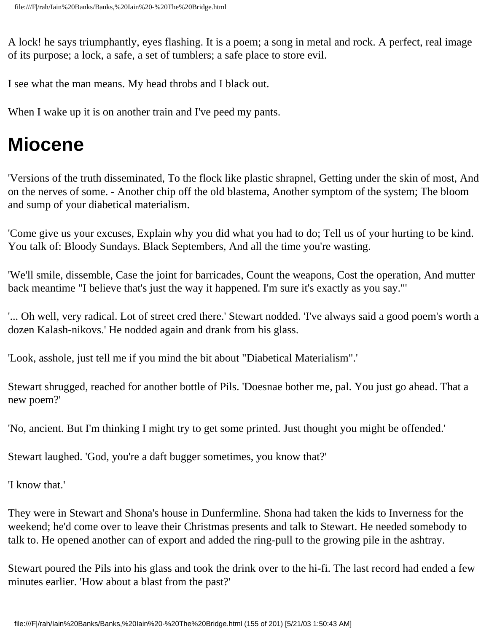A lock! he says triumphantly, eyes flashing. It is a poem; a song in metal and rock. A perfect, real image of its purpose; a lock, a safe, a set of tumblers; a safe place to store evil.

I see what the man means. My head throbs and I black out.

When I wake up it is on another train and I've peed my pants.

#### **Miocene**

'Versions of the truth disseminated, To the flock like plastic shrapnel, Getting under the skin of most, And on the nerves of some. - Another chip off the old blastema, Another symptom of the system; The bloom and sump of your diabetical materialism.

'Come give us your excuses, Explain why you did what you had to do; Tell us of your hurting to be kind. You talk of: Bloody Sundays. Black Septembers, And all the time you're wasting.

'We'll smile, dissemble, Case the joint for barricades, Count the weapons, Cost the operation, And mutter back meantime "I believe that's just the way it happened. I'm sure it's exactly as you say."'

'... Oh well, very radical. Lot of street cred there.' Stewart nodded. 'I've always said a good poem's worth a dozen Kalash-nikovs.' He nodded again and drank from his glass.

'Look, asshole, just tell me if you mind the bit about "Diabetical Materialism".'

Stewart shrugged, reached for another bottle of Pils. 'Doesnae bother me, pal. You just go ahead. That a new poem?'

'No, ancient. But I'm thinking I might try to get some printed. Just thought you might be offended.'

Stewart laughed. 'God, you're a daft bugger sometimes, you know that?'

'I know that.'

They were in Stewart and Shona's house in Dunfermline. Shona had taken the kids to Inverness for the weekend; he'd come over to leave their Christmas presents and talk to Stewart. He needed somebody to talk to. He opened another can of export and added the ring-pull to the growing pile in the ashtray.

Stewart poured the Pils into his glass and took the drink over to the hi-fi. The last record had ended a few minutes earlier. 'How about a blast from the past?'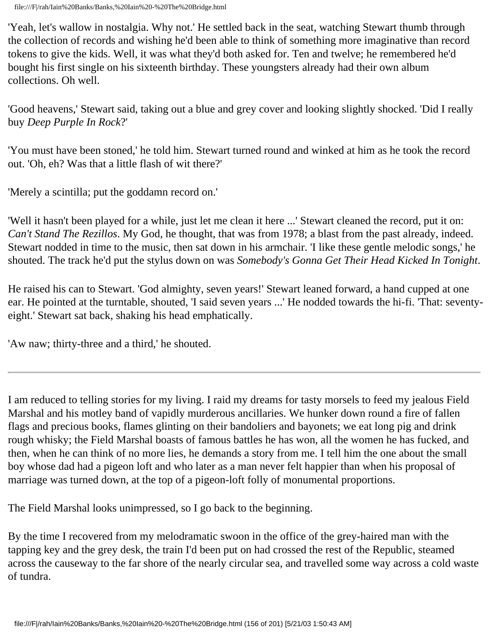'Yeah, let's wallow in nostalgia. Why not.' He settled back in the seat, watching Stewart thumb through the collection of records and wishing he'd been able to think of something more imaginative than record tokens to give the kids. Well, it was what they'd both asked for. Ten and twelve; he remembered he'd bought his first single on his sixteenth birthday. These youngsters already had their own album collections. Oh well.

'Good heavens,' Stewart said, taking out a blue and grey cover and looking slightly shocked. 'Did I really buy *Deep Purple In Rock*?'

'You must have been stoned,' he told him. Stewart turned round and winked at him as he took the record out. 'Oh, eh? Was that a little flash of wit there?'

'Merely a scintilla; put the goddamn record on.'

'Well it hasn't been played for a while, just let me clean it here ...' Stewart cleaned the record, put it on: *Can't Stand The Rezillos*. My God, he thought, that was from 1978; a blast from the past already, indeed. Stewart nodded in time to the music, then sat down in his armchair. 'I like these gentle melodic songs,' he shouted. The track he'd put the stylus down on was *Somebody's Gonna Get Their Head Kicked In Tonight*.

He raised his can to Stewart. 'God almighty, seven years!' Stewart leaned forward, a hand cupped at one ear. He pointed at the turntable, shouted, 'I said seven years ...' He nodded towards the hi-fi. 'That: seventyeight.' Stewart sat back, shaking his head emphatically.

'Aw naw; thirty-three and a third,' he shouted.

I am reduced to telling stories for my living. I raid my dreams for tasty morsels to feed my jealous Field Marshal and his motley band of vapidly murderous ancillaries. We hunker down round a fire of fallen flags and precious books, flames glinting on their bandoliers and bayonets; we eat long pig and drink rough whisky; the Field Marshal boasts of famous battles he has won, all the women he has fucked, and then, when he can think of no more lies, he demands a story from me. I tell him the one about the small boy whose dad had a pigeon loft and who later as a man never felt happier than when his proposal of marriage was turned down, at the top of a pigeon-loft folly of monumental proportions.

The Field Marshal looks unimpressed, so I go back to the beginning.

By the time I recovered from my melodramatic swoon in the office of the grey-haired man with the tapping key and the grey desk, the train I'd been put on had crossed the rest of the Republic, steamed across the causeway to the far shore of the nearly circular sea, and travelled some way across a cold waste of tundra.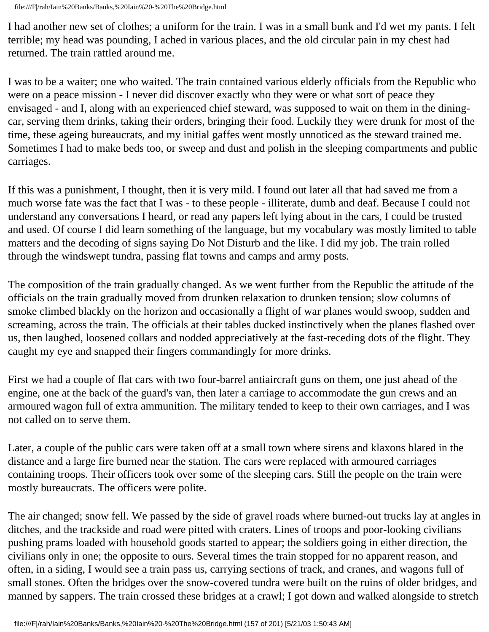I had another new set of clothes; a uniform for the train. I was in a small bunk and I'd wet my pants. I felt terrible; my head was pounding, I ached in various places, and the old circular pain in my chest had returned. The train rattled around me.

I was to be a waiter; one who waited. The train contained various elderly officials from the Republic who were on a peace mission - I never did discover exactly who they were or what sort of peace they envisaged - and I, along with an experienced chief steward, was supposed to wait on them in the diningcar, serving them drinks, taking their orders, bringing their food. Luckily they were drunk for most of the time, these ageing bureaucrats, and my initial gaffes went mostly unnoticed as the steward trained me. Sometimes I had to make beds too, or sweep and dust and polish in the sleeping compartments and public carriages.

If this was a punishment, I thought, then it is very mild. I found out later all that had saved me from a much worse fate was the fact that I was - to these people - illiterate, dumb and deaf. Because I could not understand any conversations I heard, or read any papers left lying about in the cars, I could be trusted and used. Of course I did learn something of the language, but my vocabulary was mostly limited to table matters and the decoding of signs saying Do Not Disturb and the like. I did my job. The train rolled through the windswept tundra, passing flat towns and camps and army posts.

The composition of the train gradually changed. As we went further from the Republic the attitude of the officials on the train gradually moved from drunken relaxation to drunken tension; slow columns of smoke climbed blackly on the horizon and occasionally a flight of war planes would swoop, sudden and screaming, across the train. The officials at their tables ducked instinctively when the planes flashed over us, then laughed, loosened collars and nodded appreciatively at the fast-receding dots of the flight. They caught my eye and snapped their fingers commandingly for more drinks.

First we had a couple of flat cars with two four-barrel antiaircraft guns on them, one just ahead of the engine, one at the back of the guard's van, then later a carriage to accommodate the gun crews and an armoured wagon full of extra ammunition. The military tended to keep to their own carriages, and I was not called on to serve them.

Later, a couple of the public cars were taken off at a small town where sirens and klaxons blared in the distance and a large fire burned near the station. The cars were replaced with armoured carriages containing troops. Their officers took over some of the sleeping cars. Still the people on the train were mostly bureaucrats. The officers were polite.

The air changed; snow fell. We passed by the side of gravel roads where burned-out trucks lay at angles in ditches, and the trackside and road were pitted with craters. Lines of troops and poor-looking civilians pushing prams loaded with household goods started to appear; the soldiers going in either direction, the civilians only in one; the opposite to ours. Several times the train stopped for no apparent reason, and often, in a siding, I would see a train pass us, carrying sections of track, and cranes, and wagons full of small stones. Often the bridges over the snow-covered tundra were built on the ruins of older bridges, and manned by sappers. The train crossed these bridges at a crawl; I got down and walked alongside to stretch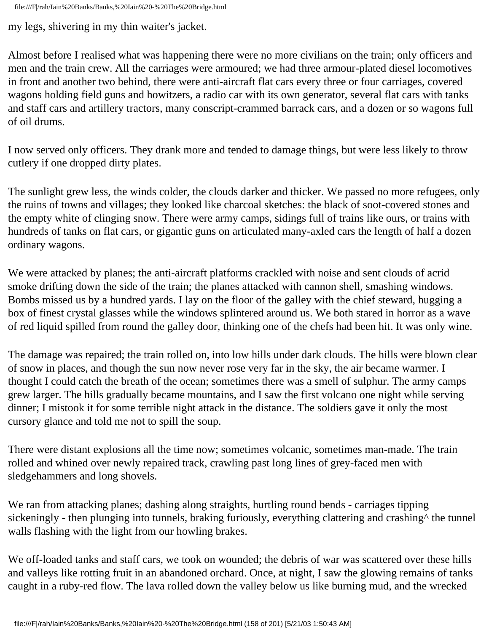file:///F|/rah/Iain%20Banks/Banks,%20Iain%20-%20The%20Bridge.html

my legs, shivering in my thin waiter's jacket.

Almost before I realised what was happening there were no more civilians on the train; only officers and men and the train crew. All the carriages were armoured; we had three armour-plated diesel locomotives in front and another two behind, there were anti-aircraft flat cars every three or four carriages, covered wagons holding field guns and howitzers, a radio car with its own generator, several flat cars with tanks and staff cars and artillery tractors, many conscript-crammed barrack cars, and a dozen or so wagons full of oil drums.

I now served only officers. They drank more and tended to damage things, but were less likely to throw cutlery if one dropped dirty plates.

The sunlight grew less, the winds colder, the clouds darker and thicker. We passed no more refugees, only the ruins of towns and villages; they looked like charcoal sketches: the black of soot-covered stones and the empty white of clinging snow. There were army camps, sidings full of trains like ours, or trains with hundreds of tanks on flat cars, or gigantic guns on articulated many-axled cars the length of half a dozen ordinary wagons.

We were attacked by planes; the anti-aircraft platforms crackled with noise and sent clouds of acrid smoke drifting down the side of the train; the planes attacked with cannon shell, smashing windows. Bombs missed us by a hundred yards. I lay on the floor of the galley with the chief steward, hugging a box of finest crystal glasses while the windows splintered around us. We both stared in horror as a wave of red liquid spilled from round the galley door, thinking one of the chefs had been hit. It was only wine.

The damage was repaired; the train rolled on, into low hills under dark clouds. The hills were blown clear of snow in places, and though the sun now never rose very far in the sky, the air became warmer. I thought I could catch the breath of the ocean; sometimes there was a smell of sulphur. The army camps grew larger. The hills gradually became mountains, and I saw the first volcano one night while serving dinner; I mistook it for some terrible night attack in the distance. The soldiers gave it only the most cursory glance and told me not to spill the soup.

There were distant explosions all the time now; sometimes volcanic, sometimes man-made. The train rolled and whined over newly repaired track, crawling past long lines of grey-faced men with sledgehammers and long shovels.

We ran from attacking planes; dashing along straights, hurtling round bends - carriages tipping sickeningly - then plunging into tunnels, braking furiously, everything clattering and crashing<sup>^</sup> the tunnel walls flashing with the light from our howling brakes.

We off-loaded tanks and staff cars, we took on wounded; the debris of war was scattered over these hills and valleys like rotting fruit in an abandoned orchard. Once, at night, I saw the glowing remains of tanks caught in a ruby-red flow. The lava rolled down the valley below us like burning mud, and the wrecked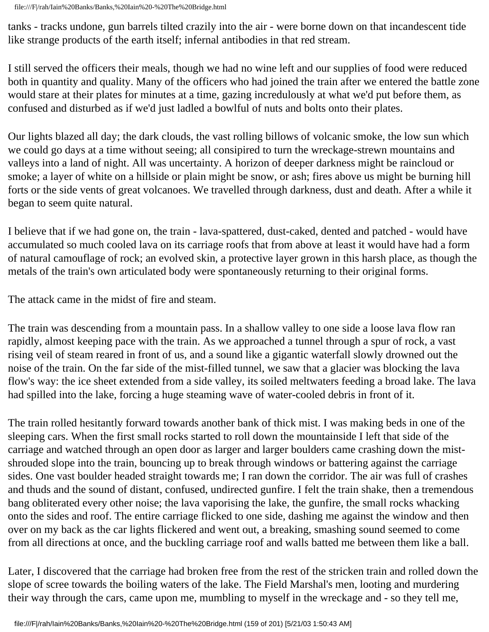tanks - tracks undone, gun barrels tilted crazily into the air - were borne down on that incandescent tide like strange products of the earth itself; infernal antibodies in that red stream.

I still served the officers their meals, though we had no wine left and our supplies of food were reduced both in quantity and quality. Many of the officers who had joined the train after we entered the battle zone would stare at their plates for minutes at a time, gazing incredulously at what we'd put before them, as confused and disturbed as if we'd just ladled a bowlful of nuts and bolts onto their plates.

Our lights blazed all day; the dark clouds, the vast rolling billows of volcanic smoke, the low sun which we could go days at a time without seeing; all consipired to turn the wreckage-strewn mountains and valleys into a land of night. All was uncertainty. A horizon of deeper darkness might be raincloud or smoke; a layer of white on a hillside or plain might be snow, or ash; fires above us might be burning hill forts or the side vents of great volcanoes. We travelled through darkness, dust and death. After a while it began to seem quite natural.

I believe that if we had gone on, the train - lava-spattered, dust-caked, dented and patched - would have accumulated so much cooled lava on its carriage roofs that from above at least it would have had a form of natural camouflage of rock; an evolved skin, a protective layer grown in this harsh place, as though the metals of the train's own articulated body were spontaneously returning to their original forms.

The attack came in the midst of fire and steam.

The train was descending from a mountain pass. In a shallow valley to one side a loose lava flow ran rapidly, almost keeping pace with the train. As we approached a tunnel through a spur of rock, a vast rising veil of steam reared in front of us, and a sound like a gigantic waterfall slowly drowned out the noise of the train. On the far side of the mist-filled tunnel, we saw that a glacier was blocking the lava flow's way: the ice sheet extended from a side valley, its soiled meltwaters feeding a broad lake. The lava had spilled into the lake, forcing a huge steaming wave of water-cooled debris in front of it.

The train rolled hesitantly forward towards another bank of thick mist. I was making beds in one of the sleeping cars. When the first small rocks started to roll down the mountainside I left that side of the carriage and watched through an open door as larger and larger boulders came crashing down the mistshrouded slope into the train, bouncing up to break through windows or battering against the carriage sides. One vast boulder headed straight towards me; I ran down the corridor. The air was full of crashes and thuds and the sound of distant, confused, undirected gunfire. I felt the train shake, then a tremendous bang obliterated every other noise; the lava vaporising the lake, the gunfire, the small rocks whacking onto the sides and roof. The entire carriage flicked to one side, dashing me against the window and then over on my back as the car lights flickered and went out, a breaking, smashing sound seemed to come from all directions at once, and the buckling carriage roof and walls batted me between them like a ball.

Later, I discovered that the carriage had broken free from the rest of the stricken train and rolled down the slope of scree towards the boiling waters of the lake. The Field Marshal's men, looting and murdering their way through the cars, came upon me, mumbling to myself in the wreckage and - so they tell me,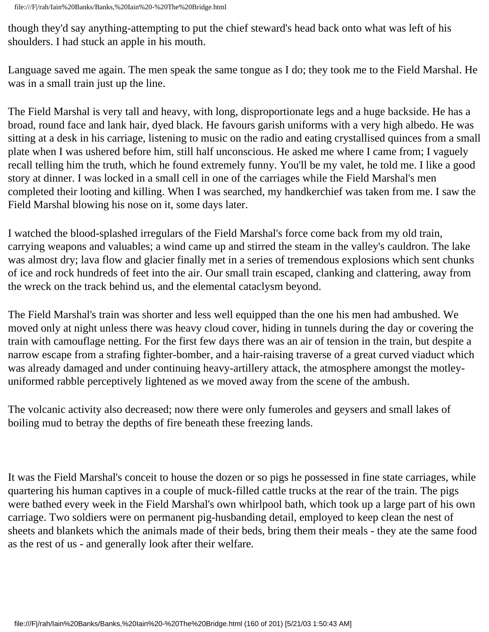though they'd say anything-attempting to put the chief steward's head back onto what was left of his shoulders. I had stuck an apple in his mouth.

Language saved me again. The men speak the same tongue as I do; they took me to the Field Marshal. He was in a small train just up the line.

The Field Marshal is very tall and heavy, with long, disproportionate legs and a huge backside. He has a broad, round face and lank hair, dyed black. He favours garish uniforms with a very high albedo. He was sitting at a desk in his carriage, listening to music on the radio and eating crystallised quinces from a small plate when I was ushered before him, still half unconscious. He asked me where I came from; I vaguely recall telling him the truth, which he found extremely funny. You'll be my valet, he told me. I like a good story at dinner. I was locked in a small cell in one of the carriages while the Field Marshal's men completed their looting and killing. When I was searched, my handkerchief was taken from me. I saw the Field Marshal blowing his nose on it, some days later.

I watched the blood-splashed irregulars of the Field Marshal's force come back from my old train, carrying weapons and valuables; a wind came up and stirred the steam in the valley's cauldron. The lake was almost dry; lava flow and glacier finally met in a series of tremendous explosions which sent chunks of ice and rock hundreds of feet into the air. Our small train escaped, clanking and clattering, away from the wreck on the track behind us, and the elemental cataclysm beyond.

The Field Marshal's train was shorter and less well equipped than the one his men had ambushed. We moved only at night unless there was heavy cloud cover, hiding in tunnels during the day or covering the train with camouflage netting. For the first few days there was an air of tension in the train, but despite a narrow escape from a strafing fighter-bomber, and a hair-raising traverse of a great curved viaduct which was already damaged and under continuing heavy-artillery attack, the atmosphere amongst the motleyuniformed rabble perceptively lightened as we moved away from the scene of the ambush.

The volcanic activity also decreased; now there were only fumeroles and geysers and small lakes of boiling mud to betray the depths of fire beneath these freezing lands.

It was the Field Marshal's conceit to house the dozen or so pigs he possessed in fine state carriages, while quartering his human captives in a couple of muck-filled cattle trucks at the rear of the train. The pigs were bathed every week in the Field Marshal's own whirlpool bath, which took up a large part of his own carriage. Two soldiers were on permanent pig-husbanding detail, employed to keep clean the nest of sheets and blankets which the animals made of their beds, bring them their meals - they ate the same food as the rest of us - and generally look after their welfare.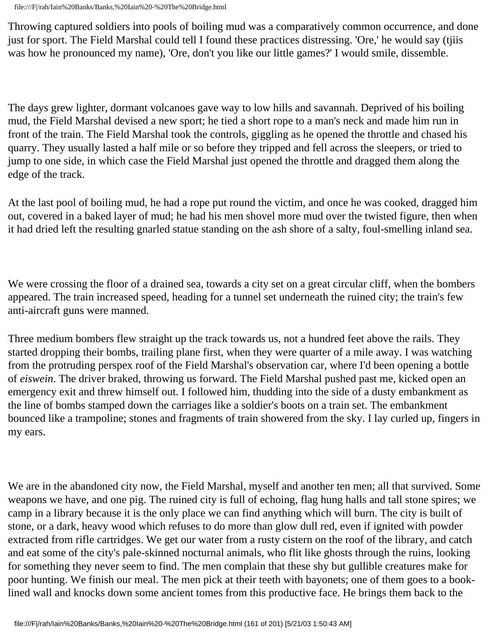Throwing captured soldiers into pools of boiling mud was a comparatively common occurrence, and done just for sport. The Field Marshal could tell I found these practices distressing. 'Ore,' he would say (tjiis was how he pronounced my name), 'Ore, don't you like our little games?' I would smile, dissemble.

The days grew lighter, dormant volcanoes gave way to low hills and savannah. Deprived of his boiling mud, the Field Marshal devised a new sport; he tied a short rope to a man's neck and made him run in front of the train. The Field Marshal took the controls, giggling as he opened the throttle and chased his quarry. They usually lasted a half mile or so before they tripped and fell across the sleepers, or tried to jump to one side, in which case the Field Marshal just opened the throttle and dragged them along the edge of the track.

At the last pool of boiling mud, he had a rope put round the victim, and once he was cooked, dragged him out, covered in a baked layer of mud; he had his men shovel more mud over the twisted figure, then when it had dried left the resulting gnarled statue standing on the ash shore of a salty, foul-smelling inland sea.

We were crossing the floor of a drained sea, towards a city set on a great circular cliff, when the bombers appeared. The train increased speed, heading for a tunnel set underneath the ruined city; the train's few anti-aircraft guns were manned.

Three medium bombers flew straight up the track towards us, not a hundred feet above the rails. They started dropping their bombs, trailing plane first, when they were quarter of a mile away. I was watching from the protruding perspex roof of the Field Marshal's observation car, where I'd been opening a bottle of *eiswein*. The driver braked, throwing us forward. The Field Marshal pushed past me, kicked open an emergency exit and threw himself out. I followed him, thudding into the side of a dusty embankment as the line of bombs stamped down the carriages like a soldier's boots on a train set. The embankment bounced like a trampoline; stones and fragments of train showered from the sky. I lay curled up, fingers in my ears.

We are in the abandoned city now, the Field Marshal, myself and another ten men; all that survived. Some weapons we have, and one pig. The ruined city is full of echoing, flag hung halls and tall stone spires; we camp in a library because it is the only place we can find anything which will burn. The city is built of stone, or a dark, heavy wood which refuses to do more than glow dull red, even if ignited with powder extracted from rifle cartridges. We get our water from a rusty cistern on the roof of the library, and catch and eat some of the city's pale-skinned nocturnal animals, who flit like ghosts through the ruins, looking for something they never seem to find. The men complain that these shy but gullible creatures make for poor hunting. We finish our meal. The men pick at their teeth with bayonets; one of them goes to a booklined wall and knocks down some ancient tomes from this productive face. He brings them back to the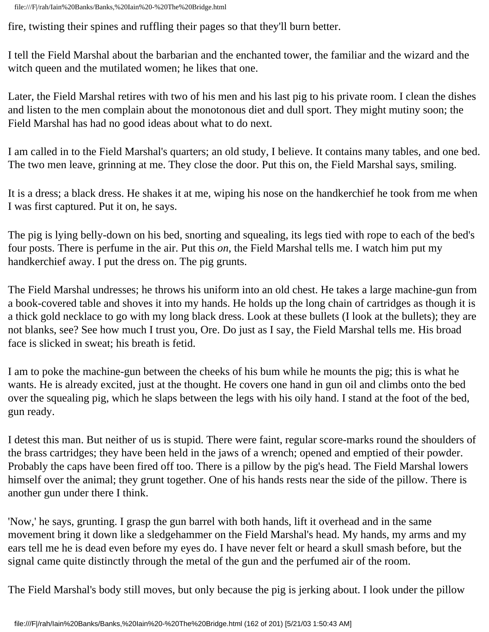fire, twisting their spines and ruffling their pages so that they'll burn better.

I tell the Field Marshal about the barbarian and the enchanted tower, the familiar and the wizard and the witch queen and the mutilated women; he likes that one.

Later, the Field Marshal retires with two of his men and his last pig to his private room. I clean the dishes and listen to the men complain about the monotonous diet and dull sport. They might mutiny soon; the Field Marshal has had no good ideas about what to do next.

I am called in to the Field Marshal's quarters; an old study, I believe. It contains many tables, and one bed. The two men leave, grinning at me. They close the door. Put this on, the Field Marshal says, smiling.

It is a dress; a black dress. He shakes it at me, wiping his nose on the handkerchief he took from me when I was first captured. Put it on, he says.

The pig is lying belly-down on his bed, snorting and squealing, its legs tied with rope to each of the bed's four posts. There is perfume in the air. Put this *on*, the Field Marshal tells me. I watch him put my handkerchief away. I put the dress on. The pig grunts.

The Field Marshal undresses; he throws his uniform into an old chest. He takes a large machine-gun from a book-covered table and shoves it into my hands. He holds up the long chain of cartridges as though it is a thick gold necklace to go with my long black dress. Look at these bullets (I look at the bullets); they are not blanks, see? See how much I trust you, Ore. Do just as I say, the Field Marshal tells me. His broad face is slicked in sweat; his breath is fetid.

I am to poke the machine-gun between the cheeks of his bum while he mounts the pig; this is what he wants. He is already excited, just at the thought. He covers one hand in gun oil and climbs onto the bed over the squealing pig, which he slaps between the legs with his oily hand. I stand at the foot of the bed, gun ready.

I detest this man. But neither of us is stupid. There were faint, regular score-marks round the shoulders of the brass cartridges; they have been held in the jaws of a wrench; opened and emptied of their powder. Probably the caps have been fired off too. There is a pillow by the pig's head. The Field Marshal lowers himself over the animal; they grunt together. One of his hands rests near the side of the pillow. There is another gun under there I think.

'Now,' he says, grunting. I grasp the gun barrel with both hands, lift it overhead and in the same movement bring it down like a sledgehammer on the Field Marshal's head. My hands, my arms and my ears tell me he is dead even before my eyes do. I have never felt or heard a skull smash before, but the signal came quite distinctly through the metal of the gun and the perfumed air of the room.

The Field Marshal's body still moves, but only because the pig is jerking about. I look under the pillow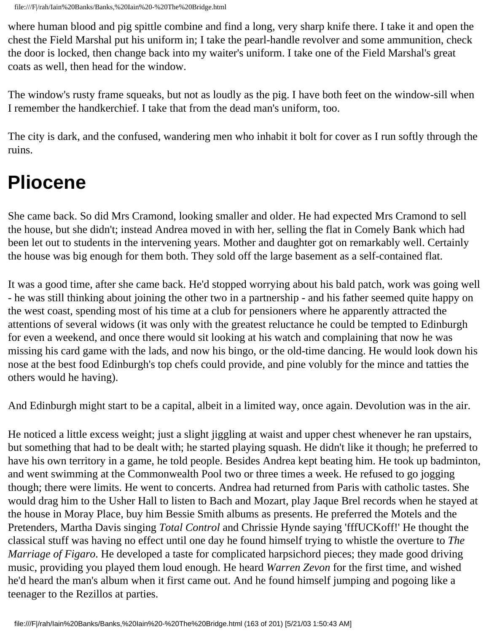where human blood and pig spittle combine and find a long, very sharp knife there. I take it and open the chest the Field Marshal put his uniform in; I take the pearl-handle revolver and some ammunition, check the door is locked, then change back into my waiter's uniform. I take one of the Field Marshal's great coats as well, then head for the window.

The window's rusty frame squeaks, but not as loudly as the pig. I have both feet on the window-sill when I remember the handkerchief. I take that from the dead man's uniform, too.

The city is dark, and the confused, wandering men who inhabit it bolt for cover as I run softly through the ruins.

#### **Pliocene**

She came back. So did Mrs Cramond, looking smaller and older. He had expected Mrs Cramond to sell the house, but she didn't; instead Andrea moved in with her, selling the flat in Comely Bank which had been let out to students in the intervening years. Mother and daughter got on remarkably well. Certainly the house was big enough for them both. They sold off the large basement as a self-contained flat.

It was a good time, after she came back. He'd stopped worrying about his bald patch, work was going well - he was still thinking about joining the other two in a partnership - and his father seemed quite happy on the west coast, spending most of his time at a club for pensioners where he apparently attracted the attentions of several widows (it was only with the greatest reluctance he could be tempted to Edinburgh for even a weekend, and once there would sit looking at his watch and complaining that now he was missing his card game with the lads, and now his bingo, or the old-time dancing. He would look down his nose at the best food Edinburgh's top chefs could provide, and pine volubly for the mince and tatties the others would he having).

And Edinburgh might start to be a capital, albeit in a limited way, once again. Devolution was in the air.

He noticed a little excess weight; just a slight jiggling at waist and upper chest whenever he ran upstairs, but something that had to be dealt with; he started playing squash. He didn't like it though; he preferred to have his own territory in a game, he told people. Besides Andrea kept beating him. He took up badminton, and went swimming at the Commonwealth Pool two or three times a week. He refused to go jogging though; there were limits. He went to concerts. Andrea had returned from Paris with catholic tastes. She would drag him to the Usher Hall to listen to Bach and Mozart, play Jaque Brel records when he stayed at the house in Moray Place, buy him Bessie Smith albums as presents. He preferred the Motels and the Pretenders, Martha Davis singing *Total Control* and Chrissie Hynde saying 'fffUCKoff!' He thought the classical stuff was having no effect until one day he found himself trying to whistle the overture to *The Marriage of Figaro*. He developed a taste for complicated harpsichord pieces; they made good driving music, providing you played them loud enough. He heard *Warren Zevon* for the first time, and wished he'd heard the man's album when it first came out. And he found himself jumping and pogoing like a teenager to the Rezillos at parties.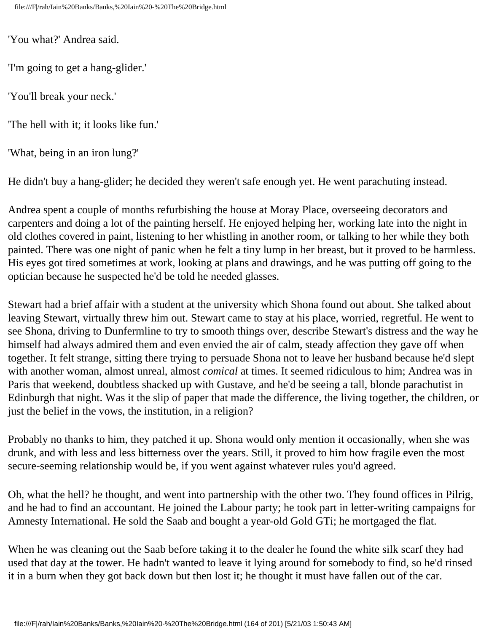'You what?' Andrea said.

'I'm going to get a hang-glider.'

'You'll break your neck.'

'The hell with it; it looks like fun.'

'What, being in an iron lung?'

He didn't buy a hang-glider; he decided they weren't safe enough yet. He went parachuting instead.

Andrea spent a couple of months refurbishing the house at Moray Place, overseeing decorators and carpenters and doing a lot of the painting herself. He enjoyed helping her, working late into the night in old clothes covered in paint, listening to her whistling in another room, or talking to her while they both painted. There was one night of panic when he felt a tiny lump in her breast, but it proved to be harmless. His eyes got tired sometimes at work, looking at plans and drawings, and he was putting off going to the optician because he suspected he'd be told he needed glasses.

Stewart had a brief affair with a student at the university which Shona found out about. She talked about leaving Stewart, virtually threw him out. Stewart came to stay at his place, worried, regretful. He went to see Shona, driving to Dunfermline to try to smooth things over, describe Stewart's distress and the way he himself had always admired them and even envied the air of calm, steady affection they gave off when together. It felt strange, sitting there trying to persuade Shona not to leave her husband because he'd slept with another woman, almost unreal, almost *comical* at times. It seemed ridiculous to him; Andrea was in Paris that weekend, doubtless shacked up with Gustave, and he'd be seeing a tall, blonde parachutist in Edinburgh that night. Was it the slip of paper that made the difference, the living together, the children, or just the belief in the vows, the institution, in a religion?

Probably no thanks to him, they patched it up. Shona would only mention it occasionally, when she was drunk, and with less and less bitterness over the years. Still, it proved to him how fragile even the most secure-seeming relationship would be, if you went against whatever rules you'd agreed.

Oh, what the hell? he thought, and went into partnership with the other two. They found offices in Pilrig, and he had to find an accountant. He joined the Labour party; he took part in letter-writing campaigns for Amnesty International. He sold the Saab and bought a year-old Gold GTi; he mortgaged the flat.

When he was cleaning out the Saab before taking it to the dealer he found the white silk scarf they had used that day at the tower. He hadn't wanted to leave it lying around for somebody to find, so he'd rinsed it in a burn when they got back down but then lost it; he thought it must have fallen out of the car.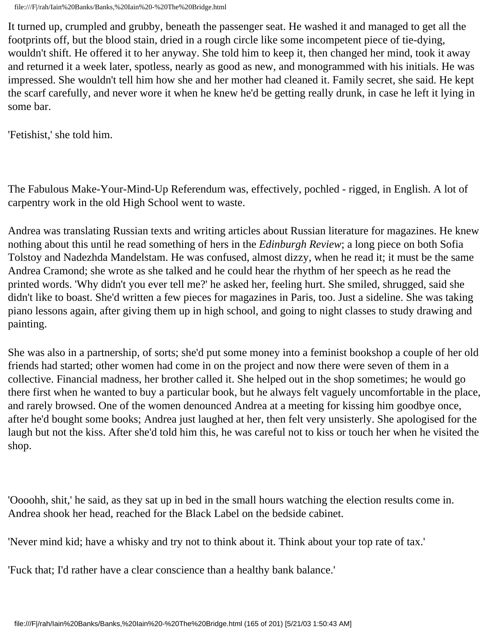It turned up, crumpled and grubby, beneath the passenger seat. He washed it and managed to get all the footprints off, but the blood stain, dried in a rough circle like some incompetent piece of tie-dying, wouldn't shift. He offered it to her anyway. She told him to keep it, then changed her mind, took it away and returned it a week later, spotless, nearly as good as new, and monogrammed with his initials. He was impressed. She wouldn't tell him how she and her mother had cleaned it. Family secret, she said. He kept the scarf carefully, and never wore it when he knew he'd be getting really drunk, in case he left it lying in some bar.

'Fetishist,' she told him.

The Fabulous Make-Your-Mind-Up Referendum was, effectively, pochled - rigged, in English. A lot of carpentry work in the old High School went to waste.

Andrea was translating Russian texts and writing articles about Russian literature for magazines. He knew nothing about this until he read something of hers in the *Edinburgh Review*; a long piece on both Sofia Tolstoy and Nadezhda Mandelstam. He was confused, almost dizzy, when he read it; it must be the same Andrea Cramond; she wrote as she talked and he could hear the rhythm of her speech as he read the printed words. 'Why didn't you ever tell me?' he asked her, feeling hurt. She smiled, shrugged, said she didn't like to boast. She'd written a few pieces for magazines in Paris, too. Just a sideline. She was taking piano lessons again, after giving them up in high school, and going to night classes to study drawing and painting.

She was also in a partnership, of sorts; she'd put some money into a feminist bookshop a couple of her old friends had started; other women had come in on the project and now there were seven of them in a collective. Financial madness, her brother called it. She helped out in the shop sometimes; he would go there first when he wanted to buy a particular book, but he always felt vaguely uncomfortable in the place, and rarely browsed. One of the women denounced Andrea at a meeting for kissing him goodbye once, after he'd bought some books; Andrea just laughed at her, then felt very unsisterly. She apologised for the laugh but not the kiss. After she'd told him this, he was careful not to kiss or touch her when he visited the shop.

'Oooohh, shit,' he said, as they sat up in bed in the small hours watching the election results come in. Andrea shook her head, reached for the Black Label on the bedside cabinet.

'Never mind kid; have a whisky and try not to think about it. Think about your top rate of tax.'

'Fuck that; I'd rather have a clear conscience than a healthy bank balance.'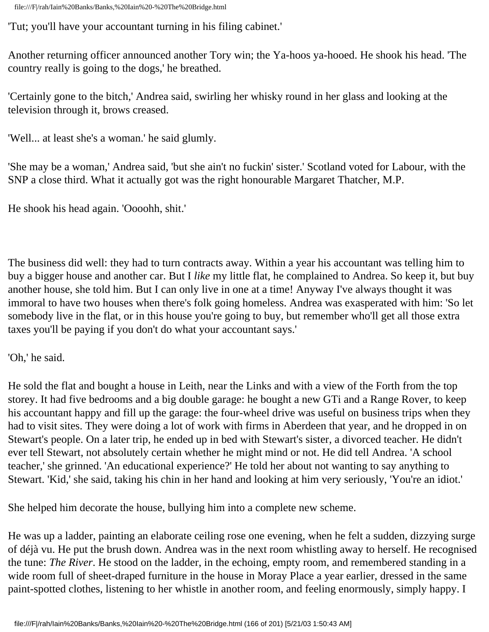'Tut; you'll have your accountant turning in his filing cabinet.'

Another returning officer announced another Tory win; the Ya-hoos ya-hooed. He shook his head. 'The country really is going to the dogs,' he breathed.

'Certainly gone to the bitch,' Andrea said, swirling her whisky round in her glass and looking at the television through it, brows creased.

'Well... at least she's a woman.' he said glumly.

'She may be a woman,' Andrea said, 'but she ain't no fuckin' sister.' Scotland voted for Labour, with the SNP a close third. What it actually got was the right honourable Margaret Thatcher, M.P.

He shook his head again. 'Oooohh, shit.'

The business did well: they had to turn contracts away. Within a year his accountant was telling him to buy a bigger house and another car. But I *like* my little flat, he complained to Andrea. So keep it, but buy another house, she told him. But I can only live in one at a time! Anyway I've always thought it was immoral to have two houses when there's folk going homeless. Andrea was exasperated with him: 'So let somebody live in the flat, or in this house you're going to buy, but remember who'll get all those extra taxes you'll be paying if you don't do what your accountant says.'

'Oh,' he said.

He sold the flat and bought a house in Leith, near the Links and with a view of the Forth from the top storey. It had five bedrooms and a big double garage: he bought a new GTi and a Range Rover, to keep his accountant happy and fill up the garage: the four-wheel drive was useful on business trips when they had to visit sites. They were doing a lot of work with firms in Aberdeen that year, and he dropped in on Stewart's people. On a later trip, he ended up in bed with Stewart's sister, a divorced teacher. He didn't ever tell Stewart, not absolutely certain whether he might mind or not. He did tell Andrea. 'A school teacher,' she grinned. 'An educational experience?' He told her about not wanting to say anything to Stewart. 'Kid,' she said, taking his chin in her hand and looking at him very seriously, 'You're an idiot.'

She helped him decorate the house, bullying him into a complete new scheme.

He was up a ladder, painting an elaborate ceiling rose one evening, when he felt a sudden, dizzying surge of déjà vu. He put the brush down. Andrea was in the next room whistling away to herself. He recognised the tune: *The River*. He stood on the ladder, in the echoing, empty room, and remembered standing in a wide room full of sheet-draped furniture in the house in Moray Place a year earlier, dressed in the same paint-spotted clothes, listening to her whistle in another room, and feeling enormously, simply happy. I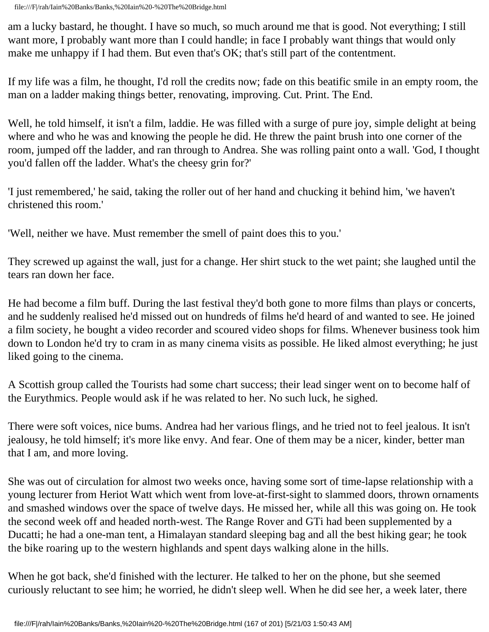am a lucky bastard, he thought. I have so much, so much around me that is good. Not everything; I still want more, I probably want more than I could handle; in face I probably want things that would only make me unhappy if I had them. But even that's OK; that's still part of the contentment.

If my life was a film, he thought, I'd roll the credits now; fade on this beatific smile in an empty room, the man on a ladder making things better, renovating, improving. Cut. Print. The End.

Well, he told himself, it isn't a film, laddie. He was filled with a surge of pure joy, simple delight at being where and who he was and knowing the people he did. He threw the paint brush into one corner of the room, jumped off the ladder, and ran through to Andrea. She was rolling paint onto a wall. 'God, I thought you'd fallen off the ladder. What's the cheesy grin for?'

'I just remembered,' he said, taking the roller out of her hand and chucking it behind him, 'we haven't christened this room.'

'Well, neither we have. Must remember the smell of paint does this to you.'

They screwed up against the wall, just for a change. Her shirt stuck to the wet paint; she laughed until the tears ran down her face.

He had become a film buff. During the last festival they'd both gone to more films than plays or concerts, and he suddenly realised he'd missed out on hundreds of films he'd heard of and wanted to see. He joined a film society, he bought a video recorder and scoured video shops for films. Whenever business took him down to London he'd try to cram in as many cinema visits as possible. He liked almost everything; he just liked going to the cinema.

A Scottish group called the Tourists had some chart success; their lead singer went on to become half of the Eurythmics. People would ask if he was related to her. No such luck, he sighed.

There were soft voices, nice bums. Andrea had her various flings, and he tried not to feel jealous. It isn't jealousy, he told himself; it's more like envy. And fear. One of them may be a nicer, kinder, better man that I am, and more loving.

She was out of circulation for almost two weeks once, having some sort of time-lapse relationship with a young lecturer from Heriot Watt which went from love-at-first-sight to slammed doors, thrown ornaments and smashed windows over the space of twelve days. He missed her, while all this was going on. He took the second week off and headed north-west. The Range Rover and GTi had been supplemented by a Ducatti; he had a one-man tent, a Himalayan standard sleeping bag and all the best hiking gear; he took the bike roaring up to the western highlands and spent days walking alone in the hills.

When he got back, she'd finished with the lecturer. He talked to her on the phone, but she seemed curiously reluctant to see him; he worried, he didn't sleep well. When he did see her, a week later, there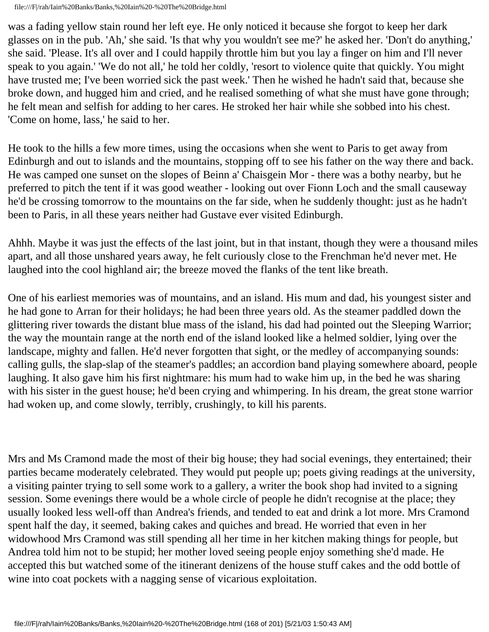was a fading yellow stain round her left eye. He only noticed it because she forgot to keep her dark glasses on in the pub. 'Ah,' she said. 'Is that why you wouldn't see me?' he asked her. 'Don't do anything,' she said. 'Please. It's all over and I could happily throttle him but you lay a finger on him and I'll never speak to you again.' 'We do not all,' he told her coldly, 'resort to violence quite that quickly. You might have trusted me; I've been worried sick the past week.' Then he wished he hadn't said that, because she broke down, and hugged him and cried, and he realised something of what she must have gone through; he felt mean and selfish for adding to her cares. He stroked her hair while she sobbed into his chest. 'Come on home, lass,' he said to her.

He took to the hills a few more times, using the occasions when she went to Paris to get away from Edinburgh and out to islands and the mountains, stopping off to see his father on the way there and back. He was camped one sunset on the slopes of Beinn a' Chaisgein Mor - there was a bothy nearby, but he preferred to pitch the tent if it was good weather - looking out over Fionn Loch and the small causeway he'd be crossing tomorrow to the mountains on the far side, when he suddenly thought: just as he hadn't been to Paris, in all these years neither had Gustave ever visited Edinburgh.

Ahhh. Maybe it was just the effects of the last joint, but in that instant, though they were a thousand miles apart, and all those unshared years away, he felt curiously close to the Frenchman he'd never met. He laughed into the cool highland air; the breeze moved the flanks of the tent like breath.

One of his earliest memories was of mountains, and an island. His mum and dad, his youngest sister and he had gone to Arran for their holidays; he had been three years old. As the steamer paddled down the glittering river towards the distant blue mass of the island, his dad had pointed out the Sleeping Warrior; the way the mountain range at the north end of the island looked like a helmed soldier, lying over the landscape, mighty and fallen. He'd never forgotten that sight, or the medley of accompanying sounds: calling gulls, the slap-slap of the steamer's paddles; an accordion band playing somewhere aboard, people laughing. It also gave him his first nightmare: his mum had to wake him up, in the bed he was sharing with his sister in the guest house; he'd been crying and whimpering. In his dream, the great stone warrior had woken up, and come slowly, terribly, crushingly, to kill his parents.

Mrs and Ms Cramond made the most of their big house; they had social evenings, they entertained; their parties became moderately celebrated. They would put people up; poets giving readings at the university, a visiting painter trying to sell some work to a gallery, a writer the book shop had invited to a signing session. Some evenings there would be a whole circle of people he didn't recognise at the place; they usually looked less well-off than Andrea's friends, and tended to eat and drink a lot more. Mrs Cramond spent half the day, it seemed, baking cakes and quiches and bread. He worried that even in her widowhood Mrs Cramond was still spending all her time in her kitchen making things for people, but Andrea told him not to be stupid; her mother loved seeing people enjoy something she'd made. He accepted this but watched some of the itinerant denizens of the house stuff cakes and the odd bottle of wine into coat pockets with a nagging sense of vicarious exploitation.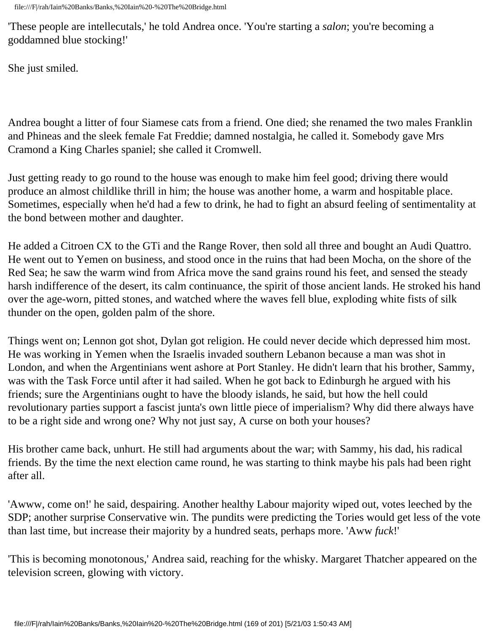'These people are intellecutals,' he told Andrea once. 'You're starting a *salon*; you're becoming a goddamned blue stocking!'

She just smiled.

Andrea bought a litter of four Siamese cats from a friend. One died; she renamed the two males Franklin and Phineas and the sleek female Fat Freddie; damned nostalgia, he called it. Somebody gave Mrs Cramond a King Charles spaniel; she called it Cromwell.

Just getting ready to go round to the house was enough to make him feel good; driving there would produce an almost childlike thrill in him; the house was another home, a warm and hospitable place. Sometimes, especially when he'd had a few to drink, he had to fight an absurd feeling of sentimentality at the bond between mother and daughter.

He added a Citroen CX to the GTi and the Range Rover, then sold all three and bought an Audi Quattro. He went out to Yemen on business, and stood once in the ruins that had been Mocha, on the shore of the Red Sea; he saw the warm wind from Africa move the sand grains round his feet, and sensed the steady harsh indifference of the desert, its calm continuance, the spirit of those ancient lands. He stroked his hand over the age-worn, pitted stones, and watched where the waves fell blue, exploding white fists of silk thunder on the open, golden palm of the shore.

Things went on; Lennon got shot, Dylan got religion. He could never decide which depressed him most. He was working in Yemen when the Israelis invaded southern Lebanon because a man was shot in London, and when the Argentinians went ashore at Port Stanley. He didn't learn that his brother, Sammy, was with the Task Force until after it had sailed. When he got back to Edinburgh he argued with his friends; sure the Argentinians ought to have the bloody islands, he said, but how the hell could revolutionary parties support a fascist junta's own little piece of imperialism? Why did there always have to be a right side and wrong one? Why not just say, A curse on both your houses?

His brother came back, unhurt. He still had arguments about the war; with Sammy, his dad, his radical friends. By the time the next election came round, he was starting to think maybe his pals had been right after all.

'Awww, come on!' he said, despairing. Another healthy Labour majority wiped out, votes leeched by the SDP; another surprise Conservative win. The pundits were predicting the Tories would get less of the vote than last time, but increase their majority by a hundred seats, perhaps more. 'Aww *fuck*!'

'This is becoming monotonous,' Andrea said, reaching for the whisky. Margaret Thatcher appeared on the television screen, glowing with victory.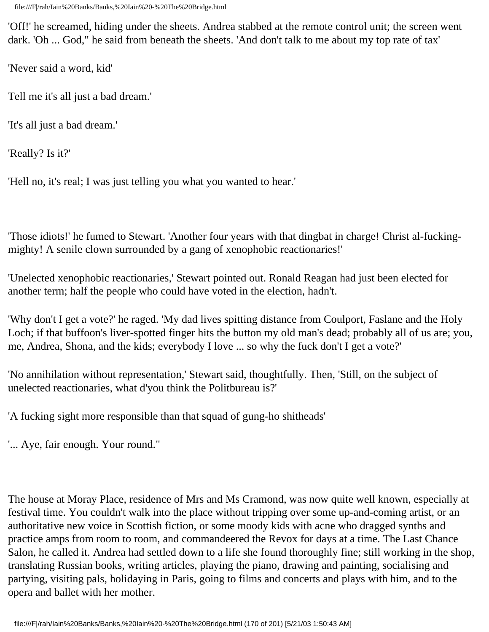'Off!' he screamed, hiding under the sheets. Andrea stabbed at the remote control unit; the screen went dark. 'Oh ... God," he said from beneath the sheets. 'And don't talk to me about my top rate of tax'

'Never said a word, kid'

Tell me it's all just a bad dream.'

'It's all just a bad dream.'

'Really? Is it?'

'Hell no, it's real; I was just telling you what you wanted to hear.'

'Those idiots!' he fumed to Stewart. 'Another four years with that dingbat in charge! Christ al-fuckingmighty! A senile clown surrounded by a gang of xenophobic reactionaries!'

'Unelected xenophobic reactionaries,' Stewart pointed out. Ronald Reagan had just been elected for another term; half the people who could have voted in the election, hadn't.

'Why don't I get a vote?' he raged. 'My dad lives spitting distance from Coulport, Faslane and the Holy Loch; if that buffoon's liver-spotted finger hits the button my old man's dead; probably all of us are; you, me, Andrea, Shona, and the kids; everybody I love ... so why the fuck don't I get a vote?'

'No annihilation without representation,' Stewart said, thoughtfully. Then, 'Still, on the subject of unelected reactionaries, what d'you think the Politbureau is?'

'A fucking sight more responsible than that squad of gung-ho shitheads'

'... Aye, fair enough. Your round."

The house at Moray Place, residence of Mrs and Ms Cramond, was now quite well known, especially at festival time. You couldn't walk into the place without tripping over some up-and-coming artist, or an authoritative new voice in Scottish fiction, or some moody kids with acne who dragged synths and practice amps from room to room, and commandeered the Revox for days at a time. The Last Chance Salon, he called it. Andrea had settled down to a life she found thoroughly fine; still working in the shop, translating Russian books, writing articles, playing the piano, drawing and painting, socialising and partying, visiting pals, holidaying in Paris, going to films and concerts and plays with him, and to the opera and ballet with her mother.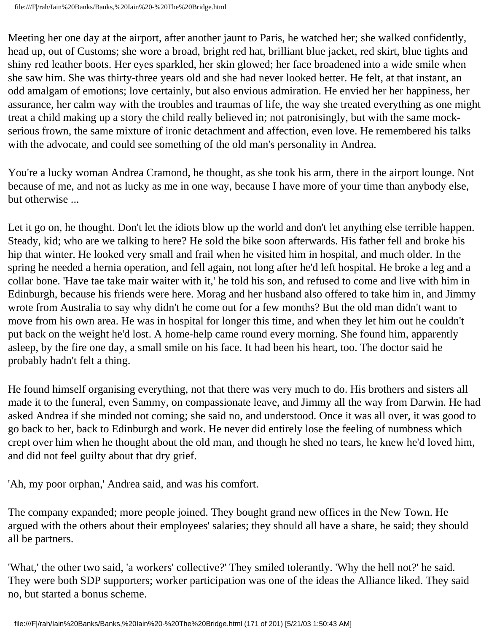Meeting her one day at the airport, after another jaunt to Paris, he watched her; she walked confidently, head up, out of Customs; she wore a broad, bright red hat, brilliant blue jacket, red skirt, blue tights and shiny red leather boots. Her eyes sparkled, her skin glowed; her face broadened into a wide smile when she saw him. She was thirty-three years old and she had never looked better. He felt, at that instant, an odd amalgam of emotions; love certainly, but also envious admiration. He envied her her happiness, her assurance, her calm way with the troubles and traumas of life, the way she treated everything as one might treat a child making up a story the child really believed in; not patronisingly, but with the same mockserious frown, the same mixture of ironic detachment and affection, even love. He remembered his talks with the advocate, and could see something of the old man's personality in Andrea.

You're a lucky woman Andrea Cramond, he thought, as she took his arm, there in the airport lounge. Not because of me, and not as lucky as me in one way, because I have more of your time than anybody else, but otherwise ...

Let it go on, he thought. Don't let the idiots blow up the world and don't let anything else terrible happen. Steady, kid; who are we talking to here? He sold the bike soon afterwards. His father fell and broke his hip that winter. He looked very small and frail when he visited him in hospital, and much older. In the spring he needed a hernia operation, and fell again, not long after he'd left hospital. He broke a leg and a collar bone. 'Have tae take mair waiter with it,' he told his son, and refused to come and live with him in Edinburgh, because his friends were here. Morag and her husband also offered to take him in, and Jimmy wrote from Australia to say why didn't he come out for a few months? But the old man didn't want to move from his own area. He was in hospital for longer this time, and when they let him out he couldn't put back on the weight he'd lost. A home-help came round every morning. She found him, apparently asleep, by the fire one day, a small smile on his face. It had been his heart, too. The doctor said he probably hadn't felt a thing.

He found himself organising everything, not that there was very much to do. His brothers and sisters all made it to the funeral, even Sammy, on compassionate leave, and Jimmy all the way from Darwin. He had asked Andrea if she minded not coming; she said no, and understood. Once it was all over, it was good to go back to her, back to Edinburgh and work. He never did entirely lose the feeling of numbness which crept over him when he thought about the old man, and though he shed no tears, he knew he'd loved him, and did not feel guilty about that dry grief.

'Ah, my poor orphan,' Andrea said, and was his comfort.

The company expanded; more people joined. They bought grand new offices in the New Town. He argued with the others about their employees' salaries; they should all have a share, he said; they should all be partners.

'What,' the other two said, 'a workers' collective?' They smiled tolerantly. 'Why the hell not?' he said. They were both SDP supporters; worker participation was one of the ideas the Alliance liked. They said no, but started a bonus scheme.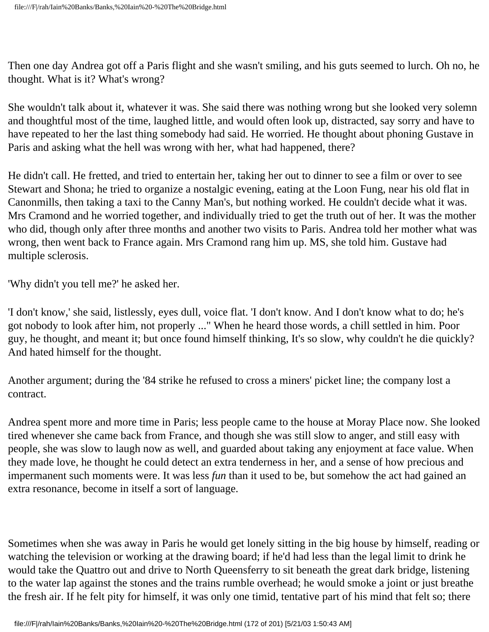Then one day Andrea got off a Paris flight and she wasn't smiling, and his guts seemed to lurch. Oh no, he thought. What is it? What's wrong?

She wouldn't talk about it, whatever it was. She said there was nothing wrong but she looked very solemn and thoughtful most of the time, laughed little, and would often look up, distracted, say sorry and have to have repeated to her the last thing somebody had said. He worried. He thought about phoning Gustave in Paris and asking what the hell was wrong with her, what had happened, there?

He didn't call. He fretted, and tried to entertain her, taking her out to dinner to see a film or over to see Stewart and Shona; he tried to organize a nostalgic evening, eating at the Loon Fung, near his old flat in Canonmills, then taking a taxi to the Canny Man's, but nothing worked. He couldn't decide what it was. Mrs Cramond and he worried together, and individually tried to get the truth out of her. It was the mother who did, though only after three months and another two visits to Paris. Andrea told her mother what was wrong, then went back to France again. Mrs Cramond rang him up. MS, she told him. Gustave had multiple sclerosis.

'Why didn't you tell me?' he asked her.

'I don't know,' she said, listlessly, eyes dull, voice flat. 'I don't know. And I don't know what to do; he's got nobody to look after him, not properly ..." When he heard those words, a chill settled in him. Poor guy, he thought, and meant it; but once found himself thinking, It's so slow, why couldn't he die quickly? And hated himself for the thought.

Another argument; during the '84 strike he refused to cross a miners' picket line; the company lost a contract.

Andrea spent more and more time in Paris; less people came to the house at Moray Place now. She looked tired whenever she came back from France, and though she was still slow to anger, and still easy with people, she was slow to laugh now as well, and guarded about taking any enjoyment at face value. When they made love, he thought he could detect an extra tenderness in her, and a sense of how precious and impermanent such moments were. It was less *fun* than it used to be, but somehow the act had gained an extra resonance, become in itself a sort of language.

Sometimes when she was away in Paris he would get lonely sitting in the big house by himself, reading or watching the television or working at the drawing board; if he'd had less than the legal limit to drink he would take the Quattro out and drive to North Queensferry to sit beneath the great dark bridge, listening to the water lap against the stones and the trains rumble overhead; he would smoke a joint or just breathe the fresh air. If he felt pity for himself, it was only one timid, tentative part of his mind that felt so; there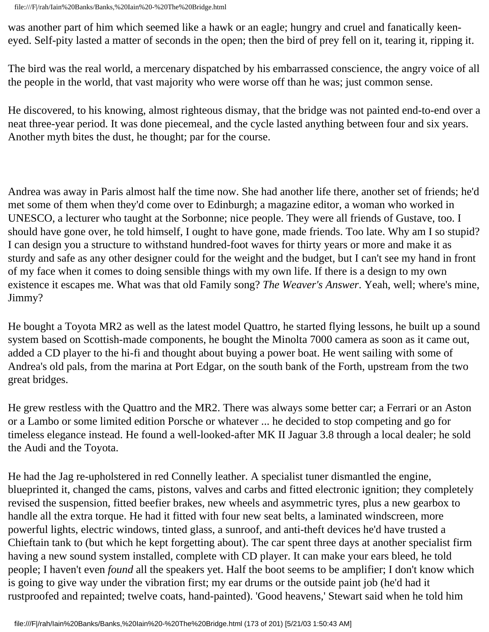was another part of him which seemed like a hawk or an eagle; hungry and cruel and fanatically keeneyed. Self-pity lasted a matter of seconds in the open; then the bird of prey fell on it, tearing it, ripping it.

The bird was the real world, a mercenary dispatched by his embarrassed conscience, the angry voice of all the people in the world, that vast majority who were worse off than he was; just common sense.

He discovered, to his knowing, almost righteous dismay, that the bridge was not painted end-to-end over a neat three-year period. It was done piecemeal, and the cycle lasted anything between four and six years. Another myth bites the dust, he thought; par for the course.

Andrea was away in Paris almost half the time now. She had another life there, another set of friends; he'd met some of them when they'd come over to Edinburgh; a magazine editor, a woman who worked in UNESCO, a lecturer who taught at the Sorbonne; nice people. They were all friends of Gustave, too. I should have gone over, he told himself, I ought to have gone, made friends. Too late. Why am I so stupid? I can design you a structure to withstand hundred-foot waves for thirty years or more and make it as sturdy and safe as any other designer could for the weight and the budget, but I can't see my hand in front of my face when it comes to doing sensible things with my own life. If there is a design to my own existence it escapes me. What was that old Family song? *The Weaver's Answer*. Yeah, well; where's mine, Jimmy?

He bought a Toyota MR2 as well as the latest model Quattro, he started flying lessons, he built up a sound system based on Scottish-made components, he bought the Minolta 7000 camera as soon as it came out, added a CD player to the hi-fi and thought about buying a power boat. He went sailing with some of Andrea's old pals, from the marina at Port Edgar, on the south bank of the Forth, upstream from the two great bridges.

He grew restless with the Quattro and the MR2. There was always some better car; a Ferrari or an Aston or a Lambo or some limited edition Porsche or whatever ... he decided to stop competing and go for timeless elegance instead. He found a well-looked-after MK II Jaguar 3.8 through a local dealer; he sold the Audi and the Toyota.

He had the Jag re-upholstered in red Connelly leather. A specialist tuner dismantled the engine, blueprinted it, changed the cams, pistons, valves and carbs and fitted electronic ignition; they completely revised the suspension, fitted beefier brakes, new wheels and asymmetric tyres, plus a new gearbox to handle all the extra torque. He had it fitted with four new seat belts, a laminated windscreen, more powerful lights, electric windows, tinted glass, a sunroof, and anti-theft devices he'd have trusted a Chieftain tank to (but which he kept forgetting about). The car spent three days at another specialist firm having a new sound system installed, complete with CD player. It can make your ears bleed, he told people; I haven't even *found* all the speakers yet. Half the boot seems to be amplifier; I don't know which is going to give way under the vibration first; my ear drums or the outside paint job (he'd had it rustproofed and repainted; twelve coats, hand-painted). 'Good heavens,' Stewart said when he told him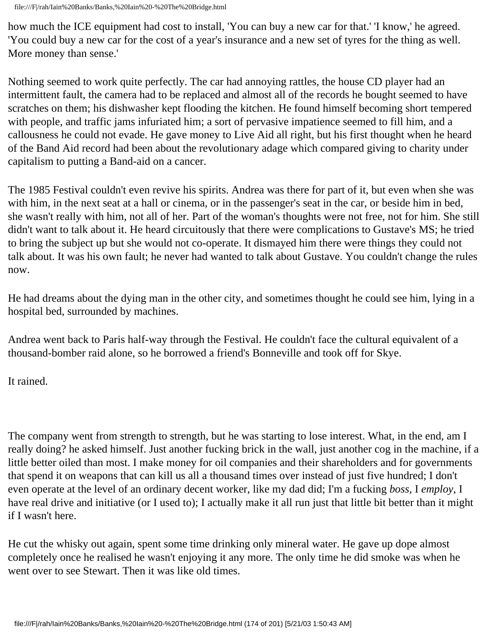how much the ICE equipment had cost to install, 'You can buy a new car for that.' 'I know,' he agreed. 'You could buy a new car for the cost of a year's insurance and a new set of tyres for the thing as well. More money than sense.'

Nothing seemed to work quite perfectly. The car had annoying rattles, the house CD player had an intermittent fault, the camera had to be replaced and almost all of the records he bought seemed to have scratches on them; his dishwasher kept flooding the kitchen. He found himself becoming short tempered with people, and traffic jams infuriated him; a sort of pervasive impatience seemed to fill him, and a callousness he could not evade. He gave money to Live Aid all right, but his first thought when he heard of the Band Aid record had been about the revolutionary adage which compared giving to charity under capitalism to putting a Band-aid on a cancer.

The 1985 Festival couldn't even revive his spirits. Andrea was there for part of it, but even when she was with him, in the next seat at a hall or cinema, or in the passenger's seat in the car, or beside him in bed, she wasn't really with him, not all of her. Part of the woman's thoughts were not free, not for him. She still didn't want to talk about it. He heard circuitously that there were complications to Gustave's MS; he tried to bring the subject up but she would not co-operate. It dismayed him there were things they could not talk about. It was his own fault; he never had wanted to talk about Gustave. You couldn't change the rules now.

He had dreams about the dying man in the other city, and sometimes thought he could see him, lying in a hospital bed, surrounded by machines.

Andrea went back to Paris half-way through the Festival. He couldn't face the cultural equivalent of a thousand-bomber raid alone, so he borrowed a friend's Bonneville and took off for Skye.

It rained.

The company went from strength to strength, but he was starting to lose interest. What, in the end, am I really doing? he asked himself. Just another fucking brick in the wall, just another cog in the machine, if a little better oiled than most. I make money for oil companies and their shareholders and for governments that spend it on weapons that can kill us all a thousand times over instead of just five hundred; I don't even operate at the level of an ordinary decent worker, like my dad did; I'm a fucking *boss*, I *employ*, I have real drive and initiative (or I used to); I actually make it all run just that little bit better than it might if I wasn't here.

He cut the whisky out again, spent some time drinking only mineral water. He gave up dope almost completely once he realised he wasn't enjoying it any more. The only time he did smoke was when he went over to see Stewart. Then it was like old times.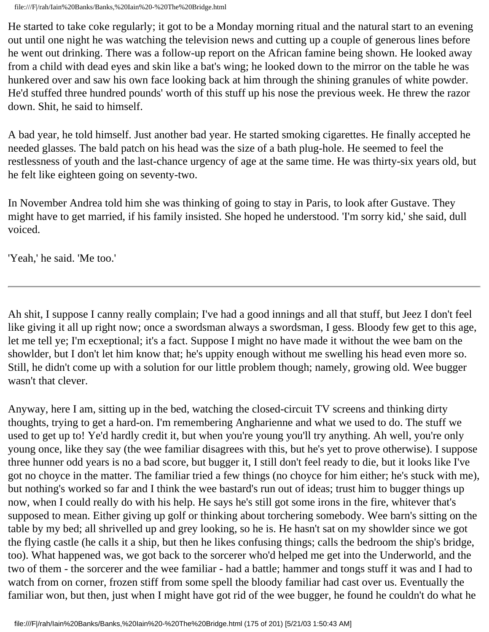He started to take coke regularly; it got to be a Monday morning ritual and the natural start to an evening out until one night he was watching the television news and cutting up a couple of generous lines before he went out drinking. There was a follow-up report on the African famine being shown. He looked away from a child with dead eyes and skin like a bat's wing; he looked down to the mirror on the table he was hunkered over and saw his own face looking back at him through the shining granules of white powder. He'd stuffed three hundred pounds' worth of this stuff up his nose the previous week. He threw the razor down. Shit, he said to himself.

A bad year, he told himself. Just another bad year. He started smoking cigarettes. He finally accepted he needed glasses. The bald patch on his head was the size of a bath plug-hole. He seemed to feel the restlessness of youth and the last-chance urgency of age at the same time. He was thirty-six years old, but he felt like eighteen going on seventy-two.

In November Andrea told him she was thinking of going to stay in Paris, to look after Gustave. They might have to get married, if his family insisted. She hoped he understood. 'I'm sorry kid,' she said, dull voiced.

'Yeah,' he said. 'Me too.'

Ah shit, I suppose I canny really complain; I've had a good innings and all that stuff, but Jeez I don't feel like giving it all up right now; once a swordsman always a swordsman, I gess. Bloody few get to this age, let me tell ye; I'm ecxeptional; it's a fact. Suppose I might no have made it without the wee bam on the showlder, but I don't let him know that; he's uppity enough without me swelling his head even more so. Still, he didn't come up with a solution for our little problem though; namely, growing old. Wee bugger wasn't that clever.

Anyway, here I am, sitting up in the bed, watching the closed-circuit TV screens and thinking dirty thoughts, trying to get a hard-on. I'm remembering Angharienne and what we used to do. The stuff we used to get up to! Ye'd hardly credit it, but when you're young you'll try anything. Ah well, you're only young once, like they say (the wee familiar disagrees with this, but he's yet to prove otherwise). I suppose three hunner odd years is no a bad score, but bugger it, I still don't feel ready to die, but it looks like I've got no choyce in the matter. The familiar tried a few things (no choyce for him either; he's stuck with me), but nothing's worked so far and I think the wee bastard's run out of ideas; trust him to bugger things up now, when I could really do with his help. He says he's still got some irons in the fire, whitever that's supposed to mean. Either giving up golf or thinking about torchering somebody. Wee barn's sitting on the table by my bed; all shrivelled up and grey looking, so he is. He hasn't sat on my showlder since we got the flying castle (he calls it a ship, but then he likes confusing things; calls the bedroom the ship's bridge, too). What happened was, we got back to the sorcerer who'd helped me get into the Underworld, and the two of them - the sorcerer and the wee familiar - had a battle; hammer and tongs stuff it was and I had to watch from on corner, frozen stiff from some spell the bloody familiar had cast over us. Eventually the familiar won, but then, just when I might have got rid of the wee bugger, he found he couldn't do what he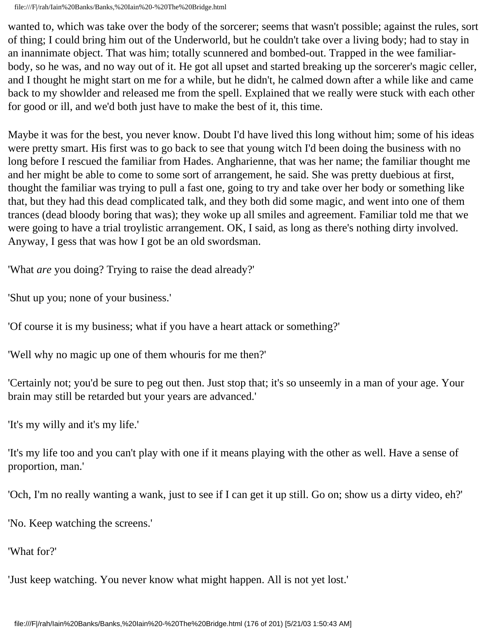wanted to, which was take over the body of the sorcerer; seems that wasn't possible; against the rules, sort of thing; I could bring him out of the Underworld, but he couldn't take over a living body; had to stay in an inannimate object. That was him; totally scunnered and bombed-out. Trapped in the wee familiarbody, so he was, and no way out of it. He got all upset and started breaking up the sorcerer's magic celler, and I thought he might start on me for a while, but he didn't, he calmed down after a while like and came back to my showlder and released me from the spell. Explained that we really were stuck with each other for good or ill, and we'd both just have to make the best of it, this time.

Maybe it was for the best, you never know. Doubt I'd have lived this long without him; some of his ideas were pretty smart. His first was to go back to see that young witch I'd been doing the business with no long before I rescued the familiar from Hades. Angharienne, that was her name; the familiar thought me and her might be able to come to some sort of arrangement, he said. She was pretty duebious at first, thought the familiar was trying to pull a fast one, going to try and take over her body or something like that, but they had this dead complicated talk, and they both did some magic, and went into one of them trances (dead bloody boring that was); they woke up all smiles and agreement. Familiar told me that we were going to have a trial troylistic arrangement. OK, I said, as long as there's nothing dirty involved. Anyway, I gess that was how I got be an old swordsman.

'What *are* you doing? Trying to raise the dead already?'

'Shut up you; none of your business.'

'Of course it is my business; what if you have a heart attack or something?'

'Well why no magic up one of them whouris for me then?'

'Certainly not; you'd be sure to peg out then. Just stop that; it's so unseemly in a man of your age. Your brain may still be retarded but your years are advanced.'

'It's my willy and it's my life.'

'It's my life too and you can't play with one if it means playing with the other as well. Have a sense of proportion, man.'

'Och, I'm no really wanting a wank, just to see if I can get it up still. Go on; show us a dirty video, eh?'

'No. Keep watching the screens.'

'What for?'

'Just keep watching. You never know what might happen. All is not yet lost.'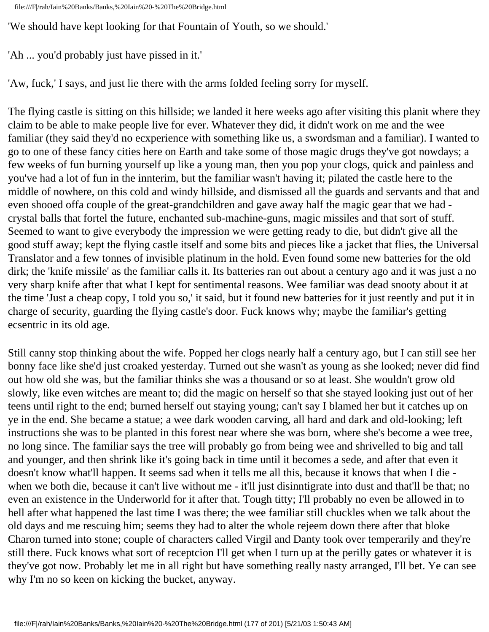```
file:///F|/rah/Iain%20Banks/Banks,%20Iain%20-%20The%20Bridge.html
```
'We should have kept looking for that Fountain of Youth, so we should.'

'Ah ... you'd probably just have pissed in it.'

'Aw, fuck,' I says, and just lie there with the arms folded feeling sorry for myself.

The flying castle is sitting on this hillside; we landed it here weeks ago after visiting this planit where they claim to be able to make people live for ever. Whatever they did, it didn't work on me and the wee familiar (they said they'd no ecxperience with something like us, a swordsman and a familiar). I wanted to go to one of these fancy cities here on Earth and take some of those magic drugs they've got nowdays; a few weeks of fun burning yourself up like a young man, then you pop your clogs, quick and painless and you've had a lot of fun in the innterim, but the familiar wasn't having it; pilated the castle here to the middle of nowhere, on this cold and windy hillside, and dismissed all the guards and servants and that and even shooed offa couple of the great-grandchildren and gave away half the magic gear that we had crystal balls that fortel the future, enchanted sub-machine-guns, magic missiles and that sort of stuff. Seemed to want to give everybody the impression we were getting ready to die, but didn't give all the good stuff away; kept the flying castle itself and some bits and pieces like a jacket that flies, the Universal Translator and a few tonnes of invisible platinum in the hold. Even found some new batteries for the old dirk; the 'knife missile' as the familiar calls it. Its batteries ran out about a century ago and it was just a no very sharp knife after that what I kept for sentimental reasons. Wee familiar was dead snooty about it at the time 'Just a cheap copy, I told you so,' it said, but it found new batteries for it just reently and put it in charge of security, guarding the flying castle's door. Fuck knows why; maybe the familiar's getting ecsentric in its old age.

Still canny stop thinking about the wife. Popped her clogs nearly half a century ago, but I can still see her bonny face like she'd just croaked yesterday. Turned out she wasn't as young as she looked; never did find out how old she was, but the familiar thinks she was a thousand or so at least. She wouldn't grow old slowly, like even witches are meant to; did the magic on herself so that she stayed looking just out of her teens until right to the end; burned herself out staying young; can't say I blamed her but it catches up on ye in the end. She became a statue; a wee dark wooden carving, all hard and dark and old-looking; left instructions she was to be planted in this forest near where she was born, where she's become a wee tree, no long since. The familiar says the tree will probably go from being wee and shrivelled to big and tall and younger, and then shrink like it's going back in time until it becomes a sede, and after that even it doesn't know what'll happen. It seems sad when it tells me all this, because it knows that when I die when we both die, because it can't live without me - it'll just disinntigrate into dust and that'll be that; no even an existence in the Underworld for it after that. Tough titty; I'll probably no even be allowed in to hell after what happened the last time I was there; the wee familiar still chuckles when we talk about the old days and me rescuing him; seems they had to alter the whole rejeem down there after that bloke Charon turned into stone; couple of characters called Virgil and Danty took over temperarily and they're still there. Fuck knows what sort of receptcion I'll get when I turn up at the perilly gates or whatever it is they've got now. Probably let me in all right but have something really nasty arranged, I'll bet. Ye can see why I'm no so keen on kicking the bucket, anyway.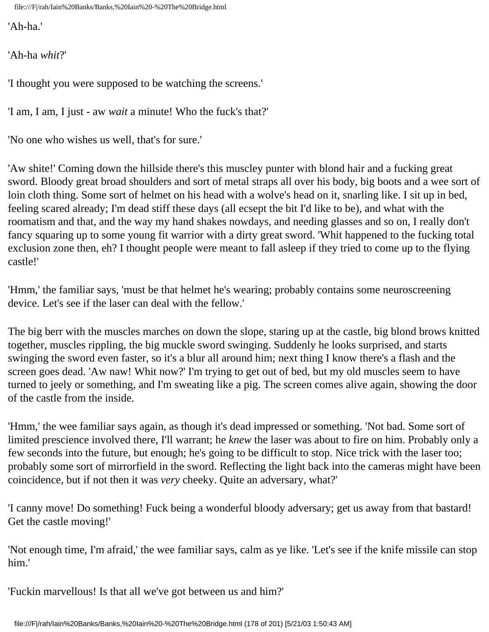file:///F|/rah/Iain%20Banks/Banks,%20Iain%20-%20The%20Bridge.html

'Ah-ha.'

'Ah-ha *whit*?'

'I thought you were supposed to be watching the screens.'

'I am, I am, I just - aw *wait* a minute! Who the fuck's that?'

'No one who wishes us well, that's for sure.'

'Aw shite!' Coming down the hillside there's this muscley punter with blond hair and a fucking great sword. Bloody great broad shoulders and sort of metal straps all over his body, big boots and a wee sort of loin cloth thing. Some sort of helmet on his head with a wolve's head on it, snarling like. I sit up in bed, feeling scared already; I'm dead stiff these days (all ecsept the bit I'd like to be), and what with the roomatism and that, and the way my hand shakes nowdays, and needing glasses and so on, I really don't fancy squaring up to some young fit warrior with a dirty great sword. 'Whit happened to the fucking total exclusion zone then, eh? I thought people were meant to fall asleep if they tried to come up to the flying castle!'

'Hmm,' the familiar says, 'must be that helmet he's wearing; probably contains some neuroscreening device. Let's see if the laser can deal with the fellow.'

The big berr with the muscles marches on down the slope, staring up at the castle, big blond brows knitted together, muscles rippling, the big muckle sword swinging. Suddenly he looks surprised, and starts swinging the sword even faster, so it's a blur all around him; next thing I know there's a flash and the screen goes dead. 'Aw naw! Whit now?' I'm trying to get out of bed, but my old muscles seem to have turned to jeely or something, and I'm sweating like a pig. The screen comes alive again, showing the door of the castle from the inside.

'Hmm,' the wee familiar says again, as though it's dead impressed or something. 'Not bad. Some sort of limited prescience involved there, I'll warrant; he *knew* the laser was about to fire on him. Probably only a few seconds into the future, but enough; he's going to be difficult to stop. Nice trick with the laser too; probably some sort of mirrorfield in the sword. Reflecting the light back into the cameras might have been coincidence, but if not then it was *very* cheeky. Quite an adversary, what?'

'I canny move! Do something! Fuck being a wonderful bloody adversary; get us away from that bastard! Get the castle moving!'

'Not enough time, I'm afraid,' the wee familiar says, calm as ye like. 'Let's see if the knife missile can stop him.'

'Fuckin marvellous! Is that all we've got between us and him?'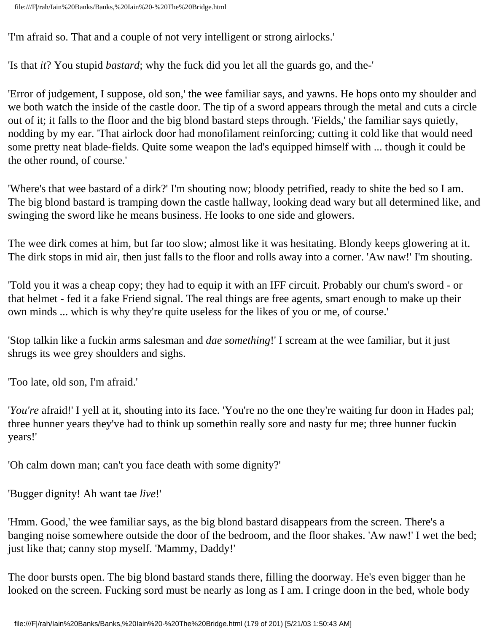'I'm afraid so. That and a couple of not very intelligent or strong airlocks.'

'Is that *it*? You stupid *bastard*; why the fuck did you let all the guards go, and the-'

'Error of judgement, I suppose, old son,' the wee familiar says, and yawns. He hops onto my shoulder and we both watch the inside of the castle door. The tip of a sword appears through the metal and cuts a circle out of it; it falls to the floor and the big blond bastard steps through. 'Fields,' the familiar says quietly, nodding by my ear. 'That airlock door had monofilament reinforcing; cutting it cold like that would need some pretty neat blade-fields. Quite some weapon the lad's equipped himself with ... though it could be the other round, of course.'

'Where's that wee bastard of a dirk?' I'm shouting now; bloody petrified, ready to shite the bed so I am. The big blond bastard is tramping down the castle hallway, looking dead wary but all determined like, and swinging the sword like he means business. He looks to one side and glowers.

The wee dirk comes at him, but far too slow; almost like it was hesitating. Blondy keeps glowering at it. The dirk stops in mid air, then just falls to the floor and rolls away into a corner. 'Aw naw!' I'm shouting.

'Told you it was a cheap copy; they had to equip it with an IFF circuit. Probably our chum's sword - or that helmet - fed it a fake Friend signal. The real things are free agents, smart enough to make up their own minds ... which is why they're quite useless for the likes of you or me, of course.'

'Stop talkin like a fuckin arms salesman and *dae something*!' I scream at the wee familiar, but it just shrugs its wee grey shoulders and sighs.

'Too late, old son, I'm afraid.'

'*You're* afraid!' I yell at it, shouting into its face. 'You're no the one they're waiting fur doon in Hades pal; three hunner years they've had to think up somethin really sore and nasty fur me; three hunner fuckin years!'

'Oh calm down man; can't you face death with some dignity?'

'Bugger dignity! Ah want tae *live*!'

'Hmm. Good,' the wee familiar says, as the big blond bastard disappears from the screen. There's a banging noise somewhere outside the door of the bedroom, and the floor shakes. 'Aw naw!' I wet the bed; just like that; canny stop myself. 'Mammy, Daddy!'

The door bursts open. The big blond bastard stands there, filling the doorway. He's even bigger than he looked on the screen. Fucking sord must be nearly as long as I am. I cringe doon in the bed, whole body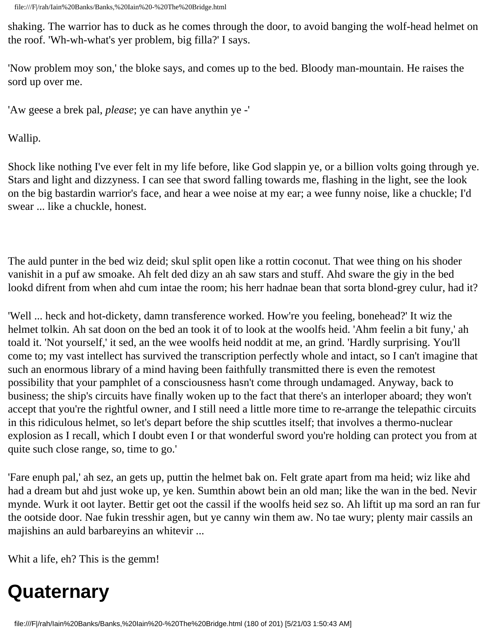shaking. The warrior has to duck as he comes through the door, to avoid banging the wolf-head helmet on the roof. 'Wh-wh-what's yer problem, big filla?' I says.

'Now problem moy son,' the bloke says, and comes up to the bed. Bloody man-mountain. He raises the sord up over me.

'Aw geese a brek pal, *please*; ye can have anythin ye -'

Wallip.

Shock like nothing I've ever felt in my life before, like God slappin ye, or a billion volts going through ye. Stars and light and dizzyness. I can see that sword falling towards me, flashing in the light, see the look on the big bastardin warrior's face, and hear a wee noise at my ear; a wee funny noise, like a chuckle; I'd swear ... like a chuckle, honest.

The auld punter in the bed wiz deid; skul split open like a rottin coconut. That wee thing on his shoder vanishit in a puf aw smoake. Ah felt ded dizy an ah saw stars and stuff. Ahd sware the giy in the bed lookd difrent from when ahd cum intae the room; his herr hadnae bean that sorta blond-grey culur, had it?

'Well ... heck and hot-dickety, damn transference worked. How're you feeling, bonehead?' It wiz the helmet tolkin. Ah sat doon on the bed an took it of to look at the woolfs heid. 'Ahm feelin a bit funy,' ah toald it. 'Not yourself,' it sed, an the wee woolfs heid noddit at me, an grind. 'Hardly surprising. You'll come to; my vast intellect has survived the transcription perfectly whole and intact, so I can't imagine that such an enormous library of a mind having been faithfully transmitted there is even the remotest possibility that your pamphlet of a consciousness hasn't come through undamaged. Anyway, back to business; the ship's circuits have finally woken up to the fact that there's an interloper aboard; they won't accept that you're the rightful owner, and I still need a little more time to re-arrange the telepathic circuits in this ridiculous helmet, so let's depart before the ship scuttles itself; that involves a thermo-nuclear explosion as I recall, which I doubt even I or that wonderful sword you're holding can protect you from at quite such close range, so, time to go.'

'Fare enuph pal,' ah sez, an gets up, puttin the helmet bak on. Felt grate apart from ma heid; wiz like ahd had a dream but ahd just woke up, ye ken. Sumthin abowt bein an old man; like the wan in the bed. Nevir mynde. Wurk it oot layter. Bettir get oot the cassil if the woolfs heid sez so. Ah liftit up ma sord an ran fur the ootside door. Nae fukin tresshir agen, but ye canny win them aw. No tae wury; plenty mair cassils an majishins an auld barbareyins an whitevir ...

Whit a life, eh? This is the gemm!

### **Quaternary**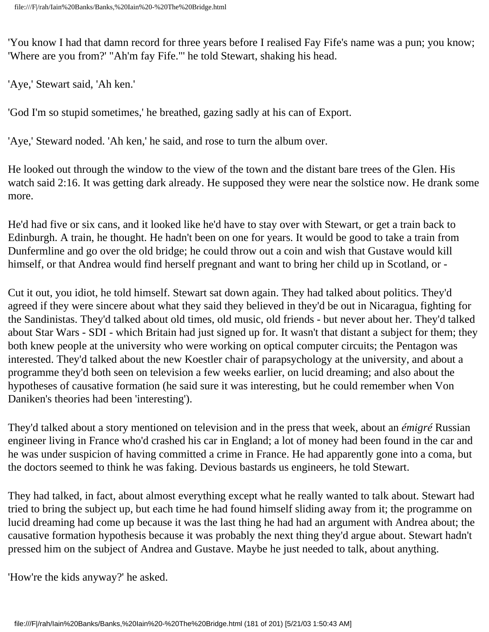'You know I had that damn record for three years before I realised Fay Fife's name was a pun; you know; 'Where are you from?' "Ah'm fay Fife."' he told Stewart, shaking his head.

'Aye,' Stewart said, 'Ah ken.'

'God I'm so stupid sometimes,' he breathed, gazing sadly at his can of Export.

'Aye,' Steward noded. 'Ah ken,' he said, and rose to turn the album over.

He looked out through the window to the view of the town and the distant bare trees of the Glen. His watch said 2:16. It was getting dark already. He supposed they were near the solstice now. He drank some more.

He'd had five or six cans, and it looked like he'd have to stay over with Stewart, or get a train back to Edinburgh. A train, he thought. He hadn't been on one for years. It would be good to take a train from Dunfermline and go over the old bridge; he could throw out a coin and wish that Gustave would kill himself, or that Andrea would find herself pregnant and want to bring her child up in Scotland, or -

Cut it out, you idiot, he told himself. Stewart sat down again. They had talked about politics. They'd agreed if they were sincere about what they said they believed in they'd be out in Nicaragua, fighting for the Sandinistas. They'd talked about old times, old music, old friends - but never about her. They'd talked about Star Wars - SDI - which Britain had just signed up for. It wasn't that distant a subject for them; they both knew people at the university who were working on optical computer circuits; the Pentagon was interested. They'd talked about the new Koestler chair of parapsychology at the university, and about a programme they'd both seen on television a few weeks earlier, on lucid dreaming; and also about the hypotheses of causative formation (he said sure it was interesting, but he could remember when Von Daniken's theories had been 'interesting').

They'd talked about a story mentioned on television and in the press that week, about an *émigré* Russian engineer living in France who'd crashed his car in England; a lot of money had been found in the car and he was under suspicion of having committed a crime in France. He had apparently gone into a coma, but the doctors seemed to think he was faking. Devious bastards us engineers, he told Stewart.

They had talked, in fact, about almost everything except what he really wanted to talk about. Stewart had tried to bring the subject up, but each time he had found himself sliding away from it; the programme on lucid dreaming had come up because it was the last thing he had had an argument with Andrea about; the causative formation hypothesis because it was probably the next thing they'd argue about. Stewart hadn't pressed him on the subject of Andrea and Gustave. Maybe he just needed to talk, about anything.

'How're the kids anyway?' he asked.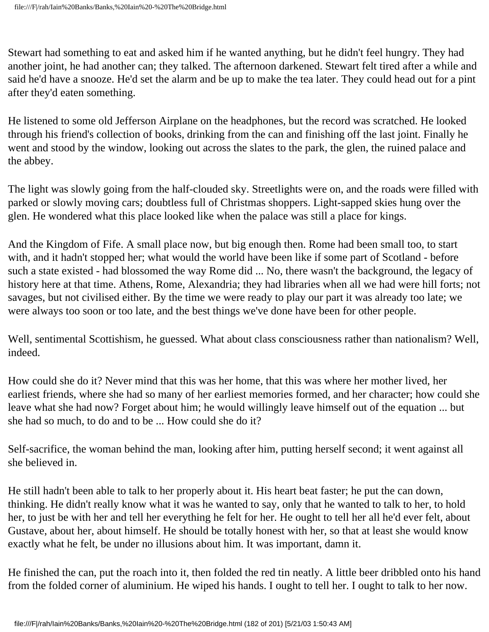Stewart had something to eat and asked him if he wanted anything, but he didn't feel hungry. They had another joint, he had another can; they talked. The afternoon darkened. Stewart felt tired after a while and said he'd have a snooze. He'd set the alarm and be up to make the tea later. They could head out for a pint after they'd eaten something.

He listened to some old Jefferson Airplane on the headphones, but the record was scratched. He looked through his friend's collection of books, drinking from the can and finishing off the last joint. Finally he went and stood by the window, looking out across the slates to the park, the glen, the ruined palace and the abbey.

The light was slowly going from the half-clouded sky. Streetlights were on, and the roads were filled with parked or slowly moving cars; doubtless full of Christmas shoppers. Light-sapped skies hung over the glen. He wondered what this place looked like when the palace was still a place for kings.

And the Kingdom of Fife. A small place now, but big enough then. Rome had been small too, to start with, and it hadn't stopped her; what would the world have been like if some part of Scotland - before such a state existed - had blossomed the way Rome did ... No, there wasn't the background, the legacy of history here at that time. Athens, Rome, Alexandria; they had libraries when all we had were hill forts; not savages, but not civilised either. By the time we were ready to play our part it was already too late; we were always too soon or too late, and the best things we've done have been for other people.

Well, sentimental Scottishism, he guessed. What about class consciousness rather than nationalism? Well, indeed.

How could she do it? Never mind that this was her home, that this was where her mother lived, her earliest friends, where she had so many of her earliest memories formed, and her character; how could she leave what she had now? Forget about him; he would willingly leave himself out of the equation ... but she had so much, to do and to be ... How could she do it?

Self-sacrifice, the woman behind the man, looking after him, putting herself second; it went against all she believed in.

He still hadn't been able to talk to her properly about it. His heart beat faster; he put the can down, thinking. He didn't really know what it was he wanted to say, only that he wanted to talk to her, to hold her, to just be with her and tell her everything he felt for her. He ought to tell her all he'd ever felt, about Gustave, about her, about himself. He should be totally honest with her, so that at least she would know exactly what he felt, be under no illusions about him. It was important, damn it.

He finished the can, put the roach into it, then folded the red tin neatly. A little beer dribbled onto his hand from the folded corner of aluminium. He wiped his hands. I ought to tell her. I ought to talk to her now.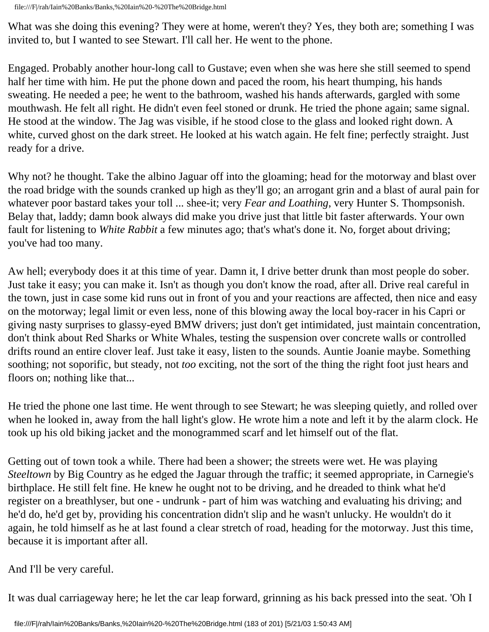What was she doing this evening? They were at home, weren't they? Yes, they both are; something I was invited to, but I wanted to see Stewart. I'll call her. He went to the phone.

Engaged. Probably another hour-long call to Gustave; even when she was here she still seemed to spend half her time with him. He put the phone down and paced the room, his heart thumping, his hands sweating. He needed a pee; he went to the bathroom, washed his hands afterwards, gargled with some mouthwash. He felt all right. He didn't even feel stoned or drunk. He tried the phone again; same signal. He stood at the window. The Jag was visible, if he stood close to the glass and looked right down. A white, curved ghost on the dark street. He looked at his watch again. He felt fine; perfectly straight. Just ready for a drive.

Why not? he thought. Take the albino Jaguar off into the gloaming; head for the motorway and blast over the road bridge with the sounds cranked up high as they'll go; an arrogant grin and a blast of aural pain for whatever poor bastard takes your toll ... shee-it; very *Fear and Loathing*, very Hunter S. Thompsonish. Belay that, laddy; damn book always did make you drive just that little bit faster afterwards. Your own fault for listening to *White Rabbit* a few minutes ago; that's what's done it. No, forget about driving; you've had too many.

Aw hell; everybody does it at this time of year. Damn it, I drive better drunk than most people do sober. Just take it easy; you can make it. Isn't as though you don't know the road, after all. Drive real careful in the town, just in case some kid runs out in front of you and your reactions are affected, then nice and easy on the motorway; legal limit or even less, none of this blowing away the local boy-racer in his Capri or giving nasty surprises to glassy-eyed BMW drivers; just don't get intimidated, just maintain concentration, don't think about Red Sharks or White Whales, testing the suspension over concrete walls or controlled drifts round an entire clover leaf. Just take it easy, listen to the sounds. Auntie Joanie maybe. Something soothing; not soporific, but steady, not *too* exciting, not the sort of the thing the right foot just hears and floors on; nothing like that...

He tried the phone one last time. He went through to see Stewart; he was sleeping quietly, and rolled over when he looked in, away from the hall light's glow. He wrote him a note and left it by the alarm clock. He took up his old biking jacket and the monogrammed scarf and let himself out of the flat.

Getting out of town took a while. There had been a shower; the streets were wet. He was playing *Steeltown* by Big Country as he edged the Jaguar through the traffic; it seemed appropriate, in Carnegie's birthplace. He still felt fine. He knew he ought not to be driving, and he dreaded to think what he'd register on a breathlyser, but one - undrunk - part of him was watching and evaluating his driving; and he'd do, he'd get by, providing his concentration didn't slip and he wasn't unlucky. He wouldn't do it again, he told himself as he at last found a clear stretch of road, heading for the motorway. Just this time, because it is important after all.

## And I'll be very careful.

It was dual carriageway here; he let the car leap forward, grinning as his back pressed into the seat. 'Oh I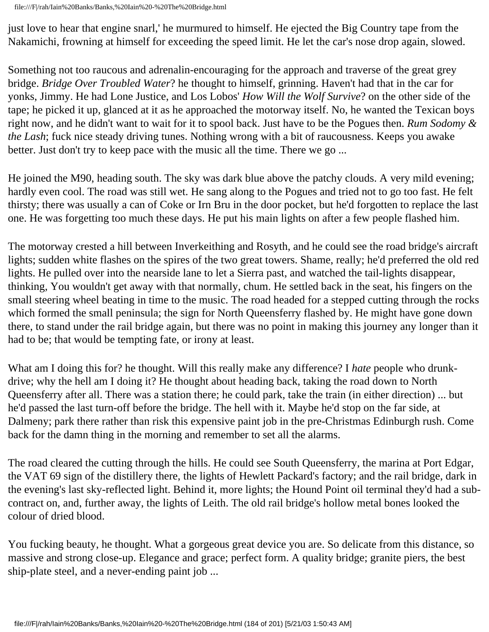just love to hear that engine snarl,' he murmured to himself. He ejected the Big Country tape from the Nakamichi, frowning at himself for exceeding the speed limit. He let the car's nose drop again, slowed.

Something not too raucous and adrenalin-encouraging for the approach and traverse of the great grey bridge. *Bridge Over Troubled Water*? he thought to himself, grinning. Haven't had that in the car for yonks, Jimmy. He had Lone Justice, and Los Lobos' *How Will the Wolf Survive*? on the other side of the tape; he picked it up, glanced at it as he approached the motorway itself. No, he wanted the Texican boys right now, and he didn't want to wait for it to spool back. Just have to be the Pogues then. *Rum Sodomy & the Lash*; fuck nice steady driving tunes. Nothing wrong with a bit of raucousness. Keeps you awake better. Just don't try to keep pace with the music all the time. There we go ...

He joined the M90, heading south. The sky was dark blue above the patchy clouds. A very mild evening; hardly even cool. The road was still wet. He sang along to the Pogues and tried not to go too fast. He felt thirsty; there was usually a can of Coke or Irn Bru in the door pocket, but he'd forgotten to replace the last one. He was forgetting too much these days. He put his main lights on after a few people flashed him.

The motorway crested a hill between Inverkeithing and Rosyth, and he could see the road bridge's aircraft lights; sudden white flashes on the spires of the two great towers. Shame, really; he'd preferred the old red lights. He pulled over into the nearside lane to let a Sierra past, and watched the tail-lights disappear, thinking, You wouldn't get away with that normally, chum. He settled back in the seat, his fingers on the small steering wheel beating in time to the music. The road headed for a stepped cutting through the rocks which formed the small peninsula; the sign for North Queensferry flashed by. He might have gone down there, to stand under the rail bridge again, but there was no point in making this journey any longer than it had to be; that would be tempting fate, or irony at least.

What am I doing this for? he thought. Will this really make any difference? I *hate* people who drunkdrive; why the hell am I doing it? He thought about heading back, taking the road down to North Queensferry after all. There was a station there; he could park, take the train (in either direction) ... but he'd passed the last turn-off before the bridge. The hell with it. Maybe he'd stop on the far side, at Dalmeny; park there rather than risk this expensive paint job in the pre-Christmas Edinburgh rush. Come back for the damn thing in the morning and remember to set all the alarms.

The road cleared the cutting through the hills. He could see South Queensferry, the marina at Port Edgar, the VAT 69 sign of the distillery there, the lights of Hewlett Packard's factory; and the rail bridge, dark in the evening's last sky-reflected light. Behind it, more lights; the Hound Point oil terminal they'd had a subcontract on, and, further away, the lights of Leith. The old rail bridge's hollow metal bones looked the colour of dried blood.

You fucking beauty, he thought. What a gorgeous great device you are. So delicate from this distance, so massive and strong close-up. Elegance and grace; perfect form. A quality bridge; granite piers, the best ship-plate steel, and a never-ending paint job ...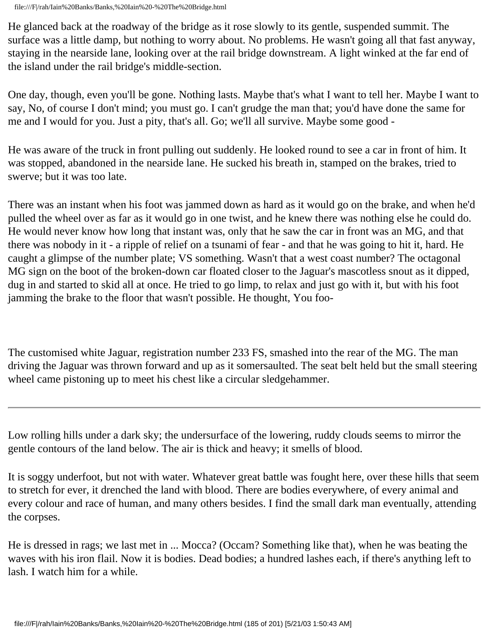He glanced back at the roadway of the bridge as it rose slowly to its gentle, suspended summit. The surface was a little damp, but nothing to worry about. No problems. He wasn't going all that fast anyway, staying in the nearside lane, looking over at the rail bridge downstream. A light winked at the far end of the island under the rail bridge's middle-section.

One day, though, even you'll be gone. Nothing lasts. Maybe that's what I want to tell her. Maybe I want to say, No, of course I don't mind; you must go. I can't grudge the man that; you'd have done the same for me and I would for you. Just a pity, that's all. Go; we'll all survive. Maybe some good -

He was aware of the truck in front pulling out suddenly. He looked round to see a car in front of him. It was stopped, abandoned in the nearside lane. He sucked his breath in, stamped on the brakes, tried to swerve; but it was too late.

There was an instant when his foot was jammed down as hard as it would go on the brake, and when he'd pulled the wheel over as far as it would go in one twist, and he knew there was nothing else he could do. He would never know how long that instant was, only that he saw the car in front was an MG, and that there was nobody in it - a ripple of relief on a tsunami of fear - and that he was going to hit it, hard. He caught a glimpse of the number plate; VS something. Wasn't that a west coast number? The octagonal MG sign on the boot of the broken-down car floated closer to the Jaguar's mascotless snout as it dipped, dug in and started to skid all at once. He tried to go limp, to relax and just go with it, but with his foot jamming the brake to the floor that wasn't possible. He thought, You foo-

The customised white Jaguar, registration number 233 FS, smashed into the rear of the MG. The man driving the Jaguar was thrown forward and up as it somersaulted. The seat belt held but the small steering wheel came pistoning up to meet his chest like a circular sledgehammer.

Low rolling hills under a dark sky; the undersurface of the lowering, ruddy clouds seems to mirror the gentle contours of the land below. The air is thick and heavy; it smells of blood.

It is soggy underfoot, but not with water. Whatever great battle was fought here, over these hills that seem to stretch for ever, it drenched the land with blood. There are bodies everywhere, of every animal and every colour and race of human, and many others besides. I find the small dark man eventually, attending the corpses.

He is dressed in rags; we last met in ... Mocca? (Occam? Something like that), when he was beating the waves with his iron flail. Now it is bodies. Dead bodies; a hundred lashes each, if there's anything left to lash. I watch him for a while.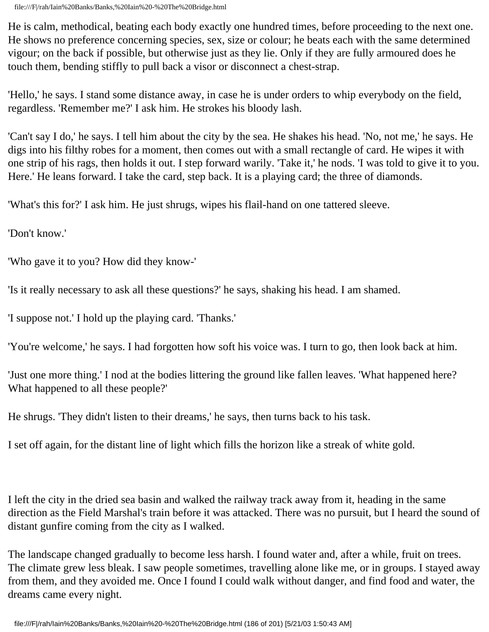He is calm, methodical, beating each body exactly one hundred times, before proceeding to the next one. He shows no preference concerning species, sex, size or colour; he beats each with the same determined vigour; on the back if possible, but otherwise just as they lie. Only if they are fully armoured does he touch them, bending stiffly to pull back a visor or disconnect a chest-strap.

'Hello,' he says. I stand some distance away, in case he is under orders to whip everybody on the field, regardless. 'Remember me?' I ask him. He strokes his bloody lash.

'Can't say I do,' he says. I tell him about the city by the sea. He shakes his head. 'No, not me,' he says. He digs into his filthy robes for a moment, then comes out with a small rectangle of card. He wipes it with one strip of his rags, then holds it out. I step forward warily. 'Take it,' he nods. 'I was told to give it to you. Here.' He leans forward. I take the card, step back. It is a playing card; the three of diamonds.

'What's this for?' I ask him. He just shrugs, wipes his flail-hand on one tattered sleeve.

'Don't know.'

'Who gave it to you? How did they know-'

'Is it really necessary to ask all these questions?' he says, shaking his head. I am shamed.

'I suppose not.' I hold up the playing card. 'Thanks.'

'You're welcome,' he says. I had forgotten how soft his voice was. I turn to go, then look back at him.

'Just one more thing.' I nod at the bodies littering the ground like fallen leaves. 'What happened here? What happened to all these people?'

He shrugs. 'They didn't listen to their dreams,' he says, then turns back to his task.

I set off again, for the distant line of light which fills the horizon like a streak of white gold.

I left the city in the dried sea basin and walked the railway track away from it, heading in the same direction as the Field Marshal's train before it was attacked. There was no pursuit, but I heard the sound of distant gunfire coming from the city as I walked.

The landscape changed gradually to become less harsh. I found water and, after a while, fruit on trees. The climate grew less bleak. I saw people sometimes, travelling alone like me, or in groups. I stayed away from them, and they avoided me. Once I found I could walk without danger, and find food and water, the dreams came every night.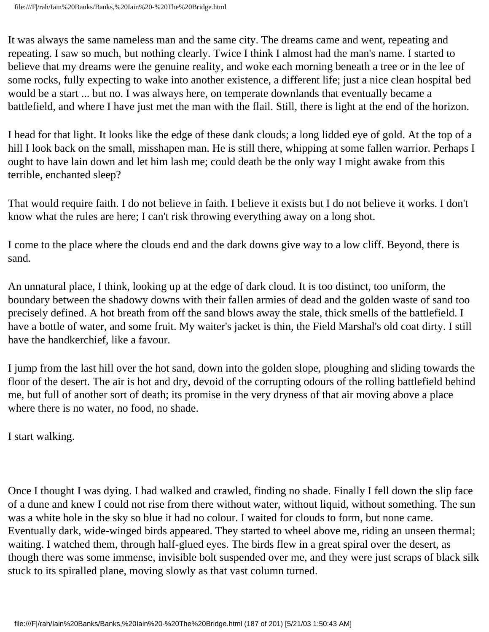It was always the same nameless man and the same city. The dreams came and went, repeating and repeating. I saw so much, but nothing clearly. Twice I think I almost had the man's name. I started to believe that my dreams were the genuine reality, and woke each morning beneath a tree or in the lee of some rocks, fully expecting to wake into another existence, a different life; just a nice clean hospital bed would be a start ... but no. I was always here, on temperate downlands that eventually became a battlefield, and where I have just met the man with the flail. Still, there is light at the end of the horizon.

I head for that light. It looks like the edge of these dank clouds; a long lidded eye of gold. At the top of a hill I look back on the small, misshapen man. He is still there, whipping at some fallen warrior. Perhaps I ought to have lain down and let him lash me; could death be the only way I might awake from this terrible, enchanted sleep?

That would require faith. I do not believe in faith. I believe it exists but I do not believe it works. I don't know what the rules are here; I can't risk throwing everything away on a long shot.

I come to the place where the clouds end and the dark downs give way to a low cliff. Beyond, there is sand.

An unnatural place, I think, looking up at the edge of dark cloud. It is too distinct, too uniform, the boundary between the shadowy downs with their fallen armies of dead and the golden waste of sand too precisely defined. A hot breath from off the sand blows away the stale, thick smells of the battlefield. I have a bottle of water, and some fruit. My waiter's jacket is thin, the Field Marshal's old coat dirty. I still have the handkerchief, like a favour.

I jump from the last hill over the hot sand, down into the golden slope, ploughing and sliding towards the floor of the desert. The air is hot and dry, devoid of the corrupting odours of the rolling battlefield behind me, but full of another sort of death; its promise in the very dryness of that air moving above a place where there is no water, no food, no shade.

I start walking.

Once I thought I was dying. I had walked and crawled, finding no shade. Finally I fell down the slip face of a dune and knew I could not rise from there without water, without liquid, without something. The sun was a white hole in the sky so blue it had no colour. I waited for clouds to form, but none came. Eventually dark, wide-winged birds appeared. They started to wheel above me, riding an unseen thermal; waiting. I watched them, through half-glued eyes. The birds flew in a great spiral over the desert, as though there was some immense, invisible bolt suspended over me, and they were just scraps of black silk stuck to its spiralled plane, moving slowly as that vast column turned.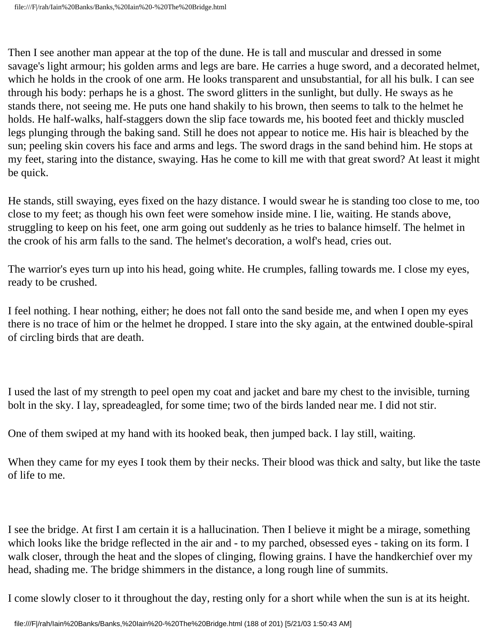Then I see another man appear at the top of the dune. He is tall and muscular and dressed in some savage's light armour; his golden arms and legs are bare. He carries a huge sword, and a decorated helmet, which he holds in the crook of one arm. He looks transparent and unsubstantial, for all his bulk. I can see through his body: perhaps he is a ghost. The sword glitters in the sunlight, but dully. He sways as he stands there, not seeing me. He puts one hand shakily to his brown, then seems to talk to the helmet he holds. He half-walks, half-staggers down the slip face towards me, his booted feet and thickly muscled legs plunging through the baking sand. Still he does not appear to notice me. His hair is bleached by the sun; peeling skin covers his face and arms and legs. The sword drags in the sand behind him. He stops at my feet, staring into the distance, swaying. Has he come to kill me with that great sword? At least it might be quick.

He stands, still swaying, eyes fixed on the hazy distance. I would swear he is standing too close to me, too close to my feet; as though his own feet were somehow inside mine. I lie, waiting. He stands above, struggling to keep on his feet, one arm going out suddenly as he tries to balance himself. The helmet in the crook of his arm falls to the sand. The helmet's decoration, a wolf's head, cries out.

The warrior's eyes turn up into his head, going white. He crumples, falling towards me. I close my eyes, ready to be crushed.

I feel nothing. I hear nothing, either; he does not fall onto the sand beside me, and when I open my eyes there is no trace of him or the helmet he dropped. I stare into the sky again, at the entwined double-spiral of circling birds that are death.

I used the last of my strength to peel open my coat and jacket and bare my chest to the invisible, turning bolt in the sky. I lay, spreadeagled, for some time; two of the birds landed near me. I did not stir.

One of them swiped at my hand with its hooked beak, then jumped back. I lay still, waiting.

When they came for my eyes I took them by their necks. Their blood was thick and salty, but like the taste of life to me.

I see the bridge. At first I am certain it is a hallucination. Then I believe it might be a mirage, something which looks like the bridge reflected in the air and - to my parched, obsessed eyes - taking on its form. I walk closer, through the heat and the slopes of clinging, flowing grains. I have the handkerchief over my head, shading me. The bridge shimmers in the distance, a long rough line of summits.

I come slowly closer to it throughout the day, resting only for a short while when the sun is at its height.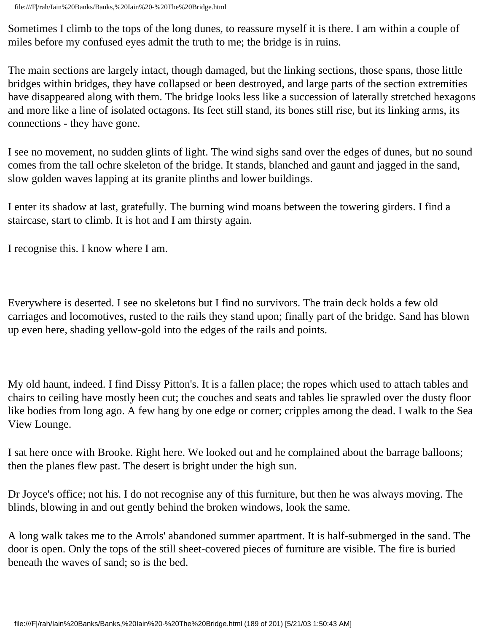Sometimes I climb to the tops of the long dunes, to reassure myself it is there. I am within a couple of miles before my confused eyes admit the truth to me; the bridge is in ruins.

The main sections are largely intact, though damaged, but the linking sections, those spans, those little bridges within bridges, they have collapsed or been destroyed, and large parts of the section extremities have disappeared along with them. The bridge looks less like a succession of laterally stretched hexagons and more like a line of isolated octagons. Its feet still stand, its bones still rise, but its linking arms, its connections - they have gone.

I see no movement, no sudden glints of light. The wind sighs sand over the edges of dunes, but no sound comes from the tall ochre skeleton of the bridge. It stands, blanched and gaunt and jagged in the sand, slow golden waves lapping at its granite plinths and lower buildings.

I enter its shadow at last, gratefully. The burning wind moans between the towering girders. I find a staircase, start to climb. It is hot and I am thirsty again.

I recognise this. I know where I am.

Everywhere is deserted. I see no skeletons but I find no survivors. The train deck holds a few old carriages and locomotives, rusted to the rails they stand upon; finally part of the bridge. Sand has blown up even here, shading yellow-gold into the edges of the rails and points.

My old haunt, indeed. I find Dissy Pitton's. It is a fallen place; the ropes which used to attach tables and chairs to ceiling have mostly been cut; the couches and seats and tables lie sprawled over the dusty floor like bodies from long ago. A few hang by one edge or corner; cripples among the dead. I walk to the Sea View Lounge.

I sat here once with Brooke. Right here. We looked out and he complained about the barrage balloons; then the planes flew past. The desert is bright under the high sun.

Dr Joyce's office; not his. I do not recognise any of this furniture, but then he was always moving. The blinds, blowing in and out gently behind the broken windows, look the same.

A long walk takes me to the Arrols' abandoned summer apartment. It is half-submerged in the sand. The door is open. Only the tops of the still sheet-covered pieces of furniture are visible. The fire is buried beneath the waves of sand; so is the bed.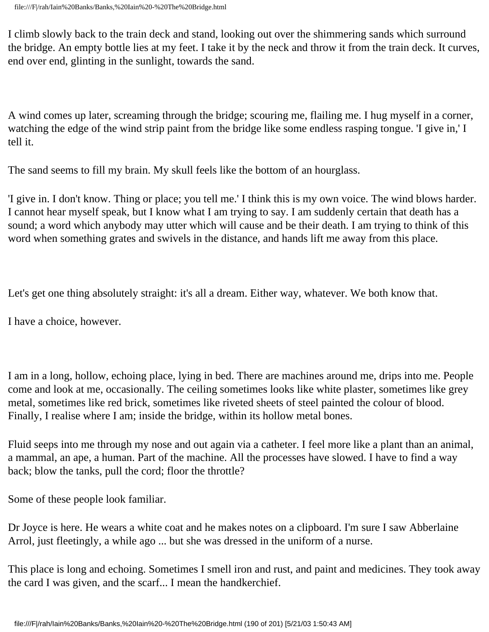I climb slowly back to the train deck and stand, looking out over the shimmering sands which surround the bridge. An empty bottle lies at my feet. I take it by the neck and throw it from the train deck. It curves, end over end, glinting in the sunlight, towards the sand.

A wind comes up later, screaming through the bridge; scouring me, flailing me. I hug myself in a corner, watching the edge of the wind strip paint from the bridge like some endless rasping tongue. 'I give in,' I tell it.

The sand seems to fill my brain. My skull feels like the bottom of an hourglass.

'I give in. I don't know. Thing or place; you tell me.' I think this is my own voice. The wind blows harder. I cannot hear myself speak, but I know what I am trying to say. I am suddenly certain that death has a sound; a word which anybody may utter which will cause and be their death. I am trying to think of this word when something grates and swivels in the distance, and hands lift me away from this place.

Let's get one thing absolutely straight: it's all a dream. Either way, whatever. We both know that.

I have a choice, however.

I am in a long, hollow, echoing place, lying in bed. There are machines around me, drips into me. People come and look at me, occasionally. The ceiling sometimes looks like white plaster, sometimes like grey metal, sometimes like red brick, sometimes like riveted sheets of steel painted the colour of blood. Finally, I realise where I am; inside the bridge, within its hollow metal bones.

Fluid seeps into me through my nose and out again via a catheter. I feel more like a plant than an animal, a mammal, an ape, a human. Part of the machine. All the processes have slowed. I have to find a way back; blow the tanks, pull the cord; floor the throttle?

Some of these people look familiar.

Dr Joyce is here. He wears a white coat and he makes notes on a clipboard. I'm sure I saw Abberlaine Arrol, just fleetingly, a while ago ... but she was dressed in the uniform of a nurse.

This place is long and echoing. Sometimes I smell iron and rust, and paint and medicines. They took away the card I was given, and the scarf... I mean the handkerchief.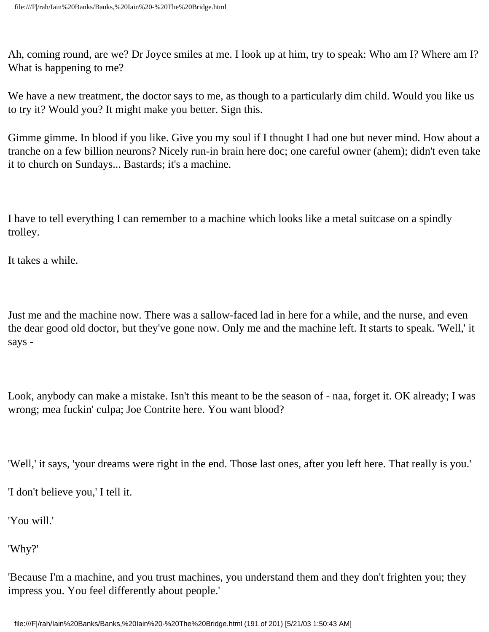Ah, coming round, are we? Dr Joyce smiles at me. I look up at him, try to speak: Who am I? Where am I? What is happening to me?

We have a new treatment, the doctor says to me, as though to a particularly dim child. Would you like us to try it? Would you? It might make you better. Sign this.

Gimme gimme. In blood if you like. Give you my soul if I thought I had one but never mind. How about a tranche on a few billion neurons? Nicely run-in brain here doc; one careful owner (ahem); didn't even take it to church on Sundays... Bastards; it's a machine.

I have to tell everything I can remember to a machine which looks like a metal suitcase on a spindly trolley.

It takes a while.

Just me and the machine now. There was a sallow-faced lad in here for a while, and the nurse, and even the dear good old doctor, but they've gone now. Only me and the machine left. It starts to speak. 'Well,' it says -

Look, anybody can make a mistake. Isn't this meant to be the season of - naa, forget it. OK already; I was wrong; mea fuckin' culpa; Joe Contrite here. You want blood?

'Well,' it says, 'your dreams were right in the end. Those last ones, after you left here. That really is you.'

'I don't believe you,' I tell it.

'You will.'

'Why?'

'Because I'm a machine, and you trust machines, you understand them and they don't frighten you; they impress you. You feel differently about people.'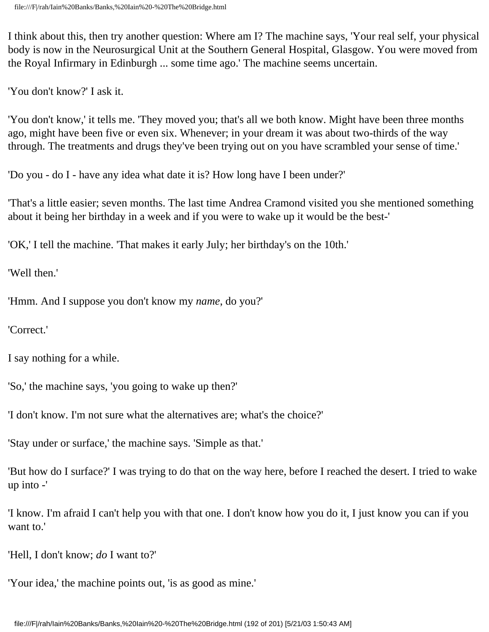I think about this, then try another question: Where am I? The machine says, 'Your real self, your physical body is now in the Neurosurgical Unit at the Southern General Hospital, Glasgow. You were moved from the Royal Infirmary in Edinburgh ... some time ago.' The machine seems uncertain.

'You don't know?' I ask it.

'You don't know,' it tells me. 'They moved you; that's all we both know. Might have been three months ago, might have been five or even six. Whenever; in your dream it was about two-thirds of the way through. The treatments and drugs they've been trying out on you have scrambled your sense of time.'

'Do you - do I - have any idea what date it is? How long have I been under?'

'That's a little easier; seven months. The last time Andrea Cramond visited you she mentioned something about it being her birthday in a week and if you were to wake up it would be the best-'

'OK,' I tell the machine. 'That makes it early July; her birthday's on the 10th.'

'Well then.'

'Hmm. And I suppose you don't know my *name*, do you?'

'Correct.'

I say nothing for a while.

'So,' the machine says, 'you going to wake up then?'

'I don't know. I'm not sure what the alternatives are; what's the choice?'

'Stay under or surface,' the machine says. 'Simple as that.'

'But how do I surface?' I was trying to do that on the way here, before I reached the desert. I tried to wake up into -'

'I know. I'm afraid I can't help you with that one. I don't know how you do it, I just know you can if you want to.'

'Hell, I don't know; *do* I want to?'

'Your idea,' the machine points out, 'is as good as mine.'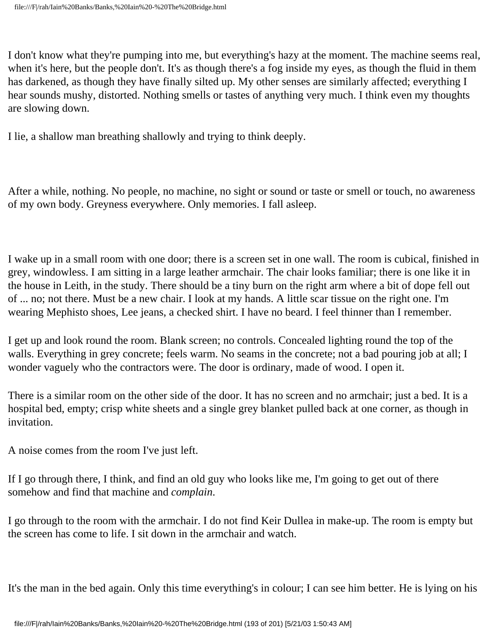I don't know what they're pumping into me, but everything's hazy at the moment. The machine seems real, when it's here, but the people don't. It's as though there's a fog inside my eyes, as though the fluid in them has darkened, as though they have finally silted up. My other senses are similarly affected; everything I hear sounds mushy, distorted. Nothing smells or tastes of anything very much. I think even my thoughts are slowing down.

I lie, a shallow man breathing shallowly and trying to think deeply.

After a while, nothing. No people, no machine, no sight or sound or taste or smell or touch, no awareness of my own body. Greyness everywhere. Only memories. I fall asleep.

I wake up in a small room with one door; there is a screen set in one wall. The room is cubical, finished in grey, windowless. I am sitting in a large leather armchair. The chair looks familiar; there is one like it in the house in Leith, in the study. There should be a tiny burn on the right arm where a bit of dope fell out of ... no; not there. Must be a new chair. I look at my hands. A little scar tissue on the right one. I'm wearing Mephisto shoes, Lee jeans, a checked shirt. I have no beard. I feel thinner than I remember.

I get up and look round the room. Blank screen; no controls. Concealed lighting round the top of the walls. Everything in grey concrete; feels warm. No seams in the concrete; not a bad pouring job at all; I wonder vaguely who the contractors were. The door is ordinary, made of wood. I open it.

There is a similar room on the other side of the door. It has no screen and no armchair; just a bed. It is a hospital bed, empty; crisp white sheets and a single grey blanket pulled back at one corner, as though in invitation.

A noise comes from the room I've just left.

If I go through there, I think, and find an old guy who looks like me, I'm going to get out of there somehow and find that machine and *complain*.

I go through to the room with the armchair. I do not find Keir Dullea in make-up. The room is empty but the screen has come to life. I sit down in the armchair and watch.

It's the man in the bed again. Only this time everything's in colour; I can see him better. He is lying on his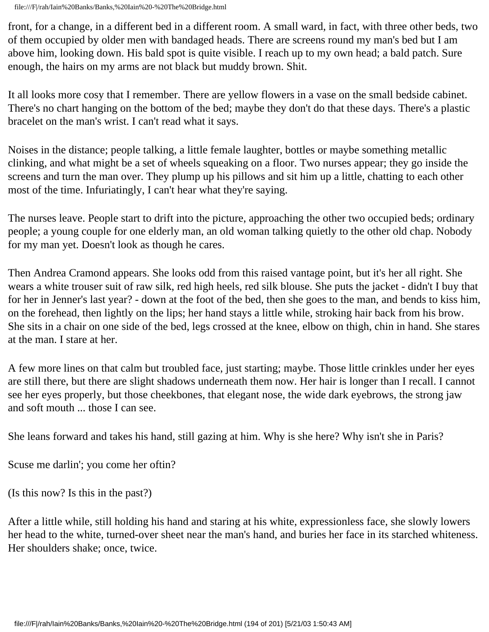front, for a change, in a different bed in a different room. A small ward, in fact, with three other beds, two of them occupied by older men with bandaged heads. There are screens round my man's bed but I am above him, looking down. His bald spot is quite visible. I reach up to my own head; a bald patch. Sure enough, the hairs on my arms are not black but muddy brown. Shit.

It all looks more cosy that I remember. There are yellow flowers in a vase on the small bedside cabinet. There's no chart hanging on the bottom of the bed; maybe they don't do that these days. There's a plastic bracelet on the man's wrist. I can't read what it says.

Noises in the distance; people talking, a little female laughter, bottles or maybe something metallic clinking, and what might be a set of wheels squeaking on a floor. Two nurses appear; they go inside the screens and turn the man over. They plump up his pillows and sit him up a little, chatting to each other most of the time. Infuriatingly, I can't hear what they're saying.

The nurses leave. People start to drift into the picture, approaching the other two occupied beds; ordinary people; a young couple for one elderly man, an old woman talking quietly to the other old chap. Nobody for my man yet. Doesn't look as though he cares.

Then Andrea Cramond appears. She looks odd from this raised vantage point, but it's her all right. She wears a white trouser suit of raw silk, red high heels, red silk blouse. She puts the jacket - didn't I buy that for her in Jenner's last year? - down at the foot of the bed, then she goes to the man, and bends to kiss him, on the forehead, then lightly on the lips; her hand stays a little while, stroking hair back from his brow. She sits in a chair on one side of the bed, legs crossed at the knee, elbow on thigh, chin in hand. She stares at the man. I stare at her.

A few more lines on that calm but troubled face, just starting; maybe. Those little crinkles under her eyes are still there, but there are slight shadows underneath them now. Her hair is longer than I recall. I cannot see her eyes properly, but those cheekbones, that elegant nose, the wide dark eyebrows, the strong jaw and soft mouth ... those I can see.

She leans forward and takes his hand, still gazing at him. Why is she here? Why isn't she in Paris?

```
Scuse me darlin'; you come her oftin?
```
(Is this now? Is this in the past?)

After a little while, still holding his hand and staring at his white, expressionless face, she slowly lowers her head to the white, turned-over sheet near the man's hand, and buries her face in its starched whiteness. Her shoulders shake; once, twice.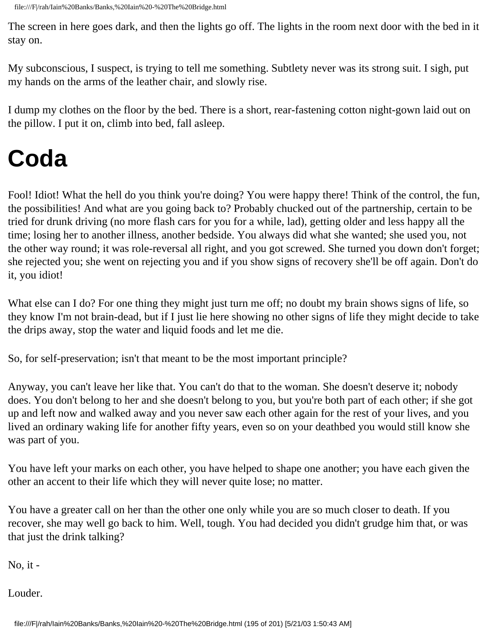The screen in here goes dark, and then the lights go off. The lights in the room next door with the bed in it stay on.

My subconscious, I suspect, is trying to tell me something. Subtlety never was its strong suit. I sigh, put my hands on the arms of the leather chair, and slowly rise.

I dump my clothes on the floor by the bed. There is a short, rear-fastening cotton night-gown laid out on the pillow. I put it on, climb into bed, fall asleep.

## **Coda**

Fool! Idiot! What the hell do you think you're doing? You were happy there! Think of the control, the fun, the possibilities! And what are you going back to? Probably chucked out of the partnership, certain to be tried for drunk driving (no more flash cars for you for a while, lad), getting older and less happy all the time; losing her to another illness, another bedside. You always did what she wanted; she used you, not the other way round; it was role-reversal all right, and you got screwed. She turned you down don't forget; she rejected you; she went on rejecting you and if you show signs of recovery she'll be off again. Don't do it, you idiot!

What else can I do? For one thing they might just turn me off; no doubt my brain shows signs of life, so they know I'm not brain-dead, but if I just lie here showing no other signs of life they might decide to take the drips away, stop the water and liquid foods and let me die.

So, for self-preservation; isn't that meant to be the most important principle?

Anyway, you can't leave her like that. You can't do that to the woman. She doesn't deserve it; nobody does. You don't belong to her and she doesn't belong to you, but you're both part of each other; if she got up and left now and walked away and you never saw each other again for the rest of your lives, and you lived an ordinary waking life for another fifty years, even so on your deathbed you would still know she was part of you.

You have left your marks on each other, you have helped to shape one another; you have each given the other an accent to their life which they will never quite lose; no matter.

You have a greater call on her than the other one only while you are so much closer to death. If you recover, she may well go back to him. Well, tough. You had decided you didn't grudge him that, or was that just the drink talking?

No, it -

Louder.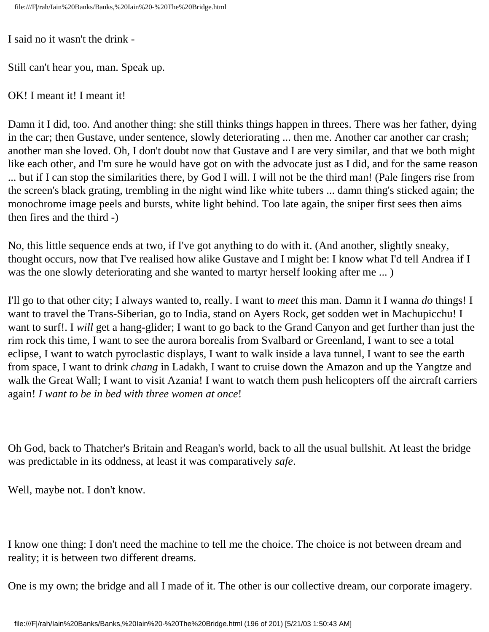I said no it wasn't the drink -

Still can't hear you, man. Speak up.

OK! I meant it! I meant it!

Damn it I did, too. And another thing: she still thinks things happen in threes. There was her father, dying in the car; then Gustave, under sentence, slowly deteriorating ... then me. Another car another car crash; another man she loved. Oh, I don't doubt now that Gustave and I are very similar, and that we both might like each other, and I'm sure he would have got on with the advocate just as I did, and for the same reason ... but if I can stop the similarities there, by God I will. I will not be the third man! (Pale fingers rise from the screen's black grating, trembling in the night wind like white tubers ... damn thing's sticked again; the monochrome image peels and bursts, white light behind. Too late again, the sniper first sees then aims then fires and the third -)

No, this little sequence ends at two, if I've got anything to do with it. (And another, slightly sneaky, thought occurs, now that I've realised how alike Gustave and I might be: I know what I'd tell Andrea if I was the one slowly deteriorating and she wanted to martyr herself looking after me ... )

I'll go to that other city; I always wanted to, really. I want to *meet* this man. Damn it I wanna *do* things! I want to travel the Trans-Siberian, go to India, stand on Ayers Rock, get sodden wet in Machupicchu! I want to surf!. I *will* get a hang-glider; I want to go back to the Grand Canyon and get further than just the rim rock this time, I want to see the aurora borealis from Svalbard or Greenland, I want to see a total eclipse, I want to watch pyroclastic displays, I want to walk inside a lava tunnel, I want to see the earth from space, I want to drink *chang* in Ladakh, I want to cruise down the Amazon and up the Yangtze and walk the Great Wall; I want to visit Azania! I want to watch them push helicopters off the aircraft carriers again! *I want to be in bed with three women at once*!

Oh God, back to Thatcher's Britain and Reagan's world, back to all the usual bullshit. At least the bridge was predictable in its oddness, at least it was comparatively *safe*.

Well, maybe not. I don't know.

I know one thing: I don't need the machine to tell me the choice. The choice is not between dream and reality; it is between two different dreams.

One is my own; the bridge and all I made of it. The other is our collective dream, our corporate imagery.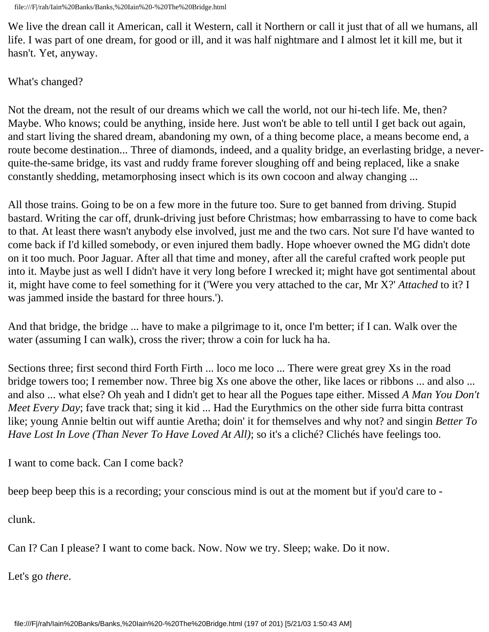We live the drean call it American, call it Western, call it Northern or call it just that of all we humans, all life. I was part of one dream, for good or ill, and it was half nightmare and I almost let it kill me, but it hasn't. Yet, anyway.

## What's changed?

Not the dream, not the result of our dreams which we call the world, not our hi-tech life. Me, then? Maybe. Who knows; could be anything, inside here. Just won't be able to tell until I get back out again, and start living the shared dream, abandoning my own, of a thing become place, a means become end, a route become destination... Three of diamonds, indeed, and a quality bridge, an everlasting bridge, a neverquite-the-same bridge, its vast and ruddy frame forever sloughing off and being replaced, like a snake constantly shedding, metamorphosing insect which is its own cocoon and alway changing ...

All those trains. Going to be on a few more in the future too. Sure to get banned from driving. Stupid bastard. Writing the car off, drunk-driving just before Christmas; how embarrassing to have to come back to that. At least there wasn't anybody else involved, just me and the two cars. Not sure I'd have wanted to come back if I'd killed somebody, or even injured them badly. Hope whoever owned the MG didn't dote on it too much. Poor Jaguar. After all that time and money, after all the careful crafted work people put into it. Maybe just as well I didn't have it very long before I wrecked it; might have got sentimental about it, might have come to feel something for it ('Were you very attached to the car, Mr X?' *Attached* to it? I was jammed inside the bastard for three hours.').

And that bridge, the bridge ... have to make a pilgrimage to it, once I'm better; if I can. Walk over the water (assuming I can walk), cross the river; throw a coin for luck ha ha.

Sections three; first second third Forth Firth ... loco me loco ... There were great grey Xs in the road bridge towers too; I remember now. Three big Xs one above the other, like laces or ribbons ... and also ... and also ... what else? Oh yeah and I didn't get to hear all the Pogues tape either. Missed *A Man You Don't Meet Every Day*; fave track that; sing it kid ... Had the Eurythmics on the other side furra bitta contrast like; young Annie beltin out wiff auntie Aretha; doin' it for themselves and why not? and singin *Better To Have Lost In Love (Than Never To Have Loved At All)*; so it's a cliché? Clichés have feelings too.

I want to come back. Can I come back?

beep beep beep this is a recording; your conscious mind is out at the moment but if you'd care to -

clunk.

Can I? Can I please? I want to come back. Now. Now we try. Sleep; wake. Do it now.

Let's go *there*.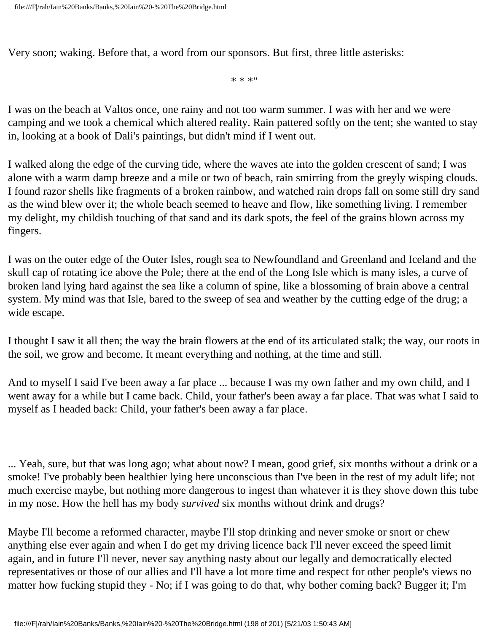Very soon; waking. Before that, a word from our sponsors. But first, three little asterisks:

\* \* \*"

I was on the beach at Valtos once, one rainy and not too warm summer. I was with her and we were camping and we took a chemical which altered reality. Rain pattered softly on the tent; she wanted to stay in, looking at a book of Dali's paintings, but didn't mind if I went out.

I walked along the edge of the curving tide, where the waves ate into the golden crescent of sand; I was alone with a warm damp breeze and a mile or two of beach, rain smirring from the greyly wisping clouds. I found razor shells like fragments of a broken rainbow, and watched rain drops fall on some still dry sand as the wind blew over it; the whole beach seemed to heave and flow, like something living. I remember my delight, my childish touching of that sand and its dark spots, the feel of the grains blown across my fingers.

I was on the outer edge of the Outer Isles, rough sea to Newfoundland and Greenland and Iceland and the skull cap of rotating ice above the Pole; there at the end of the Long Isle which is many isles, a curve of broken land lying hard against the sea like a column of spine, like a blossoming of brain above a central system. My mind was that Isle, bared to the sweep of sea and weather by the cutting edge of the drug; a wide escape.

I thought I saw it all then; the way the brain flowers at the end of its articulated stalk; the way, our roots in the soil, we grow and become. It meant everything and nothing, at the time and still.

And to myself I said I've been away a far place ... because I was my own father and my own child, and I went away for a while but I came back. Child, your father's been away a far place. That was what I said to myself as I headed back: Child, your father's been away a far place.

... Yeah, sure, but that was long ago; what about now? I mean, good grief, six months without a drink or a smoke! I've probably been healthier lying here unconscious than I've been in the rest of my adult life; not much exercise maybe, but nothing more dangerous to ingest than whatever it is they shove down this tube in my nose. How the hell has my body *survived* six months without drink and drugs?

Maybe I'll become a reformed character, maybe I'll stop drinking and never smoke or snort or chew anything else ever again and when I do get my driving licence back I'll never exceed the speed limit again, and in future I'll never, never say anything nasty about our legally and democratically elected representatives or those of our allies and I'll have a lot more time and respect for other people's views no matter how fucking stupid they - No; if I was going to do that, why bother coming back? Bugger it; I'm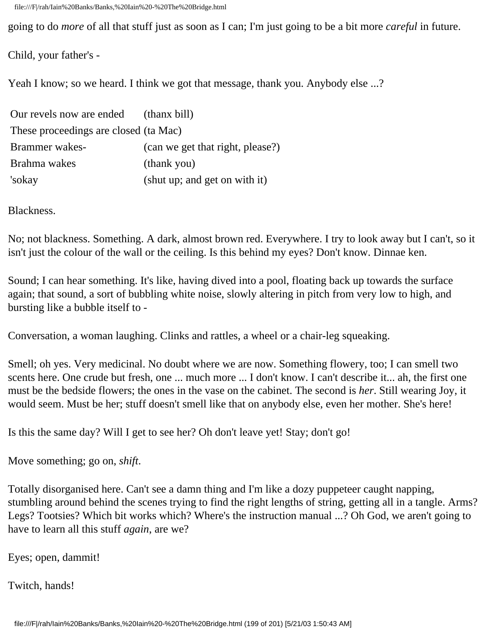```
file:///F|/rah/Iain%20Banks/Banks,%20Iain%20-%20The%20Bridge.html
```
going to do *more* of all that stuff just as soon as I can; I'm just going to be a bit more *careful* in future.

Child, your father's -

Yeah I know; so we heard. I think we got that message, thank you. Anybody else ...?

| Our revels now are ended (thanx bill) |                                  |
|---------------------------------------|----------------------------------|
| These proceedings are closed (ta Mac) |                                  |
| Brammer wakes-                        | (can we get that right, please?) |
| Brahma wakes                          | (thank you)                      |
| 'sokay                                | (shut up; and get on with it)    |

Blackness.

No; not blackness. Something. A dark, almost brown red. Everywhere. I try to look away but I can't, so it isn't just the colour of the wall or the ceiling. Is this behind my eyes? Don't know. Dinnae ken.

Sound; I can hear something. It's like, having dived into a pool, floating back up towards the surface again; that sound, a sort of bubbling white noise, slowly altering in pitch from very low to high, and bursting like a bubble itself to -

Conversation, a woman laughing. Clinks and rattles, a wheel or a chair-leg squeaking.

Smell; oh yes. Very medicinal. No doubt where we are now. Something flowery, too; I can smell two scents here. One crude but fresh, one ... much more ... I don't know. I can't describe it... ah, the first one must be the bedside flowers; the ones in the vase on the cabinet. The second is *her*. Still wearing Joy, it would seem. Must be her; stuff doesn't smell like that on anybody else, even her mother. She's here!

Is this the same day? Will I get to see her? Oh don't leave yet! Stay; don't go!

Move something; go on, *shift*.

Totally disorganised here. Can't see a damn thing and I'm like a dozy puppeteer caught napping, stumbling around behind the scenes trying to find the right lengths of string, getting all in a tangle. Arms? Legs? Tootsies? Which bit works which? Where's the instruction manual ...? Oh God, we aren't going to have to learn all this stuff *again*, are we?

Eyes; open, dammit!

Twitch, hands!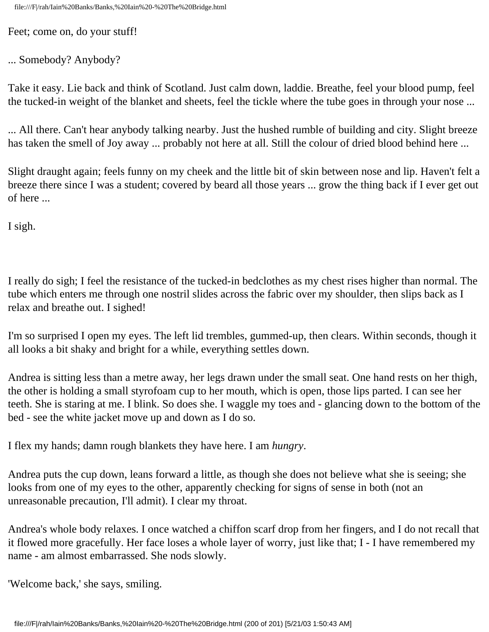file:///F|/rah/Iain%20Banks/Banks,%20Iain%20-%20The%20Bridge.html

Feet; come on, do your stuff!

... Somebody? Anybody?

Take it easy. Lie back and think of Scotland. Just calm down, laddie. Breathe, feel your blood pump, feel the tucked-in weight of the blanket and sheets, feel the tickle where the tube goes in through your nose ...

... All there. Can't hear anybody talking nearby. Just the hushed rumble of building and city. Slight breeze has taken the smell of Joy away ... probably not here at all. Still the colour of dried blood behind here ...

Slight draught again; feels funny on my cheek and the little bit of skin between nose and lip. Haven't felt a breeze there since I was a student; covered by beard all those years ... grow the thing back if I ever get out of here ...

I sigh.

I really do sigh; I feel the resistance of the tucked-in bedclothes as my chest rises higher than normal. The tube which enters me through one nostril slides across the fabric over my shoulder, then slips back as I relax and breathe out. I sighed!

I'm so surprised I open my eyes. The left lid trembles, gummed-up, then clears. Within seconds, though it all looks a bit shaky and bright for a while, everything settles down.

Andrea is sitting less than a metre away, her legs drawn under the small seat. One hand rests on her thigh, the other is holding a small styrofoam cup to her mouth, which is open, those lips parted. I can see her teeth. She is staring at me. I blink. So does she. I waggle my toes and - glancing down to the bottom of the bed - see the white jacket move up and down as I do so.

I flex my hands; damn rough blankets they have here. I am *hungry*.

Andrea puts the cup down, leans forward a little, as though she does not believe what she is seeing; she looks from one of my eyes to the other, apparently checking for signs of sense in both (not an unreasonable precaution, I'll admit). I clear my throat.

Andrea's whole body relaxes. I once watched a chiffon scarf drop from her fingers, and I do not recall that it flowed more gracefully. Her face loses a whole layer of worry, just like that; I - I have remembered my name - am almost embarrassed. She nods slowly.

'Welcome back,' she says, smiling.